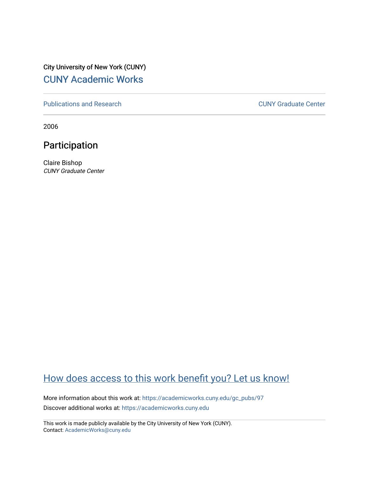City University of New York (CUNY) [CUNY Academic Works](https://academicworks.cuny.edu/) 

[Publications and Research](https://academicworks.cuny.edu/gc_pubs) [CUNY Graduate Center](https://academicworks.cuny.edu/gc) 

2006

## Participation

Claire Bishop CUNY Graduate Center

## [How does access to this work benefit you? Let us know!](http://ols.cuny.edu/academicworks/?ref=https://academicworks.cuny.edu/gc_pubs/97)

More information about this work at: [https://academicworks.cuny.edu/gc\\_pubs/97](https://academicworks.cuny.edu/gc_pubs/97)  Discover additional works at: [https://academicworks.cuny.edu](https://academicworks.cuny.edu/?)

This work is made publicly available by the City University of New York (CUNY). Contact: [AcademicWorks@cuny.edu](mailto:AcademicWorks@cuny.edu)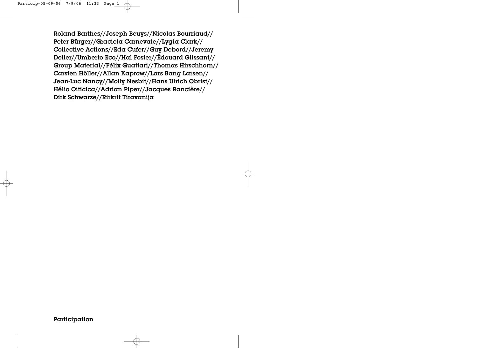Roland Barthes//Joseph Beuys//Nicolas Bourriaud// Peter Bürger//Graciela Carnevale//Lygia Clark// Collective Actions//Eda Cufer//Guy Debord//Jeremy Deller//Umberto Eco//Hal Foster//Édouard Glissant// Group Material//Félix Guattari//Thomas Hirschhorn// Carsten Höller//Allan Kaprow//Lars Bang Larsen// Jean-Luc Nancy//Molly Nesbit//Hans Ulrich Obrist// Hélio Oiticica//Adrian Piper//Jacques Rancière// Dirk Schwarze//Rirkrit Tiravanija

Participation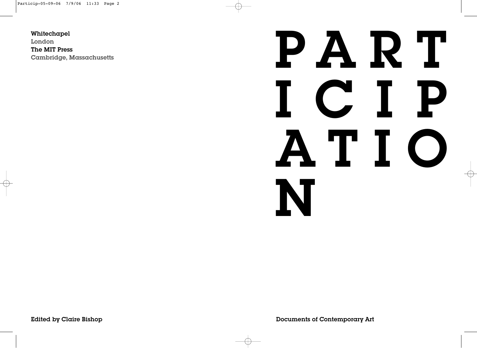Particip-05-09-06 7/9/06 11:33 Page 2

Whitechapel London The MIT Press Cambridge, Massachusetts

## PART N ATIO ICIP

Edited by Claire Bishop

Documents of Contemporary Art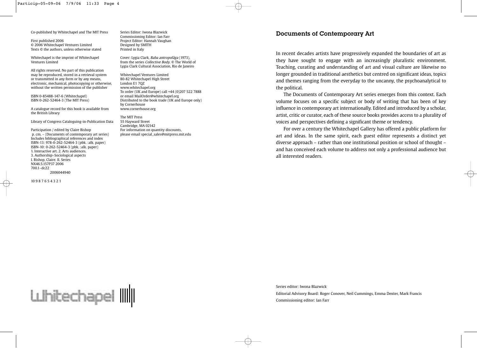Co-published by Whitechapel and The MIT Press

First published 2006 © 2006 Whitechapel Ventures Limited Texts © the authors, unless otherwise stated

Whitechapel is the imprint of Whitechapel Ventures Limited

All rights reserved. No part of this publication may be reproduced, stored in a retrieval system or transmitted in any form or by any means, electronic, mechanical, photocopying or otherwise, without the written permission of the publisher

ISBN 0-85488-147-6 (Whitechapel) ISBN 0-262-52464-3 (The MIT Press)

A catalogue record for this book is available from the British Library

Library of Congress Cataloguing-in-Publication Data

Participation / edited by Claire Bishop p. cm. – (Documents of contemporary art series) Includes bibliographical references and index ISBN-13: 978-0-262-52464-3 (pbk. :alk. paper) ISBN-10: 0-262-52464-3 (pbk. :alk. paper) 1. Interactive art. 2. Arts audiences. 3. Authorship–Sociological aspects I. Bishop, Claire. II. Series NX46.5.157P37 2006 700.1–dc22

2006044940

10 9 8 7 6 5 4 3 2 1

Series Editor: Iwona Blazwick Commissioning Editor: Ian Farr Project Editor: Hannah Vaughan Designed by SMITH Printed in Italy

Cover: Lygia Clark, Baba antropofága (1973), from the series Collective Body. © The World of Lygia Clark Cultural Association, Rio de Janeiro

Whitechapel Ventures Limited 80-82 Whitechapel High Street London E1 7QZ www.whitechapel.org To order (UK and Europe) call +44 (0)207 522 7888 or email MailOrder@whitechapel.org Distributed to the book trade (UK and Europe only) by Cornerhouse www.cornerhouse.org

The MIT Press 55 Hayward Street Cambridge, MA 02142 For information on quantity discounts, please email special\_sales@mitpress.mit.edu

## Documents of Contemporary Art

In recent decades artists have progressively expanded the boundaries of art as they have sought to engage with an increasingly pluralistic environment. Teaching, curating and understanding of art and visual culture are likewise no longer grounded in traditional aesthetics but centred on significant ideas, topics and themes ranging from the everyday to the uncanny, the psychoanalytical to the political.

The Documents of Contemporary Art series emerges from this context. Each volume focuses on a specific subject or body of writing that has been of key influence in contemporary art internationally. Edited and introduced by a scholar, artist, critic or curator, each of these source books provides access to a plurality of voices and perspectives defining a significant theme or tendency.

For over a century the Whitechapel Gallery has offered a public platform for art and ideas. In the same spirit, each guest editor represents a distinct yet diverse approach – rather than one institutional position or school of thought – and has conceived each volume to address not only a professional audience but all interested readers.

**Luhitechapel** III

Series editor: Iwona Blazwick

Editorial Advisory Board: Roger Conover, Neil Cummings, Emma Dexter, Mark Francis Commissioning editor: Ian Farr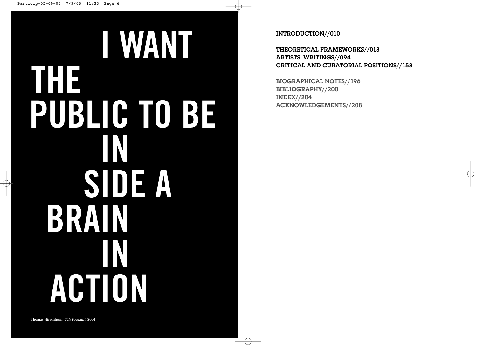## **I WANT THE PUBLIC TO BE IN SIDE A BRAIN IN ACTION**

INTRODUCTION//010

THEORETICAL FRAMEWORKS//018 ARTISTS' WRITINGS//094 CRITICAL AND CURATORIAL POSITIONS//158

BIOGRAPHICAL NOTES//196 BIBLIOGRAPHY//200 INDEX//204 ACKNOWLEDGEMENTS//208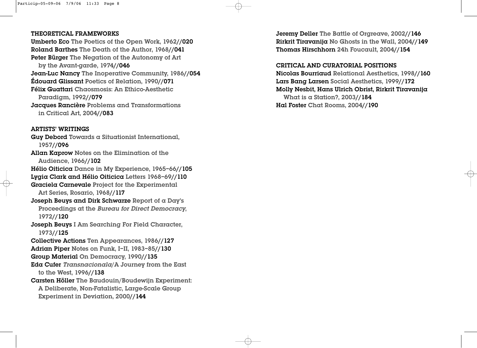### THEORETICAL FRAMEWORKS

Umberto Eco The Poetics of the Open Work, 1962//020 Roland Barthes The Death of the Author, 1968//041 Peter Bürger The Negation of the Autonomy of Art by the Avant-garde, 1974//046 Jean-Luc Nancy The Inoperative Community, 1986//054 Édouard Glissant Poetics of Relation, 1990//071 Félix Guattari Chaosmosis: An Ethico-Aesthetic Paradigm, 1992//079 Jacques Rancière Problems and Transformations in Critical Art, 2004//083

## ARTISTS' WRITINGS

Guy Debord Towards a Situationist International, 1957//096 Allan Kaprow Notes on the Elimination of the Audience, 1966//102 Hélio Oiticica Dance in My Experience, 1965–66//105 Lygia Clark and Hélio Oiticica Letters 1968–69//110 Graciela Carnevale Project for the Experimental Art Series, Rosario, 1968//117 Joseph Beuys and Dirk Schwarze Report of a Day's Proceedings at the Bureau for Direct Democracy, 1972//120 Joseph Beuys I Am Searching For Field Character, 1973//125 Collective Actions Ten Appearances, 1986//127 Adrian Piper Notes on Funk, I–II, 1983–85//130 Group Material On Democracy, 1990//135 Eda Cufer Transnacionala/A Journey from the East to the West, 1996//138 Carsten Höller The Baudouin/Boudewijn Experiment: A Deliberate, Non-Fatalistic, Large-Scale Group Experiment in Deviation, 2000//144

Jeremy Deller The Battle of Orgreave, 2002//146 Rirkrit Tiravanija No Ghosts in the Wall, 2004//149 Thomas Hirschhorn 24h Foucault, 2004//154

## CRITICAL AND CURATORIAL POSITIONS

Nicolas Bourriaud Relational Aesthetics, 1998//160 Lars Bang Larsen Social Aesthetics, 1999//172 Molly Nesbit, Hans Ulrich Obrist, Rirkrit Tiravanija What is a Station?, 2003//184 Hal Foster Chat Rooms, 2004//190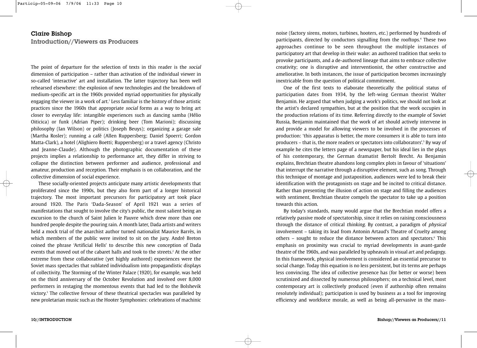## Claire Bishop Introduction//Viewers as Producers

The point of departure for the selection of texts in this reader is the *social* dimension of participation – rather than activation of the individual viewer in so-called 'interactive' art and installation. The latter trajectory has been well rehearsed elsewhere: the explosion of new technologies and the breakdown of medium-specific art in the 1960s provided myriad opportunities for physically engaging the viewer in a work of art.1 Less familiar is the history of those artistic practices since the 1960s that appropriate social forms as a way to bring art closer to everyday life: intangible experiences such as dancing samba (Hélio Oiticica) or funk (Adrian Piper); drinking beer (Tom Marioni); discussing philosophy (Ian Wilson) or politics (Joseph Beuys); organizing a garage sale (Martha Rosler); running a café (Allen Ruppersberg; Daniel Spoerri; Gordon Matta-Clark), a hotel (Alighiero Boetti; Ruppersberg) or a travel agency (Christo and Jeanne-Claude). Although the photographic documentation of these projects implies a relationship to performance art, they differ in striving to collapse the distinction between performer and audience, professional and amateur, production and reception. Their emphasis is on collaboration, and the collective dimension of social experience.

These socially-oriented projects anticipate many artistic developments that proliferated since the 1990s, but they also form part of a longer historical trajectory. The most important precursors for participatory art took place around 1920. The Paris 'Dada-Season' of April 1921 was a series of manifestations that sought to involve the city's public, the most salient being an excursion to the church of Saint Julien le Pauvre which drew more than one hundred people despite the pouring rain. A month later, Dada artists and writers held a mock trial of the anarchist author turned nationalist Maurice Barrès, in which members of the public were invited to sit on the jury. André Breton coined the phrase 'Artificial Hells' to describe this new conception of Dada events that moved out of the cabaret halls and took to the streets.<sup>2</sup> At the other extreme from these collaborative (yet highly authored) experiences were the Soviet mass spectacles that sublated individualism into propagandistic displays of collectivity. The Storming of the Winter Palace (1920), for example, was held on the third anniversary of the October Revolution and involved over 8,000 performers in restaging the momentous events that had led to the Bolshevik victory.3 The collective fervour of these theatrical spectacles was paralleled by new proletarian music such as the Hooter Symphonies: celebrations of machinic

noise (factory sirens, motors, turbines, hooters, etc.) performed by hundreds of participants, directed by conductors signalling from the rooftops.4 These two approaches continue to be seen throughout the multiple instances of participatory art that develop in their wake: an authored tradition that seeks to provoke participants, and a de-authored lineage that aims to embrace collective creativity; one is disruptive and interventionist, the other constructive and ameliorative. In both instances, the issue of participation becomes increasingly inextricable from the question of political commitment.

One of the first texts to elaborate theoretically the political status of participation dates from 1934, by the left-wing German theorist Walter Benjamin. He argued that when judging a work's politics, we should not look at the artist's declared sympathies, but at the position that the work occupies in the production relations of its time. Referring directly to the example of Soviet Russia, Benjamin maintained that the work of art should actively intervene in and provide a model for allowing viewers to be involved in the processes of production: 'this apparatus is better, the more consumers it is able to turn into producers – that is, the more readers or spectators into collaborators'.5 By way of example he cites the letters page of a newspaper, but his ideal lies in the plays of his contemporary, the German dramatist Bertolt Brecht. As Benjamin explains, Brechtian theatre abandons long complex plots in favour of 'situations' that interrupt the narrative through a disruptive element, such as song. Through this technique of montage and juxtaposition, audiences were led to break their identification with the protagonists on stage and be incited to critical distance. Rather than presenting the illusion of action on stage and filling the audiences with sentiment, Brechtian theatre compels the spectator to take up a position towards this action.

By today's standards, many would argue that the Brechtian model offers a relatively passive mode of spectatorship, since it relies on raising consciousness through the distance of critical thinking. By contrast, a paradigm of physical involvement – taking its lead from Antonin Artaud's Theatre of Cruelty among others - sought to reduce the distance between actors and spectators.<sup>6</sup> This emphasis on proximity was crucial to myriad developments in avant-garde theatre of the 1960s, and was paralleled by upheavals in visual art and pedagogy. In this framework, physical involvement is considered an essential precursor to social change. Today this equation is no less persistent, but its terms are perhaps less convincing. The idea of collective presence has (for better or worse) been scrutinized and dissected by numerous philosophers; on a technical level, most contemporary art is collectively produced (even if authorship often remains resolutely individual); participation is used by business as a tool for improving efficiency and workforce morale, as well as being all-pervasive in the mass-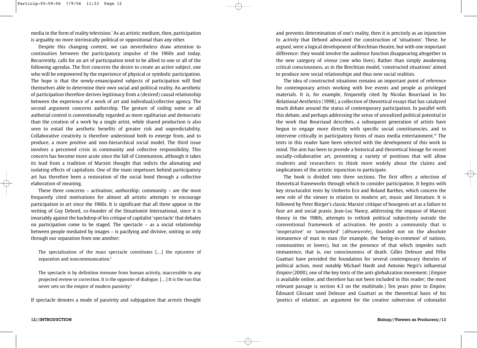media in the form of reality television.7 As an artistic medium, then, participation is arguably no more intrinsically political or oppositional than any other.

Despite this changing context, we can nevertheless draw attention to continuities between the participatory impulse of the 1960s and today. Recurrently, calls for an art of participation tend to be allied to one or all of the following agendas. The first concerns the desire to create an active subject, one who will be empowered by the experience of physical or symbolic participation. The hope is that the newly-emancipated subjects of participation will find themselves able to determine their own social and political reality. An aesthetic of participation therefore derives legitimacy from a (desired) causal relationship between the experience of a work of art and individual/collective agency. The second argument concerns authorship. The gesture of ceding some or all authorial control is conventionally regarded as more egalitarian and democratic than the creation of a work by a single artist, while shared production is also seen to entail the aesthetic benefits of greater risk and unpredictability. Collaborative creativity is therefore understood both to emerge from, and to produce, a more positive and non-hierarchical social model. The third issue involves a perceived crisis in community and collective responsibility. This concern has become more acute since the fall of Communism, although it takes its lead from a tradition of Marxist thought that indicts the alienating and isolating effects of capitalism. One of the main impetuses behind participatory art has therefore been a restoration of the social bond through a collective elaboration of meaning.

These three concerns – activation; authorship; community – are the most frequently cited motivations for almost all artistic attempts to encourage participation in art since the 1960s. It is significant that all three appear in the writing of Guy Debord, co-founder of the Situationist International, since it is invariably against the backdrop of his critique of capitalist 'spectacle' that debates on participation come to be staged. The spectacle – as a social relationship between people mediated by images – is pacifying and divisive, uniting us only through our separation from one another:

The specialization of the mass spectacle constitutes […] the epicentre of separation and noncommunication.<sup>8</sup>

The spectacle is by definition immune from human activity, inaccessible to any projected review or correction. It is the opposite of dialogue. […] It is the sun that never sets on the empire of modern passivity.<sup>9</sup>

If spectacle denotes a mode of passivity and subjugation that arrests thought

and prevents determination of one's reality, then it is precisely as an injunction to activity that Debord advocated the construction of 'situations'. These, he argued, were a logical development of Brechtian theatre, but with one important difference: they would involve the audience function disappearing altogether in the new category of viveur (one who lives). Rather than simply awakening critical consciousness, as in the Brechtian model, 'constructed situations' aimed to produce new social relationships and thus new social realities.

The idea of constructed situations remains an important point of reference for contemporary artists working with live events and people as privileged materials. It is, for example, frequently cited by Nicolas Bourriaud in his Relational Aesthetics (1998), a collection of theoretical essays that has catalyzed much debate around the status of contemporary participation. In parallel with this debate, and perhaps addressing the sense of unrealized political potential in the work that Bourriaud describes, a subsequent generation of artists have begun to engage more directly with specific social constituencies, and to intervene critically in participatory forms of mass media entertainment.<sup>10</sup> The texts in this reader have been selected with the development of this work in mind. The aim has been to provide a historical and theoretical lineage for recent socially-collaborative art, presenting a variety of positions that will allow students and researchers to think more widely about the claims and implications of the artistic injunction to participate.

The book is divided into three sections. The first offers a selection of theoretical frameworks through which to consider participation. It begins with key structuralist texts by Umberto Eco and Roland Barthes, which concern the new role of the viewer in relation to modern art, music and literature. It is followed by Peter Bürger's classic Marxist critique of bourgeois art as a failure to fuse art and social praxis. Jean-Luc Nancy, addressing the impasse of Marxist theory in the 1980s, attempts to rethink political subjectivity outside the conventional framework of activation. He posits a community that is 'inoperative' or 'unworked' (désoeuvrée), founded not on the absolute immanence of man to man (for example, the 'being-in-common' of nations, communities or lovers), but on the presence of that which impedes such immanence, that is, our consciousness of death. Gilles Deleuze and Félix Guattari have provided the foundation for several contemporary theories of political action, most notably Michael Hardt and Antonio Negri's influential Empire (2000), one of the key texts of the anti-globalization movement. (Empire is available online, and therefore has not been included in this reader; the most relevant passage is section 4.3 on the multitude.) Ten years prior to Empire, Édouard Glissant used Deleuze and Guattari as the theoretical basis of his 'poetics of relation', an argument for the creative subversion of colonialist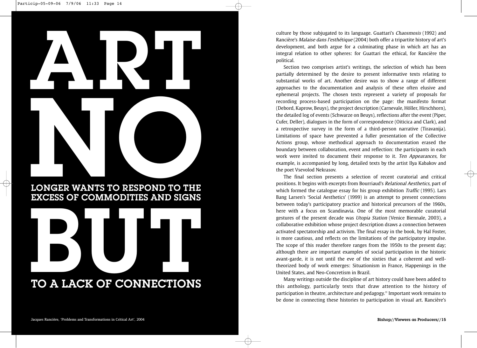# ART LONGER WANTS TO RESPOND TO THE EXCESS OF COMMODITIES AND SIGNS EXCESS OF COMMODITIES AND SIGNS LONGER WANTS TO RESPOND TO THE EXCESS OF COMMODITIES AND SIGNS

culture by those subjugated to its language. Guattari's Chaosmosis (1992) and Rancière's Malaise dans l'esthétique (2004) both offer a tripartite history of art's development, and both argue for a culminating phase in which art has an integral relation to other spheres: for Guattari the ethical, for Rancière the political.

Section two comprises artist's writings, the selection of which has been partially determined by the desire to present informative texts relating to substantial works of art. Another desire was to show a range of different approaches to the documentation and analysis of these often elusive and ephemeral projects. The chosen texts represent a variety of proposals for recording process-based participation on the page: the manifesto format (Debord, Kaprow, Beuys), the project description (Carnevale, Höller, Hirschhorn), the detailed log of events (Schwarze on Beuys), reflections after the event (Piper, Cufer, Deller), dialogues in the form of correspondence (Oiticica and Clark), and a retrospective survey in the form of a third-person narrative (Tiravanija). Limitations of space have prevented a fuller presentation of the Collective Actions group, whose methodical approach to documentation erased the boundary between collaboration, event and reflection: the participants in each work were invited to document their response to it. Ten Appearances, for example, is accompanied by long, detailed texts by the artist Ilya Kabakov and the poet Vsevolod Nekrasov.

The final section presents a selection of recent curatorial and critical positions. It begins with excerpts from Bourriaud's Relational Aesthetics, part of which formed the catalogue essay for his group exhibition Traffic (1995). Lars Bang Larsen's 'Social Aesthetics' (1999) is an attempt to present connections between today's participatory practice and historical precursors of the 1960s, here with a focus on Scandinavia. One of the most memorable curatorial gestures of the present decade was Utopia Station (Venice Biennale, 2003), a collaborative exhibition whose project description draws a connection between activated spectatorship and activism. The final essay in the book, by Hal Foster, is more cautious, and reflects on the limitations of the participatory impulse. The scope of this reader therefore ranges from the 1950s to the present day; although there are important examples of social participation in the historic avant-garde, it is not until the eve of the sixties that a coherent and welltheorized body of work emerges: Situationism in France, Happenings in the United States, and Neo-Concretism in Brazil.

Many writings outside the discipline of art history could have been added to this anthology, particularly texts that draw attention to the history of participation in theatre, architecture and pedagogy.11 Important work remains to be done in connecting these histories to participation in visual art. Rancière's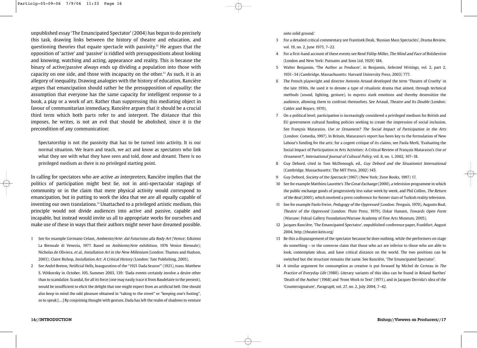unpublished essay 'The Emancipated Spectator' (2004) has begun to do precisely this task, drawing links between the history of theatre and education, and questioning theories that equate spectacle with passivity.<sup>12</sup> He argues that the opposition of 'active' and 'passive' is riddled with presuppositions about looking and knowing, watching and acting, appearance and reality. This is because the binary of active/passive always ends up dividing a population into those with capacity on one side, and those with incapacity on the other.<sup>13</sup> As such, it is an allegory of inequality. Drawing analogies with the history of education, Rancière argues that emancipation should rather be the presupposition of equality: the assumption that everyone has the same capacity for intelligent response to a book, a play or a work of art. Rather than suppressing this mediating object in favour of communitarian immediacy, Rancière argues that it should be a crucial third term which both parts refer to and interpret. The distance that this imposes, he writes, is not an evil that should be abolished, since it is the precondition of any communication:

Spectatorship is not the passivity that has to be turned into activity. It is our normal situation. We learn and teach, we act and know as spectators who link what they see with what they have seen and told, done and dreamt. There is no privileged medium as there is no privileged starting point.

In calling for spectators who are active *as interpreters*, Rancière implies that the politics of participation might best lie, not in anti-spectacular stagings of community or in the claim that mere physical activity would correspond to emancipation, but in putting to work the idea that we are all equally capable of inventing our own translations.<sup>14</sup> Unattached to a privileged artistic medium, this principle would not divide audiences into active and passive, capable and incapable, but instead would invite us all to appropriate works for ourselves and make use of these in ways that their authors might never have dreamed possible.

- 1 See for example Germano Celant, Ambiente/Arte: dal Futurismo alla Body Art (Venice: Edizioni La Biennale di Venezia, 1977. Based on Ambiente/Arte exhibition, 1976 Venice Biennale); Nicholas de Oliviera, et al., Installation Art in the New Millenium (London: Thames and Hudson, 2003); Claire Bishop, Installation Art: A Critical History (London: Tate Publishing, 2005).
- 2 See André Breton, 'Artificial Hells, Inauguration of the "1921 Dada Season"' (1921), trans. Matthew S. Witkovsky in October, 105, Summer 2003, 139: 'Dada events certainly involve a desire other than to scandalize. Scandal, for all its force (one may easily trace it from Baudelaire to the present), would be insufficient to elicit the delight that one might expect from an artificial hell. One should also keep in mind the odd pleasure obtained in "taking to the street" or "keeping one's footing", so to speak […] By conjoining thought with gesture, Dada has left the realm of shadows to venture

onto solid ground.'

- 3 For a detailed critical commentary see Frantisek Deak, 'Russian Mass Spectacles', Drama Review, vol. 19, no. 2, June 1975, 7-22.
- 4 For a first-hand account of these events see René Fülöp-Miller, The Mind and Face of Bolshevism (London and New York: Putnams and Sons Ltd, 1929) 184.
- 5 Walter Benjamin, 'The Author as Producer', in Benjamin, Selected Writings, vol. 2, part 2, 1931–34 (Cambridge, Massachusetts: Harvard University Press, 2003) 777.
- 6 The French playwright and director Antonin Artaud developed the term 'Theatre of Cruelty' in the late 1930s. He used it to denote a type of ritualistic drama that aimed, through technical methods (sound, lighting, gesture), to express stark emotions and thereby desensitize the audience, allowing them to confront themselves. See Artaud, Theatre and Its Double (London: Calder and Boyars, 1970).
- 7 On a political level, participation is increasingly considered a privileged medium for British and EU government cultural funding policies seeking to create the impression of social inclusion. See François Matarasso, Use or Ornament? The Social Impact of Participation in the Arts (London: Comedia, 1997). In Britain, Matarasso's report has been key to the formulation of New Labour's funding for the arts; for a cogent critique of its claims, see Paola Merli, 'Evaluating the Social Impact of Participation in Arts Activities: A Critical Review of François Matarasso's Use or Ornament?', International Journal of Cultural Policy, vol. 8, no. 1, 2002, 107–18.
- 8 Guy Debord, cited in Tom McDonough, ed., Guy Debord and the Situationist International (Cambridge, Massachusetts: The MIT Press, 2002) 143.
- 9 Guy Debord, Society of the Spectacle (1967) (New York: Zone Books, 1997) 17.
- 10 See for example Matthieu Laurette's The Great Exchange (2000), a television programme in which the public exchange goods of progressively less value week by week, and Phil Collins, The Return of the Real (2005), which involved a press conference for former stars of Turkish reality television.
- 11 See for example Paolo Freire, Pedagogy of the Oppressed (London: Penguin, 1970), Augusto Boal, Theatre of the Oppressed (London: Pluto Press, 1979), Oskar Hansen, Towards Open Form (Warsaw: Foksal Gallery Foundation/Warsaw Academy of Fine Arts Museum, 2005).
- 12 Jacques Rancière, 'The Emancipated Spectator', unpublished conference paper, Frankfurt, August 2004, http://theater.kein.org/
- 13 Be this a disparagement of the spectator because he does nothing, while the performers on stage do something – or the converse claim that those who act are inferior to those who are able to look, contemplate ideas, and have critical distance on the world. The two positions can be switched but the structure remains the same. See Rancière, 'The Emancipated Spectator'.
- 14 A similar argument for consumption as creative is put forward by Michel de Certeau in The Practice of Everyday Life (1980). Literary variants of this idea can be found in Roland Barthes' 'Death of the Author' (1968) and 'From Work to Text' (1971), and in Jacques Derrida's idea of the 'Countersignature', Paragraph, vol. 27, no. 2, July 2004, 7–42.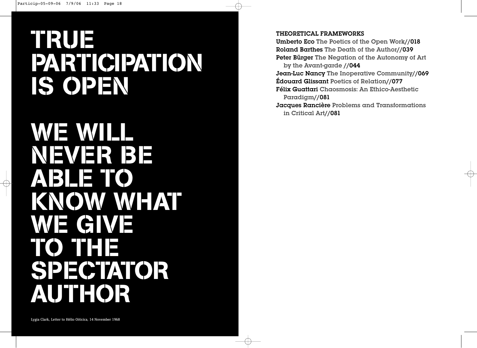## **TRUE PARTICIPATION IS OPEN**

## **WE WILL NEVER BE ABLE TO**  KNOW WHAT **WE GIVE TO THE SPECTATOR AUTHOR**

## THEORETICAL FRAMEWORKS

Umberto Eco The Poetics of the Open Work//018 Roland Barthes The Death of the Author//039 Peter Bürger The Negation of the Autonomy of Art by the Avant-garde //044 Jean-Luc Nancy The Inoperative Community//069 Édouard Glissant Poetics of Relation//077 Félix Guattari Chaosmosis: An Ethico-Aesthetic Paradigm//081 Jacques Rancière Problems and Transformations in Critical Art//081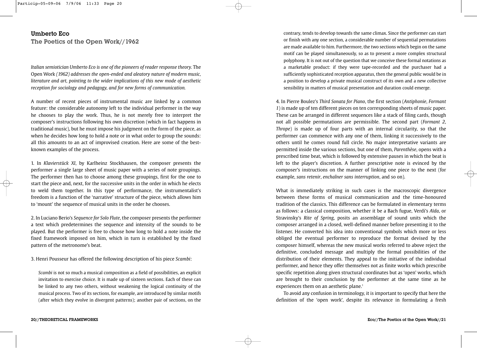## Umberto Eco The Poetics of the Open Work//1962

*Italian semiotician Umberto Eco is one of the pioneers of reader response theory.* The Open Work *(1962) addresses the open-ended and aleatory nature of modern music, literature and art, pointing to the wider implications of this new mode of aesthetic reception for sociology and pedagogy, and for new forms of communication.* 

A number of recent pieces of instrumental music are linked by a common feature: the considerable autonomy left to the individual performer in the way he chooses to play the work. Thus, he is not merely free to interpret the composer's instructions following his own discretion (which in fact happens in traditional music), but he must impose his judgment on the form of the piece, as when he decides how long to hold a note or in what order to group the sounds: all this amounts to an act of improvised creation. Here are some of the bestknown examples of the process.

1. In *Klavierstück XI*, by Karlheinz Stockhausen, the composer presents the performer a single large sheet of music paper with a series of note groupings. The performer then has to choose among these groupings, first for the one to start the piece and, next, for the successive units in the order in which he elects to weld them together. In this type of performance, the instrumentalist's freedom is a function of the 'narrative' structure of the piece, which allows him to 'mount' the sequence of musical units in the order he chooses.

2. In Luciano Berio's *Sequence for Solo Flute*, the composer presents the performer a text which predetermines the sequence and intensity of the sounds to be played. But the performer is free to choose how long to hold a note inside the fixed framework imposed on him, which in turn is established by the fixed pattern of the metronome's beat.

3. Henri Pousseur has offered the following description of his piece *Scambi*:

*Scambi* is not so much a musical composition as a field of possibilities, an explicit invitation to exercise choice. It is made up of sixteen sections. Each of these can be linked to any two others, without weakening the logical continuity of the musical process. Two of its sections, for example, are introduced by similar motifs (after which they evolve in divergent patterns); another pair of sections, on the contrary, tends to develop towards the same climax. Since the performer can start or finish with any one section, a considerable number of sequential permutations are made available to him. Furthermore, the two sections which begin on the same motif can be played simultaneously, so as to present a more complex structural polyphony. It is not out of the question that we conceive these formal notations as a marketable product: if they were tape-recorded and the purchaser had a sufficiently sophisticated reception apparatus, then the general public would be in a position to develop a private musical construct of its own and a new collective sensibility in matters of musical presentation and duration could emerge.

4. In Pierre Boulez's *Third Sonata for Piano*, the first section (*Antiphonie*, *Formant 1*) is made up of ten different pieces on ten corresponding sheets of music paper. These can be arranged in different sequences like a stack of filing cards, though not all possible permutations are permissible. The second part (*Formant 2*, *Thrope*) is made up of four parts with an internal circularity, so that the performer can commence with any one of them, linking it successively to the others until he comes round full circle. No major interpretative variants are permitted inside the various sections, but one of them, *Parenthèse*, opens with a prescribed time beat, which is followed by extensive pauses in which the beat is left to the player's discretion. A further prescriptive note is evinced by the composer's instructions on the manner of linking one piece to the next (for example, *sans retenir*, *enchaîner sans interruption*, and so on).

What is immediately striking in such cases is the macroscopic divergence between these forms of musical communication and the time-honoured tradition of the classics. This difference can be formulated in elementary terms as follows: a classical composition, whether it be a Bach fugue, Verdi's *Aïda*, or Stravinsky's *Rite of Spring*, posits an assemblage of sound units which the composer arranged in a closed, well-defined manner before presenting it to the listener. He converted his idea into conventional symbols which more or less obliged the eventual performer to reproduce the format devised by the composer himself, whereas the new musical works referred to above reject the definitive, concluded message and multiply the formal possibilities of the distribution of their elements. They appeal to the initiative of the individual performer, and hence they offer themselves not as finite works which prescribe specific repetition along given structural coordinates but as 'open' works, which are brought to their conclusion by the performer at the same time as he experiences them on an aesthetic plane.<sup>1</sup>

To avoid any confusion in terminology, it is important to specify that here the definition of the 'open work', despite its relevance in formulating a fresh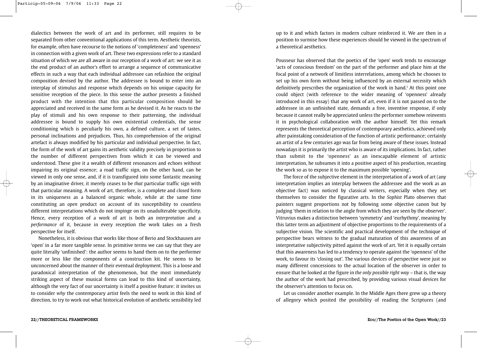dialectics between the work of art and its performer, still requires to be separated from other conventional applications of this term. Aesthetic theorists, for example, often have recourse to the notions of 'completeness' and 'openness' in connection with a given work of art. These two expressions refer to a standard situation of which we are all aware in our reception of a work of art: we see it as the end product of an author's effort to arrange a sequence of communicative effects in such a way that each individual addressee can refashion the original composition devised by the author. The addressee is bound to enter into an interplay of stimulus and response which depends on his unique capacity for sensitive reception of the piece. In this sense the author presents a finished product with the intention that this particular composition should be appreciated and received in the same form as he devised it. As he reacts to the play of stimuli and his own response to their patterning, the individual addressee is bound to supply his own existential credentials, the sense conditioning which is peculiarly his own, a defined culture, a set of tastes, personal inclinations and prejudices. Thus, his comprehension of the original artefact is always modified by his particular and individual perspective. In fact, the form of the work of art gains its aesthetic validity precisely in proportion to the number of different perspectives from which it can be viewed and understood. These give it a wealth of different resonances and echoes without impairing its original essence; a road traffic sign, on the other hand, can be viewed in only one sense, and, if it is transfigured into some fantastic meaning by an imaginative driver, it merely ceases to be *that* particular traffic sign with that particular meaning. A work of art, therefore, is a complete and *closed* form in its uniqueness as a balanced organic whole, while at the same time constituting an *open* product on account of its susceptibility to countless different interpretations which do not impinge on its unadulterable specificity. Hence, every reception of a work of art is both an *interpretation* and a *performance* of it, because in every reception the work takes on a fresh perspective for itself.

Nonetheless, it is obvious that works like those of Berio and Stockhausen are 'open' in a far more tangible sense. In primitive terms we can say that they are quite literally 'unfinished': the author seems to hand them on to the performer more or less like the components of a construction kit. He seems to be unconcerned about the manner of their eventual deployment. This is a loose and paradoxical interpretation of the phenomenon, but the most immediately striking aspect of these musical forms can lead to this kind of uncertainty, although the very fact of our uncertainty is itself a positive feature: it invites us to consider *why* the contemporary artist feels the need to work in this kind of direction, to try to work out what historical evolution of aesthetic sensibility led

up to it and which factors in modern culture reinforced it. We are then in a position to surmise how these experiences should be viewed in the spectrum of a theoretical aesthetics.

Pousseur has observed that the poetics of the 'open' work tends to encourage 'acts of conscious freedom' on the part of the performer and place him at the focal point of a network of limitless interrelations, among which he chooses to set up his own form without being influenced by an external *necessity* which definitively prescribes the organization of the work in hand.<sup>2</sup> At this point one could object (with reference to the wider meaning of 'openness' already introduced in this essay) that any work of art, even if it is not passed on to the addressee in an unfinished state, demands a free, inventive response, if only because it cannot really be appreciated unless the performer somehow reinvents it in psychological collaboration with the author himself. Yet this remark represents the theoretical perception of contemporary aesthetics, achieved only after painstaking consideration of the function of artistic performance; certainly an artist of a few centuries ago was far from being aware of these issues. Instead nowadays it is primarily the artist who is aware of its implications. In fact, rather than submit to the 'openness' as an inescapable element of artistic interpretation, he subsumes it into a positive aspect of his production, recasting the work so as to expose it to the maximum possible 'opening'.

The force of the subjective element in the interpretation of a work of art (any interpretation implies an interplay between the addressee and the work as an objective fact) was noticed by classical writers, especially when they set themselves to consider the figurative arts. In the *Sophist* Plato observes that painters suggest proportions not by following some objective canon but by judging 'them in relation to the angle from which they are seen by the observer'. Vitruvius makes a distinction between 'symmetry' and 'eurhythmy', meaning by this latter term an adjustment of objective proportions to the requirements of a subjective vision. The scientific and practical development of the technique of perspective bears witness to the gradual maturation of this awareness of an interpretative subjectivity pitted against the work of art. Yet it is equally certain that this awareness has led to a tendency to operate against the 'openness' of the work, to favour its 'closing out'. The various devices of perspective were just so many different concessions to the actual location of the observer in order to ensure that he looked at the figure in *the only possible right way –* that is, the way the author of the work had prescribed, by providing various visual devices for the observer's attention to focus on.

Let us consider another example. In the Middle Ages there grew up a theory of allegory which posited the possibility of reading the Scriptures (and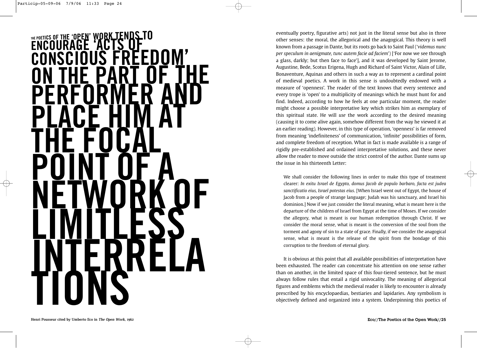

eventually poetry, figurative arts) not just in the literal sense but also in three other senses: the moral, the allegorical and the anagogical. This theory is well known from a passage in Dante, but its roots go back to Saint Paul ('*videmus nunc per speculum in aenigmate, tunc autem facie ad faciem*') ['For now we see through a glass, darkly; but then face to face'], and it was developed by Saint Jerome, Augustine, Bede, Scotus Erigena, Hugh and Richard of Saint Victor, Alain of Lille, Bonaventure, Aquinas and others in such a way as to represent a cardinal point of medieval poetics. A work in this sense is undoubtedly endowed with a measure of 'openness'. The reader of the text knows that every sentence and every trope is 'open' to a multiplicity of meanings which he must hunt for and find. Indeed, according to how he feels at one particular moment, the reader might choose a possible interpretative key which strikes him as exemplary of this spiritual state. He will *use* the work according to the desired meaning (causing it to come alive again, somehow different from the way he viewed it at an earlier reading). However, in this type of operation, 'openness' is far removed from meaning 'indefiniteness' of communication, 'infinite' possibilities of form, and complete freedom of reception. What in fact is made available is a range of rigidly pre-established and ordained interpretative solutions, and these never allow the reader to move outside the strict control of the author. Dante sums up the issue in his thirteenth Letter:

We shall consider the following lines in order to make this type of treatment clearer: *In exitu Israel de Egypto, domus Jacob de populo barbaro, facta est judea sanctificatio eius, Israel potestas eius*. [When Israel went out of Egypt, the house of Jacob from a people of strange language; Judah was his sanctuary, and Israel his dominion.] Now if we just consider the literal meaning, what is meant here is the departure of the children of Israel from Egypt at the time of Moses. If we consider the allegory, what is meant is our human redemption through Christ. If we consider the moral sense, what is meant is the conversion of the soul from the torment and agony of sin to a state of grace. Finally, if we consider the anagogical sense, what is meant is the release of the spirit from the bondage of this corruption to the freedom of eternal glory.

It is obvious at this point that all available possibilities of interpretation have been exhausted. The reader can concentrate his attention on one sense rather than on another, in the limited space of this four-tiered sentence, but he must always follow rules that entail a rigid univocality. The meaning of allegorical figures and emblems which the medieval reader is likely to encounter is already prescribed by his encyclopaedias, bestiaries and lapidaries. Any symbolism is objectively defined and organized into a system. Underpinning this poetics of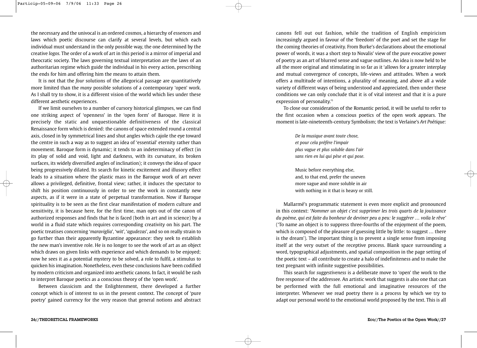the necessary and the univocal is an ordered cosmos, a hierarchy of essences and laws which poetic discourse can clarify at several levels, but which each individual must understand in the only possible way, the one determined by the creative *logos.* The order of a work of art in this period is a mirror of imperial and theocratic society. The laws governing textual interpretation are the laws of an authoritarian regime which guide the individual in his every action, prescribing the ends for him and offering him the means to attain them.

It is not that the *four* solutions of the allegorical passage are quantitatively more limited than the *many* possible solutions of a contemporary 'open' work. As I shall try to show, it is a different vision of the world which lies under these different aesthetic experiences.

If we limit ourselves to a number of cursory historical glimpses, we can find one striking aspect of 'openness' in the 'open form' of Baroque. Here it is precisely the static and unquestionable definitiveness of the classical Renaissance form which is denied: the canons of space extended round a central axis, closed in by symmetrical lines and shut angles which cajole the eye toward the centre in such a way as to suggest an idea of 'essential' eternity rather than movement. Baroque form is dynamic; it tends to an indeterminacy of effect (in its play of solid and void, light and darkness, with its curvature, its broken surfaces, its widely diversified angles of inclination); it conveys the idea of space being progressively dilated. Its search for kinetic excitement and illusory effect leads to a situation where the plastic mass in the Baroque work of art never allows a privileged, definitive, frontal view; rather, it induces the spectator to shift his position continuously in order to see the work in constantly new aspects, as if it were in a state of perpetual transformation. Now if Baroque spirituality is to be seen as the first clear manifestation of modern culture and sensitivity, it is because here, for the first time, man opts out of the canon of authorized responses and finds that he is faced (both in art and in science) by a world in a fluid state which requires corresponding creativity on his part. The poetic treatises concerning '*maraviglia*', 'wit', '*agudezas*', and so on really strain to go further than their apparently Byzantine appearance: they seek to establish the new man's inventive role. He is no longer to see the work of art as an object which draws on given links with experience and which demands to be enjoyed; now he sees it as a potential mystery to be solved, a role to fulfil, a stimulus to quicken his imagination. Nonetheless, even these conclusions have been codified by modern criticism and organized into aesthetic canons. In fact, it would be rash to interpret Baroque poetics as a conscious theory of the 'open work'.

Between classicism and the Enlightenment, there developed a further concept which is of interest to us in the present context. The concept of 'pure poetry' gained currency for the very reason that general notions and abstract

canons fell out out fashion, while the tradition of English empiricism increasingly argued in favour of the 'freedom' of the poet and set the stage for the coming theories of creativity. From Burke's declarations about the emotional power of words, it was a short step to Novalis' view of the pure evocative power of poetry as an art of blurred sense and vague outlines. An idea is now held to be all the more original and stimulating in so far as it 'allows for a greater interplay and mutual convergence of concepts, life-views and attitudes. When a work offers a multitude of intentions, a plurality of meaning, and above all a wide variety of different ways of being understood and appreciated, then under these conditions we can only conclude that it is of vital interest and that it is a pure expression of personality.'3

To close our consideration of the Romantic period, it will be useful to refer to the first occasion when a conscious poetics of the open work appears. The moment is late-nineteenth-century Symbolism; the text is Verlaine's *Art Poétique:*

> *De la musique avant toute chose, et pour cela préfère l'impair plus vague et plus soluble dans l'air sans rien en lui qui pèse et qui pose.*

Music before everything else, and, to that end, prefer the uneven more vague and more soluble in air with nothing in it that is heavy or still.

Mallarmé's programmatic statement is even more explicit and pronounced in this context: '*Nommer un objet c'est supprimer les trois quarts de la jouissance du poème, qui est faite du bonheur de deviner peu a peu: le suggérer … voila le rêve'* ('To name an object is to suppress three-fourths of the enjoyment of the poem, which is composed of the pleasure of guessing little by little: to suggest ... there is the dream'). The important thing is to prevent a single sense from imposing itself at the very outset of the receptive process. Blank space surrounding a word, typographical adjustments, and spatial composition in the page setting of the poetic text – all contribute to create a halo of indefiniteness and to make the text pregnant with infinite suggestive possibilities.

This search for *suggestiveness* is a deliberate move to 'open' the work to the free response of the addressee. An artistic work that suggests is also one that can be performed with the full emotional and imaginative resources of the interpreter. Whenever we read poetry there is a process by which we try to adapt our personal world to the emotional world proposed by the text. This is all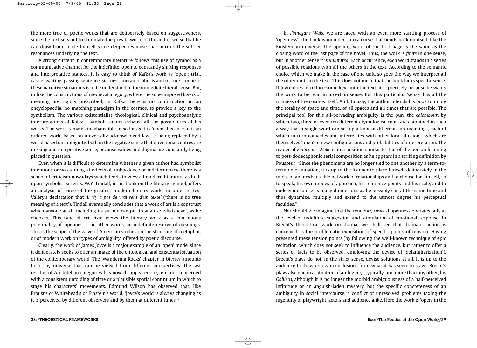the more true of poetic works that are deliberately based on suggestiveness, since the text sets out to stimulate the private world of the addressee so that he can draw from inside himself some deeper response that mirrors the subtler resonances underlying the text.

A strong current in contemporary literature follows this use of symbol as a communicative channel for the indefinite, open to constantly shifting responses and interpretative stances. It is easy to think of Kafka's work as 'open': trial, castle, waiting, passing sentence, sickness, metamorphosis and torture – none of these narrative situations is to be understood in the immediate literal sense. But, unlike the constructions of medieval allegory, where the superimposed layers of meaning are rigidly prescribed, in Kafka there is no confirmation in an encyclopaedia, no matching paradigm in the cosmos, to provide a key to the symbolism. The various existentialist, theological, clinical and psychoanalytic interpretations of Kafka's symbols cannot exhaust all the possibilities of his works. The work remains inexhaustible in so far as it is 'open', because in it an ordered world based on universally acknowledged laws is being replaced by a world based on ambiguity, both in the negative sense that directional centres are missing and in a positive sense, because values and dogma are constantly being placed in question.

Even when it is difficult to determine whether a given author had symbolist intentions or was aiming at effects of ambivalence or indeterminacy, there is a school of criticism nowadays which tends to view all modern literature as built upon symbolic patterns. W.Y. Tindall, in his book on the literary symbol, offers an analysis of some of the greatest modern literary works in order to test Valéry's declaration that '*il n'y a pas de vrai sens d'un texte'* ('there is no true meaning of a text'). Tindall eventually concludes that a work of art is a construct which anyone at all, including its author, can put to any use whatsoever, as he chooses. This type of criticism views the literary work as a continuous potentiality of 'openness' – in other words, an indefinite reserve of meanings. This is the scope of the wave of American studies on the structure of metaphor, or of modern work on 'types of ambiguity' offered by poetic discourse.4

Clearly, the work of James Joyce is a major example of an 'open' mode, since it deliberately seeks to offer an image of the ontological and existential situation of the contemporary world. The 'Wandering Rocks' chapter in *Ulysses* amounts to a tiny universe that can be viewed from different perspectives: the last residue of Aristotelian categories has now disappeared. Joyce is not concerned with a consistent unfolding of time or a plausible spatial continuum in which to stage his characters' movements. Edmund Wilson has observed that, like Proust's or Whitehead's or Einstein's world, 'Joyce's world is always changing as it is perceived by different observers and by them at different times.'5

In *Finnegans Wake* we are faced with an even more startling process of 'openness': the book is moulded into a curve that bends back on itself, like the Einsteinian universe. The opening word of the first page is the same as the closing word of the last page of the novel. Thus, the work is *finite* in one sense, but in another sense it is *unlimited.* Each occurrence, each word stands in a series of possible relations with all the others in the text. According to the semantic choice which we make in the case of one unit, so goes the way we interpret all the other units in the text. This does not mean that the book lacks specific sense. If Joyce does introduce some keys into the text, it is precisely because he wants the work to be read in a certain sense. But this particular 'sense' has all the richness of the cosmos itself. Ambitiously, the author intends his book to imply the totality of space and time, of all spaces and all times that are possible. The principal tool for this all-pervading ambiguity is the pun, the *calembour*, by which two, three or even ten different etymological roots are combined in such a way that a single word can set up a knot of different sub-meanings, each of which in turn coincides and interrelates with other local allusions, which are themselves 'open' to new configurations and probabilities of interpretation. The reader of *Finnegans Wake* is in a position similar to that of the person listening to post-dodecaphonic serial composition as he appears in a striking definition by Pousseur: 'Since the phenomena are no longer tied to one another by a term-toterm determination, it is up to the listener to place himself deliberately in the midst of an inexhaustible network of relationships and to choose for himself, so to speak, his own modes of approach, his reference points and his scale, and to endeavour to use as many dimensions as he possibly can at the same time and thus dynamize, multiply and extend to the utmost degree his perceptual faculties.' 6

Nor should we imagine that the tendency toward openness operates only at the level of indefinite suggestion and stimulation of emotional response. In Brecht's theoretical work on drama, we shall see that dramatic action is conceived as the problematic exposition of specific points of tension. Having presented these tension points (by following the well-known technique of epic recitation, which does not seek to influence the audience, but rather to offer a series of facts to be observed, employing the device of 'defamiliarization'), Brecht's plays do not, in the strict sense, devise solutions at all. It is up to the audience to draw its own conclusions from what it has seen on stage. Brecht's plays also end in a situation of ambiguity (typically, and more than any other, his *Galileo*), although it is no longer the morbid ambiguousness of a half-perceived infinitude or an anguish-laden mystery, but the specific concreteness of an ambiguity in social intercourse, a conflict of unresolved problems taxing the ingenuity of playwright, actors and audience alike. Here the work is 'open' in the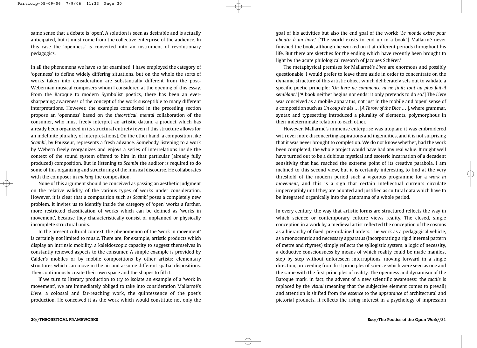same sense that a debate is 'open'. A solution is seen as desirable and is actually anticipated, but it must come from the collective enterprise of the audience. In this case the 'openness' is converted into an instrument of revolutionary pedagogics.

In all the phenomena we have so far examined, I have employed the category of 'openness' to define widely differing situations, but on the whole the sorts of works taken into consideration are substantially different from the post-Webernian musical composers whom I considered at the opening of this essay. From the Baroque to modern Symbolist poetics, there has been an eversharpening awareness of the concept of the work susceptible to many different interpretations. However, the examples considered in the preceding section propose an 'openness' based on the *theoretical*, *mental* collaboration of the consumer, who must freely interpret an artistic datum, a product which has already been organized in its structural entirety (even if this structure allows for an indefinite plurality of interpretations). On the other hand, a composition like *Scambi*, by Pousseur, represents a fresh advance. Somebody listening to a work by Webern freely reorganizes and enjoys a series of interrelations inside the context of the sound system offered to him in that particular (already fully produced) composition. But in listening to *Scambi* the auditor is required to do some of this organizing and structuring of the musical discourse. He collaborates with the composer in *making* the composition.

None of this argument should be conceived as passing an aesthetic judgment on the relative validity of the various types of works under consideration. However, it is clear that a composition such as *Scambi* poses a completely new problem. It invites us to identify inside the category of 'open' works a further, more restricted classification of works which can be defined as 'works in movement', because they characteristically consist of unplanned or physically incomplete structural units.

In the present cultural context, the phenomenon of the 'work in movement' is certainly not limited to music. There are, for example, artistic products which display an intrinsic mobility, a kaleidoscopic capacity to suggest themselves in constantly renewed aspects to the consumer. A simple example is provided by Calder's mobiles or by mobile compositions by other artists: elementary structures which can move in the air and assume different spatial dispositions. They continuously create their own space and the shapes to fill it.

If we turn to literary production to try to isolate an example of a 'work in movement', we are immediately obliged to take into consideration Mallarmé's *Livre*, a colossal and far-reaching work, the quintessence of the poet's production. He conceived it as the work which would constitute not only the goal of his activities but also the end goal of the world: '*Le monde existe pour aboutir à un livre*.' ['The world exists to end up in a book'.] Mallarmé never finished the book, although he worked on it at different periods throughout his life. But there are sketches for the ending which have recently been brought to light by the acute philological research of Jacques Schérer.<sup>7</sup>

The metaphysical premises for Mallarmé's *Livre* are enormous and possibly questionable. I would prefer to leave them aside in order to concentrate on the dynamic structure of this artistic object which deliberately sets out to validate a specific poetic principle: '*Un livre ne commence ni ne finit; tout au plus fait-il semblant*.' ['A book neither begins nor ends; it only pretends to do so.'] The *Livre* was conceived as a mobile apparatus, not just in the mobile and 'open' sense of a composition such as *Un coup de dès …* [*A Throw of the Dice* … ], where grammar, syntax and typesetting introduced a plurality of elements, polymorphous in their indeterminate relation to each other.

However, Mallarmé's immense enterprise was utopian: it was embroidered with ever more disconcerting aspirations and ingenuities, and it is not surprising that it was never brought to completion. We do not know whether, had the work been completed, the whole project would have had any real value. It might well have turned out to be a dubious mystical and esoteric incarnation of a decadent sensitivity that had reached the extreme point of its creative parabola. I am inclined to this second view, but it is certainly interesting to find at the very threshold of the modern period such a vigorous programme for a *work in movement*, and this is a sign that certain intellectual currents circulate imperceptibly until they are adopted and justified as cultural data which have to be integrated organically into the panorama of a whole period.

In every century, the way that artistic forms are structured reflects the way in which science or contemporary culture views reality. The closed, single conception in a work by a medieval artist reflected the conception of the cosmos as a hierarchy of fixed, pre-ordained orders. The work as a pedagogical vehicle, as a monocentric and necessary apparatus (incorporating a rigid internal pattern of metre and rhymes) simply reflects the syllogistic system, a logic of necessity, a deductive consciousness by means of which reality could be made manifest step by step without unforeseen interruptions, moving forward in a single direction, proceeding from first principles of science which were seen as one and the same with the first principles of reality. The openness and dynamism of the Baroque mark, in fact, the advent of a new scientific awareness: the *tactile* is replaced by the *visual* (meaning that the subjective element comes to prevail) and attention is shifted from the *essence* to the *appearance* of architectural and pictorial products. It reflects the rising interest in a psychology of impression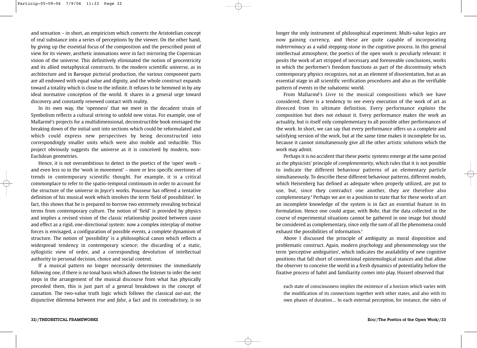and sensation – in short, an empiricism which converts the Aristotelian concept of real substance into a series of perceptions by the viewer. On the other hand, by giving up the essential focus of the composition and the prescribed point of view for its viewer, aesthetic innovations were in fact mirroring the Copernican vision of the universe. This definitively eliminated the notion of geocentricity and its allied metaphysical constructs. In the modern scientific universe, as in architecture and in Baroque pictorial production, the various component parts are all endowed with equal value and dignity, and the whole construct expands toward a totality which is close to the infinite. It refuses to be hemmed in by any ideal normative conception of the world. It shares in a general urge toward discovery and constantly renewed contact with reality.

In its own way, the 'openness' that we meet in the decadent strain of Symbolism reflects a cultural striving to unfold new vistas. For example, one of Mallarmé's projects for a multidimensional, deconstructible book envisaged the breaking down of the initial unit into sections which could be reformulated and which could express new perspectives by being deconstructed into correspondingly smaller units which were also mobile and reducible. This project obviously suggests the universe as it is conceived by modern, non-Euclidean geometries.

Hence, it is not overambitious to detect in the poetics of the 'open' work – and even less so in the 'work in movement' – more or less specific overtones of trends in contemporary scientific thought. For example, it is a critical commonplace to refer to the spatio-temporal continuum in order to account for the structure of the universe in Joyce's works. Pousseur has offered a tentative definition of his musical work which involves the term 'field of possibilities'. In fact, this shows that he is prepared to borrow two extremely revealing technical terms from contemporary culture. The notion of 'field' is provided by physics and implies a revised vision of the classic relationship posited between cause and effect as a rigid, one-directional system: now a complex interplay of motive forces is envisaged, a configuration of possible events, a complete dynamism of structure. The notion of 'possibility' is a philosophical canon which reflects a widespread tendency in contemporary science; the discarding of a static, syllogistic view of order, and a corresponding devolution of intellectual authority to personal decision, choice and social context.

If a musical pattern no longer necessarily determines the immediately following one, if there is no tonal basis which allows the listener to infer the next steps in the arrangement of the musical discourse from what has physically preceded them, this is just part of a general breakdown in the concept of causation. The two-value truth logic which follows the classical *aut-aut*, the disjunctive dilemma between *true* and *false*, a fact and its contradictory, is no

longer the only instrument of philosophical experiment. Multi-value logics are now gaining currency, and these are quite capable of incorporating *indeterminacy* as a valid stepping-stone in the cognitive process. In this general intellectual atmosphere, the poetics of the open work is peculiarly relevant: it posits the work of art stripped of necessary and foreseeable conclusions, works in which the performer's freedom functions as part of the *discontinuity* which contemporary physics recognizes, not as an element of disorientation, but as an essential stage in all scientific verification procedures and also as the verifiable pattern of events in the subatomic world.

From Mallarmé's *Livre* to the musical compositions which we have considered, there is a tendency to see every execution of the work of art as divorced from its ultimate definition. Every performance *explains* the composition but does not *exhaust* it. Every performance makes the work an actuality, but is itself only complementary to all possible other performances of the work. In short, we can say that every performance offers us a complete and satisfying version of the work, but at the same time makes it incomplete for us, because it cannot simultaneously give all the other artistic solutions which the work may admit.

Perhaps it is no accident that these poetic systems emerge at the same period as the physicists' principle of *complementarity*, which rules that it is not possible to indicate the different behaviour patterns of an elementary particle simultaneously. To describe these different behaviour patterns, different *models*, which Heisenberg has defined as adequate when properly utilized, are put to use, but, since they contradict one another, they are therefore also complementary.8 Perhaps we are in a position to state that for these works of art an incomplete knowledge of the system is in fact an essential feature in its formulation. Hence one could argue, with Bohr, that the data collected in the course of experimental situations cannot be gathered in one image but should be considered as complementary, since only the sum of all the phenomena could exhaust the possibilities of information.<sup>9</sup>

Above I discussed the principle of ambiguity as moral disposition and problematic construct. Again, modern psychology and phenomenology use the term 'perceptive ambiguities', which indicates the availability of new cognitive positions that fall short of conventional epistemological stances and that allow the observer to conceive the world in a fresh dynamics of potentiality before the fixative process of habit and familiarity comes into play. Husserl observed that

each state of consciousness implies the existence of a horizon which varies with the modification of its connections together with other states, and also with its own phases of duration… In each external perception, for instance, the sides of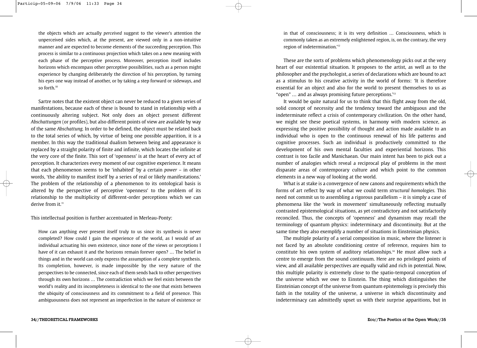the objects which are actually *perceived* suggest to the viewer's attention the unperceived sides which, at the present, are viewed only in a non-intuitive manner and are expected to become elements of the succeeding perception. This process is similar to a continuous projection which takes on a new meaning with each phase of the perceptive process. Moreover, perception itself includes horizons which encompass other perceptive possibilities, such as a person might experience by changing deliberately the direction of his perception, by turning his eyes one way instead of another, or by taking a step forward or sideways, and so forth.<sup>10</sup>

Sartre notes that the existent object can never be reduced to a given series of manifestations, because each of these is bound to stand in relationship with a continuously altering subject. Not only does an object present different *Abschattungen* (or profiles), but also different points of view are available by way of the same *Abschattung.* In order to be defined, the object must be related back to the total series of which, by virtue of being one possible apparition, it is a member. In this way the traditional dualism between being and appearance is replaced by a straight polarity of finite and infinite, which locates the infinite at the very core of the finite. This sort of 'openness' is at the heart of every act of perception. It characterizes every moment of our cognitive experience. It means that each phenomenon seems to be 'inhabited' by a certain *power –* in other words, 'the ability to manifest itself by a series of real or likely manifestations.' The problem of the relationship of a phenomenon to its ontological basis is altered by the perspective of perceptive 'openness' to the problem of its relationship to the multiplicity of different-order perceptions which we can derive from it.<sup>11</sup>

This intellectual position is further accentuated in Merleau-Ponty:

How can anything ever present itself truly to us since its synthesis is never completed? How could I gain the experience of the world, as I would of an individual actuating his own existence, since none of the views or perceptions I have of it can exhaust it and the horizons remain forever open? … The belief in things and in the world can only express the assumption of a complete synthesis. Its completion, however, is made impossible by the very nature of the perspectives to be connected, since each of them sends back to other perspectives through its own horizons … The contradiction which we feel exists between the world's reality and its incompleteness is identical to the one that exists between the ubiquity of consciousness and its commitment to a field of presence. This ambiguousness does not represent an imperfection in the nature of existence or

in that of consciousness; it is its very definition … Consciousness, which is commonly taken as an extremely enlightened region, is, on the contrary, the very region of indetermination.'12

These are the sorts of problems which phenomenology picks out at the very heart of our existential situation. It proposes to the artist, as well as to the philosopher and the psychologist, a series of declarations which are bound to act as a stimulus to his creative activity in the world of forms: 'It is therefore essential for an object and also for the world to present themselves to us as "open" … and as always promising future perceptions.'13

It would be quite natural for us to think that this flight away from the old, solid concept of necessity and the tendency toward the ambiguous and the indeterminate reflect a crisis of contemporary civilization. On the other hand, we might see these poetical systems, in harmony with modern science, as expressing the positive possibility of thought and action made available to an individual who is open to the continuous renewal of his life patterns and cognitive processes. Such an individual is productively committed to the development of his own mental faculties and experiential horizons. This contrast is too facile and Manichaean. Our main intent has been to pick out a number of analogies which reveal a reciprocal play of problems in the most disparate areas of contemporary culture and which point to the common elements in a new way of looking at the world.

What is at stake is a convergence of new canons and requirements which the forms of art reflect by way of what we could term *structural homologies.* This need not commit us to assembling a rigorous parallelism – it is simply a case of phenomena like the 'work in movement' simultaneously reflecting mutually contrasted epistemological situations, as yet contradictory and not satisfactorily reconciled. Thus, the concepts of 'openness' and dynamism may recall the terminology of quantum physics: indeterminacy and discontinuity. But at the same time they also exemplify a number of situations in Einsteinian physics.

The multiple polarity of a serial composition in music, where the listener is not faced by an absolute conditioning centre of reference, requires him to constitute his own system of auditory relationships.14 He must allow such a centre to emerge from the sound continuum. Here are no privileged points of view, and all available perspectives are equally valid and rich in potential. Now, this multiple polarity is extremely close to the spatio-temporal conception of the universe which we owe to Einstein. The thing which distinguishes the Einsteinian concept of the universe from quantum epistemology is precisely this faith in the totality of the universe, a universe in which discontinuity and indeterminacy can admittedly upset us with their surprise apparitions, but in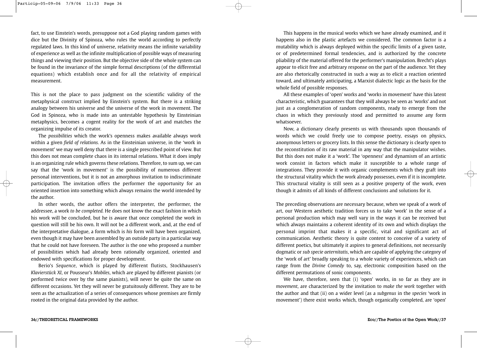fact, to use Einstein's words, presuppose not a God playing random games with dice but the Divinity of Spinoza, who rules the world according to perfectly regulated laws. In this kind of universe, relativity means the infinite variability of experience as well as the infinite multiplication of possible ways of measuring things and viewing their position. But the objective side of the whole system can be found in the invariance of the simple formal descriptions (of the differential equations) which establish once and for all the relativity of empirical measurement.

This is not the place to pass judgment on the scientific validity of the metaphysical construct implied by Einstein's system. But there is a striking analogy between his universe and the universe of the work in movement. The God in Spinoza, who is made into an untestable hypothesis by Einsteinian metaphysics, becomes a cogent reality for the work of art and matches the organizing impulse of its creator.

The *possibilities* which the work's openness makes available always work within a given *field of relations.* As in the Einsteinian universe, in the 'work in movement' we may well deny that there is a single prescribed point of view. But this does not mean complete chaos in its internal relations. What it does imply is an organizing rule which governs these relations. Therefore, to sum up, we can say that the 'work in movement' is the possibility of numerous different personal interventions, but it is not an amorphous invitation to indiscriminate participation. The invitation offers the performer the opportunity for an oriented insertion into something which always remains the world intended by the author.

In other words, the author offers the interpreter, the performer, the addressee, a work *to be completed.* He does not know the exact fashion in which his work will be concluded, but he is aware that once completed the work in question will still be his own. It will not be a different work, and, at the end of the interpretative dialogue, a form which is *his* form will have been organized, even though it may have been assembled by an outside party in a particular way that he could not have foreseen. The author is the one who proposed a number of possibilities which had already been rationally organized, oriented and endowed with specifications for proper development.

Berio's *Sequence*, which is played by different flutists, Stockhausen's *Klavierstück XI*, or Pousseur's *Mobiles*, which are played by different pianists (or performed twice over by the same pianists), will never be quite the same on different occasions. Yet they will never be gratuitously different. They are to be seen as the actualization of a series of consequences whose premises are firmly rooted in the original data provided by the author.

This happens in the musical works which we have already examined, and it happens also in the plastic artefacts we considered. The common factor is a mutability which is always deployed within the specific limits of a given taste, or of predetermined formal tendencies, and is authorized by the concrete pliability of the material offered for the performer's manipulation. Brecht's plays appear to elicit free and arbitrary response on the part of the audience. Yet they are also rhetorically constructed in such a way as to elicit a reaction oriented toward, and ultimately anticipating, a Marxist dialectic logic as the basis for the whole field of possible responses.

All these examples of 'open' works and 'works in movement' have this latent characteristic, which guarantees that they will always be seen as 'works' and not just as a conglomeration of random components, ready to emerge from the chaos in which they previously stood and permitted to assume any form whatsoever.

Now, a dictionary clearly presents us with thousands upon thousands of words which we could freely use to compose poetry, essays on physics, anonymous letters or grocery lists. In this sense the dictionary is clearly open to the reconstitution of its raw material in any way that the manipulator wishes. But this does not make it a 'work'. The 'openness' and dynamism of an artistic work consist in factors which make it susceptible to a whole range of integrations. They provide it with organic complements which they graft into the structural vitality which the work already possesses, even if it is incomplete. This structural vitality is still seen as a positive property of the work, even though it admits of all kinds of different conclusions and solutions for it.

The preceding observations are necessary because, when we speak of a work of art, our Western aesthetic tradition forces us to take 'work' in the sense of a personal production which may well vary in the ways it can be received but which always maintains a coherent identity of its own and which displays the personal imprint that makes it a specific, vital and significant act of communication. Aesthetic theory is quite content to conceive of a variety of different poetics, but ultimately it aspires to general definitions, not necessarily dogmatic or *sub specie aeternitatis*, which are capable of applying the category of the 'work of art' broadly speaking to a whole variety of experiences, which can range from the *Divine Comedy* to, say, electronic composition based on the different permutations of sonic components.

We have, therefore, seen that (i) 'open' works, in so far as they are *in movement*, are characterized by the invitation to *make the work* together with the author and that (ii) on a wider level (as a *subgenus* in the *species* 'work in movement') there exist works which, though organically completed, are 'open'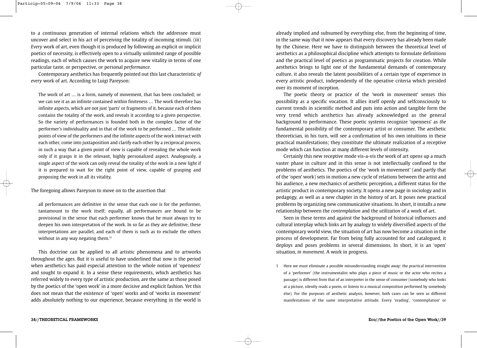to a continuous generation of internal relations which the addressee must uncover and select in his act of perceiving the totality of incoming stimuli. (iii) *Every* work of art, even though it is produced by following an explicit or implicit poetics of necessity, is effectively open to a virtually unlimited range of possible readings, each of which causes the work to acquire new vitality in terms of one particular taste, or perspective, or personal *performance.*

Contemporary aesthetics has frequently pointed out this last characteristic *of every* work of art. According to Luigi Pareyson:

The work of art … is a form, namely of movement, that has been concluded; or we can see it as an infinite contained within finiteness … The work therefore has infinite aspects, which are not just 'parts' or fragments of it, because each of them contains the totality of the work, and reveals it according to a given perspective. So the variety of performances is founded both in the complex factor of the performer's individuality and in that of the work to be performed … The infinite points of view of the performers and the infinite aspects of the work interact with each other, come into juxtaposition and clarify each other by a reciprocal process, in such a way that a given point of view is capable of revealing the whole work only if it grasps it in the relevant, highly personalized aspect. Analogously, a single aspect of the work can only reveal the totality of the work in a new light if it is prepared to wait for the right point of view, capable of grasping and proposing the work in all its vitality.

The foregoing allows Pareyson to move on to the assertion that

all performances are definitive in the sense that each one is for the performer, tantamount to the work itself; equally, all performances are bound to be provisional in the sense that each performer knows that he must always try to deepen his own interpretation of the work. In so far as they are definitive, these interpretations are parallel, and each of them is such as to exclude the others without in any way negating them.<sup>15</sup>

This doctrine can be applied to all artistic phenomena and to artworks throughout the ages. But it is useful to have underlined that now is the period when aesthetics has paid especial attention to the whole notion of 'openness' and sought to expand it. In a sense these requirements, which aesthetics has referred widely to every type of artistic production, are the same as those posed by the poetics of the 'open work' in a more decisive and explicit fashion. Yet this does not mean that the existence of 'open' works and of 'works in movement' adds absolutely nothing to our experience, because everything in the world is

already implied and subsumed by everything else, from the beginning of time, in the same way that it now appears that every discovery has already been made by the Chinese. Here we have to distinguish between the theoretical level of aesthetics as a philosophical discipline which attempts to formulate definitions and the practical level of poetics as programmatic projects for creation. While aesthetics brings to light one of the fundamental demands of contemporary culture, it also reveals the latent possibilities of a certain type of experience in every artistic product, independently of the operative criteria which presided over its moment of inception.

The poetic theory or practice of the 'work in movement' senses this possibility as a specific vocation. It allies itself openly and selfconsciously to current trends in scientific method and puts into action and tangible form the very trend which aesthetics has already acknowledged as the general background to performance. These poetic systems recognize 'openness' as *the* fundamental possibility of the contemporary artist or consumer. The aesthetic theoretician, in his turn, will see a confirmation of his own intuitions in these practical manifestations; they constitute the ultimate realization of a receptive mode which can function at many different levels of intensity.

Certainly this new receptive mode vis-a-vis the work of art opens up a much vaster phase in culture and in this sense is not intellectually confined to the problems of aesthetics. The poetics of the 'work in movement' (and partly that of the 'open' work) sets in motion a new cycle of relations between the artist and his audience, a new mechanics of aesthetic perception, a different status for the artistic product in contemporary society. It opens a new page in sociology and in pedagogy, as well as a new chapter in the history of art. It poses new practical problems by organizing new communicative situations. In short, it installs a new relationship between the *contemplation* and the *utilization* of a work of art.

Seen in these terms and against the background of historical influences and cultural interplay which links art by analogy to widely diversified aspects of the contemporary world view, the situation of art has now become a situation in the process of development. Far from being fully accounted for and catalogued, it deploys and poses problems in several dimensions. In short, it is an 'open' situation, *in movement.* A work in progress.

1 Here we must eliminate a possible misunderstanding straight away: the practical intervention of a 'performer' (the instrumentalist who plays a piece of music or the actor who recites a passage) is different from that of an interpreter in the sense of consumer (somebody who looks at a picture, silently reads a poem, or listens to a musical composition performed by somebody else). For the purposes of aesthetic analysis, however, both cases can be seen as different manifestations of the same interpretative attitude. Every 'reading', 'contemplation' or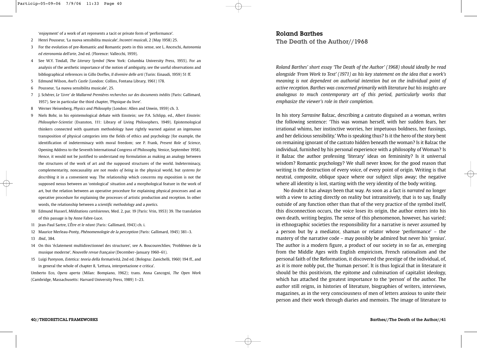'enjoyment' of a work of art represents a tacit or private form of 'performance'.

- 2 Henri Pousseur, 'La nuova sensibilita musicale', *Incontri musicali*, 2 (May 1958) 25.
- 3 For the evolution of pre-Romantic and Romantic poets in this sense, see L. Anceschi, *Autonomia ed eteronomia dell'arte*, 2nd ed. (Florence: Vallecchi, 1959).
- 4 See W.Y. Tindall, *The Literary Symbol* (New York: Columbia University Press, 1955). For an analysis of the aesthetic importance of the notion of ambiguity, see the useful observations and bibliographical references in Gillo Dorfles, *II divenire delle arti* (Turin: Einaudi, 1959) 51 ff.
- 5 Edmund Wilson, *Axel's Castle* (London: Collins, Fontana Library, 1961) 178.
- 6 Pousseur, 'La nuova sensibilita musicale', 25.
- 7 J. Schérer, *Le 'Livre' de Mallarmé Premières recherches sur des documents inédits* (Paris: Gallimard, 1957). See in particular the third chapter, 'Physique du livre'.
- 8 Werner Heisenberg, *Physics and Philosophy* (London: Allen and Unwin, 1959) ch. 3.
- 9 Niels Bohr, in his epistemological debate with Einstein; see P.A. Schlipp, ed., *Albert Einstein: Philosopher-Scientist* (Evanston, 111: Library of Living Philosophers, 1949). Epistemological thinkers connected with quantum methodology have rightly warned against an ingenuous transposition of physical categories into the fields of ethics and psychology (for example, the identification of indeterminacy with moral freedom; see P. Frank, *Present Role of Science*, Opening Address to the Seventh International Congress of Philosophy, Venice, September 1958). Hence, it would not be justified to understand my formulation as making an analogy between the structures of the work of art and the supposed structures of the world. Indeterminacy, complementarity, noncausality are not *modes of being* in the physical world, but *systems for describing* it in a convenient way. The relationship which concerns my exposition is not the supposed nexus between an 'ontological' situation and a morphological feature in the work of art, but the relation between an operative procedure for explaining physical processes and an operative procedure for explaining the processes of artistic production and reception. In other words, the relationship between a *scientific methodology* and a *poetics.*
- 10 Edmund Husserl, *Méditations cartésiennes,* Med. 2, par. 19 (Paris: Vrin, 1953) 39. The translation of this passage is by Anne Fabre-Luce.
- 11 Jean-Paul Sartre, L'*Être et le néant* (Paris: Gallimard, 1943) ch. i.
- 12 Maurice Merleau-Ponty, Phénomenologie de la perception (Paris: Gallimard, 1945) 381–3.
- 13 Ibid., 384.
- 14 On this 'éclatement multidirectionnel des structures', see A. Boucourechliev, 'Problèmes de la musique moderne', Nouvelle revue française (December–January 1960–61).
- 15 Luigi Pareyson, Estetica: teoria della formatività, 2nd ed. (Bologna: Zanichelli, 1960) 194 ff., and in general the whole of chapter 8, 'Lettura, interpretazione e critica'.

Umberto Eco, *Opera aperta* (Milan: Bompiano, 1962); trans. Anna Cancogni, *The Open Work* (Cambridge, Massachusetts: Harvard University Press, 1989) 1–23.

Roland Barthes

The Death of the Author//1968

*Roland Barthes' short essay 'The Death of the Author' (1968) should ideally be read alongside 'From Work to Text' (1971) as his key statement on the idea that a work's meaning is not dependent on authorial intention but on the individual point of active reception. Barthes was concerned primarily with literature but his insights are analogous to much contemporary art of this period, particularly works that emphasize the viewer's role in their completion.*

In his story *Sarrasine* Balzac, describing a castrato disguised as a woman, writes the following sentence: 'This was woman herself, with her sudden fears, her irrational whims, her instinctive worries, her impetuous boldness, her fussings, and her delicious sensibility.' Who is speaking thus? Is it the hero of the story bent on remaining ignorant of the castrato hidden beneath the woman? Is it Balzac the individual, furnished by his personal experience with a philosophy of Woman? Is it Balzac the author professing 'literary' ideas on femininity? Is it universal wisdom? Romantic psychology? We shall never know, for the good reason that writing is the destruction of every voice, of every point of origin. Writing is that neutral, composite, oblique space where our subject slips away; the negative where all identity is lost, starting with the very identity of the body writing.

No doubt it has always been that way. As soon as a fact is *narrated* no longer with a view to acting directly on reality but intransitively, that is to say, finally outside of any function other than that of the very practice of the symbol itself, this disconnection occurs, the voice loses its origin, the author enters into his own death, writing begins. The sense of this phenomenon, however, has varied; in ethnographic societies the responsibility for a narrative is never assumed by a person but by a mediator, shaman or relator whose 'performance' – the mastery of the narrative code – may possibly be admired but never his 'genius'. The author is a modern figure, a product of our society in so far as, emerging from the Middle Ages with English empiricism, French rationalism and the personal faith of the Reformation, it discovered the prestige of the individual, of, as it is more nobly put, the 'human person'. It is thus logical that in literature it should be this positivism, the epitome and culmination of capitalist ideology, which has attached the greatest importance to the 'person' of the author. The *author* still reigns, in histories of literature, biographies of writers, interviews, magazines, as in the very consciousness of men of letters anxious to unite their person and their work through diaries and memoirs. The image of literature to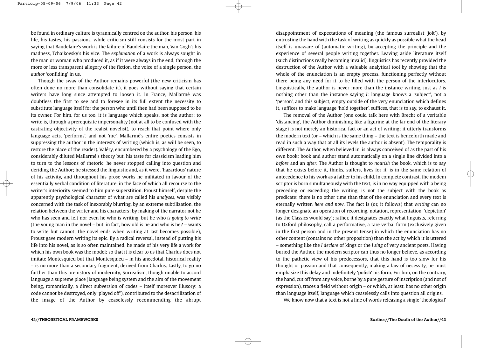be found in ordinary culture is tyrannically centred on the author, his person, his life, his tastes, his passions, while criticism still consists for the most part in saying that Baudelaire's work is the failure of Baudelaire the man, Van Gogh's his madness, Tchaikovsky's his vice. The *explanation* of a work is always sought in the man or woman who produced it, as if it were always in the end, through the more or less transparent allegory of the fiction, the voice of a single person, the *author* 'confiding' in us.

Though the sway of the Author remains powerful (the new criticism has often done no more than consolidate it), it goes without saying that certain writers have long since attempted to loosen it. In France, Mallarmé was doubtless the first to see and to foresee in its full extent the necessity to substitute language itself for the person who until then had been supposed to be its owner. For him, for us too, it is language which speaks, not the author; to write is, through a prerequisite impersonality (not at all to be confused with the castrating objectivity of the realist novelist), to reach that point where only language acts, 'performs', and not 'me'. Mallarmé's entire poetics consists in suppressing the author in the interests of writing (which is, as will be seen, to restore the place of the reader). Valéry, encumbered by a psychology of the Ego, considerably diluted Mallarmé's theory but, his taste for classicism leading him to turn to the lessons of rhetoric, he never stopped calling into question and deriding the Author; he stressed the linguistic and, as it were, 'hazardous' nature of his activity, and throughout his prose works he militated in favour of the essentially verbal condition of literature, in the face of which all recourse to the writer's interiority seemed to him pure superstition. Proust himself, despite the apparently psychological character of what are called his *analyses*, was visibly concerned with the task of inexorably blurring, by an extreme subtilization, the relation between the writer and his characters; by making of the narrator not he who has seen and felt nor even he who is writing, but he who *is going to write* (the young man in the novel – but, in fact, how old is he and who is he? – wants to write but cannot; the novel ends when writing at last becomes possible), Proust gave modern writing its epic. By a radical reversal, instead of putting his life into his novel, as is so often maintained, he made of his very life a work for which his own book was the model; so that it is clear to us that Charlus does not imitate Montesquieu but that Montesquieu – in his anecdotal, historical reality – is no more than a secondary fragment, derived from Charlus. Lastly, to go no further than this prehistory of modernity, Surrealism, though unable to accord language a supreme place (language being system and the aim of the movement being, romantically, a direct subversion of codes – itself moreover illusory: a code cannot be destroyed, only 'played off'), contributed to the desacrilization of the image of the Author by ceaselessly recommending the abrupt

disappointment of expectations of meaning (the famous surrealist 'jolt'), by entrusting the hand with the task of writing as quickly as possible what the head itself is unaware of (automatic writing), by accepting the principle and the experience of several people writing together. Leaving aside literature itself (such distinctions really becoming invalid), linguistics has recently provided the destruction of the Author with a valuable analytical tool by showing that the whole of the enunciation is an empty process, functioning perfectly without there being any need for it to be filled with the person of the interlocutors. Linguistically, the author is never more than the instance writing, just as *I* is nothing other than the instance saying *I*: language knows a 'subject', not a 'person', and this subject, empty outside of the very enunciation which defines it, suffices to make language 'hold together', suffices, that is to say, to exhaust it.

The removal of the Author (one could talk here with Brecht of a veritable 'distancing', the Author diminishing like a figurine at the far end of the literary stage) is not merely an historical fact or an act of writing; it utterly transforms the modern text (or – which is the same thing – the text is henceforth made and read in such a way that at all its levels the author is absent). The temporality is different. The Author, when believed in, is always conceived of as the past of his own book: book and author stand automatically on a single line divided into a *before* and an *after*. The Author is thought to *nourish* the book, which is to say that he exists before it, thinks, suffers, lives for it, is in the same relation of antecedence to his work as a father to his child. In complete contrast, the modem scriptor is born simultaneously with the text, is in no way equipped with a being preceding or exceeding the writing, is not the subject with the book as predicate; there is no other time than that of the enunciation and every text is eternally written *here and now*. The fact is (or, it follows) that *writing* can no longer designate an operation of recording, notation, representation, 'depiction' (as the Classics would say); rather, it designates exactly what linguists, referring to Oxford philosophy, call a performative, a rare verbal form (exclusively given in the first person and in the present tense) in which the enunciation has no other content (contains no other proposition) than the act by which it is uttered – something like the *I declare* of kings or the *I sing* of very ancient poets. Having buried the Author, the modern scriptor can thus no longer believe, as according to the pathetic view of his predecessors, that this hand is too slow for his thought or passion and that consequently, making a law of necessity, he must emphasize this delay and indefinitely 'polish' his form. For him, on the contrary, the hand, cut off from any voice, borne by a pure gesture of inscription (and not of expression), traces a field without origin – or which, at least, has no other origin than language itself, language which ceaselessly calls into question all origins.

We know now that a text is not a line of words releasing a single 'theological'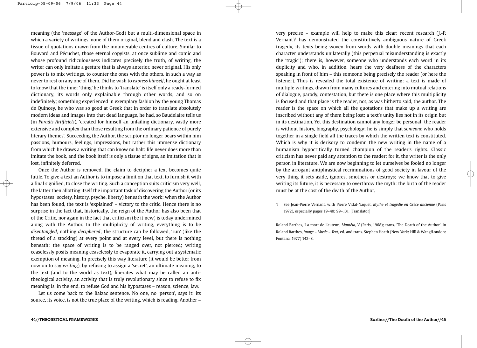meaning (the 'message' of the Author-God) but a multi-dimensional space in which a variety of writings, none of them original, blend and clash. The text is a tissue of quotations drawn from the innumerable centres of culture. Similar to Bouvard and Pécuchet, those eternal copyists, at once sublime and comic and whose profound ridiculousness indicates precisely the truth, of writing, the writer can only imitate a gesture that is always anterior, never original. His only power is to mix writings, to counter the ones with the others, in such a way as never to rest on any one of them. Did he wish to *express himself*, he ought at least to know that the inner 'thing' he thinks to 'translate' is itself only a ready-formed dictionary, its words only explainable through other words, and so on indefinitely; something experienced in exemplary fashion by the young Thomas de Quincey, he who was so good at Greek that in order to translate absolutely modern ideas and images into that dead language, he had, so Baudelaire tells us (in *Paradis Artificiels*), 'created for himself an unfailing dictionary, vastly more extensive and complex than those resulting from the ordinary patience of purely literary themes'. Succeeding the Author, the scriptor no longer bears within him passions, humours, feelings, impressions, but rather this immense dictionary from which he draws a writing that can know no halt: life never does more than imitate the book, and the book itself is only a tissue of signs, an imitation that is lost, infinitely deferred.

Once the Author is removed, the claim to decipher a text becomes quite futile. To give a text an Author is to impose a limit on that text, to furnish it with a final signified, to close the writing. Such a conception suits criticism very well, the latter then allotting itself the important task of discovering the Author (or its hypostases: society, history, psyche, liberty) beneath the work: when the Author has been found, the text is 'explained' – victory to the critic. Hence there is no surprise in the fact that, historically, the reign of the Author has also been that of the Critic, nor again in the fact that criticism (be it new) is today undermined along with the Author. In the multiplicity of writing, everything is to be *disentangled*, nothing *deciphered*; the structure can be followed, 'run' (like the thread of a stocking) at every point and at every level, but there is nothing beneath: the space of writing is to be ranged over, not pierced; writing ceaselessly posits meaning ceaselessly to evaporate it, carrying out a systematic exemption of meaning. In precisely this way literature (it would be better from now on to say *writing*), by refusing to assign a 'secret', an ultimate meaning, to the text (and to the world as text), liberates what may be called an antitheological activity, an activity that is truly revolutionary since to refuse to fix meaning is, in the end, to refuse God and his hypostases – reason, science, law.

Let us come back to the Balzac sentence. No one, no 'person', says it: its source, its voice, is not the true place of the writing, which is reading. Another –

very precise – example will help to make this clear: recent research (J.-P. Vernant)<sup>1</sup> has demonstrated the constitutively ambiguous nature of Greek tragedy, its texts being woven from words with double meanings that each character understands unilaterally (this perpetual misunderstanding is exactly the 'tragic'); there is, however, someone who understands each word in its duplicity and who, in addition, hears the very deafness of the characters speaking in front of him – this someone being precisely the reader (or here the listener). Thus is revealed the total existence of writing: a text is made of multiple writings, drawn from many cultures and entering into mutual relations of dialogue, parody, contestation, but there is one place where this multiplicity is focused and that place is the reader, not, as was hitherto said, the author. The reader is the space on which all the quotations that make up a writing are inscribed without any of them being lost; a text's unity lies not in its origin but in its destination. Yet this destination cannot any longer be personal: the reader is without history, biography, psychology; he is simply that *someone* who holds together in a single field all the traces by which the written text is constituted. Which is why it is derisory to condemn the new writing in the name of a humanism hypocritically turned champion of the reader's rights. Classic criticism has never paid any attention to the reader; for it, the writer is the only person in literature. We are now beginning to let ourselves be fooled no longer by the arrogant antiphrastical recriminations of good society in favour of the very thing it sets aside, ignores, smothers or destroys; we know that to give writing its future, it is necessary to overthrow the myth: the birth of the reader

1 See Jean-Pierre Vernant, with Pierre Vidal-Naquet, *Mythe et tragédie en Grèce ancienne* (Paris 1972), especially pages 19–40; 99–131. [Translator]

must be at the cost of the death of the Author.

Roland Barthes, 'La mort de l'auteur', *Mantéia*, V (Paris, 1968); trans. 'The Death of the Author', in Roland Barthes, *Image – Music – Text*, ed. and trans. Stephen Heath (New York: Hill & Wang/London: Fontana, 1977) 142–8.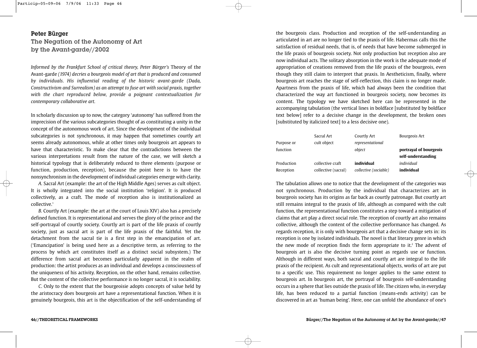## Peter Bürger The Negation of the Autonomy of Art by the Avant-garde//2002

*Informed by the Frankfurt School of critical theory, Peter Bürger's* Theory of the Avant-garde *(1974) decries a bourgeois model of art that is produced and consumed by individuals. His influential reading of the historic avant-garde (Dada, Constructivism and Surrealism) as an attempt to fuse art with social praxis, together with the chart reproduced below, provide a poignant contextualization for contemporary collaborative art.*

In scholarly discussion up to now, the category 'autonomy' has suffered from the imprecision of the various subcategories thought of as constituting a unity in the concept of the autonomous work of art. Since the development of the individual subcategories is not synchronous, it may happen that sometimes courtly art seems already autonomous, while at other times only bourgeois art appears to have that characteristic. To make clear that the contradictions between the various interpretations result from the nature of the case, we will sketch a historical typology that is deliberately reduced to three elements (purpose or function, production, reception), because the point here is to have the nonsynchronism in the development of individual categories emerge with clarity.

*A.* Sacral Art (example: the art of the High Middle Ages) serves as cult object. It is wholly integrated into the social institution 'religion'. It is produced collectively, as a craft. The mode of reception also is institutionalized as collective.<sup>1</sup>

*B.* Courtly Art (example: the art at the court of Louis XIV) also has a precisely defined function. It is representational and serves the glory of the prince and the self-portrayal of courtly society. Courtly art is part of the life praxis of courtly society, just as sacral art is part of the life praxis of the faithful. Yet the detachment from the sacral tie is a first step in the emancipation of art. ('Emancipation' is being used here as a descriptive term, as referring to the process by which art constitutes itself as a distinct social subsystem.) The difference from sacral art becomes particularly apparent in the realm of production: the artist produces as an individual and develops a consciousness of the uniqueness of his activity. Reception, on the other hand, remains collective. But the content of the collective performance is no longer sacral, it is sociability.

*C*. Only to the extent that the bourgeoisie adopts concepts of value held by the aristocracy does bourgeois art have a representational function. When it is genuinely bourgeois, this art is the objectification of the self-understanding of

the bourgeois class. Production and reception of the self-understanding as articulated in art are no longer tied to the praxis of life. Habermas calls this the satisfaction of residual needs, that is, of needs that have become submerged in the life praxis of bourgeois society. Not only production but reception also are now individual acts. The solitary absorption in the work is the adequate mode of appropriation of creations removed from the life praxis of the bourgeois, even though they still claim to interpret that praxis. In Aestheticism, finally, where bourgeois art reaches the stage of self-reflection, this claim is no longer made. Apartness from the praxis of life, which had always been the condition that characterized the way art functioned in bourgeois society, now becomes its content. The typology we have sketched here can be represented in the accompanying tabulation (the vertical lines in boldface [substituted by boldface text below] refer to a decisive change in the development, the broken ones [substituted by italicized text] to a less decisive one).

|            | Sacral Art          | Courtly Art           | Bourgeois Art          |
|------------|---------------------|-----------------------|------------------------|
| Purpose or | cult object         | representational      |                        |
| function   |                     | object                | portrayal of bourgeois |
|            |                     |                       | self-understanding     |
| Production | collective craft    | individual            | individual             |
| Reception  | collective (sacral) | collective (sociable) | individual             |

The tabulation allows one to notice that the development of the categories was not synchronous. Production by the individual that characterizes art in bourgeois society has its origins as far back as courtly patronage. But courtly art still remains integral to the praxis of life, although as compared with the cult function, the representational function constitutes a step toward a mitigation of claims that art play a direct social role. The reception of courtly art also remains collective, although the content of the collective performance has changed. As regards reception, it is only with bourgeois art that a decisive change sets in: its reception is one by isolated individuals. The novel is that literary genre in which the new mode of reception finds the form appropriate to it.<sup>2</sup> The advent of bourgeois art is also the decisive turning point as regards use or function. Although in different ways, both sacral and courtly art are integral to the life praxis of the recipient. As cult and representational objects, works of art are put to a specific use. This requirement no longer applies to the same extent to bourgeois art. In bourgeois art, the portrayal of bourgeois self-understanding occurs in a sphere that lies outside the praxis of life. The citizen who, in everyday life, has been reduced to a partial function (means-ends activity) can be discovered in art as 'human being'. Here, one can unfold the abundance of one's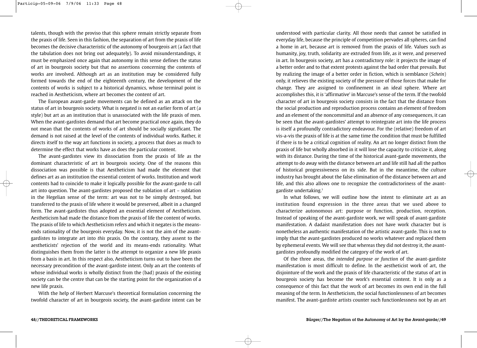talents, though with the proviso that this sphere remain strictly separate from the praxis of life. Seen in this fashion, the separation of art from the praxis of life becomes the decisive characteristic of the autonomy of bourgeois art (a fact that the tabulation does not bring out adequately). To avoid misunderstandings, it must be emphasized once again that autonomy in this sense defines the status of art in bourgeois society but that no assertions concerning the contents of works are involved. Although art as an institution may be considered fully formed towards the end of the eighteenth century, the development of the contents of works is subject to a historical dynamics, whose terminal point is reached in Aestheticism, where art becomes the content of art.

The European avant-garde movements can be defined as an attack on the status of art in bourgeois society. What is negated is not an earlier form of art (a style) but art as an institution that is unassociated with the life praxis of men. When the avant-gardistes demand that art become practical once again, they do not mean that the contents of works of art should be socially significant. The demand is not raised at the level of the contents of individual works. Rather, it directs itself to the way art functions in society, a process that does as much to determine the effect that works have as does the particular content.

The avant-gardistes view its dissociation from the praxis of life as the dominant characteristic of art in bourgeois society. One of the reasons this dissociation was possible is that Aestheticism had made the element that defines art as an institution the essential content of works. Institution and work contents had to coincide to make it logically possible for the avant-garde to call art into question. The avant-gardistes proposed the sublation of art – sublation in the Hegelian sense of the term: art was not to be simply destroyed, but transferred to the praxis of life where it would be preserved, albeit in a changed form. The avant-gardistes thus adopted an essential element of Aestheticism. Aestheticism had made the distance from the praxis of life the content of works. The praxis of life to which Aestheticism refers and which it negates is the meansends rationality of the bourgeois everyday. Now, it is not the aim of the avantgardistes to integrate art into *this* praxis. On the contrary, they assent to the aestheticists' rejection of the world and its means-ends rationality. What distinguishes them from the latter is the attempt to organize a new life praxis from a basis in art. In this respect also, Aestheticism turns out to have been the necessary precondition of the avant-gardiste intent. Only an art the contents of whose individual works is wholly distinct from the (bad) praxis of the existing society can be the centre that can be the starting point for the organization of a new life praxis.

With the help of Herbert Marcuse's theoretical formulation concerning the twofold character of art in bourgeois society, the avant-gardiste intent can be understood with particular clarity. All those needs that cannot be satisfied in everyday life, because the principle of competition pervades all spheres, can find a home in art, because art is removed from the praxis of life. Values such as humanity, joy, truth, solidarity are extruded from life, as it were, and preserved in art. In bourgeois society, art has a contradictory role: it projects the image of a better order and to that extent protests against the bad order that prevails. But by realizing the image of a better order in fiction, which is semblance (*Schein*) only, it relieves the existing society of the pressure of those forces that make for change. They are assigned to confinement in an ideal sphere. Where art accomplishes this, it is 'affirmative' in Marcuse's sense of the term. If the twofold character of art in bourgeois society consists in the fact that the distance from the social production and reproduction process contains an element of freedom and an element of the noncommittal and an absence of any consequences, it can be seen that the avant-gardistes' attempt to reintegrate art into the life process is itself a profoundly contradictory endeavour. For the (relative) freedom of art vis-a-vis the praxis of life is at the same time the condition that must be fulfilled if there is to be a critical cognition of reality. An art no longer distinct from the praxis of life but wholly absorbed in it will lose the capacity to criticize it, along with its distance. During the time of the historical avant-garde movements, the attempt to do away with the distance between art and life still had all the pathos of historical progressiveness on its side. But in the meantime, the culture industry has brought about the false elimination of the distance between art and life, and this also allows one to recognize the contradictoriness of the avantgardiste undertaking.3

In what follows, we will outline how the intent to eliminate art as an institution found expression in the three areas that we used above to characterize autonomous art: purpose or function, production, reception. Instead of speaking of the avant-gardiste work, we will speak of avant-gardiste manifestation. A dadaist manifestation does not have work character but is nonetheless an authentic manifestation of the artistic avant-garde. This is not to imply that the avant-gardistes produced no works whatever and replaced them by ephemeral events. We will see that whereas they did not destroy it, the avantgardistes profoundly modified the category of the work of art.

Of the three areas, the *intended purpose or function* of the avant-gardiste manifestation is most difficult to define. In the aestheticist work of art, the disjointure of the work and the praxis of life characteristic of the status of art in bourgeois society has become the work's essential content. It is only as a consequence of this fact that the work of art becomes its own end in the full meaning of the term. In Aestheticism, the social functionlessness of art becomes manifest. The avant-gardiste artists counter such functionlessness not by an art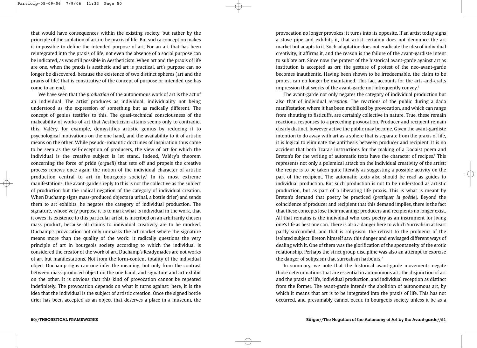that would have consequences within the existing society, but rather by the principle of the sublation of art in the praxis of life. But such a conception makes it impossible to define the intended purpose of art. For an art that has been reintegrated into the praxis of life, not even the absence of a social purpose can be indicated, as was still possible in Aestheticism. When art and the praxis of life are one, when the praxis is aesthetic and art is practical, art's purpose can no longer be discovered, because the existence of two distinct spheres (art and the praxis of life) that is constitutive of the concept of purpose or intended use has come to an end.

We have seen that the *production* of the autonomous work of art is the act of an individual. The artist produces as individual, individuality not being understood as the expression of something but as radically different. The concept of genius testifies to this. The quasi-technical consciousness of the makeability of works of art that Aestheticism attains seems only to contradict this. Valéry, for example, demystifies artistic genius by reducing it to psychological motivations on the one hand, and the availability to it of artistic means on the other. While pseudo-romantic doctrines of inspiration thus come to be seen as the self-deception of producers, the view of art for which the individual is the creative subject is let stand. Indeed, Valéry's theorem concerning the force of pride (*orgueil*) that sets off and propels the creative process renews once again the notion of the individual character of artistic production central to art in bourgeois society.4 In its most extreme manifestations, the avant-garde's reply to this is not the collective as the subject of production but the radical negation of the category of individual creation. When Duchamp signs mass-produced objects (a urinal, a bottle drier) and sends them to art exhibits, he negates the category of individual production. The signature, whose very purpose it is to mark what is individual in the work, that it owes its existence to this particular artist, is inscribed on an arbitrarily chosen mass product, because all claims to individual creativity are to be mocked. Duchamp's provocation not only unmasks the art market where the signature means more than the quality of the work; it radically questions the very principle of art in bourgeois society according to which the individual is considered the creator of the work of art. Duchamp's Readymades are not works of art but manifestations. Not from the form-content totality of the individual object Duchamp signs can one infer the meaning, but only from the contrast between mass-produced object on the one hand, and signature and art exhibit on the other. It is obvious that this kind of provocation cannot be repeated indefinitely. The provocation depends on what it turns against: here, it is the idea that the individual is the subject of artistic creation. Once the signed bottle drier has been accepted as an object that deserves a place in a museum, the

provocation no longer provokes; it turns into its opposite. If an artist today signs a stove pipe and exhibits it, that artist certainly does not denounce the art market but adapts to it. Such adaptation does not eradicate the idea of individual creativity, it affirms it, and the reason is the failure of the avant-gardiste intent to sublate art. Since now the protest of the historical avant-garde against art as institution is accepted as *art,* the gesture of protest of the neo-avant-garde becomes inauthentic. Having been shown to be irredeemable, the claim to be protest can no longer be maintained. This fact accounts for the arts-and-crafts impression that works of the avant-garde not infrequently convey.<sup>5</sup>

The avant-garde not only negates the category of individual production but also that of individual *reception.* The reactions of the public during a dada manifestation where it has been mobilized by provocation, and which can range from shouting to fisticuffs, are certainly collective in nature. True, these remain reactions, responses to a preceding provocation. Producer and recipient remain clearly distinct, however active the public may become. Given the avant-gardiste intention to do away with art as a sphere that is separate from the praxis of life, it is logical to eliminate the antithesis between producer and recipient. It is no accident that both Tzara's instructions for the making of a Dadaist poem and Breton's for the writing of automatic texts have the character of recipes.<sup>6</sup> This represents not only a polemical attack on the individual creativity of the artist; the recipe is to be taken quite literally as suggesting a possible activity on the part of the recipient. The automatic texts also should be read as guides to individual production. But such production is not to be understood as artistic production, but as part of a liberating life praxis. This is what is meant by Breton's demand that poetry be practiced (*pratiquer la poésie*)*.* Beyond the coincidence of producer and recipient that this demand implies, there is the fact that these concepts lose their meaning: producers and recipients no longer exist. All that remains is the individual who uses poetry as an instrument for living one's life as best one can. There is also a danger here to which Surrealism at least partly succumbed, and that is solipsism, the retreat to the problems of the isolated subject. Breton himself saw this danger and envisaged different ways of dealing with it. One of them was the glorification of the spontaneity of the erotic relationship. Perhaps the strict group discipline was also an attempt to exorcise the danger of solipsism that surrealism harbours.<sup>7</sup>

In summary, we note that the historical avant-garde movements negate those determinations that are essential in autonomous art: the disjunction of art and the praxis of life, individual production, and individual reception as distinct from the former. The avant-garde intends the abolition of autonomous art, by which it means that art is to be integrated into the praxis of life. This has not occurred, and presumably cannot occur, in bourgeois society unless it be as a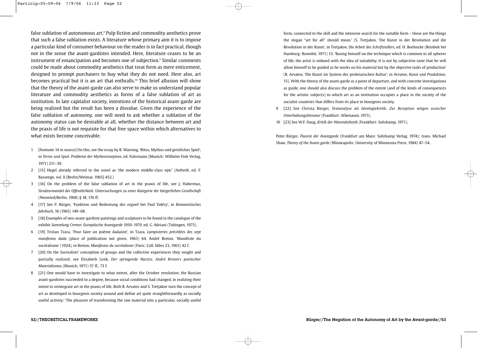false sublation of autonomous art.<sup>8</sup> Pulp fiction and commodity aesthetics prove that such a false sublation exists. A literature whose primary aim it is to impose a particular kind of consumer behaviour on the reader is in fact practical, though not in the sense the avant-gardistes intended. Here, literature ceases to be an instrument of emancipation and becomes one of subjection.<sup>9</sup> Similar comments could be made about commodity aesthetics that treat form as mere enticement, designed to prompt purchasers to buy what they do not need. Here also, art becomes practical but it is an art that enthralls.10 This brief allusion will show that the theory of the avant-garde can also serve to make us understand popular literature and commodity aesthetics as forms of a false sublation of art as institution. In late capitalist society, intentions of the historical avant-garde are being realized but the result has been a disvalue. Given the experience of the false sublation of autonomy, one will need to ask whether a sublation of the autonomy status can be desirable at all, whether the distance between art and the praxis of life is not requisite for that free space within which alternatives to what exists become conceivable.

- 1 [footnote 14 in source] On this, see the essay by R. Warning, 'Ritus, Mythos und geistliches Spiel', in *Terror und Spiel. Probleme der Mythenrezeption,* ed. Fuhrmann (Munich: Wilhelm Fink Verlag, 1971) 211–39.
- 2 [15] Hegel already referred to the novel as 'the modern middle-class epic' (*Asthetik*, ed. F. Bassenge, vol. II [Berlin/Weimar, 1965] 452.)
- 3 [16] On the problem of the false sublation of art in the praxis of life, see J. Habermas, *Strukturwandel der Offentlichkeit. Untersuchungen zu einer Kategorie der bürgerlichen Gesellschaft* (Neuwied/Berlin, 1968) § 18, 176 ff.
- 4 [17] See P. Bürger, 'Funktion und Bedeutung des *orgueil* bei Paul Valéry', in *Romanistisches Jahrbuch*, 16 (1965) 149–68.
- 5 [18] Examples of neo-avant-gardiste paintings and sculptures to be found in the catalogue of the exhibit *Sammlung Cremer. Europäische Avantgarde 1950–1970*, ed. *G.* Adriani (Tubingen, 1973).
- 6 [19] Tristan Tzara, 'Pour faire un poème dadaiste', in Tzara, *Lampisteries précédées des sept manifestos dada* (place of publication not given, 1963) 64. André Breton, 'Manifeste du surréalisme' (1924), in Breton, *Manifestos du surréalisme* (Paris: Coll. Idées 23, 1963) 42 f.
- 7 [20] On the Surrealists' conception of groups and the collective experiences they sought and partially realized, see Elisabeth Lenk, *Der springende Narziss. André Breton's poetischer Materialismus* (Munich, 1971) 57 ff., 73 f.
- 8 [21] One would have to investigate to what extent, after the October revolution, the Russian avant-gardistes succeeded to a degree, because social conditions had changed, in realizing their intent to reintegrate art in the praxis of life. Both B. Arvatov and S. Tretjakov turn the concept of art as developed in bourgeois society around and define art quite straightforwardly as socially useful activity: 'The pleasure of transforming the raw material into a particular, socially useful

form, connected to the skill and the intensive search for the suitable form – those are the things the slogan "art for all" should mean.' (S. Tretjakov, 'Die Kunst in der Revolution and die Revolution in der Kunst', in Tretjakov, *Die Arbeit des Schriftstellers*, ed. H. Boehncke (Reinbek bei Hamburg: Rowohit, 1971) 13. 'Basing himself on the technique which is common to all spheres of life, the artist is imbued with the idea of suitability. It is not by subjective taste that he will allow himself to be guided as he works on his material but by the objective tasks of production' (B. Arvatov, 'Die Kunst im System der proletarischen Kultur', in Arvatov, *Kunst und Produktion*, 15). With the theory of the avant-garde as a point of departure, and with concrete investigations as guide, one should also discuss the problem of the extent (and of the kinds of consequences for the artistic subjects) to which art as an institution occupies a place in the society of the socialist countries that differs from its place in bourgeois society.

- 9 [22] See Christa Bürger, *Textanalyse als Ideologiekritik. Zur Rezeption witgen ossischer Unterhaltungsliteratur* (Frankfurt: Athenaum, 1973).
- 10 [23] See W.F. Haug, *Kritik der Warendsthetik* (Frankfurt: Suhrkamp, 1971).

Peter Bürger, *Theorie der Avantgarde* (Frankfurt am Main: Suhrkamp Verlag, 1974); trans. Michael Shaw, *Theory of the Avant-garde* (Minneapolis: University of Minnesota Press, 1984) 47–54.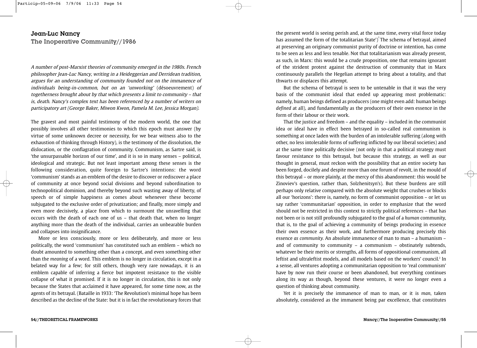## Jean-Luc Nancy The Inoperative Community//1986

A number of post-Marxist theories of community emerged in the 1980s. French philosopher Jean-Luc Nancy, writing in a Heideggerian and Derridean tradition, argues for an understanding of community founded not on the immanence of individuals being-in-common, but on an 'unworking' (désoeuvrement) of togetherness brought about by that which presents a limit to community – that is, death. Nancy's complex text has been referenced by a number of writers on participatory art (George Baker, Miwon Kwon, Pamela M. Lee, Jessica Morgan).

The gravest and most painful testimony of the modern world, the one that possibly involves all other testimonies to which this epoch must answer (by virtue of some unknown decree or necessity, for we bear witness also to the exhaustion of thinking through History), is the testimony of the dissolution, the dislocation, or the conflagration of community. Communism, as Sartre said, is 'the unsurpassable horizon of our time', and it is so in many senses – political, ideological and strategic. But not least important among these senses is the following consideration, quite foreign to Sartre's intentions: the word 'communism' stands as an emblem of the desire to discover or rediscover a place of community at once beyond social divisions and beyond subordination to technopolitical dominion, and thereby beyond such wasting away of liberty, of speech or of simple happiness as comes about whenever these become subjugated to the exclusive order of privatization; and finally, more simply and even more decisively, a place from which to surmount the unravelling that occurs with the death of each one of us – that death that, when no longer anything more than the death of the individual, carries an unbearable burden and collapses into insignificance.

More or less consciously, more or less deliberately, and more or less politically, the word 'communism' has constituted such an emblem – which no doubt amounted to something other than a concept, and even something other than the *meaning* of a word. This emblem is no longer in circulation, except in a belated way for a few; for still others, though very rare nowadays, it is an emblem capable of inferring a fierce but impotent resistance to the visible collapse of what it promised. If it is no longer in circulation, this is not only because the States that acclaimed it have appeared, for some time now, as the agents of its betrayal. (Bataille in 1933: 'The Revolution's minimal hope has been described as the decline of the State: but it is in fact the revolutionary forces that

the present world is seeing perish and, at the same time, every vital force today has assumed the form of the totalitarian State')<sup>1</sup> The schema of betrayal, aimed at preserving an originary communist purity of doctrine or intention, has come to be seen as less and less tenable. Not that totalitarianism was already present, as such, in Marx: this would be a crude proposition, one that remains ignorant of the strident protest against the destruction of community that in Marx continuously parallels the Hegelian attempt to bring about a totality, and that thwarts or displaces this attempt.

But the schema of betrayal is seen to be untenable in that it was the very basis of the communist ideal that ended up appearing most problematic: namely, human beings defined as producers (one might even add: human beings *defined* at all), and fundamentally as the producers of their own essence in the form of their labour or their work.

That the justice and freedom – and the equality – included in the communist idea or ideal have in effect been betrayed in so-called real communism is something at once laden with the burden of an intolerable suffering (along with other, no less intolerable forms of suffering inflicted by our liberal societies) and at the same time politically decisive (not only in that a political strategy must favour resistance to this betrayal, but because this strategy, as well as our thought in general, must reckon with the possibility that an entire society has been forged, docilely and despite more than one forum of revolt, in the mould of this betrayal – or more plainly, at the mercy of this abandonment: this would be Zinoviev's question, rather than, Solzhenitsyn's). But these burdens are still perhaps only relative compared with the absolute weight that crushes or blocks all our 'horizons': there is, namely, no form of communist opposition – or let us say rather 'communitarian' opposition, in order to emphasize that the word should not be restricted in this context to strictly political references – that has not been or is not still profoundly subjugated to the goal of a *human* community, that is, to the goal of achieving a community of beings producing in essence their own essence as their work, and furthermore producing precisely this essence *as community.* An absolute immanence of man to man – a humanism – and of community to community  $-$  a communism  $-$  obstinately subtends, whatever be their merits or strengths, all forms of oppositional communism, all leftist and ultraleftist models, and all models based on the workers' council.<sup>2</sup> In a sense, all ventures adopting a communitarian opposition to 'real communism' have by now run their course or been abandoned, but everything continues along its way as though, beyond these ventures, it were no longer even a question of thinking about community.

Yet it is precisely the immanence of man to man, or it is *man*, taken absolutely, considered as the immanent being par excellence, that constitutes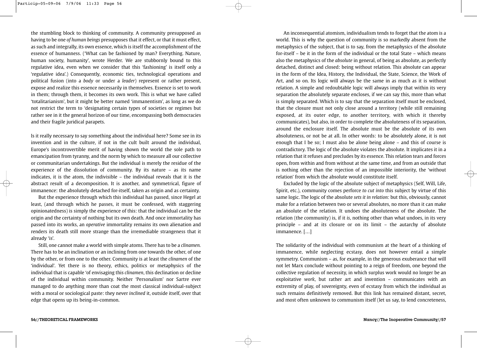the stumbling block to thinking of community. A community presupposed as having to be one *of human beings* presupposes that it effect, or that it must effect, as such and integrally, its own essence, which is itself the accomplishment of the essence of humanness. ('What can be fashioned by man? Everything. Nature, human society, humanity', wrote Herder. We are stubbornly bound to this regulative idea, even when we consider that this 'fashioning' is itself only a 'regulative idea'.) Consequently, economic ties, technological operations and political fusion (into a *body* or under a *leader*) represent or rather present, expose and realize this essence necessarily in themselves. Essence is set to work in them; through them, it becomes its own work. This is what we have called 'totalitarianism', but it might be better named 'immanentism', as long as we do not restrict the term to 'designating certain types of societies or regimes but rather see in it the general horizon of our time, encompassing both democracies and their fragile juridical parapets.

Is it really necessary to say something about the individual here? Some see in its invention and in the culture, if not in the cult built around the individual, Europe's incontrovertible merit of having shown the world the sole path to emancipation from tyranny, and the norm by which to measure all our collective or communitarian undertakings. But the individual is merely the residue of the experience of the dissolution of community. By its nature – as its name indicates, it is the atom, the indivisible – the individual reveals that it is the abstract result of a decomposition. It is another, and symmetrical, figure of immanence: the absolutely detached for-itself, taken as origin and as certainty.

But the experience through which this individual has passed, since Hegel at least, (and through which he passes, it must be confessed, with staggering opinionatedness) is simply the experience of this: that the individual can be the origin and the certainty of nothing but its own death. And once immortality has passed into its works, an *operative* immortality remains its own alienation and renders its death still more strange than the irremediable strangeness that it already 'is'.

Still, one cannot make a world with simple atoms. There has to be a *clinamen.* There has to be an inclination or an inclining from one towards the other, of one by the other, or from one to the other. Community is at least the *clinamen* of the 'individual'. Yet there is no theory, ethics, politics or metaphysics of the individual that is capable 'of envisaging this *clinamen*, this declination or decline of the individual within community. Neither 'Personalism' nor Sartre ever managed to do anything more than coat the most classical individual-subject with a moral or sociological paste: they never *inclined* it, outside itself, over that edge that opens up its being-in-common.

An inconsequential atomism, individualism tends to forget that the atom is a world. This is why the question of community is so markedly absent from the metaphysics of the subject, that is to say, from the metaphysics of the absolute for-itself – be it in the form of the individual or the total State – which means also the metaphysics of the *absolute* in general, of being as absolute, as perfectly detached, distinct and closed: being without relation. This absolute can appear in the form of the Idea, History, the Individual, the State, Science, the Work of Art, and so on. Its logic will always be the same in as much as it is without relation. A simple and redoubtable logic will always imply that within its very separation the absolutely separate encloses, if we can say this, more than what is simply separated. Which is to say that the separation itself must be enclosed, that the closure must not only close around a territory (while still remaining exposed, at its outer edge, to another territory, with which it thereby communicates), but also, in order to complete the absoluteness of its separation, around the enclosure itself. The absolute must be the absolute of its own absoluteness, or not be at all. In other words: to be absolutely alone, it is not enough that I be so; I must also be alone being alone – and this of course is contradictory. The logic of the absolute violates the absolute. It implicates it in a relation that it refuses and precludes by its essence. This relation tears and forces open, from within and from without at the same time, and from an outside that is nothing other than the rejection of an impossible interiority, the 'without relation' from which the absolute would constitute itself.

Excluded by the logic of the absolute subject of metaphysics (Self, Will, Life, Spirit, etc.), community comes perforce *to cut into* this subject by virtue of this same logic. The logic of the absolute *sets it in relation:* but this, obviously, cannot make for a relation between two or several absolutes, no more than it can make an absolute of the relation. It undoes the absoluteness of the absolute. The relation (the community) is, if it *is*, nothing other than what undoes, in its very principle – and at its closure or on its limit – the autarchy of absolute immanence. […]

The solidarity of the individual with communism at the heart of a thinking of immanence, while neglecting ecstasy, does not however entail a simple symmetry. Communism – as, for example, in the generous exuberance that will not let Marx conclude without pointing to a reign of freedom, one beyond the collective regulation of necessity, in which surplus work would no longer be an exploitative *work*, but rather art and invention – communicates with an extremity of play, of sovereignty, even of ecstasy from which the individual as such remains definitively removed. But this link has remained distant, secret, and most often unknown to communism itself (let us say, to lend concreteness,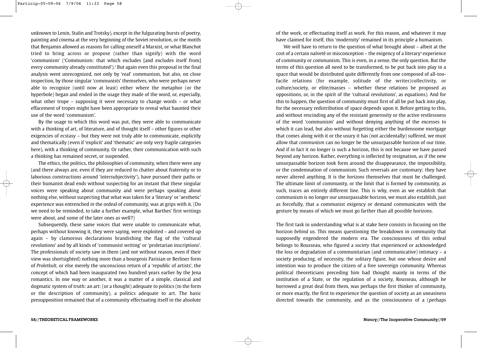unknown to Lenin, Stalin and Trotsky), except in the fulgurating bursts of poetry, painting and cinema at the very beginning of the Soviet revolution, or the motifs that Benjamin allowed as reasons for calling oneself a Marxist, or what Blanchot tried to bring across or propose (rather than signify) with the word 'communism' ('Communism: that which excludes [and excludes itself from] every community already constituted').<sup>3</sup> But again even this proposal in the final analysis went unrecognized, not only by 'real' communism, but also, on close inspection, by those singular 'communists' themselves, who were perhaps never able to recognize (until now at least) either where the metaphor (or the hyperbole) began and ended in the usage they made of the word, or, especially, what other trope – supposing it were necessary to change words – or what effacement of tropes might have been appropriate to reveal what haunted their use of the word 'communism'.

By the usage to which this word was put, they were able to communicate with a thinking of art, of literature, and of thought itself – other figures or other exigencies of ecstasy – but they were not truly able to communicate, explicitly and thematically (even if 'explicit' and 'thematic' are only very fragile categories here), with a thinking of community. Or rather, their communication with such a thinking has remained secret, or suspended.

The ethics, the politics, the philosophies of community, when there were any (and there always are, even if they are reduced to chatter about fraternity or to laborious constructions around 'intersubjectivity'), have pursued their paths or their humanist dead ends without suspecting for an instant that these singular voices were speaking about community and were perhaps speaking about nothing else, without suspecting that what was taken for a 'literary' or 'aesthetic' experience was entrenched *in* the ordeal of community, was at grips with it. (Do we need to be reminded, to take a further example, what Barthes' first writings were about, and some of the later ones as well?)

Subsequently, these same voices that were unable to communicate what, perhaps without knowing it, they were saying, were exploited – and covered up again – by clamorous declarations brandishing the flag of the 'cultural revolutions' and by all kinds of 'communist writing' or 'proletarian inscriptions'. The professionals of society saw in them (and not without reason, even if their view was shortsighted) nothing more than a bourgeois Parisian or Berliner form of *Proletkult*, or else merely the unconscious return of a 'republic of artists', the concept of which had been inaugurated two hundred years earlier by the Jena romantics. In one way or another, it was a matter of a simple, classical and dogmatic system of truth: an art: (or a thought) adequate to politics (to the form or the description of community), a politics adequate to art. The basic presupposition remained that of a community effectuating itself in the absolute

of the work, or effectuating itself as work. For this reason, and whatever it may have claimed for itself, this 'modernity' remained in its principle a humanism.

We will have to return to the question of what brought about – albeit at the  $\cot$  ost of a certain naïveté or misconception – the exigency of a literary<sup>4</sup> experience of community or communism. This is even, in a sense, the only question. But the terms of this question all need to be transformed, to be put back into play in a space that would be distributed quite differently from one composed of all-toofacile relations (for example, solitude of the writer/collectivity, or culture/society, or elite/masses – whether these relations be proposed as oppositions, or, in the spirit of the 'cultural revolutions', as equations). And for this to happen, the question of community must first of all be put back into play, for the necessary redistribution of space depends upon it. Before getting to this, and without rescinding any of the resistant generosity or the active restlessness of the word 'communism' and without denying anything of the excesses to which it can lead, but also without forgetting either the burdensome mortgage that comes along with it or the usury it has (not accidentally) suffered, we must allow that *communism* can no longer be the unsurpassable horizon of our time. And if in fact it no longer is such a horizon, this is not because we have passed beyond any horizon. Rather, everything is inflected by resignation, as if the new unsurpassable horizon took form around the disappearance, the impossibility, or the condemnation of communism. Such reversals are customary; they have never altered anything. It is the *horizons* themselves that must be challenged. The ultimate limit of community, or the limit that is formed by community, as such, traces an entirely different line. This is why, even as we establish that communism is no longer our unsurpassable horizon, we must also establish, just as forcefully, that a communist exigency or demand communicates with the gesture by means of which we must go farther than all possible horizons.

The first task in understanding what is at stake here consists in focusing on the horizon *behind* us. This means questioning the breakdown in community that supposedly engendered the modern era. The consciousness of this ordeal belongs to Rousseau, who figured a *society* that experienced or acknowledged the loss or degradation of a communitarian (and communicative) intimacy – a society producing, of necessity, the solitary figure, but one whose desire and intention was to produce the citizen of a free sovereign community. Whereas political theoreticians preceding him had thought mainly in terms of the institution of a State, or the regulation of a society, Rousseau, although he borrowed a great deal from them, was perhaps the first thinker of community, or more exactly, the first to experience the question of society as an uneasiness directed towards the community, and as the consciousness of a (perhaps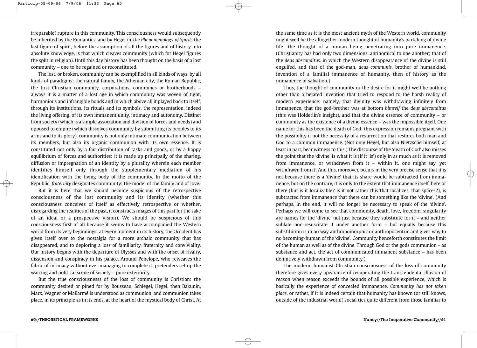irreparable) rupture in this community. This consciousness would subsequently be inherited by the Romantics, and by Hegel in *The Phenomenology of Spirit*: the last figure of spirit, before the assumption of all the figures and of history into absolute knowledge, is that which cleaves community (which for Hegel figures the split in religion). Until this day history has been thought on the basis of a lost community – one to be regained or reconstituted.

The lost, or broken, community can be exemplified in all kinds of ways, by all kinds of paradigms: the natural family, the Athenian city, the Roman Republic, the first Christian community, corporations, communes or brotherhoods – always it is a matter of a lost age in which community was woven of tight, harmonious and infrangible bonds and in which above all it played back to itself, through its institutions, its rituals and its symbols, the representation, indeed the living offering, of its own immanent unity, intimacy and autonomy. Distinct from society (which is a simple association and division of forces and needs) and opposed to empire (which dissolves community by submitting its peoples to its arms and to its glory), community is not only intimate communication between its members, but also its organic communion with its own essence. It is constituted not only by a fair distribution of tasks and goods, or by a happy equilibrium of forces and authorities: it is made up principally of the sharing, diffusion or impregnation of an identity by a plurality wherein each member identifies himself only through the supplementary mediation of his identification with the living body of the community. In the motto of the Republic, *fraternity* designates community: the model of the family and of love.

But it is here that we should become suspicious of the retrospective consciousness of the lost community and its identity (whether this consciousness conceives of itself as effectively retrospective or whether, disregarding the realities of the past, it constructs images of this past for the sake of an ideal or a prospective vision). We should be suspicious of this consciousness first of all because it seems to have accompanied the Western world from its very beginnings: at every moment in its history, the Occident has given itself over to the nostalgia for a more archaic community that has disappeared, and to deploring a loss of familiarity, fraternity and conviviality. Our history begins with the departure of Ulysses and with the onset of rivalry, dissension and conspiracy in his palace. Around Penelope, who reweaves the fabric of intimacy without ever managing to complete it, pretenders set up the warring and political scene of society – pure exteriority.

But the true consciousnesss of the loss of community is Christian: the community desired or pined for by Rousseau, Schlegel, Hegel, then Bakunin, Marx, Wagner or Mallarmé is understood as communion, and communion takes place, in its principle as in its ends, at the heart of the mystical body of Christ. At

the same time as it is the most ancient myth of the Western world, community might well be the altogether modern thought of humanity's partaking of divine life: the thought of a human being penetrating into pure immanence. (Christianity has had only two dimensions, antinomical to one another; that of the *deus absconditus,* in which the Western disappearance of the divine is still engulfed, and that of the god-man, *deus communis*, brother of humankind, invention of a familial immanence of humanity, then of history as the immanence of salvation.)

Thus, the thought of community or the desire for it might well be nothing other than a belated invention that tried to respond to the harsh reality of modern experience: namely, that divinity was withdrawing infinitely from immanence, that the god-brother was at bottom *himself* the *deus absconditus* (this was Hölderlin's insight), and that the divine essence of community – or community as the existence of a divine essence – was the impossible itself. One name for this has been the death of God: this expression remains pregnant with the possibility if not the necessity of a resurrection that restores both man and God to a common immanence. (Not only Hegel, but also Nietzsche himself, at least in part, bear witness to this.) The discourse of the 'death of God' also misses the point that the 'divine' is what it is (if it 'is') only in as much as it is removed from immanence, or withdrawn from it – within it, one might say, yet withdrawn from it: And this, moreover, occurs in the very precise sense that it is not because there is a 'divine' that its share would be subtracted from immanence, but on the contrary, it is only to the extent that immanence itself, here or there (but is it localizable? Is it not rather this that localizes, that spaces?), is subtracted from immanence that there can be something like the 'divine'. (And perhaps, in the end, it will no longer be necessary to speak of the 'divine'. Perhaps we will come to see that community, death, love, freedom, singularity are names for the 'divine' not just because they substitute for it – and neither sublate nor resuscitate it under another form – but equally because this substitution is in no way anthropomorphic or anthropocentric and gives way to no becoming-human of the 'divine'. Community henceforth constitutes the limit of the human as well as of the divine. Through God or the gods communion – as substance and act, the act of communicated immanent substance – has been definitively withdrawn from community.)

The modern, humanist Christian consciousness of the loss of community therefore gives every apearance of recuperating the transcendental illusion of reason when reason exceeds the bounds of all possible experience, which is basically the experience of concealed immanence. *Community has not taken place*, or rather, if it is indeed certain that humanity has known (or still knows, outside of the industrial world) social ties quite different from those familiar to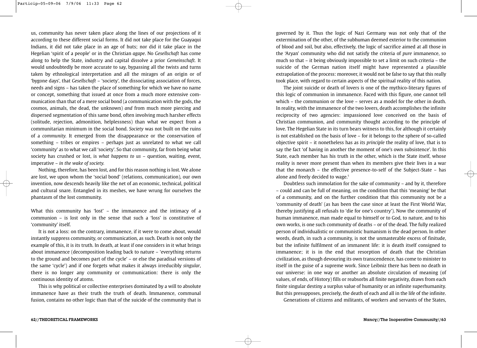us, community has never taken place along the lines of our projections of it according to these different social forms. It did not take place for the Guayaqui Indians, it did not take place in an age of huts; nor did it take place in the Hegelian 'spirit of a people' or in the Christian *agape*. No *Gesellschaft* has come along to help the State, industry and capital dissolve a prior *Gemeinschaft.* It would undoubtedly be more accurate to say, bypassing all the twists and turns taken by ethnological interpretation and all the mirages of an origin or of 'bygone days', that *Gesellschaft* – 'society', the dissociating association of forces, needs and signs – has taken the place of something for which we have no name or concept, something that issued at once from a much more extensive communication than that of a mere social bond (a communication with the gods, the cosmos, animals, the dead, the unknown) *and* from much more piercing and dispersed segmentation of this same bond, often involving much harsher effects (solitude, rejection, admonition, helplessness) than what we expect from a communitarian minimum in the social bond. *Society* was not built on the ruins of a *community.* It emerged from the disappearance or the conservation of something – tribes or empires – perhaps just as unrelated to what we call 'community' as to what we call 'society'. So that community, far from being what society has crushed or lost, is *what happens to us* – question, waiting, event, imperative – *in the wake of society.*

Nothing, therefore, has been lost, and for this reason nothing is lost. We alone are lost, we upon whom the 'social bond' (relations, communication), our own invention, now descends heavily like the net of an economic, technical, political and cultural snare. Entangled in its meshes, we have wrung for ourselves the phantasm of the lost community.

What this community has 'lost' – the immanence and the intimacy of a communion – is lost only in the sense that such a 'loss' is constitutive of 'community' itself.

It is not a loss: on the contrary, immanence, if it were to come about, would instantly suppress community, or communication, as such. Death is not only the example of this, it is its truth. In death, at least if one considers in it what brings about immanence (decomposition leading back to nature – 'everything returns to the ground and becomes part of the cycle' – or else the paradisal versions of the same 'cycle') and if one forgets what makes it always irreducibly *singular*, there is no longer any community or communication: there is only the continuous identity of atoms.

This is why political or collective enterprises dominated by a will to absolute immanence have as their truth the truth of death. Immanence, communal fusion, contains no other logic than that of the suicide of the community that is governed by it. Thus the logic of Nazi Germany was not only that of the extermination of the other, of the subhuman deemed exterior to the communion of blood and soil, but also, effectively, the logic of sacrifice aimed at all those in the 'Aryan' community who did not satisfy the criteria of *pure* immanence, so much so that – it being obviously impossible to set a limit on such criteria – the suicide of the German nation itself might have represented a plausible extrapolation of the process: moreover, it would not be false to say that this really took place, with regard to certain aspects of the spiritual reality of this nation.

The joint suicide or death of lovers is one of the mythico-literary figures of this logic of communion in immanence. Faced with this figure, one cannot tell which – the communion or the love – serves as a model for the other in death. In reality, with the immanence of the two lovers, death accomplishes the infinite reciprocity of two agencies: impassioned love conceived on the basis of Christian communion, and community thought according to the principle of love. The Hegelian State in its turn bears witness to this, for although it certainly is not established on the basis of love – for it belongs to the sphere of so-called objective spirit – it nonetheless has as its *principle* the reality of love, that is to say the fact 'of having in another the moment of one's own subsistence'. In this State, each member has his truth in the other, which is the State itself, whose reality is never more present than when its members give their lives in a war that the monarch – the effective presence-to-self of the Subject-State – has alone and freely decided to wage.<sup>5</sup>

Doubtless such immolation for the sake of community – and by it, therefore – could and can be full of meaning, on the condition that this 'meaning' be that of a community, and on the further condition that this community not be a 'community of death' (as has been the case since at least the First World War, thereby justifying all refusals to 'die for one's country'). Now the community of human immanence, man made equal to himself or to God, to nature, and to his own works, is one such community of deaths – or of the dead. The fully realized person of individualistic or communistic humanism is the dead person. In other words, death, in such a community, is not the unmasterable excess of finitude, but the infinite fulfilment of an immanent life: it is death itself consigned to immanence; it is in the end that resorption of death that the Christian civilization, as though devouring its own transcendence, has come to minister to itself in the guise of a supreme work. Since Leibniz there has been no death in our universe: in one way or another an absolute circulation of meaning (of values, of ends, of History) fills or reabsorbs all finite negativity, draws from each finite singular destiny a surplus value of humanity or an infinite superhumanity. But this presupposes, precisely, the death of each and all in the life of the infinite. Generations of citizens and militants, of workers and servants of the States,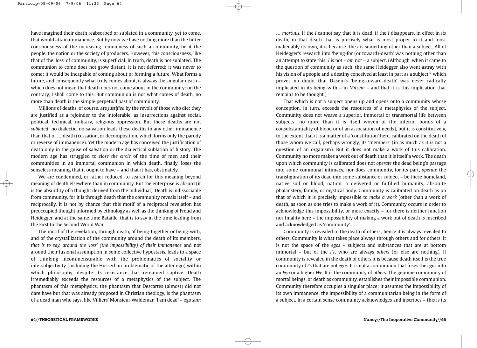have imagined their death reabsorbed or sublated in a community, yet to come, that would attain immanence. But by now we have nothing more than the bitter consciousness of the increasing remoteness of such a community, be it the people, the nation or the society of producers. However, this consciousness, like that of the 'loss' of community, is superficial. In truth, death is not sublated. The communion to come does not grow distant, it is not deferred: it was never to come; it would be incapable of coming about or forming a future. What forms a future, and consequently what truly comes about, is always the singular death – which does not mean that death does not come about in the community: on the contrary, I shall come to this. But communion is not what comes of death, no more than death is the simple perpetual past of community.

Millions of deaths, of course, are *justified* by the revolt of those who die: they are justified as a rejoinder to the intolerable, as insurrections against social, political, technical, military, religious oppression. But these deaths are not *sublated*: no dialectic, no salvation leads these deaths to any other immanence than that of … death (cessation, or decomposition, which forms only the parody or reverse of immanence). Yet the modern age has conceived the justification of death only in the guise of salvation or the dialectical sublation of history. The modern age has struggled to *close the circle* of the time of men and their communities in an immortal communion in which death, finally, loses the senseless meaning that it ought to have – and that it has, obstinately.

We are condemned, or rather reduced, to search for this meaning beyond meaning of death elsewhere than in community. But the enterprise is absurd (it is the absurdity of a thought derived from the individual). Death is indissociable from community, for it is through death that the community reveals itself – and reciprocally. It is not by chance that this motif of a reciprocal revelation has preoccupied thought informed by ethnology as well as the thinking of Freud and Heidegger, and at the same time Bataille, that is to say in the time leading from the First to the Second World War.

The motif of the revelation, through death, of being-together or being-with, and of the crystallization of the community around the death of its members, *that is to say, around the 'loss' (the impossibility) of their immanence* and not around their fusional assumption in some collective hypostasis, leads to a space of thinking incommensurable with the problematics of sociality or intersubjectivity (including the Husserlian problematic of the alter ego) within which philosophy, despite its resistance, has remained captive. Death irremediably exceeds the resources of a metaphysics of the subject. The phantasm of this metaphysics, the phantasm that Descartes (almost) did not dare have but that was already proposed in Christian theology, is the phantasm of a dead man who says, like Villiers' Monsieur Waldemar, 'I am dead' – ego *sum*

*… mortuus.* If the *I* cannot say that it is dead, if the *I* disappears, in effect in *its* death, in that death that is precisely what is most proper to it and most inalienably its own, it is because the *I* is something other than a subject. All of Heidegger's research into 'being-for (or toward)-death' was nothing other than an attempt to state this: *I* is not – *am* not – a subject. (Although, when it came to the question of community as such, the same Heidegger also went astray with his vision of a people and a destiny conceived at least in part as a subject, $6 \text{ which}$ proves no doubt that Dasein's 'being-toward-death' was never radically implicated in its being-with – in *Mitsein –* and that it is this implication that remains to be thought.)

That which is not a subject opens up and opens onto a community whose conception, in turn, exceeds the resources of a metaphysics of the subject. Community does not weave a superior, immortal or transmortal life between subjects (no more than it is itself woven of the inferior bonds of a consubstantiality of blood or of an association of needs), but it is constitutively, to the extent that it is a matter of a 'constitution' here, calibrated on the death of those whom we call, perhaps wrongly, its 'members' (in as much as it is not a question of an organism). But it does not make a work of this calibration. Community no more makes a work out of death than it is itself a work. The death upon which community is calibrated does not *operate* the dead being's passage into some communal intimacy, nor does community, for its part, *operate* the transfiguration of its dead into some substance or subject – be these homeland, native soil or blood, nation, a delivered or fulfilled humanity, absolute phalanstery, family, or mystical body. Community is calibrated on death as on that of which it is precisely impossible to *make a work* (other than a work of death, as soon as one tries to make a work of it). Community occurs in order to acknowledge this impossibility, or more exactly – for there is neither function nor finality here – the impossibility of making a work out of death is inscribed and acknowledged as 'community'.

Community is revealed in the death of others; hence it is always revealed to others. Community is what takes place always through others and for others. It is not the space of the *egos –* subjects and substances that are at bottom immortal – but of the *I*'s, who are always *others* (or else are nothing). If community is revealed in the death of others it is because death itself is the true community of *I*'s that are not *egos.* It is not a communion that fuses the *egos* into an *Ego* or a higher *We.* It is the community of *others.* The genuine community of mortal beings, or death as community, establishes their impossible communion. Community therefore occupies a singular place: it assumes the impossibility of its own immanence, the impossibility of a communitarian being in the form of a subject. In a certain sense community acknowledges and inscribes – this is its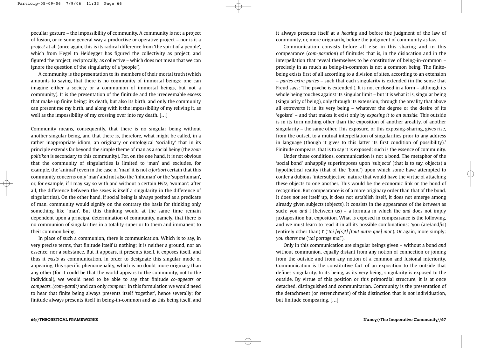peculiar gesture – the impossibility of community. A community is not a project of fusion, or in some general way a productive or operative project – nor is it a *project* at all (once again, this is its radical difference from 'the spirit of a people', which from Hegel to Heidegger has figured the collectivity as project, and figured the project, reciprocally, as collective – which does not mean that we can ignore the question of the singularity of a 'people').

A community is the presentation to its members of their mortal truth (which amounts to saying that there is no community of immortal beings: one can imagine either a society or a communion of immortal beings, but not a community). It is the presentation of the finitude and the irredeemable excess that make up finite being: its death, but also its birth, and only the community can present me my birth, and along with it the impossibility of my reliving it, as well as the impossibility of my crossing over into my death. […]

Community means, consequently, that there is no singular being without another singular being, and that there is, therefore, what might be called, in a rather inappropriate idiom, an originary or ontological 'sociality' that in its principle extends far beyond the simple theme of man as a social being (the *zoon politikon* is secondary to this community). For, on the one hand, it is not obvious that the community of singularities is limited to 'man' and excludes, for example, the 'animal' (even in the case of 'man' it is not *a fortiori* certain that this community concerns only 'man' and not also the 'inhuman' or the 'superhuman', or, for example, if I may say so with and without a certain *Witz*, 'woman': after all, the difference befween the sexes is itself a singularity in the difference of singularities). On the other hand, if social being is always posited as a predicate of man, community would signify on the contrary the basis for thinking only something like 'man'. But this thinking would at the same time remain dependent upon a principal determination of community, namely, that there is no communion of singularities in a totality superior to them and immanent to their common being.

In place of such a communion, there is communication. Which is to say, in very precise terms, that finitude itself *is* nothing; it is neither a ground, nor an essence, nor a substance. But it appears, it presents itself, it exposes itself, and thus it *exists* as communication. In order to designate this singular mode of appearing, this specific phenomenality, which is no doubt more originary than any other (for it could be that the world appears to the community, not to the individual), we would need to be able to say that finitude *co-appears* or *compears*, *(com-paraît)* and can only *compear*: in this formulation we would need to hear that finite being always presents itself 'together', hence severally; for finitude always presents itself in being-in-common and as this being itself, and

it always presents itself at a *hearing* and before the judgment of the law of community, or, more originarily, before the judgment of community as law.

Communication consists before all else in this sharing and in this compearance (*com-parution*) of finitude: that is, in the dislocation and in the interpellation that reveal themselves to be constitutive of being-in-common – precisely in as much as being-in-common is not a common being. The finitebeing exists first of all according to a division of sites, according to an extension – *partes extra partes –* such that each singularity is extended (in the sense that Freud says: 'The psyche is extended'). It is not enclosed in a form – although its whole being touches against its singular limit – but it is what it is, singular being (singularity of being), only through its extension, through the areality that above all extroverts it in its very being – whatever the degree or the desire of its 'egoism' – and that makes it exist only by *exposing it to an outside.* This outside is in its turn nothing other than the exposition of another areality, of another singularity – the same other. This exposure, or this exposing-sharing, gives rise, from the outset, to a mutual interpellation of singularities prior to any address in language (though it gives to this latter its first condition of possibility).<sup>7</sup> Finitude compears, that is to say it is exposed: such is the essence of community.

Under these conditions, communication is not a bond. The metaphor of the 'social bond' unhappily superimposes upon 'subjects' (that is to say, objects) a hypothetical reality (that of the 'bond') upon which some have attempted to confer a dubious 'intersubjective' nature that would have the virtue of attaching these objects to one another. This would be the economic link or the bond of recognition. But compearance is of a more originary order than that of the bond. It does not set itself up, it does not establish itself, it does not emerge among already given subjects (objects). It consists in the appearance of the *between* as such: you *and* I (between us) – a formula in which the *and* does not imply juxtaposition but exposition. What is exposed in compearance is the following, and we must learn to read it in all its possible combinations: 'you (are/and/is) (entirely other than) I' ('*toi [e(s)t] [tout autre que] moi*')*.* Or again, more simply: *you shares me* ('*toi portage moi*').

Only in this communication are singular beings given – without a bond *and* without communion, equally distant from any notion of connection or joining from the outside and from any notion of a common and fusional interiority. Communication is the constitutive fact of an exposition to the outside that defines singularity. In its being, as its very being, singularity is exposed to the outside. By virtue of this position or this primordial structure, it is at once detached, distinguished and communitarian. Community is the presentation of the detachment (or retrenchment) of this distinction that is not individuation, but finitude compearing. […]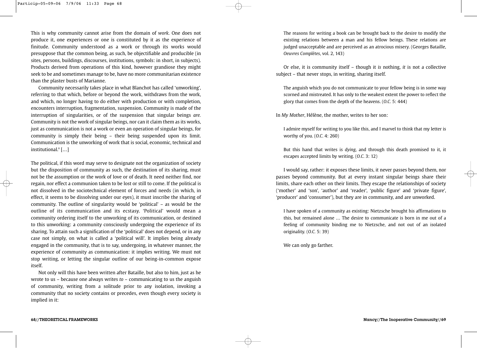This is why community cannot arise from the domain of *work.* One does not produce it, one experiences or one is constituted by it as the experience of finitude. Community understood as a work or through its works would presuppose that the common being, as such, be objectifiable and producible (in sites, persons, buildings, discourses, institutions, symbols: in short, in subjects). Products derived from operations of this kind, however grandiose they might seek to be and sometimes manage to be, have no more communitarian existence than the plaster busts of Marianne.

Community necessarily takes place in what Blanchot has called 'unworking', referring to that which, before or beyond the work, withdraws from the work, and which, no longer having to do either with production or with completion, encounters interruption, fragmentation, suspension. Community is made of the interruption of singularities, or of the suspension that singular beings *are.* Community is not the work of singular beings, nor can it claim them as its works, just as communication is not a work or even an operation of singular beings, for community is simply their being – their being suspended upon its limit. Communication is the unworking of work that is social, economic, technical and institutional.<sup>8</sup> [...]

The political, if this word may serve to designate not the organization of society but the disposition of community as such, the destination of its sharing, must not be the assumption or the work of love or of death. It need neither find, nor regain, nor effect a communion taken to be lost or still to come. If the political is not dissolved in the sociotechnical element of forces and needs (in which, in effect, it seems to be dissolving under our eyes), it must inscribe the sharing of community. The outline of singularity would be 'political' – as would be the outline of its communication and its ecstasy. 'Political' would mean a community ordering itself to the unworking of its communication, or destined to this unworking: a community consciously undergoing the experience of its sharing. To attain such a signification of the 'political' does not depend, or in any case not simply, on what is called a 'political will'. It implies being already engaged in the community, that is to say, undergoing, in whatever manner, the experience of community as communication: it implies writing. We must not stop writing, or letting the singular outline of our being-in-common expose itself.

Not only will this have been written after Bataille, but also to him, just as he wrote to us – because one always writes *to –* communicating to us the anguish of community, writing from a solitude prior to any isolation, invoking a community that no society contains or precedes, even though every society is implied in it:

The reasons for writing a book can be brought back to the desire to modify the existing relations between a man and his fellow beings. These relations are judged unacceptable and are perceived as an atrocious misery. (Georges Bataille, *Oeuvres Complètes*, vol. 2, 143)

Or else, it is community itself – though it *is* nothing, *it* is not a collective subject – that never stops, in writing, sharing itself.

The anguish which you do not communicate to your fellow being is in some way scorned and mistreated. It has only to the weakest extent the power to reflect the glory that comes from the depth of the heavens. (*O.C.* 5: 444)

In *My Mother*, Hélène, the mother, writes to her son:

I admire myself for writing to you like this, and I marvel to think that my letter is worthy of you. (*O.C*. 4: 260)

But this hand that writes is *dying*, and through this death promised to it, it escapes accepted limits by writing. (*O.C*. 3: 12)

I would say, rather: it exposes these limits, it never passes beyond them, nor passes beyond community. But at every instant singular beings share their limits, share each other on their limits. They escape the relationships of society ('mother' and 'son', 'author' and 'reader', 'public figure' and 'private figure', 'producer' and 'consumer'), but they are in community, and are unworked.

I have spoken of a community as existing: Nietzsche brought his affirmations to this, but remained alone … The desire to communicate is born in me out of a feeling of community binding me to Nietzsche, and not out of an isolated originality. (*O.C.* 5: 39)

We can only go farther.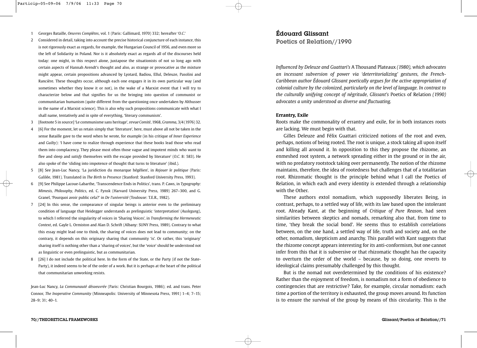- 1 Georges Bataille, *Oeuvres Complètes*, vol. 1 (Paris: Gallimard, 1970) 332; hereafter '*O.C*.'
- 2 Considered in detail, taking into account the precise historical conjuncture of each instance, this is not rigorously exact as regards, for example, the Hungarian Council of 1956, and even more so the left of Solidarity in Poland. Nor is it absolutely exact as regards all of the discourses held today: one might, in this respect alone, juxtapose the situationists of not so long ago with certain aspects of Hannah Arendt's thought and also, as strange or provocative as the mixture might appear, certain propositions advanced by Lyotard, Badiou, Ellul, Deleuze, Pasolini and Rancière. These thoughts occur, although each one engages it in its own particular way (and sometimes whether they know it or not), in the wake of a Marxist event that I will try to characterize below and that signifies for us the bringing into question of communist or communitarian humanism (quite different from the questioning once undertaken by Althusser in the name of a Marxist science). This is also why such propositions communicate with what I shall name, tentatively and in spite of everything, 'literary communism'.
- 3 [footnote 5 in source] 'Le communisme sans heritage', revue *Comité*, 1968, *Gramma*, 3/4 (1976) 32.
- 4 [6] For the moment, let us retain simply that 'literature', here, must above all not be taken in the sense Bataille gave to the word when he wrote, for example (in his critique of *Inner Experience* and *Guilty*): 'I have come to realize through experience that these books lead those who read them into complacency. They please most often those vague and impotent minds who want to flee and sleep and *satisfy* themselves with the escape provided by literature' (*O.C*. 8: 583). He also spoke of the 'sliding into impotence of thought that turns to literature' (ibid.).
- 5 [8] See Jean-Luc Nancy, 'La juridiction du monarque hégélien', in *Rejouer le politique* (Paris: Galilée, 1981). Translated in *The Birth to Presence* (Stanford: Stanford University Press, 1993).
- 6 [9] See Philippe Lacoue-Labarthe, 'Transcendence Ends in Politics', trans. P. Caws, in *Typography: Mimesis, Philosophy, Politics*, ed. C. Fynsk (Harvard University Press, 1989) 267–300, and G. Granel, 'Pourquoi avoir public cela?' in *De l'université* (Toulouse: T.E.R., 1982).
- 7 [24] In this sense, the compearance of singular beings is anterior even to the preliminary condition of language that Heidegger understands as prelinguistic 'interpretation' (*Auslegung*), to which I referred the singularity of voices in 'Sharing Voices', in *Transforming the Hermeneutic Context*, ed. Gayle L. Ormiston and Alan D. Schrift (Albany: SUNY Press, 1989). Contrary to what this essay might lead one to think, the sharing of voices does not lead to community; on the contrary, it depends on this originary sharing that community 'is'. Or rather, this 'originary' sharing itself is nothing other than a 'sharing of voices', but the 'voice' should be understood not as linguistic or even prelinguistic, but as communitarian.
- 8 [26] I do not include the political here. In the form of the State, or the Party (if not the State-Party), it indeed seems to be of the order of a work. But it is perhaps at the heart of the political that communitarian unworking resists.

Jean-Luc Nancy, *La Communauté désoeuvrée* (Paris: Christian Bourgois, 1986); ed. and trans. Peter Connor, *The Inoperative Community* (Minneapolis: University of Minnesota Press, 1991) 1–4; 7–15; 28–9; 31; 40–1.

Édouard Glissant Poetics of Relation//1990

*Influenced by Deleuze and Guattari's* A Thousand Plateaux *(1980), which advocates an incessant subversion of power via 'deterritorializing' gestures, the French-Caribbean author Édouard Glissant poetically argues for the active appropriation of colonial culture by the colonized, particularly on the level of language. In contrast to the culturally unifying concept of négritude, Glissant's* Poetics of Relation *(1990) advocates a unity understood as diverse and fluctuating.*

#### **Errantry, Exile**

Roots make the commonality of errantry and exile, for in both instances roots are lacking. We must begin with that.

Gilles Deleuze and Félix Guattari criticized notions of the root and even, perhaps, notions of being rooted. The root is unique, a stock taking all upon itself and killing all around it. In opposition to this they propose the rhizome, an enmeshed root system, a network spreading either in the ground or in the air, with no predatory rootstock taking over permanently. The notion of the rhizome maintains, therefore, the idea of rootedness but challenges that of a totalitarian root. Rhizomatic thought is the principle behind what I call the Poetics of Relation, in which each and every identity is extended through a relationship with the Other.

These authors extol nomadism, which supposedly liberates Being, in contrast, perhaps, to a settled way of life, with its law based upon the intolerant root. Already Kant, at the beginning of *Critique of Pure Reason*, had seen similarities between skeptics and nomads, remarking also that, from time to time, 'they break the social bond'. He seems thus to establish correlations between, on the one hand, a settled way of life, truth and society and, on the other, nomadism, skepticism and anarchy. This parallel with Kant suggests that the rhizome concept appears interesting for its anti-conformism, but one cannot infer from this that it is subversive or that rhizomatic thought has the capacity to overturn the order of the world – because, by so doing, one reverts to ideological claims presumably challenged by this thought.

But is the nomad not overdetermined by the conditions of his existence? Rather than the enjoyment of freedom, is nomadism not a form of obedience to contingencies that are restrictive? Take, for example, circular nomadism: each time a portion of the territory is exhausted, the group moves around. Its function is to ensure the survival of the group by means of this circularity. This is the

#### 70//THEORETICAL FRAMEWORKS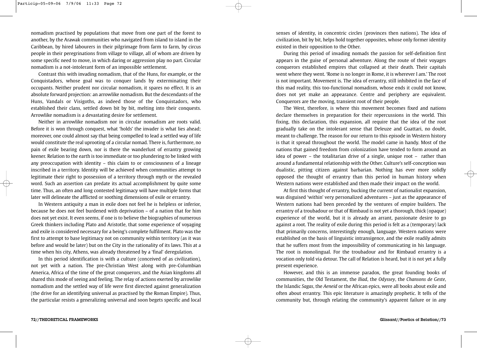nomadism practised by populations that move from one part of the forest to another, by the Arawak communities who navigated from island to island in the Caribbean, by hired labourers in their pilgrimage from farm to farm, by circus people in their peregrinations from village to village, all of whom are driven by some specific need to move, in which daring or aggression play no part. Circular nomadism is a not-intolerant form of an impossible settlement.

Contrast this with invading nomadism, that of the Huns, for example, or the Conquistadors, whose goal was to conquer lands by exterminating their occupants. Neither prudent nor circular nomadism, it spares no effect. It is an absolute forward projection: an arrowlike nomadism. But the descendants of the Huns, Vandals or Visigoths, as indeed those of the Conquistadors, who established their clans, settled down bit by bit, melting into their conquests. Arrowlike nomadism is a devastating desire for settlement.

Neither in arrowlike nomadism nor in circular nomadism are roots valid. Before it is won through conquest, what 'holds' the invader is what lies ahead; moreover, one could almost say that being compelled to lead a settled way of life would constitute the real uprooting of a circular nomad. There is, furthermore, no pain of exile bearing down, nor is there the wanderlust of errantry growing keener. Relation to the earth is too immediate or too plundering to be linked with any preoccupation with identity – this claim to or consciousness of a lineage inscribed in a territory. Identity will be achieved when communities attempt to legitimate their right to possession of a territory through myth or the revealed word. Such an assertion can predate its actual accomplishment by quite some time. Thus, an often and long contested legitimacy will have multiple forms that later will delineate the afflicted or soothing dimensions of exile or errantry.

In Western antiquity a man in exile does not feel he is helpless or inferior, because he does not feel burdened with deprivation – of a nation that for him does not yet exist. It even seems, if one is to believe the biographies of numerous Greek thinkers including Plato and Aristotle, that some experience of voyaging and exile is considered necessary for a being's complete fulfilment. Plato was the first to attempt to base legitimacy not on community within territory (as it was before and would be later) but on the City in the rationality of its laws. This at a time when his city, Athens, was already threatened by a 'final' deregulation.

In this period identification is with a culture (conceived of as civilization), not yet with a nation. The pre-Christian West along with pre-Columbian America, Africa of the time of the great conquerors, and the Asian kingdoms all shared this mode of seeing and feeling. The relay of actions exerted by arrowlike nomadism and the settled way of life were first directed against generalization (the drive for an identifying universal as practised by the Roman Empire). Thus, the particular resists a generalizing universal and soon begets specific and local senses of identity, in concentric circles (provinces then nations). The idea of civilization, bit by bit, helps hold together opposites, whose only former identity existed in their opposition to the Other.

During this period of invading nomads the passion for self-definition first appears in the guise of personal adventure. Along the route of their voyages conquerors established empires that collapsed at their death. Their capitals went where they went. 'Rome is no longer in Rome, it is wherever I am.' The root is not important. Movement is. The idea of errantry, still inhibited in the face of this mad reality, this too-functional nomadism, whose ends it could not know, does not yet make an appearance. Centre and periphery are equivalent. Conquerors are the moving, transient root of their people.

The West, therefore, is where this movement becomes fixed and nations declare themselves in preparation for their repercussions in the world. This fixing, this declaration, this expansion, all require that the idea of the root gradually take on the intolerant sense that Deleuze and Guattari, no doubt, meant to challenge. The reason for our return to this episode in Western history is that it spread throughout the world. The model came in handy. Most of the nations that gained freedom from colonization have tended to form around an idea of power – the totalitarian drive of a single, unique root – rather than around a fundamental relationship with the Other. Culture's self-conception was dualistic, pitting citizen against barbarian. Nothing has ever more solidly opposed the thought of errantry than this period in human history when Western nations were established and then made their impact on the world.

At first this thought of errantry, bucking the current of nationalist expansion, was disguised 'within' very personalized adventures – just as the appearance of Western nations had been preceded by the ventures of empire builders. The errantry of a troubadour or that of Rimbaud is not yet a thorough, thick (opaque) experience of the world, but it is already an arrant, passionate desire to go against a root. The reality of exile during this period is felt as a (temporary) lack that primarily concerns, interestingly enough, language. Western nations were established on the basis of linguistic intransigence, and the exile readily admits that he suffers most from the impossibility of communicating in his language. The root is monolingual. For the troubadour and for Rimbaud errantry is a vocation only told via detour. The call of Relation is heard, but it is not yet a fully present experience.

However, and this is an immense paradox, the great founding books of communities, the Old Testament, the *Iliad*, the *Odyssey*, the *Chansons de Geste*, the Islandic *Sagas*, the *Aeneid* or the African epics, were all books about exile and often about errantry. This epic literature is amazingly prophetic. It tells of the community but, through relating the community's apparent failure or in any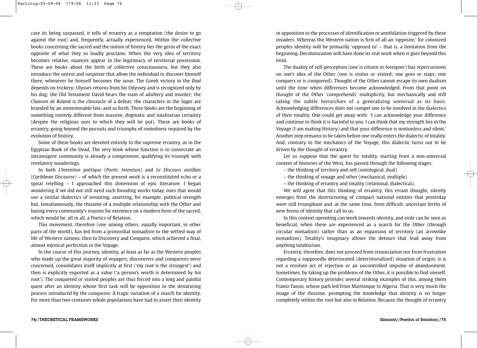case its being surpassed, it tells of errantry as a temptation (the desire to go against the root) and, frequently, actually experienced. Within the collective books concerning the sacred and the notion of history lies the germ of the exact opposite of what they so loudly proclaim. When the very idea of territory becomes relative, nuances appear in the legitimacy of territorial possession. These are books about the birth of collective consciousness, but they also introduce the unrest and suspense that allow the individual to discover himself there, whenever he himself becomes the issue. The Greek victory in the *Iliad* depends on trickery; Ulysses returns from his Odyssey and is recognized only by his dog; the Old Testament David bears the stain of adultery and murder; the *Chanson de Roland* is the chronicle of a defeat; the characters in the *Sagas* are branded by an unstemmable fate, and so forth. These books are the beginning of something entirely different from massive, dogmatic and totalitarian certainty (despite the religious uses to which they will be put). These are books of errantry, going beyond the pursuits and triumphs of rootedness required by the evolution of history.

Some of these books are devoted entirely to the supreme errantry, as in the Egyptian Book of the Dead. The very book whose function is to consecrate an intransigent community is already a compromise, qualifying its triumph with revelatory wanderings.

In both *L'lntention poétique* (*Poetic Intention*) and *Le Discours antillais* (*Caribbean Discourse*) *–* of which the present work is a reconstituted echo or a spiral retelling – I approached this dimension of epic literature. I began wondering if we did not still need such founding works today, ones that would use a similar dialectics of rerouting, asserting, for example, political strength but, simultaneously, the rhizome of a multiple relationship with the Other and basing every community's reasons for existence on a modern form of the sacred, which would be, all in all, a Poetics of Relation.

This movement, therefore (one among others, equally important, in other parts of the world), has led from a primordial nomadism to the settled way of life of Western nations, then to Discovery and Conquest, which achieved a final, almost mystical perfection in the Voyage.

In the course of this journey, identity, at least as far as the Western peoples who made up the great majority of voyagers, discoverers and conquerors were concerned, consolidates itself implicitly at first ('my root is the strongest') and then is explicitly exported as a value ('a person's worth is determined by his root'). The conquered or visited peoples are thus forced into a long and painful quest after an identity whose first task will be opposition to the denaturing process introduced by the conqueror. A tragic variation of a search for identity. For more than two centuries whole populations have had to assert their identity

in opposition to the processes of identification or annihilation triggered by these invaders. Whereas the Western nation is first of all an 'opposite,' for colonized peoples identity will be primarily 'opposed to' – that is, a limitation from the beginning. Decolonization will have done its real work when it goes beyond this limit.

The duality of self-perception (one is citizen or foreigner) has repercussions on one's idea of the Other (one is visitor or visited; one goes or stays; one conquers or is conquered). Thought of the Other cannot escape its own dualism until the time when differences become acknowledged. From that point on thought of the Other 'comprehends' multiplicity, but mechanically and still taking the subtle hierarchies of a generalizing universal as its basis. Acknowledging differences does not compel one to be involved in the dialectics of their totality. One could get away with: 'I can acknowledge your difference and continue to think it is harmful to you. I can think that my strength lies in the Voyage (I am making History) and that your difference is motionless and silent.' Another step remains to be taken before one really enters the dialectic of totality. And, contrary to the mechanics of the Voyage, this dialectic turns out to be driven by the thought of errantry.

Let us suppose that the quest for totality, starting from a non-universal context of histories of the West, has passed through the following stages:

– the thinking of territory and self (ontological, dual)

– the thinking of voyage and other (mechanical, multiple)

– the thinking of errantry and totality (relational, dialectical).

We will agree that this thinking of errantry, this errant thought, silently emerges from the destructuring of compact national entities that yesterday were still triumphant and, at the same time, from difficult, uncertain births of new forms of identity that call to us.

In this context uprooting can work towards identity, and exile can be seen as beneficial, when these are experienced as a search for the Other (through circular nomadism) rather than as an expansion of territory (an arrowlike nomadism). Totality's imaginary allows the detours that lead away from anything totalitarian.

Errantry, therefore, does not proceed from renunciation nor from frustration regarding a supposedly deteriorated (deterritorialized) situation of origin; it is not a resolute act of rejection or an uncontrolled impulse of abandonment. Sometimes, by taking up the problems of the Other, it is possible to find oneself. Contemporary history provides several striking examples of this, among them Frantz Fanon, whose path led from Martinique to Algeria. That is very much the image of the rhizome, prompting the knowledge that identity is no longer completely within the root but also in Relation. Because the thought of errantry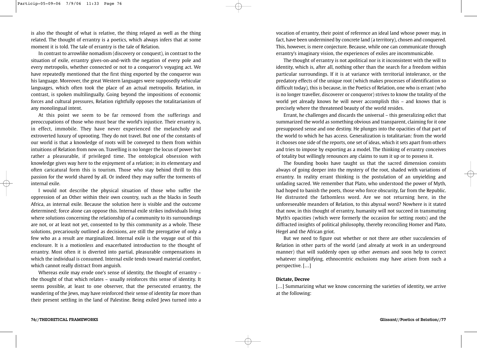is also the thought of what is relative, the thing relayed as well as the thing related. The thought of errantry is a poetics, which always infers that at some moment it is told. The tale of errantry is the tale of Relation.

In contrast to arrowlike nomadism (discovery or conquest), in contrast to the situation of exile, errantry gives-on-and-with the negation of every pole and every metropolis, whether connected or not to a conqueror's voyaging act. We have repeatedly mentioned that the first thing exported by the conqueror was his language. Moreover, the great Western languages were supposedly vehicular languages, which often took the place of an actual metropolis. Relation, in contrast, is spoken multilingually. Going beyond the impositions of economic forces and cultural pressures, Relation rightfully opposes the totalitarianism of any monolingual intent.

At this point we seem to be far removed from the sufferings and preoccupations of those who must bear the world's injustice. Their errantry is, in effect, immobile. They have never experienced the melancholy and extroverted luxury of uprooting. They do not travel. But one of the constants of our world is that a knowledge of roots will be conveyed to them from within intuitions of Relation from now on. Travelling is no longer the locus of power but rather a pleasurable, if privileged time. The ontological obsession with knowledge gives way here to the enjoyment of a relation; in its elementary and often caricatural form this is tourism. Those who stay behind thrill to this passion for the world shared by all. Or indeed they may suffer the torments of internal exile.

I would not describe the physical situation of those who suffer the oppression of an Other within their own country, such as the blacks in South Africa, as internal exile. Because the solution here is visible and the outcome determined; force alone can oppose this. Internal exile strikes individuals living where solutions concerning the relationship of a community to its surroundings are not, or at least not yet, consented to by this community as a whole. These solutions, precariously outlined as decisions, are still the prerogative of only a few who as a result are marginalized. Internal exile is the voyage out of this enclosure. It is a motionless and exacerbated introduction to the thought of errantry. Most often it is diverted into partial, pleasurable compensations in which the individual is consumed. Internal exile tends toward material comfort, which cannot really distract from anguish.

Whereas exile may erode one's sense of identity, the thought of errantry – the thought of that which relates – usually reinforces this sense of identity. It seems possible, at least to one observer, that the persecuted errantry, the wandering of the Jews, may have reinforced their sense of identity far more than their present settling in the land of Palestine. Being exiled Jews turned into a

vocation of errantry, their point of reference an ideal land whose power may, in fact, have been undermined by concrete land (a territory), chosen and conquered. This, however, is mere conjecture. Because, while one can communicate through errantry's imaginary vision, the experiences of exiles are incommunicable.

The thought of errantry is not apolitical nor is it inconsistent with the will to identity, which is, after all, nothing other than the search for a freedom within particular surroundings. If it is at variance with territorial intolerance, or the predatory effects of the unique root (which makes processes of identification so difficult today), this is because, in the Poetics of Relation, one who is errant (who is no longer traveller, discoverer or conqueror) strives to know the totality of the world yet already knows he will never accomplish this – and knows that is precisely where the threatened beauty of the world resides.

Errant, he challenges and discards the universal – this generalizing edict that summarized the world as something obvious and transparent, claiming for it one presupposed sense and one destiny. He plunges into the opacities of that part of the world to which he has access. Generalization is totalitarian: from the world it chooses one side of the reports, one set of ideas, which it sets apart from others and tries to impose by exporting as a model. The thinking of errantry conceives of totality but willingly renounces any claims to sum it up or to possess it.

The founding books have taught us that the sacred dimension consists always of going deeper into the mystery of the root, shaded with variations of errantry. In reality errant thinking is the postulation of an unyielding and unfading sacred. We remember that Plato, who understood the power of Myth, had hoped to banish the poets, those who force obscurity, far from the Republic. He distrusted the fathomless word. Are we not returning here, in the unforeseeable meanders of Relation, to this abyssal word? Nowhere is it stated that now, in this thought of errantry, humanity will not succeed in transmuting Myth's opacities (which were formerly the occasion for setting roots) and the diffracted insights of political philosophy, thereby reconciling Homer and Plato, Hegel and the African griot.

But we need to figure out whether or not there are other succulencies of Relation in other parts of the world (and already at work in an underground manner) that will suddenly open up other avenues and soon help to correct whatever simplifying, ethnocentric exclusions may have arisen from such a perspective. […]

### **Dictate, Decree**

[...] Summarizing what we know concerning the varieties of identity, we arrive at the following: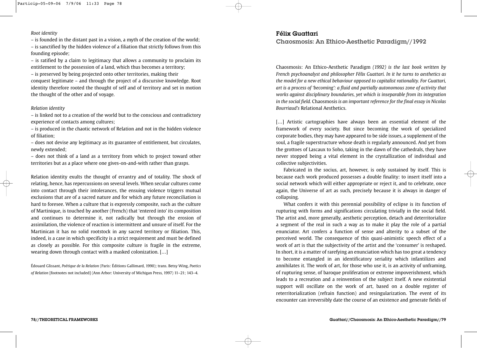## *Root identity*

*–* is founded in the distant past in a vision, a myth of the creation of the world; – is sanctified by the hidden violence of a filiation that strictly follows from this founding episode;

– is ratified by a claim to legitimacy that allows a community to proclaim its entitlement to the possession of a land, which thus becomes a territory;

– is preserved by being projected onto other territories, making their conquest legitimate – and through the project of a discursive knowledge. Root identity therefore rooted the thought of self and of territory and set in motion the thought of the other and of voyage.

### *Relation identity*

*–* is linked not to a creation of the world but to the conscious and contradictory experience of contacts among cultures;

– is produced in the chaotic network of Relation and not in the hidden violence of filiation;

– does not devise any legitimacy as its guarantee of entitlement, but circulates, newly extended;

– does not think of a land as a territory from which to project toward other territories but as a place where one gives-on-and-with rather than grasps.

Relation identity exults the thought of errantry and of totality. The shock of relating, hence, has repercussions on several levels. When secular cultures come into contact through their intolerances, the ensuing violence triggers mutual exclusions that are of a sacred nature and for which any future reconciliation is hard to foresee. When a culture that is expressly composite, such as the culture of Martinique, is touched by another (French) that 'entered into' its composition and continues to determine it, not radically but through the erosion of assimilation, the violence of reaction is intermittent and unsure of itself. For the Martinican it has no solid rootstock in any sacred territory or filiation. This, indeed, is a case in which specificity is a strict requirement and must be defined as closely as possible. For this composite culture is fragile in the extreme, wearing down through contact with a masked colonization. […]

Édouard Glissant, *Poétique de la Relation* (Paris: Éditions Gallimard, 1990); trans. Betsy Wing, *Poetics of Relation* [footnotes not included] (Ann Arbor: University of Michigan Press, 1997) 11–21; 143–4.

## Félix Guattari

Chaosmosis: An Ethico-Aesthetic Paradigm//1992

Chaosmosis: An Ethico-Aesthetic Paradigm *(1992) is the last book written by French psychoanalyst and philosopher Félix Guattari. In it he turns to aesthetics as the model for a new ethical behaviour opposed to capitalist rationality. For Guattari, art is a process of 'becoming': a fluid and partially autonomous zone of activity that works against disciplinary boundaries, yet which is inseparable from its integration in the social field.* Chaosmosis *is an important reference for the final essay in Nicolas Bourriaud's* Relational Aesthetics.

[...] Artistic cartographies have always been an essential element of the framework of every society. But since becoming the work of specialized corporate bodies, they may have appeared to be side issues, a supplement of the soul, a fragile superstructure whose death is regularly announced. And yet from the grottoes of Lascaux to Soho, taking in the dawn of the cathedrals, they have never stopped being a vital element in the crystallization of individual and collective subjectivities.

Fabricated in the socius, art, however, is only sustained by itself. This is because each work produced possesses a double finality: to insert itself into a social network which will either appropriate or reject it, and to celebrate, once again, the Universe of art as such, precisely because it is always in danger of collapsing.

What confers it with this perennial possibility of eclipse is its function of rupturing with forms and significations circulating trivially in the social field. The artist and, more generally, aesthetic perception, detach and deterritorialize a segment of the real in such a way as to make it play the role of a partial enunciator. Art confers a function of sense and alterity to a subset of the perceived world. The consequence of this quasi-animistic speech effect of a work of art is that the subjectivity of the artist and the 'consumer' is reshaped. In short, it is a matter of rarefying an enunciation which has too great a tendency to become entangled in an identificatory seriality which infantilizes and annihilates it. The work of art, for those who use it, is an activity of unframing, of rupturing sense, of baroque proliferation or extreme impoverishment, which leads to a recreation and a reinvention of the subject itself. A new existential support will oscillate on the work of art, based on a double register of reterritorialization (refrain function) and resingularization. The event of its encounter can irreversibly date the course of an existence and generate fields of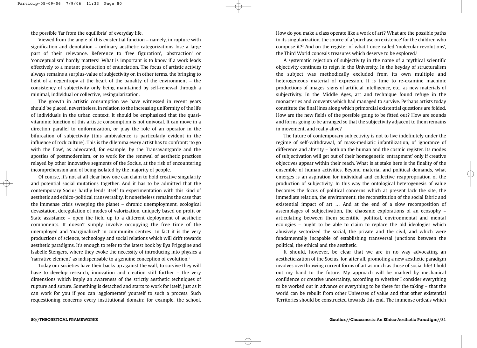the possible 'far from the equilibria' of everyday life.

Viewed from the angle of this existential function – namely, in rupture with signification and denotation – ordinary aesthetic categorizations lose a large part of their relevance. Reference to 'free figuration', 'abstraction' or 'conceptualism' hardly matters! What is important is to know if a work leads effectively to a mutant production of enunciation. The focus of artistic activity always remains a surplus-value of subjectivity or, in other terms, the bringing to light of a negentropy at the heart of the banality of the environment – the consistency of subjectivity only being maintained by self-renewal through a minimal, individual or collective, resingularization.

The growth in artistic consumption we have witnessed in recent years should be placed, nevertheless, in relation to the increasing uniformity of the life of individuals in the urban context. It should be emphasized that the quasivitaminic function of this artistic consumption is not univocal. It can move in a direction parallel to uniformization, or play the role of an operator in the bifurcation of subjectivity (this ambivalence is particularly evident in the influence of rock culture). This is the dilemma every artist has to confront: 'to go with the flow', as advocated, for example, by the Transavantgarde and the apostles of postmodernism, or to work for the renewal of aesthetic practices relayed by other innovative segments of the Socius, at the risk of encountering incomprehension and of being isolated by the majority of people.

Of course, it's not at all clear how one can claim to hold creative singularity and potential social mutations together. And it has to be admitted that the contemporary Socius hardly lends itself to experimentation with this kind of aesthetic and ethico-political transversality. It nonetheless remains the case that the immense crisis sweeping the planet – chronic unemployment, ecological devastation, deregulation of modes of valorization, uniquely based on profit or State assistance – open the field up to a different deployment of aesthetic components. It doesn't simply involve occupying the free time of the unemployed and 'marginalized' in community centres! In fact it is the very productions of science, technology and social relations which will drift towards aesthetic paradigms. It's enough to refer to the latest book by Ilya Prigogine and Isabelle Stengers, where they evoke the necessity of introducing into physics a 'narrative element' as indispensable to a genuine conception of evolution.1

Today our societies have their backs up against the wall; to survive they will have to develop research, innovation and creation still further – the very dimensions which imply an awareness of the strictly aesthetic techniques of rupture and suture. Something is detached and starts to work for itself, just as it can work for you if you can 'agglomerate' yourself to such a process. Such requestioning concerns every institutional domain; for example, the school.

How do you make a class operate like a work of art? What are the possible paths to its singularization, the source of a 'purchase on existence' for the children who compose it?2 And on the register of what I once called 'molecular revolutions', the Third World conceals treasures which deserve to be explored.<sup>3</sup>

A systematic rejection of subjectivity in the name of a mythical scientific objectivity continues to reign in the University. In the heyday of structuralism the subject was methodically excluded from its own multiple and heterogeneous material of expression. It is time to re-examine machinic productions of images, signs of artificial intelligence, etc., as new materials of subjectivity. In the Middle Ages, art and technique found refuge in the monasteries and convents which had managed to survive. Perhaps artists today constitute the final lines along which primordial existential questions are folded. How are the new fields of the possible going to be fitted out? How are sounds and forms going to be arranged so that the subjectivity adjacent to them remains in movement, and really alive?

The future of contemporary subjectivity is not to live indefinitely under the regime of self-withdrawal, of mass-mediatic infantilization, of ignorance of difference and alterity – both on the human and the cosmic register. Its modes of subjectivation will get out of their homogenetic 'entrapment' only if creative objectives appear within their reach. What is at stake here is the finality of the ensemble of human activities. Beyond material and political demands, what emerges is an aspiration for individual and collective reappropriation of the production of subjectivity. In this way the ontological heterogenesis of value becomes the focus of political concerns which at present lack the site, the immediate relation, the environment, the reconstitution of the social fabric and existential impact of art … And at the end of a slow recomposition of assemblages of subjectivation, the chaosmic explorations of an ecosophy – articulating between them scientific, political, environmental and mental ecologies – ought to be able to claim to replace the old ideologies which abusively sectorized the social, the private and the civil, and which were fundamentally incapable of establishing transversal junctions between the political, the ethical and the aesthetic.

It should, however, be clear that we are in no way advocating an aestheticization of the Socius, for, after all, promoting a new aesthetic paradigm involves overthrowing current forms of art as much as those of social life! I hold out my hand to the future. My approach will be marked by mechanical confidence or creative uncertainty, according to whether I consider everything to be worked out in advance or everything to be there for the taking – that the world can be rebuilt from other Universes of value and that other existential Territories should be constructed towards this end. The immense ordeals which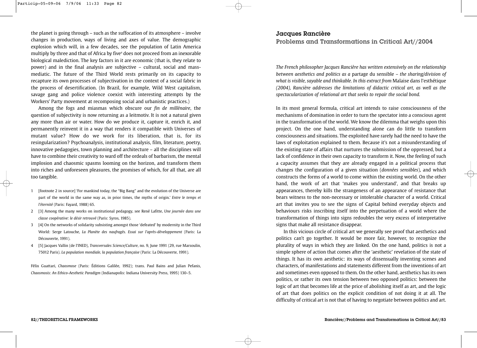the planet is going through – such as the suffocation of its atmosphere – involve changes in production, ways of living and axes of value. The demographic explosion which will, in a few decades, see the population of Latin America multiply by three and that of Africa by five<sup>4</sup> does not proceed from an inexorable biological malediction. The key factors in it are economic (that is, they relate to power) and in the final analysis are subjective – cultural, social and massmediatic. The future of the Third World rests primarily on its capacity to recapture its own processes of subjectivation in the context of a social fabric in the process of desertification. (In Brazil, for example, Wild West capitalism, savage gang and police violence coexist with interesting attempts by the Workers' Party movement at recomposing social and urbanistic practices.)

Among the fogs and miasmas which obscure our *fin de millénaire*, the question of subjectivity is now returning as a leitmotiv. It is not a natural given any more than air or water. How do we produce it, capture it, enrich it, and permanently reinvent it in a way that renders it compatible with Universes of mutant value? How do we work for its liberation, that is, for its resingularization? Psychoanalysis, institutional analysis, film, literature, poetry, innovative pedagogies, town planning and architecture – all the disciplines will have to combine their creativity to ward off the ordeals of barbarism, the mental implosion and chaosmic spasms looming on the horizon, and transform them into riches and unforeseen pleasures, the promises of which, for all that, are all too tangible.

- 1 [footnote 2 in source] 'For mankind today, the "Big Bang" and the evolution of the Universe are part of the world in the same way as, in prior times, the myths of origin.' *Entre le temps et l'éternité* (Paris: Fayard, 1988) 65.
- 2 [3] Among the many works on institutional pedagogy, see René Lafitte, *Une journée dans une classe coopérative: le désir retrouvé* (Paris: Syros, 1985).
- 3 [4] On the networks of solidarity subsisting amongst those 'defeated' by modernity in the Third World: Serge Latouche, *La Planète des naufragés. Essai sur l'après-développement* (Paris: La Découverte, 1991).
- 4 [5] Jacques Vallin (de l'INED), *Transversales Science/Culture*, no. 9, June 1991 (29, rue Marsoulin, 75012 Paris). *La population mondiale, la population française* (Paris: La Découverte, 1991).

Félix Guattari, *Chaosmose* (Paris: Éditions Galilée, 1992); trans. Paul Bains and Julian Pefanis, *Chaosmosis: An Ethico-Aesthetic Paradigm* (Indianapolis: Indiana University Press, 1995) 130–5.

## Jacques Rancière

Problems and Transformations in Critical Art//2004

*The French philosopher Jacques Rancière has written extensively on the relationship between aesthetics and politics as a* partage du sensible *– the sharing/division of what is visible, sayable and thinkable. In this extract from* Malaise dans l'esthétique *(2004), Rancière addresses the limitations of didactic critical art, as well as the spectacularization of relational art that seeks to repair the social bond.*

In its most general formula, critical art intends to raise consciousness of the mechanisms of domination in order to turn the spectator into a conscious agent in the transformation of the world. We know the dilemma that weighs upon this project. On the one hand, understanding alone can do little to transform consciousness and situations. The exploited have rarely had the need to have the laws of exploitation explained to them. Because it's not a misunderstanding of the existing state of affairs that nurtures the submission of the oppressed, but a lack of confidence in their own capacity to transform it. Now, the feeling of such a capacity assumes that they are already engaged in a political process that changes the configuration of a given situation (*données sensibles*), and which constructs the forms of a world to come within the existing world. On the other hand, the work of art that 'makes you understand', and that breaks up appearances, thereby kills the strangeness of an appearance of resistance that bears witness to the non-necessary or intolerable character of a world. Critical art that invites you to see the signs of Capital behind everyday objects and behaviours risks inscribing itself into the perpetuation of a world where the transformation of things into signs redoubles the very excess of interpretative signs that make all resistance disappear.

In this vicious circle of critical art we generally see proof that aesthetics and politics can't go together. It would be more fair, however, to recognize the plurality of ways in which they are linked. On the one hand, politics is not a simple sphere of action that comes after the 'aesthetic' revelation of the state of things. It has its own aesthetic: its ways of dissensually inventing scenes and characters, of manifestations and statements different from the inventions of art and sometimes even opposed to them. On the other hand, aesthetics has its own politics, or rather its own tension between two opposed politics: between the logic of art that becomes life at the price of abolishing itself as art, and the logic of art that does politics on the explicit condition of not doing it at all. The difficulty of critical art is not that of having to negotiate between politics and art.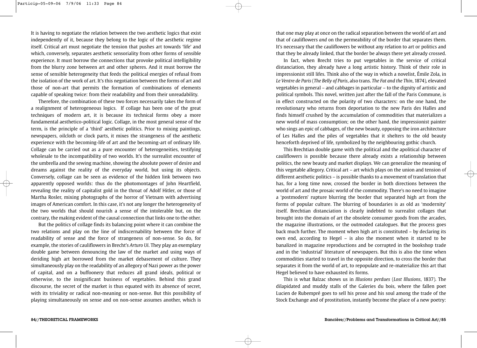It is having to negotiate the relation between the two aesthetic logics that exist independently of it, because they belong to the logic of the aesthetic regime itself. Critical art must negotiate the tension that pushes art towards 'life' and which, conversely, separates aesthetic sensoriality from other forms of sensible experience. It must borrow the connections that provoke political intelligibility from the blurry zone between art and other spheres. And it must borrow the sense of sensible heterogeneity that feeds the political energies of refusal from the isolation of the work of art. It's this negotiation between the forms of art and those of non-art that permits the formation of combinations of elements capable of speaking twice: from their readability and from their unreadability.

Therefore, the combination of these two forces necessarily takes the form of a realignment of heterogeneous logics. If collage has been one of the great techniques of modern art, it is because its technical forms obey a more fundamental aesthetico-political logic. Collage, in the most general sense of the term, is the principle of a 'third' aesthetic politics. Prior to mixing paintings, newspapers, oilcloth or clock parts, it mixes the strangeness of the aesthetic experience with the becoming-life of art and the becoming-art of ordinary life. Collage can be carried out as a pure encounter of heterogeneities, testifying wholesale to the incompatibility of two worlds. It's the surrealist encounter of the umbrella and the sewing machine, showing the absolute power of desire and dreams against the reality of the everyday world, but using its objects. Conversely, collage can be seen as evidence of the hidden link between two apparently opposed worlds: thus do the photomontages of John Heartfield, revealing the reality of capitalist gold in the throat of Adolf Hitler, or those of Martha Rosler, mixing photographs of the horror of Vietnam with advertising images of American comfort. In this case, it's not any longer the heterogeneity of the two worlds that should nourish a sense of the intolerable but, on the contrary, the making evident of the causal connection that links one to the other.

But the politics of collage finds its balancing point where it can combine the two relations and play on the line of indiscernability between the force of readability of sense and the force of strangeness of non-sense. So do, for example, the stories of cauliflowers in Brecht's *Arturo Ui*. They play an exemplary double game between denouncing the law of the market and using ways of deriding high art borrowed from the market debasement of culture. They simultaneously play on the readability of an allegory of Nazi power as the power of capital, and on a buffoonery that reduces all grand ideals, political or otherwise, to the insignificant business of vegetables. Behind this grand discourse, the secret of the market is thus equated with its absence of secret, with its triviality or radical non-meaning or non-sense. But this possibility of playing simultaneously on sense and on non-sense assumes another, which is

that one may play at once on the radical separation between the world of art and that of cauliflowers *and* on the permeability of the border that separates them. It's necessary that the cauliflowers be without any relation to art or politics and that they be already linked, that the border be always there yet already crossed.

In fact, when Brecht tries to put vegetables in the service of critical distanciation, they already have a long artistic history. Think of their role in impressionist still lifes. Think also of the way in which a novelist, Émile Zola, in *Le Ventre de Paris* (*The Belly of Paris*, also trans. *The Fat and the Thin*, 1874)*,* elevated vegetables in general – and cabbages in particular – to the dignity of artistic and political symbols. This novel, written just after the fall of the Paris Commune, is in effect constructed on the polarity of two characters: on the one hand, the revolutionary who returns from deportation to the new Paris des Halles and finds himself crushed by the accumulation of commodities that materializes a new world of mass consumption; on the other hand, the impressionist painter who sings an epic of cabbages, of the new beauty, opposing the iron architecture of Les Halles and the piles of vegetables that it shelters to the old beauty henceforth deprived of life, symbolized by the neighbouring gothic church.

This Brechtian double game with the political and the apolitical character of cauliflowers is possible because there already exists a relationship between politics, the new beauty and market displays. We can generalize the meaning of this vegetable allegory. Critical art – art which plays on the union and tension of different aesthetic politics – is possible thanks to a movement of translation that has, for a long time now, crossed the border in both directions between the world of art and the prosaic world of the commodity. There's no need to imagine a 'postmodern' rupture blurring the border that separated high art from the forms of popular culture. The blurring of boundaries is as old as 'modernity' itself. Brechtian distanciation is clearly indebted to surrealist collages that brought into the domain of art the obsolete consumer goods from the arcades, the magazine illustrations, or the outmoded catalogues. But the process goes back much further. The moment when high art is constituted – by declaring its own end, according to Hegel – is also the moment when it started to be banalized in magazine reproductions and be corrupted in the bookshop trade and in the 'industrial' literature of newspapers. But this is also the time when commodities started to travel in the opposite direction, to cross the border that separates it from the world of art, to repopulate and re-materialize this art that Hegel believed to have exhausted its forms.

This is what Balzac shows us in *Illusions perdues* (*Lost Illusions*, 1837). The dilapidated and muddy stalls of the Galeries du bois, where the fallen poet Lucien de Rubempré goes to sell his prose and his soul among the trade of the Stock Exchange and of prostitution, instantly become the place of a new poetry: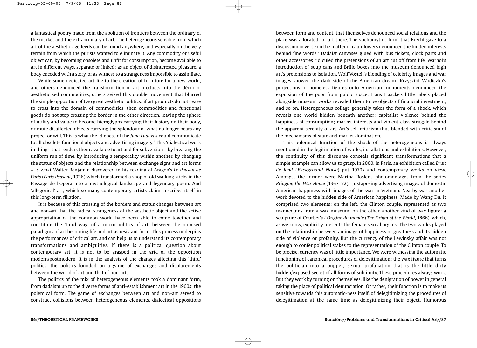a fantastical poetry made from the abolition of frontiers between the ordinary of the market and the extraordinary of art. The heterogeneous sensible from which art of the aesthetic age feeds can be found anywhere, and especially on the very terrain from which the purists wanted to eliminate it. Any commodity or useful object can, by becoming obsolete and unfit for consumption, become available to art in different ways, separate or linked: as an object of disinterested pleasure, a body encoded with a story, or as witness to a strangeness impossible to assimilate.

While some dedicated art-life to the creation of furniture for a new world, and others denounced the transformation of art products into the décor of aestheticized commodities, others seized this double movement that blurred the simple opposition of two great aesthetic politics: if art products do not cease to cross into the domain of commodities, then commodities and functional goods do not stop crossing the border in the other direction, leaving the sphere of utility and value to become hieroglyphs carrying their history on their body, or mute disaffected objects carrying the splendour of what no longer bears any project or will. This is what the idleness of the *Juno Ludovisi* could communicate to all obsolete functional objects and advertising imagery.1 This 'dialectical work in things' that renders them available to art and for subversion – by breaking the uniform run of time, by introducing a temporality within another, by changing the status of objects and the relationship between exchange signs and art forms – is what Walter Benjamin discovered in his reading of Aragon's *Le Paysan de Paris* (*Paris Peasant*, 1926) which transformed a shop of old walking sticks in the Passage de l'Opera into a mythological landscape and legendary poem. And 'allegorical' art, which so many contemporary artists claim, inscribes itself in this long-term filiation.

It is because of this crossing of the borders and status changes between art and non-art that the radical strangeness of the aesthetic object and the active appropriation of the common world have been able to come together and constitute the 'third way' of a micro-politics of art, between the opposed paradigms of art becoming life and art as resistant form. This process underpins the performances of critical art, and can help us to understand its contemporary transformations and ambiguities. If there is a political question about contemporary art, it is not to be grasped in the grid of the opposition modern/postmodern. It is in the analysis of the changes affecting this 'third' politics, the politics founded on a game of exchanges and displacements between the world of art and that of non-art.

The politics of the mix of heterogeneous elements took a dominant form, from dadaism up to the diverse forms of anti-establishment art in the 1960s: the polemical form. The game of exchanges between art and non-art served to construct collisions between heterogeneous elements, dialectical oppositions

between form and content, that themselves denounced social relations and the place was allocated for art there. The stichomythic form that Brecht gave to a discussion in verse on the matter of cauliflowers denounced the hidden interests behind fine words.<sup>2</sup> Dadaist canvases glued with bus tickets, clock parts and other accessories ridiculed the pretensions of an art cut off from life. Warhol's introduction of soup cans and Brillo boxes into the museum denounced high art's pretensions to isolation. Wolf Vostell's blending of celebrity images and war images showed the dark side of the American dream; Krzysztof Wodiczko's projections of homeless figures onto American monuments denounced the expulsion of the poor from public space; Hans Haacke's little labels placed alongside museum works revealed them to be objects of financial investment, and so on. Heterogeneous collage generally takes the form of a shock, which reveals one world hidden beneath another: capitalist violence behind the happiness of consumption; market interests and violent class struggle behind the apparent serenity of art. Art's self-criticism thus blended with criticism of the mechanisms of state and market domination.

This polemical function of the shock of the heterogeneous is always mentioned in the legitimation of works, installations and exhibitions. However, the continuity of this discourse conceals significant transformations that a simple example can allow us to grasp. In 2000, in Paris, an exhibition called *Bruit de fond* (Background Noise) put 1970s and contemporary works on view. Amongst the former were Martha Rosler's photomontages from the series *Bringing the War Home* (1967–72), juxtaposing advertising images of domestic American happiness with images of the war in Vietnam. Nearby was another work devoted to the hidden side of American happiness. Made by Wang Du, it comprised two elements: on the left, the Clinton couple, represented as two mannequins from a wax museum; on the other, another kind of wax figure: a sculpture of Courbet's *L'Origine du monde* (*The Origin of the World*, 1866), which, as we know, explicitly presents the female sexual organs. The two works played on the relationship between an image of happiness or greatness and its hidden side of violence or profanity. But the currency of the Lewinsky affair was not enough to confer political stakes to the representation of the Clinton couple. To be precise, currency was of little importance. We were witnessing the automatic functioning of canonical procedures of delegitimation: the wax figure that turns the politician into a puppet; sexual profanation that is the little dirty hidden/exposed secret of all forms of sublimity. These procedures always work. But they work by turning on themselves, like the denigration of power in general taking the place of political denunciation. Or rather, their function is to make us sensitive towards this automatic-ness itself, of delegitimizing the procedures of delegitimation at the same time as delegitimizing their object. Humorous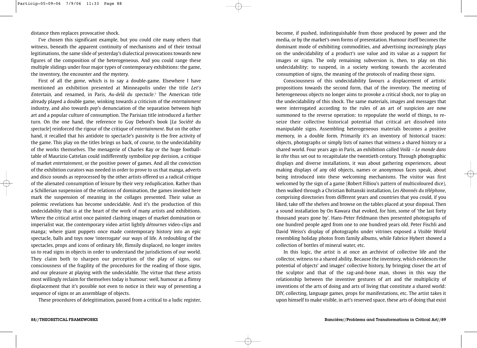distance then replaces provocative shock.

I've chosen this significant example, but you could cite many others that witness, beneath the apparent continuity of mechanisms and of their textual legitimations, the same slide of yesterday's dialectical provocations towards new figures of the composition of the heterogeneous. And you could range these multiple slidings under four major types of contemporary exhibitions: the game, the inventory, the encounter and the mystery.

First of all the *game*, which is to say a double-game. Elsewhere I have mentioned an exhibition presented at Minneapolis under the title Let's Entertain, and renamed, in Paris, *Au-delà du spectacle*. <sup>3</sup> The American title already played a double game, winking towards a criticism of the *entertainment* industry, and also towards *pop*'s denunciation of the separation between high art and a popular culture of consumption. The Parisian title introduced a further turn. On the one hand, the reference to Guy Debord's book [*La Société du spectacle*] reinforced the rigour of the critique of *entertainment*. But on the other hand, it recalled that his antidote to spectacle's passivity is the free activity of the game. This play on the titles brings us back, of course, to the undecidability of the works themselves. The menagerie of Charles Ray or the huge footballtable of Maurizio Cattelan could indifferently symbolize *pop* derision, a critique of market *entertainment*, or the positive power of games. And all the conviction of the exhibition curators was needed in order to prove to us that manga, adverts and disco sounds as reprocessed by the other artists offered us a radical critique of the alienated consumption of leisure by their very reduplication. Rather than a Schillerian suspension of the relations of domination, the games invoked here mark the suspension of meaning in the collages presented. Their value as polemic revelations has become undecidable. And it's the production of this undecidability that is at the heart of the work of many artists and exhibitions. Where the critical artist once painted clashing images of market domination or imperialist war, the contemporary video artist lightly *détournes* video-clips and manga; where giant puppets once made contemporary history into an epic spectacle, balls and toys now 'interrogate' our ways of life. A redoubling of the spectacles, props and icons of ordinary life, flimsily displaced, no longer invites us to read signs in objects in order to understand the jurisdictions of our world. They claim both to sharpen our perception of the play of signs, our consciousness of the fragility of the procedures for the reading of those signs, and our pleasure at playing with the undecidable. The virtue that these artists most willingly reclaim for themselves today is humour: well, humour as a flimsy displacement that it's possible not even to notice in their way of presenting a sequence of signs or an assemblage of objects.

These procedures of delegitimation, passed from a critical to a ludic register,

become, if pushed, indistinguishable from those produced by power and the media, or by the market's own forms of presentation. Humour itself becomes the dominant mode of exhibiting commodities, and advertising increasingly plays on the undecidability of a product's use value and its value as a support for images or signs. The only remaining subversion is, then, to play on this undecidability; to suspend, in a society working towards the accelerated consumption of signs, the meaning of the protocols of reading those signs.

Consciousness of this undecidability favours a displacement of artistic propositions towards the second form, that of the *inventory*. The meeting of heterogeneous objects no longer aims to provoke a critical shock, nor to play on the undecidability of this shock. The same materials, images and messages that were interrogated according to the rules of an art of suspicion are now summoned to the reverse operation: to repopulate the world of things, to reseize their collective historical potential that critical art dissolved into manipulable signs. Assembling heterogeneous materials becomes a positive memory, in a double form. Primarily it's an inventory of historical traces: objects, photographs or simply lists of names that witness a shared history or a shared world. Four years ago in Paris, an exhibition called *Voilà – Le monde dans la tête* thus set out to recapitulate the twentieth century. Through photographic displays and diverse installations, it was about gathering experiences, about making displays of any old objects, names or anonymous faces speak, about being introduced into these welcoming mechanisms. The visitor was first welcomed by the sign of a game (Robert Filliou's pattern of multicoloured dice), then walked through a Christian Boltanski installation, *Les Abonnés du téléphone*, comprising directories from different years and countries that you could, if you liked, take off the shelves and browse on the tables placed at your disposal. Then a sound installation by On Kawara that evoked, for him, some of 'the last forty thousand years gone by'. Hans-Peter Feldmann then presented photographs of one hundred people aged from one to one hundred years old. Peter Fischli and David Weiss's display of photographs under vitrines exposed a *Visible World* resembling holiday photos from family albums, while Fabrice Hybert showed a collection of bottles of mineral water, etc.

In this logic, the artist is at once an archivist of collective life and the collector, witness to a shared ability. Because the inventory, which evidences the potential of objects' and images' collective history, by bringing closer the art of the sculptor and that of the rag-and-bone man, shows in this way the relationship between the inventive gestures of art and the multiplicity of inventions of the arts of doing and arts of living that constitute a shared world: DIY, collecting, language games, props for manifestations, etc. The artist takes it upon himself to make visible, in art's reserved space, these arts of doing that exist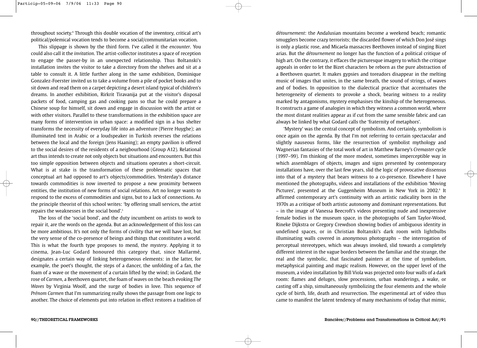throughout society.4 Through this double vocation of the inventory, critical art's political/polemical vocation tends to become a social/communitarian vocation.

This slippage is shown by the third form. I've called it the *encounter*. You could also call it the *invitation*. The artist-collector institutes a space of reception to engage the passer-by in an unexpected relationship. Thus Boltanski's installation invites the visitor to take a directory from the shelves and sit at a table to consult it. A little further along in the same exhibition, Dominique Gonzalez-Foerster invited us to take a volume from a pile of pocket books and to sit down and read them on a carpet depicting a desert island typical of children's dreams. In another exhibition, Rirkrit Tiravanija put at the visitor's disposal packets of food, camping gas and cooking pans so that he could prepare a Chinese soup for himself, sit down and engage in discussion with the artist or with other visitors. Parallel to these transformations in the exhibition space are many forms of intervention in urban space: a modified sign in a bus shelter transforms the necessity of everyday life into an adventure (Pierre Huyghe); an illuminated text in Arabic or a loudspeaker in Turkish reverses the relations between the local and the foreign (Jens Haaning); an empty pavilion is offered to the social desires of the residents of a neigbourhood (Group A12). Relational art thus intends to create not only objects but situations and encounters. But this too simple opposition between objects and situations operates a short-circuit. What is at stake is the transformation of these problematic spaces that conceptual art had opposed to art's objects/commodities. Yesterday's distance towards commodities is now inverted to propose a new proximity between entities, the institution of new forms of social relations. Art no longer wants to respond to the excess of commodities and signs, but to a lack of connections. As the principle theorist of this school writes: 'by offering small services, the artist repairs the weaknesses in the social bond'.5

The loss of the 'social bond', and the duty incumbent on artists to work to repair it, are the words on the agenda. But an acknowledgement of this loss can be more ambitious. It's not only the forms of civility that we will have lost, but the very sense of the co-presence of beings and things that constitutes a world. This is what the fourth type proposes to mend, the *mystery*. Applying it to cinema, Jean-Luc Godard honoured this category that, since Mallarmé, designates a certain way of linking heterogeneous elements: in the latter, for example, the poet's thought, the steps of a dancer, the unfolding of a fan, the foam of a wave or the movement of a curtain lifted by the wind; in Godard, the rose of *Carmen*, a Beethoven quartet, the foam of waves on the beach evoking *The Waves* by Virginia Woolf, and the surge of bodies in love. This sequence of *Prénom Carmen* that I'm summarizing really shows the passage from one logic to another. The choice of elements put into relation in effect restores a tradition of *détournement*: the Andalusian mountains become a weekend beach; romantic smugglers become crazy terrorists; the discarded flower of which Don José sings is only a plastic rose, and Micaela massacres Beethoven instead of singing Bizet arias. But the *détournement* no longer has the function of a political critique of high art. On the contrary, it effaces the picturesque imagery to which the critique appeals in order to let the Bizet characters be reborn as the pure abstraction of a Beethoven quartet. It makes gypsies and toreadors disappear in the melting music of images that unites, in the same breath, the sound of strings, of waves and of bodies. In opposition to the dialectical practice that accentuates the heterogeneity of elements to provoke a shock, bearing witness to a reality marked by antagonisms, mystery emphasises the kinship of the heterogeneous. It constructs a game of analogies in which they witness a common world, where the most distant realities appear as if cut from the same sensible fabric and can always be linked by what Godard calls the 'fraternity of metaphors'.

'Mystery' was the central concept of symbolism. And certainly, symbolism is once again on the agenda. By that I'm not referring to certain spectacular and slightly nauseous forms, like the resurrection of symbolist mythology and Wagnerian fantasies of the total work of art in Matthew Barney's *Cremaster* cycle (1997–99). I'm thinking of the more modest, sometimes imperceptible way in which assemblages of objects, images and signs presented by contemporary installations have, over the last few years, slid the logic of provocative dissensus into that of a mystery that bears witness to a co-presence. Elsewhere I have mentioned the photographs, videos and installations of the exhibition 'Moving Pictures', presented at the Guggenheim Museum in New York in 2002.<sup>6</sup> It affirmed contemporary art's continuity with an artistic radicality born in the 1970s as a critique of both artistic autonomy and dominant representations. But – in the image of Vanessa Beecroft's videos presenting nude and inexpressive female bodies in the museum space, in the photographs of Sam Taylor-Wood, Rineke Dijkstra or Gregory Crewdson showing bodies of ambiguous identity in undefined spaces, or in Christian Boltanski's dark room with lightbulbs illuminating walls covered in anonymous photographs – the interrogation of perceptual stereotypes, which was always invoked, slid towards a completely different interest in the vague borders between the familiar and the strange, the real and the symbolic, that fascinated painters at the time of symbolism, metaphysical painting and magic realism. However, on the upper level of the museum, a video installation by Bill Viola was projected onto four walls of a dark room: flames and deluges, slow processions, urban wanderings, a wake, or casting off a ship, simultaneously symbolizing the four elements and the whole cycle of birth, life, death and resurrection. The experimental art of video thus came to manifest the latent tendency of many mechanisms of today that mimic,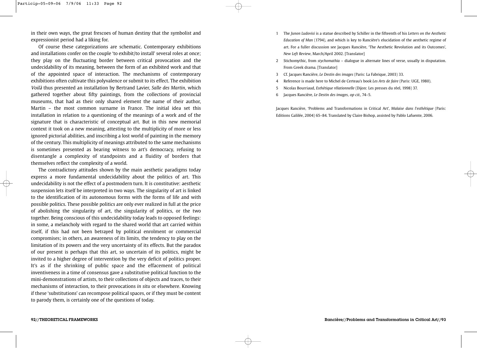in their own ways, the great frescoes of human destiny that the symbolist and expressionist period had a liking for.

Of course these categorizations are schematic. Contemporary exhibitions and installations confer on the couple 'to exhibit/to install' several roles at once; they play on the fluctuating border between critical provocation and the undecidability of its meaning, between the form of an exhibited work and that of the appointed space of interaction. The mechanisms of contemporary exhibitions often cultivate this polyvalence or submit to its effect. The exhibition Voilà thus presented an installation by Bertrand Lavier, *Salle des Martin*, which gathered together about fifty paintings, from the collections of provincial museums, that had as their only shared element the name of their author, Martin – the most common surname in France. The initial idea set this installation in relation to a questioning of the meanings of a work and of the signature that is characteristic of conceptual art. But in this new memorial context it took on a new meaning, attesting to the multiplicity of more or less ignored pictorial abilities, and inscribing a lost world of painting in the memory of the century. This multiplicity of meanings attributed to the same mechanisms is sometimes presented as bearing witness to art's democracy, refusing to disentangle a complexity of standpoints and a fluidity of borders that themselves reflect the complexity of a world.

The contradictory attitudes shown by the main aesthetic paradigms today express a more fundamental undecidability about the politics of art. This undecidability is not the effect of a postmodern turn. It is constitutive: aesthetic suspension lets itself be interpreted in two ways. The singularity of art is linked to the identification of its autonomous forms with the forms of life and with possible politics. These possible politics are only ever realized in full at the price of abolishing the singularity of art, the singularity of politics, or the two together. Being conscious of this undecidability today leads to opposed feelings: in some, a melancholy with regard to the shared world that art carried within itself, if this had not been betrayed by political enrolment or commercial compromises; in others, an awareness of its limits, the tendency to play on the limitation of its powers and the very uncertainty of its effects. But the paradox of our present is perhaps that this art, so uncertain of its politics, might be invited to a higher degree of intervention by the very deficit of politics proper. It's as if the shrinking of public space and the effacement of political inventiveness in a time of consensus gave a substitutive political function to the mini-demonstrations of artists, to their collections of objects and traces, to their mechanisms of interaction, to their provocations *in situ* or elsewhere. Knowing if these 'substitutions' can recompose political spaces, or if they must be content to parody them, is certainly one of the questions of today.

- 1 The *Junon Ludovisi* is a statue described by Schiller in the fifteenth of his *Letters on the Aesthetic Education of Man* (1794), and which is key to Rancière's elucidation of the aesthetic regime of art. For a fuller discussion see Jacques Rancière, 'The Aesthetic Revolution and its Outcomes', *New Left Review*, March/April 2002. [Translator]
- 2 Stichomythic, from *stychomathia* dialogue in alternate lines of verse, usually in disputation. From Greek drama. [Translator]
- 3 Cf. Jacques Rancière, *Le Destin des images* (Paris: La Fabrique, 2003) 33.
- 4 Reference is made here to Michel de Certeau's book *Les Arts de faire* (Paris: UGE, 1980).
- 5 Nicolas Bourriaud, *Esthétique rélationnelle* (Dijon: Les presses du réel, 1998) 37.
- 6 Jacques Rancière, *Le Destin des images*, op cit*.*, 74–5.

Jacques Rancière, 'Problems and Transformations in Critical Art', *Malaise dans l'esthétique* (Paris: Editions Galilée, 2004) 65–84. Translated by Claire Bishop, assisted by Pablo Lafuente, 2006.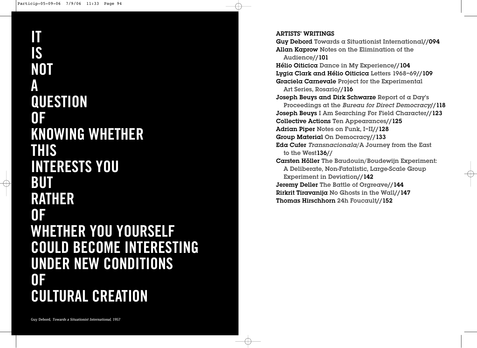**IT IS NOT A QUESTION OF KNOWING WHETHER THIS INTERESTS YOU BUT RATHER OF WHETHER YOU YOURSELF COULD BECOME INTERESTING UNDER NEW CONDITIONS OF CULTURAL CREATION**

ARTISTS' WRITINGS

Guy Debord Towards a Situationist International//094 Allan Kaprow Notes on the Elimination of the Audience//101 Hélio Oiticica Dance in My Experience//104 Lygia Clark and Hélio Oiticica Letters 1968–69//109 Graciela Carnevale Project for the Experimental Art Series, Rosario//116 Joseph Beuys and Dirk Schwarze Report of a Day's Proceedings at the Bureau for Direct Democracy//118 Joseph Beuys I Am Searching For Field Character//123 Collective Actions Ten Appearances//125 Adrian Piper Notes on Funk, I–II//128 Group Material On Democracy//133 Eda Cufer Transnacionala/A Journey from the East to the West136// Carsten Höller The Baudouin/Boudewijn Experiment: A Deliberate, Non-Fatalistic, Large-Scale Group Experiment in Deviation//142 Jeremy Deller The Battle of Orgreave//144 Rirkrit Tiravanija No Ghosts in the Wall//147 Thomas Hirschhorn 24h Foucault//152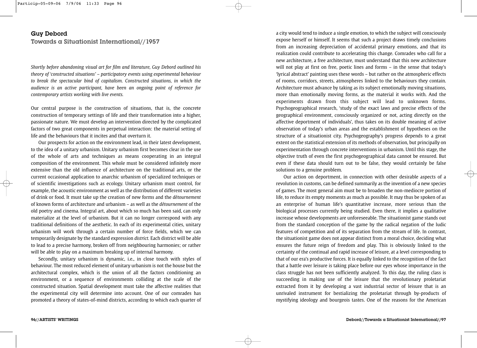## Guy Debord

Towards a Situationist International//1957

*Shortly before abandoning visual art for film and literature, Guy Debord outlined his theory of 'constructed situations' – participatory events using experimental behaviour to break the spectacular bind of capitalism. Constructed situations, in which the audience is an active participant, have been an ongoing point of reference for contemporary artists working with live events.* 

Our central purpose is the construction of situations, that is, the concrete construction of temporary settings of life and their transformation into a higher, passionate nature. We must develop an intervention directed by the complicated factors of two great components in perpetual interaction: the material setting of life and the behaviours that it incites and that overturn it.

Our prospects for action on the environment lead, in their latest development, to the idea of a unitary urbanism. Unitary urbanism first becomes clear in the use of the whole of arts and techniques as means cooperating in an integral composition of the environment. This whole must be considered infinitely more extensive than the old influence of architecture on the traditional arts, or the current occasional application to anarchic urbanism of specialized techniques or of scientific investigations such as ecology. Unitary urbanism must control, for example, the acoustic environment as well as the distribution of different varieties of drink or food. It must take up the creation of new forms and the *détournement* of known forms of architecture and urbanism – as well as the *détournement* of the old poetry and cinema. Integral art, about which so much has been said, can only materialize at the level of urbanism. But it can no longer correspond with any traditional definitions of the aesthetic. In each of its experimental cities, unitary urbanism will work through a certain number of force fields, which we can temporarily designate by the standard expression *district.* Each district will be able to lead to a precise harmony, broken off from neighbouring harmonies; or rather will be able to play on a maximum breaking up of internal harmony.

Secondly, unitary urbanism is dynamic, i.e., in close touch with styles of behaviour. The most reduced element of unitary urbanism is not the house but the architectural complex, which is the union of all the factors conditioning an environment, or a sequence of environments colliding at the scale of the constructed situation. Spatial development must take the affective realities that the experimental city will determine into account. One of our comrades has promoted a theory of states-of-mind districts, according to which each quarter of a city would tend to induce a single emotion, to which the subject will consciously expose herself or himself. It seems that such a project draws timely conclusions from an increasing depreciation of accidental primary emotions, and that its realization could contribute to accelerating this change. Comrades who call for a new architecture, a free architecture, must understand that this new architecture will not play at first on free, poetic lines and forms – in the sense that today's 'lyrical abstract' painting uses these words – but rather on the atmospheric effects of rooms, corridors, streets, atmospheres linked to the behaviours they contain. Architecture must advance by taking as its subject emotionally moving situations, more than emotionally moving forms, as the material it works with. And the experiments drawn from this subject will lead to unknown forms. Psychogeographical research, 'study of the exact laws and precise effects of the geographical environment, consciously organized or not, acting directly on the affective deportment of individuals', thus takes on its double meaning of active observation of today's urban areas and the establishment of hypotheses on the structure of a situationist city. Psychogeography's progress depends to a great extent on the statistical extension of its methods of observation, but principally on experimentation through concrete interventions in urbanism. Until this stage, the objective truth of even the first psychogeographical data cannot be ensured. But even if these data should turn out to be false, they would certainly be false solutions to a genuine problem.

Our action on deportment, in connection with other desirable aspects of a revolution in customs, can be defined summarily as the invention of a new species of games. The most general aim must be to broaden the non-mediocre portion of life, to reduce its empty moments as much as possible. It may thus be spoken of as an enterprise of human life's quantitative increase, more serious than the biological processes currently being studied. Even there, it implies a qualitative increase whose developments are unforeseeable. The situationist game stands out from the standard conception of the game by the radical negation of the ludic features of competition and of its separation from the stream of life. In contrast, the situationist game does not appear distinct from a moral choice, deciding what ensures the future reign of freedom and play. This is obviously linked to the certainty of the continual and rapid increase of leisure, at a level corresponding to that of our era's productive forces. It is equally linked to the recognition of the fact that a battle over leisure is taking place before our eyes whose importance in the class struggle has not been sufficiently analyzed. To this day, the ruling class is succeeding in making use of the leisure that the revolutionary proletariat extracted from it by developing a vast industrial sector of leisure that is an unrivaled instrument for bestializing the proletariat through by-products of mystifying ideology and bourgeois tastes. One of the reasons for the American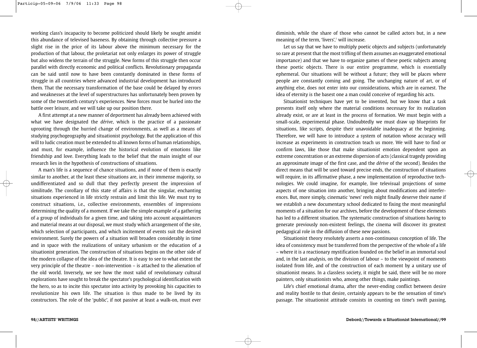working class's incapacity to become politicized should likely be sought amidst this abundance of televised baseness. By obtaining through collective pressure a slight rise in the price of its labour above the minimum necessary for the production of that labour, the proletariat not only enlarges its power of struggle but also widens the terrain of the struggle. New forms of this struggle then occur parallel with directly economic and political conflicts. Revolutionary propaganda can be said until now to have been constantly dominated in these forms of struggle in all countries where advanced industrial development has introduced them. That the necessary transformation of the base could be delayed by errors and weaknesses at the level of superstructures has unfortunately been proven by some of the twentieth century's experiences. New forces must be hurled into the battle over leisure, and we will take up our position there.

A first attempt at a new manner of deportment has already been achieved with what we have designated the *dérive*, which is the practice of a passionate uprooting through the hurried change of environments, as well as a means of studying psychogeography and situationist psychology. But the application of this will to ludic creation must be extended to all known forms of human relationships, and must, for example, influence the historical evolution of emotions like friendship and love. Everything leads to the belief that the main insight of our research lies in the hypothesis of constructions of situations.

A man's life is a sequence of chance situations, and if none of them is exactly similar to another, at the least these situations are, in their immense majority, so undifferentiated and so dull that they perfectly present the impression of similitude. The corollary of this state of affairs is that the singular, enchanting situations experienced in life strictly restrain and limit this life. We must try to construct situations, i.e., collective environments, ensembles of impressions determining the quality of a moment. If we take the simple example of a gathering of a group of individuals for a given time, and taking into account acquaintances and material means at our disposal, we must study which arrangement of the site, which selection of participants, and which incitement of events suit the desired environment. Surely the powers of a situation will broaden considerably in time and in space with the realizations of unitary urbanism or the education of a situationist generation. The construction of situations begins on the other side of the modern collapse of the idea of the theatre. It is easy to see to what extent the very principle of the theatre – non-intervention – is attached to the alienation of the old world. Inversely, we see how the most valid of revolutionary cultural explorations have sought to break the spectator's psychological identification with the hero, so as to incite this spectator into activity by provoking his capacities to revolutionize his own life. The situation is thus made to be lived by its constructors. The role of the 'public', if not passive at least a walk-on, must ever

diminish, while the share of those who cannot be called actors but, in a new meaning of the term, 'livers',<sup>1</sup> will increase.

Let us say that we have to multiply poetic objects and subjects (unfortunately so rare at present that the most trifling of them assumes an exaggerated emotional importance) and that we have to organize games of these poetic subjects among these poetic objects. There is our entire programme, which is essentially ephemeral. Our situations will be without a future; they will be places where people are constantly coming and going. The unchanging nature of art, or of anything else, does not enter into our considerations, which are in earnest. The idea of eternity is the basest one a man could conceive of regarding his acts.

Situationist techniques have yet to be invented, but we know that a task presents itself only where the material conditions necessary for its realization already exist, or are at least in the process of formation. We must begin with a small-scale, experimental phase. Undoubtedly we must draw up blueprints for situations, like scripts, despite their unavoidable inadequacy at the beginning. Therefore, we will have to introduce a system of notation whose accuracy will increase as experiments in construction teach us more. We will have to find or confirm laws, like those that make situationist emotion dependent upon an extreme concentration or an extreme dispersion of acts (classical tragedy providing an approximate image of the first case, and the *dérive* of the second). Besides the direct means that will be used toward precise ends, the construction of situations will require, in its affirmative phase, a new implementation of reproductive technologies. We could imagine, for example, live televisual projections of some aspects of one situation into another, bringing about modifications and interferences. But, more simply, cinematic 'news' reels might finally deserve their name if we establish a new documentary school dedicated to fixing the most meaningful moments of a situation for our archives, before the development of these elements has led to a different situation. The systematic construction of situations having to generate previously non-existent feelings, the cinema will discover its greatest pedagogical role in the diffusion of these new passions.

Situationist theory resolutely asserts a non-continuous conception of life. The idea of consistency must be transferred from the perspective of the whole of a life – where it is a reactionary mystification founded on the belief in an immortal soul and, in the last analysis, on the division of labour – to the viewpoint of moments isolated from life, and of the construction of each moment by a unitary use of situationist means. In a classless society, it might be said, there will be no more painters, only situationists who, among other things, make paintings.

Life's chief emotional drama, after the never-ending conflict between desire and reality hostile to that desire, certainly appears to be the sensation of time's passage. The situationist attitude consists in counting on time's swift passing,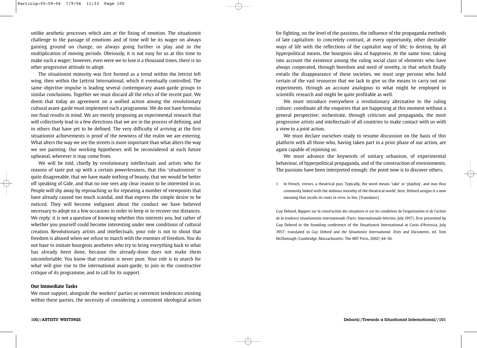unlike aesthetic processes which aim at the fixing of emotion. The situationist challenge to the passage of emotions and of time will be its wager on always gaining ground on change, on always going further in play and in the multiplication of moving periods. Obviously, it is not easy for us at this time to make such a wager; however, even were we to lose it a thousand times, there is no other progressive attitude to adopt.

The situationist minority was first formed as a trend within the lettrist left wing, then within the Lettrist International, which it eventually controlled. The same objective impulse is leading several contemporary avant-garde groups to similar conclusions. Together we must discard all the relics of the recent past. We deem that today an agreement on a unified action among the revolutionary cultural avant-garde must implement such a programme. We do not have formulas nor final results in mind. We are merely proposing an experimental research that will collectively lead in a few directions that we are in the process of defining, and in others that have yet to be defined. The very difficulty of arriving at the first situationist achievements is proof of the newness of the realm we are entering. What alters the way we see the streets is more important than what alters the way we see painting. Our working hypotheses will be reconsidered at each future upheaval, wherever it may come from.

We will be told, chiefly by revolutionary intellectuals and artists who for reasons of taste put up with a certain powerlessness, that this 'situationism' is quite disagreeable, that we have made nothing of beauty, that we would be better off speaking of Gide, and that no one sees any clear reason to be interested in us. People will shy away by reproaching us for repeating a number of viewpoints that have already caused too much scandal, and that express the simple desire to be noticed. They will become indignant about the conduct we have believed necessary to adopt on a few occasions in order to keep or to recover our distances. We reply: it is not a question of knowing whether this interests you, but rather of whether you yourself could become interesting under new conditions of cultural creation. Revolutionary artists and intellectuals, your role is not to shout that freedom is abused when we refuse to march with the enemies of freedom. You do not have to imitate bourgeois aesthetes who try to bring everything back to what has already been done, because the already-done does not make them uncomfortable. You know that creation is never pure. Your role is to search for what will give rise to the international avant-garde, to join in the constructive critique of its programme, and to call for its support.

#### **Our Immediate Tasks**

We must support, alongside the workers' parties or extremist tendencies existing within these parties, the necessity of considering a consistent ideological action

100//ARTISTS' WRITINGS

for fighting, on the level of the passions, the influence of the propaganda methods of late capitalism: to concretely contrast, at every opportunity, other desirable ways of life with the reflections of the capitalist way of life; to destroy, by all hyperpolitical means, the bourgeois idea of happiness. At the same time, taking into account the existence among the ruling social class of elements who have always cooperated, through boredom and need of novelty, in that which finally entails the disappearance of these societies, we must urge persons who hold certain of the vast resources that we lack to give us the means to carry out our experiments, through an account analogous to what might be employed in scientific research and might be quite profitable as well.

We must introduce everywhere a revolutionary alternative to the ruling culture; coordinate all the enquiries that are happening at this moment without a general perspective; orchestrate, through criticism and propaganda, the most progressive artists and intellectuals of all countries to make contact with us with a view to a joint action.

We must declare ourselves ready to resume discussion on the basis of this platform with all those who, having taken part in a prior phase of our action, are again capable of rejoining us.

We must advance the keywords of unitary urbanism, of experimental behaviour, of hyperpolitical propaganda, and of the construction of environments. The passions have been interpreted enough: the point now is to discover others.

1 In French, *viveurs*, a theatrical pun. Typically, the word means 'rake' or 'playboy', and was thus commonly linked with the dubious morality of the theatrical world; here, Debord assigns it a new meaning that recalls its roots in *vivre*, to live. [Translator]

Guy Debord, *Rapport sur la construction des situations et sur les conditions de l'organisation et de l'action de la tendence situationniste internationale* (Paris: Internationale lettriste, July 1957), first presented by Guy Debord to the founding conference of the Situationist International at Cosio d'Arroscia, July 1957; translated in *Guy Debord and the Situationist International: Texts and Documents*, ed. Tom McDonough (Cambridge, Massachusetts: The MIT Press, 2002) 44–50.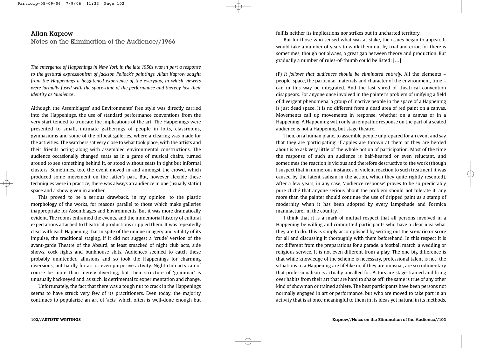## Allan Kaprow

Notes on the Elimination of the Audience//1966

*The emergence of Happenings in New York in the late 1950s was in part a response to the gestural expressionism of Jackson Pollock's paintings. Allan Kaprow sought from the Happenings a heightened experience of the everyday, in which viewers were formally fused with the space-time of the performance and thereby lost their identity as 'audience'.* 

Although the Assemblages' and Environments' free style was directly carried into the Happenings, the use of standard performance conventions from the very start tended to truncate the implications of the art. The Happenings were presented to small, intimate gatherings of people in lofts, classrooms, gymnasiums and some of the offbeat galleries, where a clearing was made for the activities. The watchers sat very close to what took place, with the artists and their friends acting along with assembled environmental constructions. The audience occasionally changed seats as in a game of musical chairs, turned around to see something behind it, or stood without seats in tight but informal clusters. Sometimes, too, the event moved in and amongst the crowd, which produced some movement on the latter's part. But, however flexible these techniques were in practice, there was always an audience in one (usually static) space and a show given in another.

This proved to be a serious drawback, in my opinion, to the plastic morphology of the works, for reasons parallel to those which make galleries inappropriate for Assemblages and Environments. But it was more dramatically evident. The rooms enframed the events, and the immemorial history of cultural expectations attached to theatrical productions crippled them. It was repeatedly clear with each Happening that in spite of the unique imagery and vitality of its impulse, the traditional staging, if it did not suggest a 'crude' version of the avant-garde Theatre of the Absurd, at least smacked of night club acts, side shows, cock fights and bunkhouse skits. Audiences seemed to catch these probably unintended allusions and so took the Happenings for charming diversions, but hardly for art or even purposive activity. Night club acts can of course be more than merely diverting, but their structure of 'grammar' is unusually hackneyed and, as such, is detrimental to experimentation and change.

Unfortunately, the fact that there was a tough nut to crack in the Happenings seems to have struck very few of its practitioners. Even today, the majority continues to popularize an art of 'acts' which often is well-done enough but fulfils neither its implications nor strikes out in uncharted territory.

But for those who sensed what was at stake, the issues began to appear. It would take a number of years to work them out by trial and error, for there is sometimes, though not always, a great gap between theory and production. But gradually a number of rules-of-thumb could be listed: […]

(F) *It follows that audiences should be eliminated entirely.* All the elements – people, space, the particular materials and character of the environment, time – can in this way be integrated. And the last shred of theatrical convention disappears. For anyone once involved in the painter's problem of unifying a field of divergent phenomena, a group of inactive people in the space of a Happening is just dead space. It is no different from a dead area of red paint on a canvas. Movements call up movements in response, whether on a canvas or in a Happening. A Happening with only an empathic response on the part of a seated audience is not a Happening but stage theatre.

Then, on a human plane, to assemble people unprepared for an event and say that they are 'participating' if apples are thrown at them or they are herded about is to ask very little of the whole notion of participation. Most of the time the response of such an audience is half-hearted or even reluctant, and sometimes the reaction is vicious and therefore destructive to the work (though I suspect that in numerous instances of violent reaction to such treatment it was caused by the latent sadism in the action, which they quite rightly resented). After a few years, in any case, 'audience response' proves to be so predictably pure cliché that anyone serious about the problem should not tolerate it, any more than the painter should continue the use of dripped paint as a stamp of modernity when it has been adopted by every lampshade and Formica manufacturer in the country.

I think that it is a mark of mutual respect that all persons involved in a Happening be willing and committed participants who have a clear idea what they are to do. This is simply accomplished by writing out the scenario or score for all and discussing it thoroughly with them beforehand. In this respect it is not different from the preparations for a parade, a football match, a wedding or religious service. It is not even different from a play. The one big difference is that while knowledge of the scheme is necessary, professional talent is not; the situations in a Happening are lifelike or, if they are unusual, are so rudimentary that professionalism is actually uncalled for. Actors are stage-trained and bring over habits from their art that are hard to shake off; the same is true of any other kind of showman or trained athlete. The best participants have been persons not normally engaged in art or performance, but who are moved to take part in an activity that is at once meaningful to them in its ideas yet natural in its methods.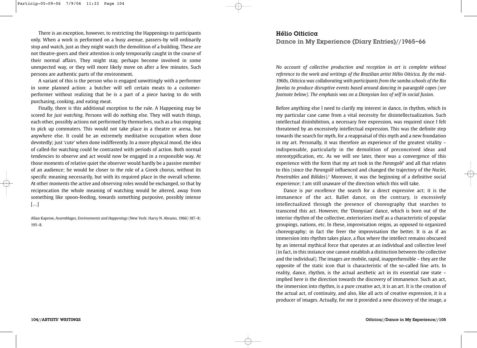There is an exception, however, to restricting the Happenings to participants only. When a work is performed on a busy avenue, passers-by will ordinarily stop and watch, just as they might watch the demolition of a building. These are not theatre-goers and their attention is only temporarily caught in the course of their normal affairs. They might stay, perhaps become involved in some unexpected way, or they will more likely move on after a few minutes. Such persons are authentic parts of the environment.

A variant of this is the person who is engaged unwittingly with a performer in some planned action: a butcher will sell certain meats to a customerperformer without realizing that he is a part of a piece having to do with purchasing, cooking, and eating meat.

Finally, there is this additional exception to the rule. A Happening may be scored for *just watching*. Persons will do nothing else. They will watch things, each other, possibly actions not performed by themselves, such as a bus stopping to pick up commuters. This would not take place in a theatre or arena, but anywhere else. It could be an extremely meditative occupation when done devotedly; just 'cute' when done indifferently. In a more physical mood, the idea of called-for watching could be contrasted with periods of action. Both normal tendencies to observe and act would now be engaged in a responsible way. At those moments of relative quiet the observer would hardly be a passive member of an audience; he would be closer to the role of a Greek chorus, without its specific meaning necessarily, but with its required place in the overall scheme. At other moments the active and observing roles would be exchanged, so that by reciprocation the whole meaning of watching would be altered, away from something like spoon-feeding, towards something purposive, possibly intense […]

Allan Kaprow, *Assemblages, Environments and Happenings* (New York: Harry N. Abrams, 1966) 187–8; 195–8.

## Hélio Oiticica

Dance in My Experience (Diary Entries)//1965–66

*No account of collective production and reception in art is complete without reference to the work and writings of the Brazilian artist Hélio Oiticica. By the mid-1960s, Oiticica was collaborating with participants from the samba schools of the Rio favelas to produce disruptive events based around dancing in* parangolé *capes (see footnote below). The emphasis was on a Dionysian loss of self in social fusion.*

Before anything else I need to clarify my interest in dance, in rhythm, which in my particular case came from a vital necessity for disintellectualization. Such intellectual disinhibition, a necessary free expression, was required since I felt threatened by an excessively intellectual expression. This was the definite step towards the search for myth, for a reappraisal of this myth and a new foundation in my art. Personally, it was therefore an experience of the greatest vitality – indispensable, particularly in the demolition of preconceived ideas and stereotypification, etc. As we will see later, there was a convergence of this experience with the form that my art took in the *Parangolé*<sup>1</sup> and all that relates to this (since the *Parangolé* influenced and changed the trajectory of the *Nuclei*, *Penetrables* and *Bólides*).2 Moreover, it was the beginning of a definitive social experience; I am still unaware of the direction which this will take.

Dance is *par excellence* the search for a direct expressive act; it is the immanence of the act. Ballet dance, on the contrary, is excessively intellectualized through the presence of choreography that searches to transcend this act. However, the 'Dionysian' dance, which is born out of the interior rhythm of the collective, exteriorizes itself as a characteristic of popular groupings, nations, etc. In these, improvisation reigns, as opposed to organized choreography; in fact the freer the improvisation the better. It is as if an immersion into rhythm takes place, a flux where the intellect remains obscured by an internal mythical force that operates at an individual and collective level (in fact, in this instance one cannot establish a distinction between the collective and the individual). The images are mobile, rapid, inapprehensible – they are the opposite of the static icon that is characteristic of the so-called fine arts. In reality, dance, rhythm, is the actual aesthetic act in its essential raw state – implied here is the direction towards the discovery of immanence. Such an act, the immersion into rhythm, is a pure creative act, it is an art. It is the creation of the actual act, of continuity, and also, like all acts of creative expression, it is a producer of images. Actually, for me it provided a new discovery of the image, a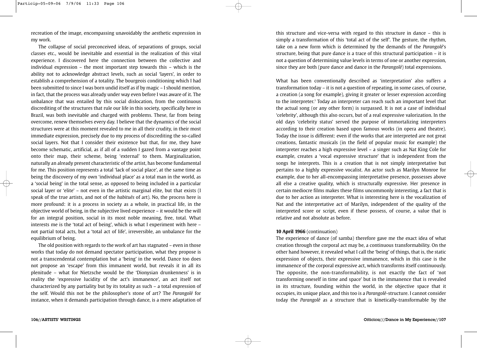recreation of the image, encompassing unavoidably the aesthetic expression in my work.

The collapse of social preconceived ideas, of separations of groups, social classes etc., would be inevitable and essential in the realization of this vital experience. I discovered here the connection between the collective and individual expression – the most important step towards this – which is the ability not to acknowledge abstract levels, such as social 'layers', in order to establish a comprehension of a totality. The bourgeois conditioning which I had been submitted to since I was born undid itself as if by magic – I should mention, in fact, that the process was already under way even before I was aware of it. The unbalance that was entailed by this social dislocation, from the continuous discrediting of the structures that rule our life in this society, specifically here in Brazil, was both inevitable and charged with problems. These, far from being overcome, renew themselves every day. I believe that the dynamics of the social structures were at this moment revealed to me in all their crudity, in their most immediate expression, precisely due to my process of discrediting the so-called social layers. Not that I consider their existence but that, for me, they have become schematic, artificial, as if all of a sudden I gazed from a vantage point onto their map, their scheme, being 'external' to them. Marginalization, naturally an already present characteristic of the artist, has become fundamental for me. This position represents a total 'lack of social place', at the same time as being the discovery of my own 'individual place' as a total man in the world, as a 'social being' in the total sense, as opposed to being included in a particular social layer or 'elite' – not even in the artistic marginal elite, but that exists (I speak of the true artists, and not of the *habitués* of art). No, the process here is more profound: it is a process in society as a whole, in practical life, in the objective world of being, in the subjective lived experience – it would be the will for an integral position, social in its most noble meaning, free, total. What interests me is the 'total act of being', which is what I experiment with here – not partial total acts, but a 'total act of life', irreversible, an unbalance for the equilibrium of being.

The old position with regards to the work of art has stagnated – even in those works that today do not demand spectator participation, what they propose is not a transcendental contemplation but a 'being' in the world. Dance too does not propose an 'escape' from this immanent world, but reveals it in all its plenitude – what for Nietzsche would be the 'Dionysian drunkenness' is in reality the 'expressive lucidity of the act's immanence', an act itself not characterized by any partiality but by its totality as such – a total expression of the self. Would this not be the philosopher's stone of art? The *Parangolé* for instance, when it demands participation through dance, is a mere adaptation of

take on a new form which is determined by the demands of the *Parangolé*'s structure, being that pure dance is a trace of this structural participation – it is not a question of determining value levels in terms of one or another expression, since they are both (pure dance and dance in the *Parangolé*) total expressions. What has been conventionally described as 'interpretation' also suffers a

transformation today – it is not a question of repeating, in some cases, of course, a creation (a song for example), giving it greater or lesser expression according to the interpreter.<sup>3</sup> Today an interpreter can reach such an important level that the actual song (or any other form) is surpassed. It is not a case of individual 'celebrity', although this also occurs, but of a real expressive valorization. In the old days 'celebrity status' served the purpose of immortalizing interpreters according to their creation based upon famous works (in opera and theatre). Today the issue is different: even if the works that are interpreted are not great creations, fantastic musicals (in the field of popular music for example) the interpreter reaches a high expressive level – a singer such as Nat King Cole for example, creates a 'vocal expressive structure' that is independent from the songs he interprets. This is a creation that is not simply interpretative but pertains to a highly expressive vocalist. An actor such as Marilyn Monroe for example, due to her all-encompassing interpretative presence, possesses above all else a creative quality, which is structurally expressive. Her presence in certain mediocre films makes these films uncommonly interesting, a fact that is due to her action as interpreter. What is interesting here is the vocalization of Nat and the interpretative act of Marilyn, independent of the quality of the interpreted score or script, even if these possess, of course, a value that is relative and not absolute as before.

this structure and vice-versa with regard to this structure in dance – this is simply a transformation of this 'total act of the self'. The gesture, the rhythm,

## **10 April 1966** (continuation)

The experience of dance (of samba) therefore gave me the exact idea of what creation through the corporal act may be, a continuous transformability. On the other hand however, it revealed what I call the 'being' of things, that is, the static expression of objects, their expressive immanence, which in this case is the immanence of the corporal expressive act, which transforms itself continuously. The opposite, the non-transformability, is not exactly the fact of 'not transforming oneself in time and space' but in the immanence that is revealed in its structure, founding within the world, in the objective space that it occupies, its unique place, and this too is a *Parangolé*-structure. I cannot consider today the *Parangolé* as a structure that is kinetically-transformable by the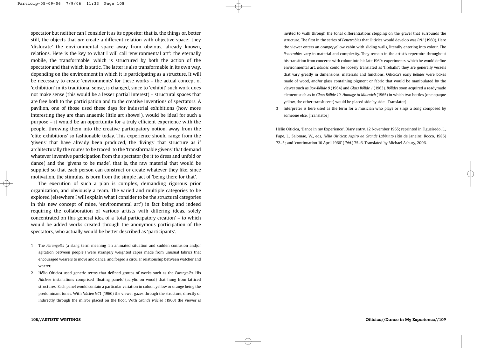spectator but neither can I consider it as its opposite; that is, the things or, better still, the objects that *are* create a different relation with objective space: they 'dislocate' the environmental space away from obvious, already known, relations. Here is the key to what I will call 'environmental art': the eternally mobile, the transformable, which is structured by both the action of the spectator and that which is static. The latter is also transformable in its own way, depending on the environment in which it is participating as a structure. It will be necessary to create 'environments' for these works – the actual concept of 'exhibition' in its traditional sense, is changed, since to 'exhibit' such work does not make sense (this would be a lesser partial interest) – structural spaces that are free both to the participation and to the creative inventions of spectators. A pavilion, one of those used these days for industrial exhibitions (how more interesting they are than anaemic little art shows!), would be ideal for such a purpose – it would be an opportunity for a truly efficient experience with the people, throwing them into the creative participatory notion, away from the 'elite exhibitions' so fashionable today. This experience should range from the 'givens' that have already been produced, the 'livings' that structure as if architecturally the routes to be traced, to the 'transformable givens' that demand whatever inventive participation from the spectator (be it to dress and unfold or dance) and the 'givens to be made', that is, the raw material that would be supplied so that each person can construct or create whatever they like, since motivation, the stimulus, is born from the simple fact of 'being there for that'.

The execution of such a plan is complex, demanding rigorous prior organization, and obviously a team. The varied and multiple categories to be explored (elsewhere I will explain what I consider to be the structural categories in this new concept of mine, 'environmental art') in fact being and indeed requiring the collaboration of various artists with differing ideas, solely concentrated on this general idea of a 'total participatory creation' – to which would be added works created through the anonymous participation of the spectators, who actually would be better described as 'participants'.

- 1 The *Parangolés* (a slang term meaning 'an animated situation and sudden confusion and/or agitation between people') were strangely weighted capes made from unusual fabrics that encouraged wearers to move and dance, and forged a circular relationship between watcher and wearer.
- 2 Hélio Oiticica used generic terms that defined groups of works such as the *Parangolés*. His *Núcleus* installations comprised 'floating panels' (acrylic on wood) that hung from latticed structures. Each panel would contain a particular variation in colour, yellow or orange being the predominant tones. With *Núcleo NC1* (1960) the viewer gazes through the structure, directly or indirectly through the mirror placed on the floor. With *Grande Núcleo* (1960) the viewer is

invited to walk through the tonal differentiations stepping on the gravel that surrounds the structure. The first in the series of *Penetrables* that Oiticica would develop was *PN1* (1960). Here the viewer enters an orange/yellow cabin with sliding walls, literally entering into colour. The *Penetrables* vary in material and complexity. They remain in the artist's repertoire throughout his transition from concerns with colour into his late 1960s experiments, which he would define environmental art. *Bólides* could be loosely translated as 'fireballs'; they are generally vessels that vary greatly in dimensions, materials and functions. Oiticica's early *Bólides* were boxes made of wood, and/or glass containing pigment or fabric that would be manipulated by the viewer such as *Box-Bólide 9* (1964) and *Glass Bólide 1* (1963). *Bólides* soon acquired a readymade element such as in *Glass Bólide 10. Homage to Malevich* (1965) in which two bottles (one opaque yellow, the other translucent) would be placed side by side. [Translator]

3 Interpreter is here used as the term for a musician who plays or sings a song composed by someone else. [Translator]

Hélio Oiticica, 'Dance in my Experience', Diary entry, 12 November 1965; reprinted in Figueiredo, L., Pape, L., Salomao, W., eds, *Hélio Oiticica: Aspiro ao Grande Labirinto* (Rio de Janeiro: Rocco, 1986) 72–5; and 'continuation 10 April 1966' (ibid.) 75–6. Translated by Michael Asbury, 2006.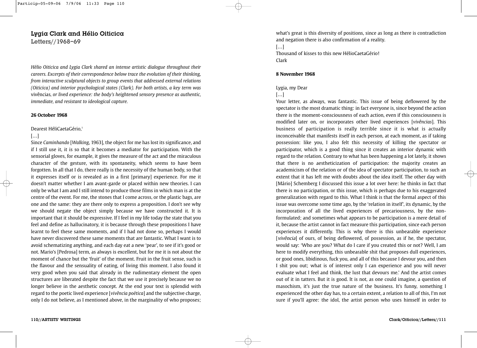## Lygia Clark and Hélio Oiticica Letters//1968–69

*Hélio Oiticica and Lygia Clark shared an intense artistic dialogue throughout their careers. Excerpts of their correspondence below trace the evolution of their thinking, from interactive sculptural objects to group events that addressed external relations (Oiticica) and interior psychological states (Clark). For both artists, a key term was* vivências*, or lived experience: the body's heightened sensory presence as authentic, immediate, and resistant to ideological capture.*

### **26 October 1968**

## Dearest HéliCaetaGério,<sup>1</sup>

## […]

Since *Caminhando* [*Walking*, 1963], the object for me has lost its significance, and if I still use it, it is so that it becomes a mediator for participation. With the sensorial gloves, for example, it gives the measure of the act and the miraculous character of the gesture, with its spontaneity, which seems to have been forgotten. In all that I do, there really is the necessity of the human body, so that it expresses itself or is revealed as in a first [primary] experience. For me it doesn't matter whether I am avant-garde or placed within new theories. I can only be what I am and I still intend to produce those films in which man is at the centre of the event. For me, the stones that I come across, or the plastic bags, are one and the same: they are there only to express a proposition. I don't see why we should negate the object simply because we have constructed it. It is important that it should be expressive. If I feel in my life today the state that you feel and define as hallucinatory, it is because through these propositions I have learnt to feel these same moments, and if I had not done so, perhaps I would have never discovered these same moments that are fantastic. What I want is to avoid schematizing anything, and each day eat a new 'pear', to see if it's good or not. Mario's [Pedrosa] term, as always is excellent, but for me it is not about the moment of chance but the 'fruit' of the moment. Fruit in the fruit sense, such is the flavour and the sensuality of eating, of living this moment. I also found it very good when you said that already in the rudimentary element the open structures are liberated despite the fact that we use it precisely because we no longer believe in the aesthetic concept. At the end your text is splendid with regard to the poetic lived experience [*vivência poética*] and the subjective charge, only I do not believe, as I mentioned above, in the marginality of who proposes;

what's great is this diversity of positions, since as long as there is contradiction and negation there is also confirmation of a reality.

 $[\dots]$ 

Thousand of kisses to this new HélioCaetaGério! Clark

## **8 November 1968**

## Lygia, my Dear

## […]

Your letter, as always, was fantastic. This issue of being deflowered by the spectator is the most dramatic thing: in fact everyone is, since beyond the action there is the moment-consciousness of each action, even if this consciousness is modified later on, or incorporates other lived experiences [*vivências*]. This business of participation is really terrible since it is what is actually inconceivable that manifests itself in each person, at each moment, as if taking possession: like you, I also felt this necessity of killing the spectator or participator, which is a good thing since it creates an interior dynamic with regard to the relation. Contrary to what has been happening a lot lately, it shows that there is no aestheticization of participation: the majority creates an academicism of the relation or of the idea of spectator participation, to such an extent that it has left me with doubts about the idea itself. The other day with [Mário] Schemberg I discussed this issue a lot over here: he thinks in fact that there is no participation, or this issue, which is perhaps due to his exaggerated generalization with regard to this. What I think is that the formal aspect of this issue was overcome some time ago, by the 'relation in itself', its dynamic, by the incorporation of all the lived experiences of precariousness, by the nonformulated; and sometimes what appears to be participation is a mere detail of it, because the artist cannot in fact measure this participation, since each person experiences it differently. This is why there is this unbearable experience [vivência] of ours, of being deflowered, of possession, as if he, the spectator, would say: 'Who are you? What do I care if you created this or not? Well, I am here to modify everything, this unbearable shit that proposes dull experiences, or good ones, libidinous, fuck you, and all of this because I devour you, and then I shit you out; what is of interest only I can experience and you will never evaluate what I feel and think, the lust that devours me.' And the artist comes out of it in tatters. But it is good. It is not, as one could imagine, a question of masochism, it's just the true nature of the business. It's funny, something I experienced the other day has, to a certain extent, a relation to all of this, I'm not sure if you'll agree: the idol, the artist person who uses himself in order to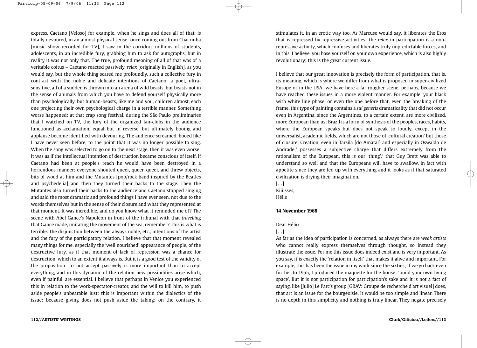express. Caetano [Veloso] for example, when he sings and does all of that, is totally devoured, in an almost physical sense: once coming out from Chacrinha [music show recorded for TV], I saw in the corridors millions of students, adolescents, in an incredible fury, grabbing him to ask for autographs, but in reality it was not only that. The true, profound meaning of all of that was of a veritable coitus – Caetano reacted passively, *relax* [originally in English], as you would say, but the whole thing scared me profoundly, such a collective fury in contrast with the noble and delicate intentions of Caetano: a poet, ultrasensitive, all of a sudden is thrown into an arena of wild beasts, but beasts not in the sense of animals from which you have to defend yourself physically more than psychologically, but human-beasts, like me and you, children almost, each one projecting their own psychological charge in a terrible manner. Something worse happened: at that crap song festival, during the São Paulo preliminaries that I watched on TV, the fury of the organized fan-clubs in the audience functioned as acclamation, equal but in reverse, but ultimately booing and applause become identified with devouring. The audience screamed, booed like I have never seen before, to the point that it was no longer possible to sing. When the song was selected to go on to the next stage, then it was even worse: it was as if the intellectual intention of destruction became conscious of itself. If Caetano had been at people's reach he would have been destroyed in a horrendous manner: everyone shouted queer, queer, queer, and threw objects, bits of wood at him and the Mutantes [pop/rock band inspired by the Beatles and psychedelia] and then they turned their backs to the stage. Then the Mutantes also turned their backs to the audience and Caetano stopped singing and said the most dramatic and profound things I have ever seen, not due to the words themselves but in the sense of their closure and what they represented at that moment. It was incredible, and do you know what it reminded me of? The scene with Abel Gance's Napoleon in front of the tribunal with that *travelling* that Gance made, imitating the movement of the sea, remember? This is what is terrible: the disjunction between the always noble, etc., intentions of the artist and the fury of the participatory relation. I believe that that moment revealed many things for me, especially the 'well nourished' appearance of people, of the destructive fury, as if that moment of lack of repression was a chance for destruction, which to an extent it always is. But it is a good test of the validity of the proposition: to not accept passively is more important than to accept everything, and in this dynamic of the relation new possibilities arise which, even if painful, are essential. I believe that perhaps in Venice you experienced this in relation to the work-spectator-creator, and the will to kill him, to push aside people's unbearable lust; this is important within the dialectics of the issue: because giving does not push aside the taking; on the contrary, it

stimulates it, in an erotic way too. As Marcuse would say, it liberates the Eros that is repressed by repressive activities: the *relax* in participation is a nonrepressive activity, which confuses and liberates truly unpredictable forces, and in this, I believe, you base yourself on your own experience, which is also highly revolutionary; this is the great current issue.

I believe that our great innovation is precisely the form of participation, that is, its meaning, which is where we differ from what is proposed in super-civilized Europe or in the USA: we have here a far rougher scene, perhaps, because we have reached these issues in a more violent manner. For example, your black with white line phase, or even the one before that, even the breaking of the frame, this type of painting contains a *sui generis* dramaticality that did not occur even in Argentina, since the Argentines, to a certain extent, are more civilized, more European than us: Brazil is a form of synthesis of the peoples, races, habits, where the European speaks but does not speak so loudly, except in the universalist, academic fields, which are not those of 'cultural creation' but those of closure. Creation, even in Tarsila [do Amaral] and especially in Oswaldo de Andrade, $2$  possesses a subjective charge that differs extremely from the rationalism of the European, this is our 'thing',<sup>3</sup> that Guy Brett was able to understand so well and that the Europeans will have to swallow, in fact with appetite since they are fed up with everything and it looks as if that saturated civilization is drying their imagination.

[…] Kiiiisses, Hélio

#### **14 November 1968**

## Dear Hélio

## […]

As far as the idea of participation is concerned, as always there are *weak artists* who cannot really express themselves through thought, so instead they illustrate the issue. For me this issue does indeed exist and is very important. As you say, it is exactly the 'relation in itself' that makes it alive and important. For example, this has been the issue in my work since the sixties; if we go back even further to 1955, I produced the maquette for the house: 'build your own living space'. But it is not participation for participation's sake and it is not a fact of saying, like [Julio] Le Parc's group [GRAV: Groupe de recherche d'art visuel] does, that art is an issue for the bourgeoisie. It would be too simple and linear. There is no depth in this simplicity and nothing is truly linear. They negate precisely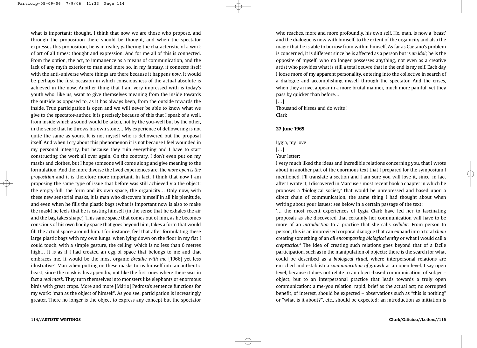what is important: thought. I think that now we are those who propose, and through the proposition there should be thought, and when the spectator expresses this proposition, he is in reality gathering the characteristic of a work of art of all times: thought and expression. And for me all of this is connected. From the option, the act, to immanence as a means of communication, and the lack of any myth exterior to man and more so, in my fantasy, it connects itself with the anti-universe where things are there because it happens *now*. It would be perhaps the first occasion in which consciousness of the actual absolute is achieved in the now. Another thing that I am very impressed with is today's youth who, like us, want to give themselves meaning from the inside towards the outside as opposed to, as it has always been, from the outside towards the inside. True participation is open and we will never be able to know what we give to the spectator-author. It is precisely because of this that I speak of a well, from inside which a sound would be taken, not by the you-well but by the other, in the sense that he throws his own stone… My experience of deflowering is not quite the same as yours. It is not myself who is deflowered but the proposal itself. And when I cry about this phenomenon it is not because I feel wounded in my personal integrity, but because they ruin everything and I have to start constructing the work all over again. On the contrary, I don't even put on my masks and clothes, but I hope someone will come along and give meaning to the formulation. And the more diverse the lived experiences are, the *more open is the proposition* and it is therefore more important. In fact, I think that now I am proposing the same type of issue that before was still achieved via the object: the empty-full, the form and its own space, the organicity… Only now, with these new sensorial masks, it is man who discovers himself in all his plenitude, and even when he fills the plastic bags (what is important now is also to make the mask) he feels that he is casting himself (in the sense that he exhales the air and the bag takes shape). This same space that comes out of him, as he becomes conscious of his own bodily space that goes beyond him, takes a form that would fill the actual space around him. I for instance, feel that after formulating these large plastic bags with my own lungs, when lying down on the floor in my flat I could touch, with a simple gesture, the ceiling, which is no less than 6 metres high… It is as if I had created an egg of space that belongs to me and that embraces me. It would be the most organic *Breathe with me* [1966] yet less illustrative! Man when putting on these masks turns himself into an authentic beast, since the mask is his appendix, not like the first ones where there was in fact a *real mask*. They turn themselves into monsters like elephants or enormous birds with great crops. More and more [Mário] Pedrosa's sentence functions for my work: 'man as the object of himself'. As you see, participation is increasingly greater. There no longer is the object to express any concept but the spectator

who reaches, more and more profoundly, his own self. He, man, is now a 'beast' and the dialogue is now with himself, to the extent of the organicity and also the magic that he is able to borrow from within himself. As far as Caetano's problem is concerned, it is different since he is affected as a person but is *an idol*; he is the opposite of myself, who no longer possesses anything, not even as a creative artist who provides what is still a total oeuvre that in the end is my self. Each day I loose more of my apparent personality, entering into the collective in search of a dialogue and accomplishing myself through the spectator. And the crises, when they arrive, appear in a more brutal manner, much more painful, yet they pass by quicker than before…

 $[...]$ 

Thousand of kisses and do write! Clark

## **27 June 1969**

## Lygia, my love

## […] Your letter:

I very much liked the ideas and incredible relations concerning you, that I wrote about in another part of the enormous text that I prepared for the symposium I mentioned. I'll translate a section and I am sure you will love it, since, in fact after I wrote it, I discovered in Marcuse's most recent book a chapter in which he proposes a 'biological society' that would be unrepressed and based upon a direct chain of communication, the same thing I had thought about when writing about your issues; see below in a certain passage of the text:

'… the most recent experiences of Lygia Clark have led her to fascinating proposals as she discovered that certainly her communication will have to be more of an *introduction* to a practice that she calls *cellular*: From person to person, this is an improvised corporal dialogue that can expand into a total *chain* creating something of an *all encompassing biological entity* or what I would call a *crepractice.*<sup>4</sup> The idea of creating such relations goes beyond that of a facile participation, such as in the manipulation of objects: there is the search for what could be described as a *biological ritual*, where interpersonal relations are enriched and establish a *communication of growth* at an open level. I say open level, because it does not relate to an object-based communication, of subjectobject, but to an interpersonal practice that leads towards a truly open communication: a me-you relation, rapid, brief as the actual act; no corrupted benefit, of interest, should be expected – observations such as "this is nothing" or "what is it about?", etc., should be expected; an introduction as initiation is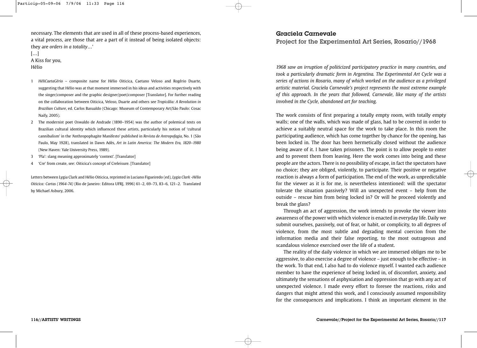necessary. The elements that are used in all of these process-based experiences, a vital process, are those that are a part of it instead of being isolated objects: they are *orders in a totality*…'

[…] A Kiss for you, Hélio

- 1 *HéliCaetaGério* composite name for Hélio Oiticica, Caetano Veloso and Rogério Duarte, suggesting that Hélio was at that moment immersed in his ideas and activities respectively with the singer/composer and the graphic designer/poet/composer [Translator]. For further reading on the collaboration between Oiticica, Veloso, Duarte and others see *Tropicália: A Revolution in Brazilian Culture*, ed. Carlos Basualdo (Chicago: Museum of Contemporary Art/São Paulo: Cosac Naify, 2005).
- 2 The modernist poet Oswaldo de Andrade (1890–1954) was the author of polemical texts on Brazilian cultural identity which influenced these artists, particularly his notion of 'cultural cannibalism' in the 'Anthropophagite Manifesto' published in *Revista de Antropofagia*, No. 1 (São Paulo, May 1928), translated in Dawn Adès, *Art in Latin America: The Modern Era, 1820–1980* (New Haven: Yale University Press, 1989).
- 3 'Pla': slang meaning approximately 'context'. [Translator]
- 4 'Cre' from create, see: Oiticica's concept of Creleisure. [Translator]

Letters between Lygia Clark and Hélio Oiticica, reprinted in Luciano Figueiredo (ed), *Lygia Clark -Hélio Oiticica: Cartas (1964-74)* (Rio de Janeiro: Editora UFRJ, 1996) 61–2, 69–73, 83–6, 121–2. Translated by Michael Asbury, 2006.

## Graciela Carnevale

Project for the Experimental Art Series, Rosario//1968

*1968 saw an irruption of politicized participatory practice in many countries, and took a particularly dramatic form in Argentina. The Experimental Art Cycle was a series of actions in Rosario, many of which worked on the audience as a privileged artistic material. Graciela Carnevale's project represents the most extreme example of this approach. In the years that followed, Carnevale, like many of the artists involved in the Cycle, abandoned art for teaching.* 

The work consists of first preparing a totally empty room, with totally empty walls; one of the walls, which was made of glass, had to be covered in order to achieve a suitably neutral space for the work to take place. In this room the participating audience, which has come together by chance for the opening, has been locked in. The door has been hermetically closed without the audience being aware of it. I have taken prisoners. The point is to allow people to enter and to prevent them from leaving. Here the work comes into being and these people are the actors. There is no possibility of escape, in fact the spectators have no choice; they are obliged, violently, to participate. Their positive or negative reaction is always a form of participation. The end of the work, as unpredictable for the viewer as it is for me, is nevertheless intentioned: will the spectator tolerate the situation passively? Will an unexpected event – help from the outside – rescue him from being locked in? Or will he proceed violently and break the glass?

Through an act of aggression, the work intends to provoke the viewer into awareness of the power with which violence is enacted in everyday life. Daily we submit ourselves, passively, out of fear, or habit, or complicity, to all degrees of violence, from the most subtle and degrading mental coercion from the information media and their false reporting, to the most outrageous and scandalous violence exercised over the life of a student.

The reality of the daily violence in which we are immersed obliges me to be aggressive, to also exercise a degree of violence – just enough to be effective – in the work. To that end, I also had to do violence myself. I wanted each audience member to have the experience of being locked in, of discomfort, anxiety, and ultimately the sensations of asphyxiation and oppression that go with any act of unexpected violence. I made every effort to foresee the reactions, risks and dangers that might attend this work, and I consciously assumed responsibility for the consequences and implications. I think an important element in the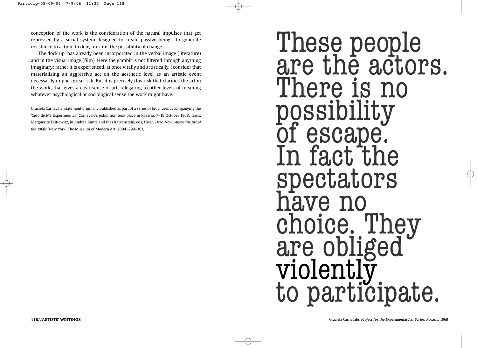conception of the work is the consideration of the natural impulses that get repressed by a social system designed to create passive beings, to generate resistance to action, to deny, in sum, the possibility of change.

The 'lock up' has already been incorporated in the verbal image (literature) and in the visual image (film). Here the gambit is not filtered through anything imaginary; rather it is experienced, at once vitally and artistically. I consider that materializing an aggressive act on the aesthetic level as an artistic event necessarily implies great risk. But it is precisely this risk that clarifies the art in the work, that gives a clear sense of art, relegating to other levels of meaning whatever psychological or sociological sense the work might have.

Graciela Carnevale, statement originally published as part of a series of brochures accompanying the 'Cido de Me Experimental'. Carnevale's exhibition took place in Rosario, 7–19 October 1968; trans. Marguerite Feitlowitz, in Andrea Jiunta and Ines Katzenstein, eds, *Listen, Here, Now! Argentine Art of the 1960s* (New York: The Museum of Modern Art, 2004) 299–301.

These people are the actors. ere is possibility escape. In fact the spectators have no choice. They are obliged violently to participate.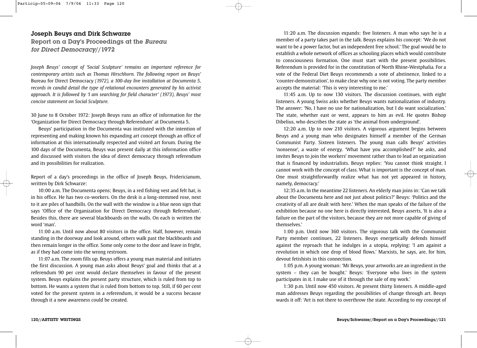## Joseph Beuys and Dirk Schwarze

Report on a Day's Proceedings at the Bureau for Direct Democracy//1972

*Joseph Beuys' concept of 'Social Sculpture' remains an important reference for contemporary artists such as Thomas Hirschhorn. The following report on Beuys'* Bureau for Direct Democracy *(1972), a 100-day live installation at Documenta 5, records in candid detail the type of relational encounters generated by his activist approach. It is followed by 'I am searching for field character' (1973), Beuys' most concise statement on Social Sculpture.*

30 June to 8 October 1972: Joseph Beuys runs an office of information for the 'Organization for Direct Democracy through Referendum' at Documenta 5.

Beuys' participation in the Documenta was instituted with the intention of representing and making known his expanding art concept through an office of information at this internationally respected and visited art forum. During the 100 days of the Documenta, Beuys was present daily at this information office and discussed with visitors the idea of direct democracy through referendum and its possibilities for realization.

Report of a day's proceedings in the office of Joseph Beuys, Fridericianum, written by Dirk Schwarze:

10:00 a.m. The Documenta opens; Beuys, in a red fishing vest and felt hat, is in his office. He has two co-workers. On the desk is a long-stemmed rose, next to it are piles of handbills. On the wall with the window is a blue neon sign that says 'Office of the Organization for Direct Democracy through Referendum'. Besides this, there are several blackboards on the walls. On each is written the word 'man'.

11:00 a.m. Until now about 80 visitors in the office. Half, however, remain standing in the doorway and look around, others walk past the blackboards and then remain longer in the office. Some only come to the door and leave in fright, as if they had come into the wrong restroom.

11:07 a.m. The room fills up. Beuys offers a young man material and initiates the first discussion. A young man asks about Beuys' goal and thinks that at a referendum 90 per cent would declare themselves in favour of the present system. Beuys explains the present party structure, which is ruled from top to bottom. He wants a system that is ruled from bottom to top. Still, if 60 per cent voted for the present system in a referendum, it would be a success because through it a new awareness could be created.

11:20 a.m. The discussion expands: five listeners. A man who says he is a member of a party takes part in the talk. Beuys explains his concept: 'We do not want to be a power factor, but an independent free school.' The goal would be to establish a whole network of offices as schooling places which would contribute to consciousness formation. One must start with the present possibilities. Referendum is provided for in the constitution of North Rhine-Westphalia. For a vote of the Federal Diet Beuys recommends a vote of abstinence, linked to a 'counter-demonstration', to make clear why one is not voting. The party member accepts the material: 'This is very interesting to me.'

11:45 a.m. Up to now 130 visitors. The discussion continues, with eight listeners. A young Swiss asks whether Beuys wants nationalization of industry. The answer: 'No, I have no use for nationalization, but I do want socialization.' The state, whether east or west, appears to him as evil. He quotes Bishop Dibelius, who describes the state as 'the animal from underground'.

12:20 a.m. Up to now 210 visitors. A vigorous argument begins between Beuys and a young man who designates himself a member of the German Communist Party. Sixteen listeners. The young man calls Beuys' activities 'nonsense', a waste of energy. 'What have you accomplished?' he asks, and invites Beuys to join the workers' movement rather than to lead an organization that is financed by industrialists. Beuys replies: 'You cannot think straight. I cannot work with the concept of class. What is important is the concept of man. One must straightforwardly realize what has not yet appeared in history, namely, democracy.'

12:35 a.m. In the meantime 22 listeners. An elderly man joins in: 'Can we talk about the Documenta here and not just about politics?' Beuys: 'Politics and the creativity of all are dealt with here.' When the man speaks of the failure of the exhibition because no one here is directly interested, Beuys asserts, 'It is also a failure on the part of the visitors, because they are not more capable of giving of themselves.'

1:00 p.m. Until now 360 visitors. The vigorous talk with the Communist Party member continues, 22 listeners. Beuys energetically defends himself against the reproach that he indulges in a utopia, replying: 'I am against a revolution in which one drop of blood flows.' Marxists, he says, are, for him, devout fetishists in this connection.

1:05 p.m. A young woman: 'Mr Beuys, your artworks are an ingredient in the system – they can be bought.' Beuys: 'Everyone who lives in the system participates in it. I make use of it through the sale of my work.'

1:30 p.m. Until now 450 visitors. At present thirty listeners. A middle-aged man addresses Beuys regarding the possibilities of change through art. Beuys wards it off: 'Art is not there to overthrow the state. According to my concept of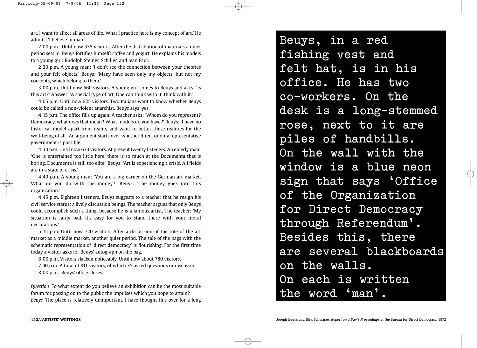art, I want to affect all areas of life. What I practice here is my concept of art.' He admits, 'I believe in man.'

2:00 p.m. Until now 535 visitors. After the distribution of materials a quiet period sets in. Beuys fortifies himself: coffee and yogurt. He explains his models to a young girl: Rudolph Steiner, Schiller, and Jean Paul.

2:30 p.m. A young man: 'I don't see the connection between your theories and your felt objects.' Beuys: 'Many have seen only my objects, but not my concepts, which belong to them.'

3:00 p.m. Until now 560 visitors. A young girl comes to Beuys and asks: 'Is this art?' Answer: 'A special type of art. One can think with it, think with it.'

4:05 p.m. Until now 625 visitors. Two Italians want to know whether Beuys could be called a non-violent anarchist. Beuys says 'yes.'

4:15 p.m. The office fills up again. A teacher asks: 'Whom do you represent? Democracy, what does that mean? What models do you have?' Beuys: 'I have no historical model apart from reality and want to better these realities for the well-being of all.' An argument starts over whether direct or only representative government is possible.

4:30 p.m. Until now 670 visitors. At present twenty listeners. An elderly man: 'One is entertained too little here, there is so much at the Documenta that is boring. Documenta is still too elite.' Beuys: 'Art is experiencing a crisis. All fields are in a state of crisis.'

4:40 p.m. A young man: 'You are a big earner on the German art market. What do you do with the money?' Beuys: 'The money goes into this organization.'

4:45 p.m. Eighteen listeners. Beuys suggests to a teacher that he resign his civil service status; a lively discussion beings. The teacher argues that only Beuys could accomplish such a thing, because he is a famous artist. The teacher: 'My situation is fairly bad. It's easy for you to stand there with your moral declarations.'

5:15 p.m. Until now 720 visitors. After a discussion of the role of the art market as a middle market, another quiet period. The sale of the bags with the schematic representation of 'direct democracy' is flourishing. For the first time today a visitor asks for Beuys' autograph on the bag.

6:00 p.m. Visitors slacken noticeably. Until now about 780 visitors.

7:40 p.m. A total of 811 visitors, of which 35 asked questions or discussed. 8:00 p.m. Beuys' office closes.

*Question* To what extent do you believe an exhibition can be the most suitable forum for passing on to the public the impulses which you hope to attain? *Beuys* The place is relatively unimportant. I have thought this over for a long **Beuys, in a red fishing vest and felt hat, is in his office. He has two co-workers. On the desk is a long-stemmed rose, next to it are piles of handbills. On the wall with the window is a blue neon sign that says 'Office of the Organization for Direct Democracy through Referendum'. Besides this, there are several blackboards on the walls. On each is written the word 'man'.**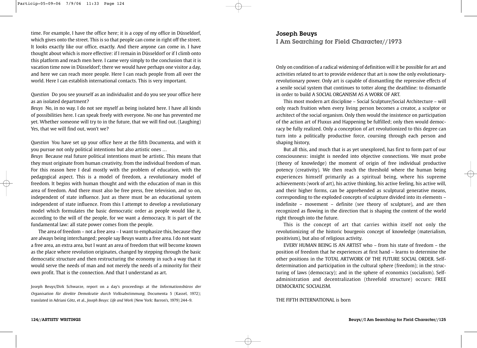time. For example, I have the office here; it is a copy of my office in Düsseldorf, which gives onto the street. This is so that people can come in right off the street. It looks exactly like our office, exactly. And there anyone can come in. I have thought about which is more effective: if I remain in Düsseldorf or if I climb onto this platform and reach men here. I came very simply to the conclusion that it is vacation time now in Düsseldorf; there we would have perhaps one visitor a day, and here we can reach more people. Here I can reach people from all over the world. Here I can establish international contacts. This is very important.

*Question* Do you see yourself as an individualist and do you see your office here as an isolated department?

*Beuys* No, in no way. I do not see myself as being isolated here. I have all kinds of possibilities here. I can speak freely with everyone. No one has prevented me yet. Whether someone will try to in the future, that we will find out. (Laughing) Yes, that we will find out, won't we?

*Question* You have set up your office here at the fifth Documenta, and with it you pursue not only political intentions but also artistic ones …

*Beuys* Because real future political intentions must be artistic. This means that they must originate from human creativity, from the individual freedom of man. For this reason here I deal mostly with the problem of education, with the pedagogical aspect. This is a model of freedom, a revolutionary model of freedom. It begins with human thought and with the education of man in this area of freedom. And there must also be free press, free television, and so on, independent of state influence. Just as there must be an educational system independent of state influence. From this I attempt to develop a revolutionary model which formulates the basic democratic order as people would like it, according to the will of the people, for we want a democracy. It is part of the fundamental law: all state power comes from the people.

The area of freedom – not a free area – I want to emphasize this, because they are always being interchanged; people say Beuys wants a free area. I do not want a free area, an extra area, but I want an area of freedom that will become known as the place where revolution originates, changed by stepping through the basic democratic structure and then restructuring the economy in such a way that it would serve the needs of man and not merely the needs of a minority for their own profit. That is the connection. And that I understand as art.

Joseph Beuys/Dirk Schwarze, report on a day's proceedings at the Informationsbüros der Organisation für direkte Demokratie durch Volksabstimmung, Documenta 5 (Kassel, 1972); translated in Adriani Götz, et al., *Joseph Beuys: Life and Work* (New York: Barron's, 1979) 244–9.

## Joseph Beuys

I Am Searching for Field Character//1973

Only on condition of a radical widening of definition will it be possible for art and activities related to art to provide evidence that art is now the only evolutionaryrevolutionary power. Only art is capable of dismantling the repressive effects of a senile social system that continues to totter along the deathline: to dismantle in order to build A SOCIAL ORGANISM AS A WORK OF ART.

This most modern art discipline – Social Sculpture/Social Architecture – will only reach fruition when every living person becomes a creator, a sculptor or architect of the social organism. Only then would the insistence on participation of the action art of Fluxus and Happening be fulfilled; only then would democracy be fully realized. Only a conception of art revolutionized to this degree can turn into a politically productive force, coursing through each person and shaping history,

But all this, and much that is as yet unexplored, has first to form part of our consciousness: insight is needed into objective connections. We must probe (theory of knowledge) the moment of origin of free individual productive potency (creativity). We then reach the threshold where the human being experiences himself primarily as a spiritual being, where his supreme achievements (work of art), his active thinking, his active feeling, his active will, and their higher forms, can be apprehended as sculptural generative means, corresponding to the exploded concepts of sculpture divided into its elements – indefinite – movement – definite (see theory of sculpture), and are then recognized as flowing in the direction that is shaping the content of the world right through into the future.

This is the concept of art that carries within itself not only the revolutionizing of the historic bourgeois concept of knowledge (materialism, positivism), but also of religious activity.

EVERY HUMAN BEING IS AN ARTIST who – from his state of freedom – the position of freedom that he experiences at first hand – learns to determine the other positions in the TOTAL ARTWORK OF THE FUTURE SOCIAL ORDER. Selfdetermination and participation in the cultural sphere (freedom); in the structuring of laws (democracy); and in the sphere of economics (socialism). Selfadministration and decentralization (threefold structure) occurs: FREE DEMOCRATIC SOCIALISM.

## THE FIFTH INTERNATIONAL is born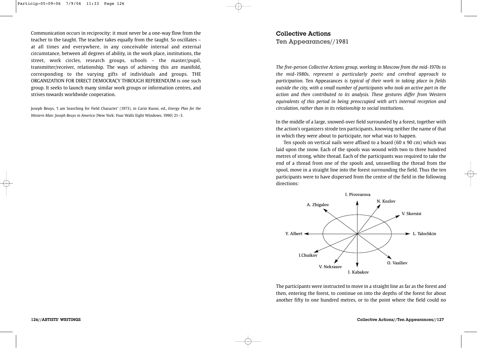Communication occurs in reciprocity: it must never be a one-way flow from the teacher to the taught. The teacher takes equally from the taught. So oscillates – at all times and everywhere, in any conceivable internal and external circumstance, between all degrees of ability, in the work place, institutions, the street, work circles, research groups, schools – the master/pupil, transmitter/receiver, relationship. The ways of achieving this are manifold, corresponding to the varying gifts of individuals and groups. THE ORGANIZATION FOR DIRECT DEMOCRACY THROUGH REFERENDUM is one such group. It seeks to launch many similar work groups or information centres, and strives towards worldwide cooperation.

Joseph Beuys, 'I am Searching for Field Character' (1973), in Carin Kuoni, ed., *Energy Plan for the Western Man: Joseph Beuys in America* (New York: Four Walls Eight Windows, 1990) 21–3.

Collective Actions

Ten Appearances//1981

*The five-person Collective Actions group, working in Moscow from the mid-1970s to the mid-1980s, represent a particularly poetic and cerebral approach to participation.* Ten Appearances *is typical of their work in taking place in fields outside the city, with a small number of participants who took an active part in the action and then contributed to its analysis. These gestures differ from Western equivalents of this period in being preoccupied with art's internal reception and circulation, rather than in its relationship to social institutions.*

In the middle of a large, snowed-over field surrounded by a forest, together with the action's organizers strode ten participants, knowing neither the name of that in which they were about to participate, nor what was to happen.

Ten spools on vertical nails were affixed to a board (60 x 90 cm) which was laid upon the snow. Each of the spools was wound with two to three hundred metres of strong, white thread. Each of the participants was required to take the end of a thread from one of the spools and, unravelling the thread from the spool, move in a straight line into the forest surrounding the field. Thus the ten participants were to have dispersed from the centre of the field in the following directions:



The participants were instructed to move in a straight line as far as the forest and then, entering the forest, to continue on into the depths of the forest for about another fifty to one hundred metres, or to the point where the field could no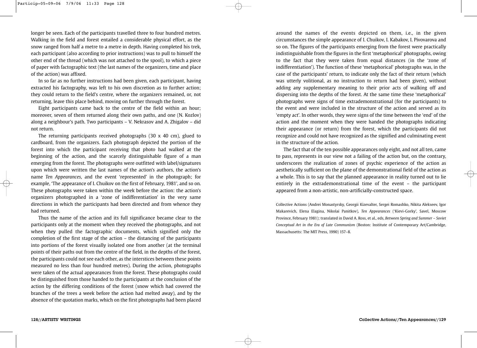longer be seen. Each of the participants travelled three to four hundred metres. Walking in the field and forest entailed a considerable physical effort, as the snow ranged from half a metre to a metre in depth. Having completed his trek, each participant (also according to prior instructions) was to pull to himself the other end of the thread (which was not attached to the spool), to which a piece of paper with factographic text (the last names of the organizers, time and place of the action) was affixed.

In so far as no further instructions had been given, each participant, having extracted his factography, was left to his own discretion as to further action; they could return to the field's centre, where the organizers remained, or, not returning, leave this place behind, moving on further through the forest.

Eight participants came back to the centre of the field within an hour; moreover, seven of them returned along their own paths, and one (N. Kozlov) along a neighbour's path. Two participants – V. Nekrasov and A. Zhigalov – did not return.

The returning participants received photographs (30 x 40 cm), glued to cardboard, from the organizers. Each photograph depicted the portion of the forest into which the participant receiving that photo had walked at the beginning of the action, and the scarcely distinguishable figure of a man emerging from the forest. The photographs were outfitted with label/signatures upon which were written the last names of the action's authors, the action's name *Ten Appearances*, and the event 'represented' in the photograph; for example, 'The appearance of I. Chuikov on the first of February, 1981', and so on. These photographs were taken within the week before the action: the action's organizers photographed in a 'zone of indifferentiation' in the very same directions in which the participants had been directed and from whence they had returned.

Thus the name of the action and its full significance became clear to the participants only at the moment when they received the photographs, and not when they pulled the factographic documents, which signified only the completion of the first stage of the action – the distancing of the participants into portions of the forest visually isolated one from another (at the terminal points of their paths out from the centre of the field, in the depths of the forest, the participants could not see each other, as the interstices between these points measured no less than four hundred metres). During the action, photographs were taken of the actual appearances from the forest. These photographs could be distinguished from those handed to the participants at the conclusion of the action by the differing conditions of the forest (snow which had covered the branches of the trees a week before the action had melted away), and by the absence of the quotation marks, which on the first photographs had been placed

around the names of the events depicted on them, i.e., in the given circumstances the simple appearance of I. Chuikov, I. Kabakov, I. Pivovarova and so on. The figures of the participants emerging from the forest were practically indistinguishable from the figures in the first 'metaphorical' photographs, owing to the fact that they were taken from equal distances (in the 'zone of indifferentiation'). The function of these 'metaphorical' photographs was, in the case of the participants' return, to indicate only the fact of their return (which was utterly volitional, as no instruction to return had been given), without adding any supplementary meaning to their prior acts of walking off and dispersing into the depths of the forest. At the same time these 'metaphorical' photographs were signs of time extrademonstrational (for the participants) to the event and were included in the structure of the action and served as its 'empty act'. In other words, they were signs of the time between the 'end' of the action and the moment when they were handed the photographs indicating their appearance (or return) from the forest, which the participants did not recognize and could not have recognized as the signified and culminating event in the structure of the action.

The fact that of the ten possible appearances only eight, and not all ten, came to pass, represents in our view not a failing of the action but, on the contrary, underscores the realization of zones of psychic experience of the action as aesthetically sufficient on the plane of the demonstrational field of the action as a whole. This is to say that the planned appearance in reality turned out to lie entirely in the extrademonstrational time of the event – the participant appeared from a non-artistic, non-artificially-constructed space.

Collective Actions (Andrei Monastyrsky, Georgii Kizevalter, Sergei Romashko, Nikita Alekseev, Igor Makarevich, Elena Elagina, Nikolai Panitkov), *Ten Appearances* ('Kievi-Gorky', Savel, Moscow Province, February 1981); translated in David A. Ross, et al., eds, *Between Spring and Summer – Soviet Conceptual Art in the Era of Late Communism* (Boston: Institute of Contemporary Art/Cambridge, Massachusetts: The MIT Press, 1990) 157–8.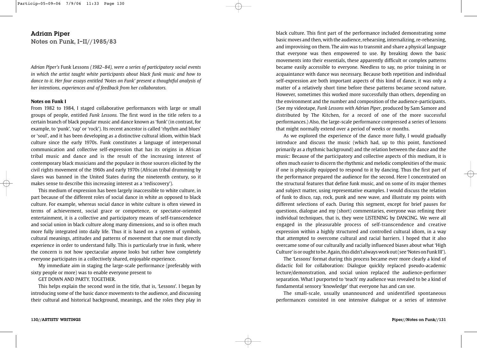## Adrian Piper

Notes on Funk, I–II//1985/83

*Adrian Piper's* Funk Lessons *(1982–84), were a series of participatory social events in which the artist taught white participants about black funk music and how to dance to it. Her four essays entitled 'Notes on Funk' present a thoughtful analysis of her intentions, experiences and of feedback from her collaborators.* 

### **Notes on Funk I**

From 1982 to 1984, I staged collaborative performances with large or small groups of people, entitled *Funk Lessons.* The first word in the title refers to a certain branch of black popular music and dance known as 'funk' (in contrast, for example, to 'punk', 'rap' or 'rock'). Its recent ancestor is called 'rhythm and blues' or 'soul', and it has been developing as a distinctive cultural idiom, within black culture since the early 1970s. Funk constitutes a language of interpersonal communication and collective self-expression that has its origins in African tribal music and dance and is the result of the increasing interest of contemporary black musicians and the populace in those sources elicited by the civil rights movement of the 1960s and early 1970s (African tribal drumming by slaves was banned in the United States during the nineteenth century, so it makes sense to describe this increasing interest as a 'rediscovery').

This medium of expression has been largely inaccessible to white culture, in part because of the different roles of social dance in white as opposed to black culture. For example, whereas social dance in white culture is often viewed in terms of achievement, social grace or competence, or spectator-oriented entertainment, it is a collective and participatory means of self-transcendence and social union in black culture along many dimensions, and so is often much more fully integrated into daily life. Thus it is based on a system of symbols, cultural meanings, attitudes and patterns of movement that one must directly experience in order to understand fully. This is particularly true in funk, where the concern is not how spectacular anyone looks but rather how completely everyone participates in a collectively shared, enjoyable experience.

My immediate aim in staging the large-scale performance (preferably with sixty people or more) was to enable everyone present to

GET DOWN AND PARTY. TOGETHER.

This helps explain the second word in the title, that is, 'Lessons'. I began by introducing some of the basic dance movements to the audience, and discussing their cultural and historical background, meanings, and the roles they play in

black culture. This first part of the performance included demonstrating some basic moves and then, with the audience, rehearsing, internalizing, re-rehearsing, and improvising on them. The aim was to transmit and share a physical language that everyone was then empowered to use. By breaking down the basic movements into their essentials, these apparently difficult or complex patterns became easily accessible to everyone. Needless to say, no prior training in or acquaintance with dance was necessary. Because both repetition and individual self-expression are both important aspects of this kind of dance, it was only a matter of a relatively short time before these patterns became second nature. However, sometimes this worked more successfully than others, depending on the environment and the number and composition of the audience-participants. (See my videotape, *Funk Lessons with Adrian Piper*, produced by Sam Samore and distributed by The Kitchen, for a record of one of the more successful performances.) Also, the large-scale performance compressed a series of lessons that might normally extend over a period of weeks or months.

As we explored the experience of the dance more fully, I would gradually introduce and discuss the music (which had, up to this point, functioned primarily as a rhythmic background) and the relation between the dance and the music: Because of the participatory and collective aspects of this medium, it is often much easier to discern the rhythmic and melodic complexities of the music if one is physically equipped to respond to it by dancing. Thus the first part of the performance prepared the audience for the second. Here I concentrated on the structural features that define funk music, and on some of its major themes and subject matter, using representative examples. I would discuss the relation of funk to disco, rap, rock, punk and new wave, and illustrate my points with different selections of each. During this segment, except for brief pauses for questions, dialogue and my (short) commentaries, everyone was refining their individual techniques, that is, they were LISTENING by DANCING. We were all engaged in the pleasurable process of self-transcendence and creative expression within a highly structured and controlled cultural idiom, in a way that attempted to overcome cultural and racial barriers. I hoped that it also overcame some of our culturally and racially influenced biases about what 'High Culture' is or ought to be. Again, this didn't always work out (see 'Notes on Funk III').

The 'Lessons' format during this process became ever more clearly a kind of didactic foil for collaboration: Dialogue quickly replaced pseudo-academic lecture/demonstration, and social union replaced the audience-performer separation. What I purported to 'teach' my audience was revealed to be a kind of fundamental sensory 'knowledge' that everyone has and can use.

The small-scale, usually unannounced and unidentified spontaneous performances consisted in one intensive dialogue or a series of intensive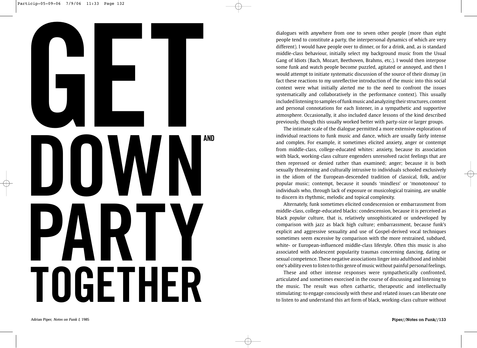

dialogues with anywhere from one to seven other people (more than eight people tend to constitute a party, the interpersonal dynamics of which are very different). I would have people over to dinner, or for a drink, and, as is standard middle-class behaviour, initially select my background music from the Usual Gang of Idiots (Bach, Mozart, Beethoven, Brahms, etc.). I would then interpose some funk and watch people become puzzled, agitated or annoyed, and then I would attempt to initiate systematic discussion of the source of their dismay (in fact these reactions to my unreflective introduction of the music into this social context were what initially alerted me to the need to confront the issues systematically and collaboratively in the performance context). This usually included listening to samples of funk music and analyzing their structures, content and personal connotations for each listener, in a sympathetic and supportive atmosphere. Occasionally, it also included dance lessons of the kind described previously, though this usually worked better with party-size or larger groups.

The intimate scale of the dialogue permitted a more extensive exploration of individual reactions to funk music and dance, which are usually fairly intense and complex. For example, it sometimes elicited anxiety, anger or contempt from middle-class, college-educated whites: anxiety, because its association with black, working-class culture engenders unresolved racist feelings that are then repressed or denied rather than examined; anger; because it is both sexually threatening and culturally intrusive to individuals schooled exclusively in the idiom of the European-descended tradition of classical, folk, and/or popular music; contempt, because it sounds 'mindless' or 'monotonous' to individuals who, through lack of exposure or musicological training, are unable to discern its rhythmic, melodic and topical complexity.

Alternately, funk sometimes elicited condescension or embarrassment from middle-class, college-educated blacks: condescension, because it is perceived as black *popular* culture, that is, relatively unsophisticated or undeveloped by comparison with jazz as black high culture; embarrassment, because funk's explicit and aggressive sexuality and use of Gospel-derived vocal techniques sometimes seem excessive by comparison with the more restrained, subdued, white- or European-influenced middle-class lifestyle. Often this music is also associated with adolescent popularity traumas concerning dancing, dating or sexual competence. These negative associations linger into adulthood and inhibit one's ability even to listen to this genre of music without painful personal feelings.

These and other intense responses were sympathetically confronted, articulated and sometimes exorcised in the course of discussing and listening to the music. The result was often cathartic, therapeutic and intellectually stimulating: to engage consciously with these and related issues can liberate one to listen to and understand this art form of black, working-class culture without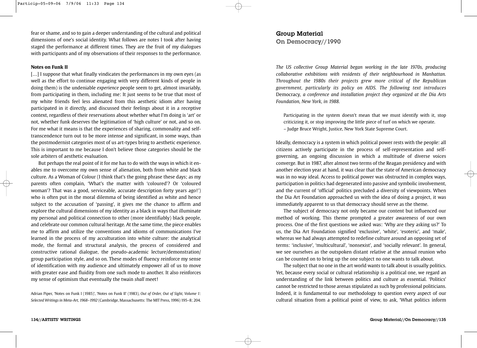fear or shame, and so to gain a deeper understanding of the cultural and political dimensions of one's social identity. What follows are notes I took after having staged the performance at different times. They are the fruit of my dialogues with participants and of my observations of their responses to the performance.

#### **Notes on Funk II**

[...] I suppose that what finally vindicates the performances in my own eyes (as well as the effort to continue engaging with very different kinds of people in doing them) is the undeniable *experience* people seem to get, almost invariably, from participating in them, including me: It just seems to be true that most of my white friends feel less alienated from this aesthetic idiom after having participated in it directly, and discussed their feelings about it in a receptive context, regardless of their reservations about whether what I'm doing is 'art' or not, whether funk deserves the legitimation of 'high culture' or not, and so on. For me what it means is that the experiences of sharing, commonality and selftranscendence turn out to be more intense and significant, in some ways, than the postmodernist categories most of us art-types bring to aesthetic experience. This is important to me because I don't believe those categories should be the sole arbiters of aesthetic evaluation.

But perhaps the real point of it for me has to do with the ways in which it enables me to overcome my own sense of alienation, both from white and black culture. As a Woman of Colour (I think that's the going phrase these days; as my parents often complain, 'What's the matter with 'coloured'? Or 'coloured woman'? That was a good, serviceable, accurate description forty years ago!') who is often put in the moral dilemma of being identified as white and hence subject to the accusation of 'passing', it gives me the chance to affirm and explore the cultural dimensions of my identity as a black in ways that illuminate my personal and political connection to other (more identifiably) black people, and celebrate our common cultural heritage. At the same time, the piece enables me to affirm and utilize the conventions and idioms of communications I've learned in the process of my acculturation into white culture: the analytical mode, the formal and structural analysis, the process of considered and constructive rational dialogue, the pseudo-academic lecture/demonstration/ group participation style, and so on. These modes of fluency reinforce my sense of identification with my audience and ultimately empower all of us to move with greater ease and fluidity from one such mode to another. It also reinforces my sense of optimism that eventually the twain *shall* meet!

Adrian Piper, 'Notes on Funk I (1985)', 'Notes on Funk II' (1983), *Out of Order, Out of Sight, Volume 1: Selected Writings in Meta-Art, 1968–1992* (Cambridge, Massachusetts: The MIT Press, 1996) 195–8; 204.

## Group Material On Democracy//1990

*The US collective Group Material began working in the late 1970s, producing collaborative exhibitions with residents of their neighbourhood in Manhattan. Throughout the 1980s their projects grew more critical of the Republican government, particularly its policy on AIDS. The following text introduces* Democracy*, a conference and installation project they organized at the Dia Arts Foundation, New York, in 1988.*

Participating in the system doesn't mean that we must identify with it, stop criticizing it, or stop improving the little piece of turf on which we operate. – Judge Bruce Wright, Justice, New York State Supreme Court.

Ideally, democracy is a system in which political power rests with the people: all citizens actively participate in the process of self-representation and selfgoverning, an ongoing discussion in which a multitude of diverse voices converge. But in 1987, after almost two terms of the Reagan presidency and with another election year at hand, it was clear that the state of American democracy was in no way ideal. Access to political power was obstructed in complex ways, participation in politics had degenerated into passive and symbolic involvement, and the current of 'official' politics precluded a diversity of viewpoints. When the Dia Art Foundation approached us with the idea of doing a project, it was immediately apparent to us that democracy should serve as the theme.

The subject of democracy not only became our content but influenced our method of working. This theme prompted a greater awareness of our own process. One of the first questions we asked was: 'Why are they asking us?' To us, the Dia Art Foundation signified 'exclusive', 'white', 'esoteric', and 'male', whereas we had always attempted to redefine culture around an opposing set of terms: 'inclusive', 'multicultural', 'nonsexist', and 'socially relevant'. In general, we see ourselves as the outspoken distant relative at the annual reunion who can be counted on to bring up the one subject no one wants to talk about.

The subject that no one in the art world wants to talk about is usually politics. Yet, because every social or cultural relationship is a political one, we regard an understanding of the link between politics and culture as essential. 'Politics' cannot be restricted to those arenas stipulated as such by professional politicians. Indeed, it is fundamental to our methodology to question every aspect of our cultural situation from a political point of view, to ask, 'What politics inform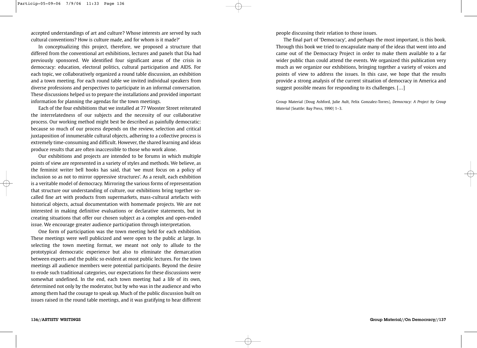accepted understandings of art and culture? Whose interests are served by such cultural conventions? How is culture made, and for whom is it made?'

In conceptualizing this project, therefore, we proposed a structure that differed from the conventional art exhibitions, lectures and panels that Dia had previously sponsored. We identified four significant areas of the crisis in democracy: education, electoral politics, cultural participation and AIDS. For each topic, we collaboratively organized a round table discussion, an exhibition and a town meeting. For each round table we invited individual speakers from diverse professions and perspectives to participate in an informal conversation. These discussions helped us to prepare the installations and provided important information for planning the agendas for the town meetings.

Each of the four exhibitions that we installed at 77 Wooster Street reiterated the interrelatedness of our subjects and the necessity of our collaborative process. Our working method might best be described as painfully democratic: because so much of our process depends on the review, selection and critical juxtaposition of innumerable cultural objects, adhering to a collective process is extremely time-consuming and difficult. However, the shared learning and ideas produce results that are often inaccessible to those who work alone.

Our exhibitions and projects are intended to be forums in which multiple points of view are represented in a variety of styles and methods. We believe, as the feminist writer bell hooks has said, that 'we must focus on a policy of inclusion so as not to mirror oppressive structures'. As a result, each exhibition is a veritable model of democracy. Mirroring the various forms of representation that structure our understanding of culture, our exhibitions bring together socalled fine art with products from supermarkets, mass-cultural artefacts with historical objects, actual documentation with homemade projects. We are not interested in making definitive evaluations or declarative statements, but in creating situations that offer our chosen subject as a complex and open-ended issue. We encourage greater audience participation through interpretation.

One form of participation was the town meeting held for each exhibition. These meetings were well publicized and were open to the public at large. In selecting the town meeting format, we meant not only to allude to the prototypical democratic experience but also to eliminate the demarcation between experts and the public so evident at most public lectures. For the town meetings all audience members were potential participants. Beyond the desire to erode such traditional categories, our expectations for these discussions were somewhat undefined. In the end, each town meeting had a life of its own, determined not only by the moderator, but by who was in the audience and who among them had the courage to speak up. Much of the public discussion built on issues raised in the round table meetings, and it was gratifying to hear different

people discussing their relation to those issues.

The final part of 'Democracy', and perhaps the most important, is this book. Through this book we tried to encapsulate many of the ideas that went into and came out of the Democracy Project in order to make them available to a far wider public than could attend the events. We organized this publication very much as we organize our exhibitions, bringing together a variety of voices and points of view to address the issues. In this case, we hope that the results provide a strong analysis of the current situation of democracy in America and suggest possible means for responding to its challenges. […]

Group Material (Doug Ashford, Julie Ault, Felix Gonzalez-Torres), *Democracy: A Project by Group Material* (Seattle: Bay Press, 1990) 1–3.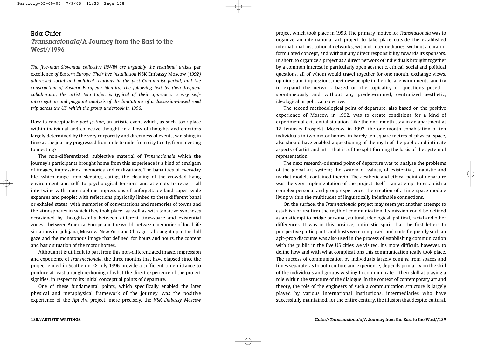# Eda Cufer Transnacionala/A Journey from the East to the West//1996

*The five-man Slovenian collective IRWIN are arguably the relational artists* par excellence *of Eastern Europe. Their live installation* NSK Embassy Moscow *(1992) addressed social and political relations in the post-Communist period, and the construction of Eastern European identity. The following text by their frequent collaborator, the artist Eda Cufer, is typical of their approach: a wry selfinterrogation and poignant analysis of the limitations of a discussion-based road trip across the US, which the group undertook in 1996.*

How to conceptualize *post festum*, an artistic event which, as such, took place within individual and collective thought, in a flow of thoughts and emotions largely determined by the very corporeity and directness of events, vanishing in time as the journey progressed from mile to mile, from city to city, from meeting to meeting?

The non-differentiated, subjective material of *Transnacionala* which the journey's participants brought home from this experience is a kind of amalgam of images, impressions, memories and realizations. The banalities of everyday life, which range from sleeping, eating, the cleaning of the crowded living environment and self, to psychological tensions and attempts to relax – all intertwine with more sublime impressions of unforgettable landscapes, wide expanses and people; with reflections physically linked to these different banal or exhaled states; with memories of conversations and memories of towns and the atmospheres in which they took place; as well as with tentative syntheses occasioned by thought-shifts between different time-space and existential zones – between America, Europe and the world, between memories of local life situations in Ljubljana, Moscow, New York and Chicago – all caught up in the dull gaze and the monotonous image that defined, for hours and hours, the content and basic situation of the motor homes.

Although it is difficult to part from this non-differentiated image, impression and experience of *Transnacionala*, the three months that have elapsed since the project ended in Seattle on 28 July 1996 provide a sufficient time-distance to produce at least a rough reckoning of what the direct experience of the project signifies, in respect to its initial conceptual points of departure.

One of these fundamental points, which specifically enabled the later physical and metaphysical framework of the journey, was the positive experience of the *Apt Art* project, more precisely, the *NSK Embassy Moscow*

project which took place in 1993. The primary motive for *Transnacionala* was to organize an international art project to take place outside the established international institutional networks, without intermediaries, without a curatorformulated concept, and without any direct responsibility towards its sponsors. In short, to organize a project as a direct network of individuals brought together by a common interest in particularly open aesthetic, ethical, social and political questions, all of whom would travel together for one month, exchange views, opinions and impressions, meet new people in their local environments, and try to expand the network based on the topicality of questions posed – spontaneously and without any predetermined, centralized aesthetic, ideological or political objective.

The second methodological point of departure, also based on the positive experience of Moscow in 1992, was to create conditions for a kind of experimental existential situation. Like the one-month stay in an apartment at 12 Leninsky Prospekt, Moscow, in 1992, the one-month cohabitation of ten individuals in two motor homes, in barely ten square metres of physical space, also should have enabled a questioning of the myth of the public and intimate aspects of artist and art – that is, of the split forming the basis of the system of representation.

The next research-oriented point of departure was to analyse the problems of the global art system; the system of values, of existential, linguistic and market models contained therein. The aesthetic and ethical point of departure was the very implementation of the project itself – an attempt to establish a complex personal and group experience, the creation of a time-space module living within the multitudes of linguistically indefinable connections.

On the surface, the *Transnacionala* project may seem yet another attempt to establish or reaffirm the myth of communication. Its mission could be defined as an attempt to bridge personal, cultural, ideological, political, racial and other differences. It was in this positive, optimistic spirit that the first letters to prospective participants and hosts were composed, and quite frequently such an agit-prop discourse was also used in the process of establishing communication with the public in the five US cities we visited. It's more difficult, however, to define how and with what complications this communication really took place. The success of communication by individuals largely coming from spaces and times separate, as to both culture and experience, depends primarily on the skill of the individuals and groups wishing to communicate – their skill at playing a role within the structure of the dialogue. In the context of contemporary art and theory, the role of the engineers of such a communication structure is largely played by various international institutions, intermediaries who have successfully maintained, for the entire century, the illusion that despite cultural,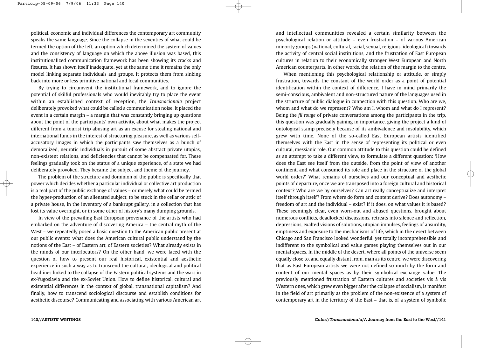political, economic and individual differences the contemporary art community speaks the same language. Since the collapse in the seventies of what could be termed the option of the left, an option which determined the system of values and the consistency of language on which the above illusion was based, this institutionalized communication framework has been showing its cracks and fissures. It has shown itself inadequate, yet at the same time it remains the only model linking separate individuals and groups. It protects them from sinking back into more or less primitive national and local communities.

By trying to circumvent the institutional framework, and to ignore the potential of skilful professionals who would inevitably try to place the event within an established context of reception, the *Transnacionala* project deliberately provoked what could be called a communication noise. It placed the event in a certain margin – a margin that was constantly bringing up questions about the point of the participants' own activity, about what makes the project different from a tourist trip abusing art as an excuse for stealing national and international funds in the interest of structuring pleasure, as well as various selfaccusatory images in which the participants saw themselves as a bunch of demoralized, neurotic individuals in pursuit of some abstract private utopias, non-existent relations, and deficiencies that cannot be compensated for. These feelings gradually took on the status of a unique experience, of a state we had deliberately provoked. They became the subject and theme of the journey.

The problem of the structure and dominion of the public is specifically that power which decides whether a particular individual or collective art production is a real part of the public exchange of values – or merely what could be termed the hyper-production of an alienated subject, to be stuck in the cellar or attic of a private house, in the inventory of a bankrupt gallery, in a collection that has lost its value overnight, or in some other of history's many dumping grounds.

In view of the prevailing East European provenance of the artists who had embarked on the adventure of discovering America – the central myth of the West – we repeatedly posed a basic question to the American public present at our public events: what does the American cultural public understand by the notions of the East – of Eastern art, of Eastern societies? What already exists in the minds of our interlocutors? On the other hand, we were faced with the question of how to present our real historical, existential and aesthetic experience in such a way as to transcend the cultural, ideological and political headlines linked to the collapse of the Eastern political systems and the wars in ex-Yugoslavia and the ex-Soviet Union. How to define historical, cultural and existential differences in the context of global, transnational capitalism? And finally, how to transcend sociological discourse and establish conditions for aesthetic discourse? Communicating and associating with various American art

and intellectual communities revealed a certain similarity between the psychological relation or attitude – even frustration – of various American minority groups (national, cultural, racial, sexual, religious, ideological) towards the activity of central social institutions, and the frustration of East European cultures in relation to their economically stronger West European and North American counterparts. In other words, the relation of the margin to the centre.

When mentioning this psychological relationship or attitude, or simply frustration, towards the constant of the world order as a point of potential identification within the context of difference, I have in mind primarily the semi-conscious, ambivalent and non-structured nature of the languages used in the structure of public dialogue in connection with this question. Who are we, whom and what do we represent? Who am I, whom and what do I represent? Being the *fil rouge* of private conversations among the participants in the trip, this question was gradually gaining in importance, giving the project a kind of ontological stamp precisely because of its ambivalence and insolubility, which grew with time. None of the so-called East European artists identified themselves with the East in the sense of representing its political or even cultural, messianic role. Our common attitude to this question could be defined as an attempt to take a different view, to formulate a different question: 'How does the East see itself from the outside, from the point of view of another continent, and what consumed its role and place in the structure of the global world order?' What remains of ourselves and our conceptual and aesthetic points of departure, once we are transposed into a foreign cultural and historical context? Who are we by ourselves? Can art really conceptualize and interpret itself through itself? From where do form and content derive? Does autonomy – freedom of art and the individual – exist? If it does, on what values it is based? These seemingly clear, even worn-out and abused questions, brought about numerous conflicts, deadlocked discussions, retreats into silence and reflection, depressions, exalted visions of solutions, utopian impulses, feelings of absurdity, emptiness and exposure to the mechanisms of life, which in the desert between Chicago and San Francisco looked wonderful, yet totally incomprehensible and indifferent to the symbolical and value games playing themselves out in our mental spaces. In the middle of the desert, where all points of the universe seem equally close to, and equally distant from, man as its centre, we were discovering that as East European artists we were not defined so much by the form and content of our mental spaces as by their symbolical exchange value. The previously mentioned frustration of Eastern cultures and societies vis à vis Western ones, which grew even bigger after the collapse of socialism, is manifest in the field of art primarily as the problem of the non-existence of a system of contemporary art in the territory of the East – that is, of a system of symbolic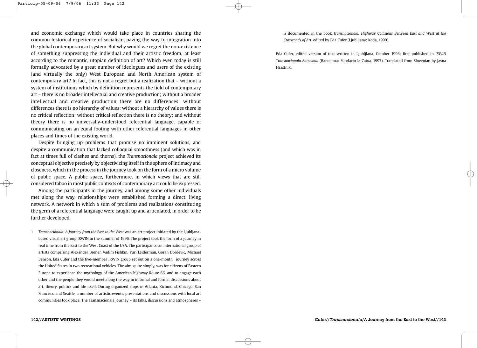and economic exchange which would take place in countries sharing the common historical experience of socialism, paving the way to integration into the global contemporary art system. But why would we regret the non-existence of something suppressing the individual and their artistic freedom, at least according to the romantic, utopian definition of art? Which even today is still formally advocated by a great number of ideologues and users of the existing (and virtually the only) West European and North American system of contemporary art? In fact, this is not a regret but a realization that – without a system of institutions which by definition represents the field of contemporary art – there is no broader intellectual and creative production; without a broader intellectual and creative production there are no differences; without differences there is no hierarchy of values; without a hierarchy of values there is no critical reflection; without critical reflection there is no theory; and without theory there is no universally-understood referential language, capable of communicating on an equal footing with other referential languages in other places and times of the existing world.

Despite bringing up problems that promise no imminent solutions, and despite a communication that lacked colloquial smoothness (and which was in fact at times full of clashes and thorns), the *Transnacionala* project achieved its conceptual objective precisely by objectivizing itself in the sphere of intimacy and closeness, which in the process in the journey took on the form of a micro volume of public space. A public space, furthermore, in which views that are still considered taboo in most public contexts of contemporary art could be expressed.

Among the participants in the journey, and among some other individuals met along the way, relationships were established forming a direct, living network. A network in which a sum of problems and realizations constituting the germ of a referential language were caught up and articulated, in order to be further developed.

1 *Transnacionala: A Journey from the East to the West* was an art project initiated by the Ljubljanabased visual art group IRWIN in the summer of 1996. The project took the form of a journey in real time from the East to the West Coast of the USA. The participants, an international group of artists comprising Alexander Brener, Vadim Fishkin, Yuri Leiderman, Goran Dordevic, Michael Benson, Eda Cufer and the five-member IRWIN group set out on a one-month journey across the United States in two recreational vehicles. The aim, quite simply, was for citizens of Eastern Europe to experience the mythology of the American highway Route 66, and to engage each other and the people they would meet along the way in informal and formal discussions about art, theory, politics and life itself. During organized stops in Atlanta, Richmond, Chicago, San Francisco and Seattle, a number of artistic events, presentations and discussions with local art communities took place. The Transnacionala journey – its talks, discussions and atmospheres –

is documented in the book *Transnacionala: Highway Collisions Between East and West at the Crossroads of Art*, edited by Eda Cufer (Ljubljlana: Koda, 1999).

Eda Cufer, edited version of text written in Ljubljlana, October 1996; first published in *IRWIN Transnacionala Barcelona* (Barcelona: Fundacio la Caixa, 1997). Translated from Slovenian by Jasna Hrastnik.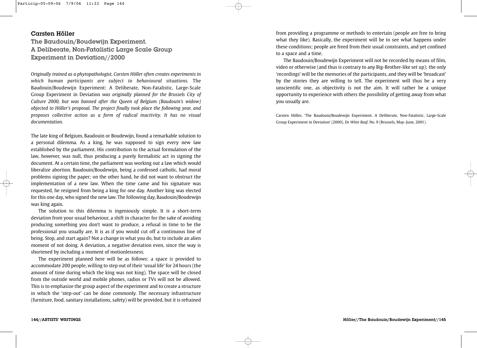# Carsten Höller

The Baudouin/Boudewijn Experiment. A Deliberate, Non-Fatalistic Large Scale Group Experiment in Deviation//2000

*Originally trained as a phytopathologist, Carsten Höller often creates experiments in which human participants are subject to behavioural situations.* The Baudouin/Boudewijn Experiment: A Deliberate, Non-Fatalistic, Large-Scale Group Experiment in Deviation *was originally planned for the Brussels City of Culture 2000, but was banned after the Queen of Belgium (Baudouin's widow) objected to Höller's proposal. The project finally took place the following year, and proposes collective action as a form of radical inactivity. It has no visual documentation.*

The late king of Belgium, Baudouin or Boudewijn, found a remarkable solution to a personal dilemma. As a king, he was supposed to sign every new law established by the parliament. His contribution to the actual formulation of the law, however, was null, thus producing a purely formalistic act in signing the document. At a certain time, the parliament was working out a law which would liberalize abortion. Baudouin/Boudewijn, being a confessed catholic, had moral problems signing the paper; on the other hand, he did not want to obstruct the implementation of a new law. When the time came and his signature was requested, he resigned from being a king for one day. Another king was elected for this one day, who signed the new law. The following day, Baudouin/Boudewijn was king again.

The solution to this dilemma is ingeniously simple. It is a short-term deviation from your usual behaviour, a shift in character for the sake of avoiding producing something you don't want to produce, a refusal in time to be the professional you usually are. It is as if you would cut off a continuous line of being. Stop, and start again? Not a change in what you do, but to include an alien moment of not doing. A deviation, a negative deviation even, since the way is shortened by including a moment of motionlessness.

The experiment planned here will be as follows: a space is provided to accommodate 200 people, willing to step out of their 'usual life' for 24 hours (the amount of time during which the king was not king). The space will be closed from the outside world and mobile phones, radios or TVs will not be allowed. This is to emphasize the group aspect of the experiment and to create a structure in which the 'step-out' can be done commonly. The necessary infrastructure (furniture, food, sanitary installations, safety) will be provided, but it is refrained

from providing a programme or methods to entertain (people are free to bring what they like). Basically, the experiment will be to see what happens under these conditions; people are freed from their usual constraints, and yet confined to a space and a time.

The Baudouin/Boudewijn Experiment will not be recorded by means of film, video or otherwise (and thus is contrary to any Big-Brother-like set up); the only 'recordings' will be the memories of the participants, and they will be 'broadcast' by the stories they are willing to tell. The experiment will thus be a very unscientific one, as objectivity is not the aim. It will rather be a unique opportunity to experience with others the possibility of getting away from what you usually are.

Carsten Höller, 'The Baudouin/Boudewijn Experiment. A Deliberate, Non-Fatalistic, Large-Scale Group Experiment in Deviation' (2000), *De Witte Raaf*, No. 9 (Brussels, May–June, 2001).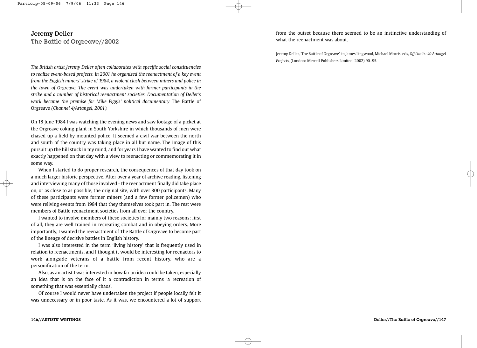# Jeremy Deller

The Battle of Orgreave//2002

*The British artist Jeremy Deller often collaborates with specific social constituencies to realize event-based projects. In 2001 he organized the reenactment of a key event from the English miners' strike of 1984, a violent clash between miners and police in the town of Orgreave. The event was undertaken with former participants in the strike and a number of historical reenactment societies. Documentation of Deller's work became the premise for Mike Figgis' political documentary* The Battle of Orgreave *(Channel 4/Artangel, 2001).*

On 18 June 1984 I was watching the evening news and saw footage of a picket at the Orgreave coking plant in South Yorkshire in which thousands of men were chased up a field by mounted police. It seemed a civil war between the north and south of the country was taking place in all but name. The image of this pursuit up the hill stuck in my mind, and for years I have wanted to find out what exactly happened on that day with a view to reenacting or commemorating it in some way.

When I started to do proper research, the consequences of that day took on a much larger historic perspective. After over a year of archive reading, listening and interviewing many of those involved - the reenactment finally did take place on, or as close to as possible, the original site, with over 800 participants. Many of these participants were former miners (and a few former policemen) who were reliving events from 1984 that they themselves took part in. The rest were members of Battle reenactment societies from all over the country.

I wanted to involve members of these societies for mainly two reasons: first of all, they are well trained in recreating combat and in obeying orders. More importantly, I wanted the reenactment of The Battle of Orgreave to become part of the lineage of decisive battles in English history.

I was also interested in the term 'living history' that is frequently used in relation to reenactments, and I thought it would be interesting for reenactors to work alongside veterans of a battle from recent history, who are a personification of the term.

Also, as an artist I was interested in how far an idea could be taken, especially an idea that is on the face of it a contradiction in terms 'a recreation of something that was essentially chaos'.

Of course I would never have undertaken the project if people locally felt it was unnecessary or in poor taste. As it was, we encountered a lot of support

from the outset because there seemed to be an instinctive understanding of what the reenactment was about.

Jeremy Deller, 'The Battle of Orgreave', in James Lingwood, Michael Morris, eds, *Off Limits: 40 Artangel Projects*, (London: Merrell Publishers Limited, 2002) 90–95.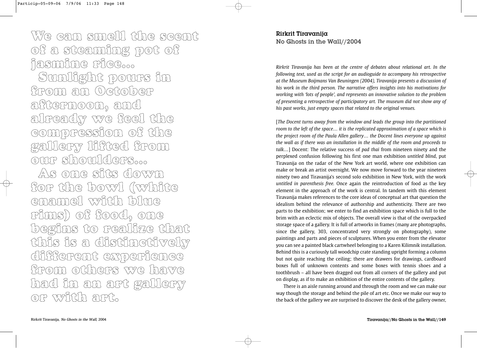**We can smell the scent of a steaming pot of jasmine rice... Sunlight pours in from an October**

**afternoon, and already we feel the compression of the gallery lifted from our shoulders...**

**As one sits down for the bowl (white enamel with blue rims) of food, one begins to realize that this is a distinctively different experience from others we have had in an art gallery or with art.**

Rirkrit Tiravanija No Ghosts in the Wall//2004

*Rirkrit Tiravanija has been at the centre of debates about relational art. In the following text, used as the script for an audioguide to accompany his retrospective at the Museum Boijmans Van Beuningen (2004), Tiravanija presents a discussion of his work in the third person. The narrative offers insights into his motivations for working with 'lots of people', and represents an innovative solution to the problem of presenting a retrospective of participatory art. The museum did not show any of his past works, just empty spaces that related to the original venues.*

[*The Docent turns away from the window and leads the group into the partitioned room to the left of the space… it is the replicated approximation of a space which is the project room of the Paula Allen gallery… the Docent lines everyone up against the wall as if there was an installation in the middle of the room and proceeds to talk*…] Docent: The relative success of *pad thai* from nineteen ninety and the perplexed confusion following his first one man exhibition *untitled blind*, put Tiravanija on the radar of the New York art world, where one exhibition can make or break an artist overnight. We now move forward to the year nineteen ninety two and Tiravanija's second solo exhibition in New York, with the work *untitled in parenthesis free.* Once again the reintroduction of food as the key element in the approach of the work is central. In tandem with this element Tiravanija makes references to the core ideas of conceptual art that question the idealism behind the relevance of authorship and authenticity. There are two parts to the exhibition; we enter to find an exhibition space which is full to the brim with an eclectic mix of objects. The overall view is that of the overpacked storage space of a gallery. It is full of artworks in frames (many are photographs, since the gallery, 303, concentrated very strongly on photography), some paintings and parts and pieces of sculptures. When you enter from the elevator you can see a painted black cartwheel belonging to a Karen Kilimnik installation. Behind this is a curiously tall woodchip crate standing upright forming a column but not quite reaching the ceiling; there are drawers for drawings, cardboard boxes full of unknown contents and some boxes with tennis shoes and a toothbrush – all have been dragged out from all corners of the gallery and put on display, as if to make an exhibition of the entire contents of the gallery.

There is an aisle running around and through the room and we can make our way though the storage and behind the pile of art etc. Once we make our way to the back of the gallery we are surprised to discover the desk of the gallery owner,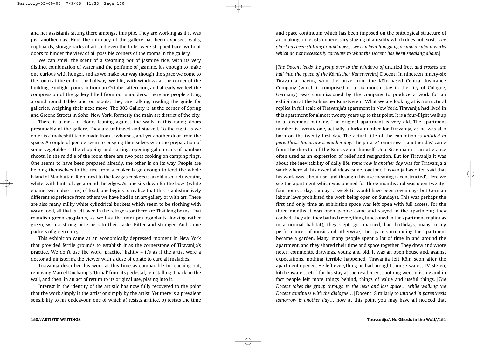and her assistants sitting there amongst this pile. They are working as if it was just another day. Here the intimacy of the gallery has been exposed: walls, cupboards, storage racks of art and even the toilet were stripped bare, without doors to hinder the view of all possible corners of the rooms in the gallery.

We can smell the scent of a steaming pot of jasmine rice, with its very distinct combination of water and the perfume of jasmine. It's enough to make one curious with hunger, and as we make our way though the space we come to the room at the end of the hallway, well lit, with windows at the corner of the building. Sunlight pours in from an October afternoon, and already we feel the compression of the gallery lifted from our shoulders. There are people sitting around round tables and on stools; they are talking, reading the guide for galleries, weighing their next move. The 303 Gallery is at the corner of Spring and Greene Streets in Soho, New York, formerly the main art district of the city.

There is a mess of doors leaning against the walls in this room; doors presumably of the gallery. They are unhinged and stacked. To the right as we enter is a makeshift table made from sawhorses, and yet another door from the space. A couple of people seem to busying themselves with the preparation of some vegetables – the chopping and cutting; opening gallon cans of bamboo shoots. In the middle of the room there are two pots cooking on camping rings. One seems to have been prepared already, the other is on its way. People are helping themselves to the rice from a cooker large enough to feed the whole Island of Manhattan. Right next to the low gas cookers is an old used refrigerator, white, with hints of age around the edges. As one sits down for the bowl (white enamel with blue rims) of food, one begins to realize that this is a distinctively different experience from others we have had in an art gallery or with art. There are also many milky white cylindrical buckets which seem to be sloshing with waste food, all that is left over. In the refrigerator there are Thai long beans, Thai roundish green eggplants, as well as the mini pea eggplants, looking rather green, with a strong bitterness to their taste. Bitter and stronger. And some packets of green curry.

This exhibition came at an economically depressed moment in New York that provided fertile grounds to establish it as the cornerstone of Tiravanija's practice. We don't use the word 'practice' lightly – it's as if the artist were a doctor administering the viewer with a dose of opiate to cure all maladies.

Tiravanija described his work at this time as comparable to reaching out, removing Marcel Duchamp's 'Urinal' from its pedestal, reinstalling it back on the wall, and then, in an act of return to its original use, pissing into it.

Interest in the identity of the artistic has now fully recovered to the point that the work simply is the artist or simply by the artist. Yet there is a prevalent sensibility to his endeavour, one of which a) resists artifice, b) resists the time and space continuum which has been imposed on the ontological structure of art making, c) resists unnecessary staging of a reality which does not exist. [*The ghost has been shifting around now… we can hear him going on and on about works which do not necessarily correlate to what the Docent has been speaking about*.]

[*The Docent leads the group over to the windows of* untitled free, *and crosses the hall into the space of the Kölnischer Kunstverein.*] Docent: In nineteen ninety-six Tiravanija, having won the prize from the Köln-based Central Insurance Company (which is comprised of a six month stay in the city of Cologne, Germany), was commissioned by the company to produce a work for an exhibition at the Kölnischer Kunstverein. What we are looking at is a structural replica in full scale of Tiravanija's apartment in New York. Tiravanija had lived in this apartment for almost twenty years up to that point. It is a four-flight walkup in a tenement building. The original apartment is very old. The apartment number is twenty-one, actually a lucky number for Tiravanija, as he was also born on the twenty-first day. The actual title of the exhibition is *untitled in parenthesis tomorrow is another day*. The phrase 'tomorrow is another day' came from the director of the Kunstverein himself, Udo Kittelmann – an utterance often used as an expression of relief and resignation. But for Tiravanija it was about the inevitability of daily life. *tomorrow is another day* was for Tiravanija a work where all his essential ideas came together. Tiravanija has often said that his work was 'about use, and through this use meaning is constructed'. Here we see the apartment which was opened for three months and was open twentyfour hours a day, six days a week (it would have been seven days but German labour laws prohibited the work being open on Sundays). This was perhaps the first and only time an exhibition space was left open with full access. For the three months it was open people came and stayed in the apartment; they cooked, they ate, they bathed (everything functioned in the apartment replica as in a normal habitat), they slept, got married, had birthdays, many, many performances of music and otherwise; the space surrounding the apartment became a garden. Many, many people spent a lot of time in and around the apartment, and they shared their time and space together. They drew and wrote notes, comments, drawings, young and old. It was an open house and, against expectations, nothing terrible happened. Tiravanija left Köln soon after the apartment opened. He left everything he had brought (house-wares, TV, stereo, kitchenware… etc.) for his stay at the residency… nothing went missing and in fact people left more things behind, things of value and useful things. [*The Docent takes the group through to the next and last space… while walking the Docent continues with the dialogue*…] Docent: Similarly to *untitled in parenthesis tomorrow is another day*… now at this point you may have all noticed that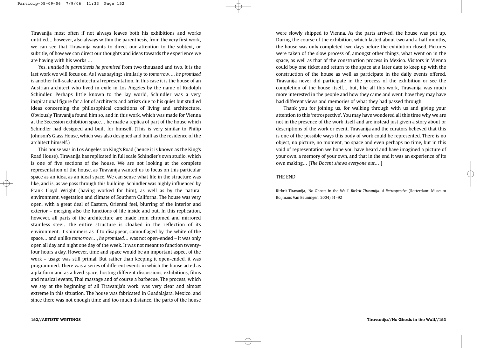Tiravanija most often if not always leaves both his exhibitions and works untitled… however, also always within the parenthesis, from the very first work, we can see that Tiravanija wants to direct our attention to the subtext, or subtitle, of how we can direct our thoughts and ideas towards the experience we are having with his works …

Yes, *untitled in parenthesis he promised* from two thousand and two. It is the last work we will focus on. As I was saying: similarly to *tomorrow…, he promised* is another full-scale architectural representation. In this case it is the house of an Austrian architect who lived in exile in Los Angeles by the name of Rudolph Schindler. Perhaps little known to the lay world, Schindler was a very inspirational figure for a lot of architects and artists due to his quiet but studied ideas concerning the philosophical conditions of living and architecture. Obviously Tiravanija found him so, and in this work, which was made for Vienna at the Secession exhibition space… he made a replica of part of the house which Schindler had designed and built for himself. (This is very similar to Philip Johnson's Glass House, which was also designed and built as the residence of the architect himself.)

This house was in Los Angeles on King's Road (hence it is known as the King's Road House). Tiravanija has replicated in full scale Schindler's own studio, which is one of five sections of the house. We are not looking at the complete representation of the house, as Tiravanija wanted us to focus on this particular space as an idea, as an ideal space. We can sense what life in the structure was like, and is, as we pass through this building. Schindler was highly influenced by Frank Lloyd Wright (having worked for him), as well as by the natural environment, vegetation and climate of Southern Californa. The house was very open, with a great deal of Eastern, Oriental feel, blurring of the interior and exterior – merging also the functions of life inside and out. In this replication, however, all parts of the architecture are made from chromed and mirrored stainless steel. The entire structure is cloaked in the reflection of its environment. It shimmers as if to disappear, camouflaged by the white of the space… and unlike *tomorrow*…, *he promised*… was not open-ended – it was only open all day and night one day of the week. It was not meant to function twentyfour hours a day. However, time and space would be an important aspect of the work – usage was still primal. But rather than keeping it open-ended, it was programmed. There was a series of different events in which the house acted as a platform and as a lived space, hosting different discussions, exhibitions, films and musical events, Thai massage and of course a barbecue. The process, which we say at the beginning of all Tiravanija's work, was very clear and almost extreme in this situation. The house was fabricated in Guadalajara, Mexico, and since there was not enough time and too much distance, the parts of the house

were slowly shipped to Vienna. As the parts arrived, the house was put up. During the course of the exhibition, which lasted about two and a half months, the house was only completed two days before the exhibition closed. Pictures were taken of the slow process of, amongst other things, what went on in the space, as well as that of the construction process in Mexico. Visitors in Vienna could buy one ticket and return to the space at a later date to keep up with the construction of the house as well as participate in the daily events offered. Tiravanija never did participate in the process of the exhibition or see the completion of the house itself… but, like all this work, Tiravanija was much more interested in the people and how they came and went, how they may have had different views and memories of what they had passed through.

Thank you for joining us, for walking through with us and giving your attention to this 'retrospective'. You may have wondered all this time why we are not in the presence of the work itself and are instead just given a story about or descriptions of the work or event. Tiravanija and the curators believed that this is one of the possible ways this body of work could be represented. There is no object, no picture, no moment, no space and even perhaps no time, but in this void of representation we hope you have heard and have imagined a picture of your own, a memory of your own, and that in the end it was an experience of its own making… [*The Docent shows everyone out*… ]

#### THE END

Rirkrit Tiravanija, 'No Ghosts in the Wall', *Rirkrit Tiravanija: A Retrospective* (Rotterdam: Museum Boijmans Van Beuningen, 2004) 51–92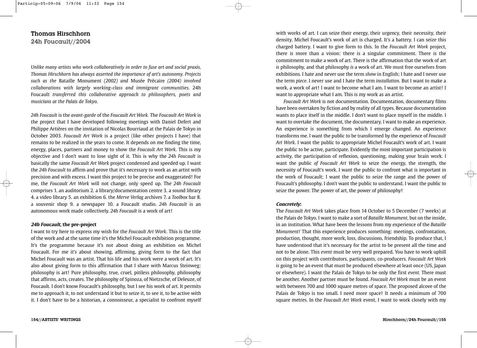### Thomas Hirschhorn

24h Foucault//2004

*Unlike many artists who work collaboratively in order to fuse art and social praxis, Thomas Hirschhorn has always asserted the importance of art's autonomy. Projects such as the* Bataille Monument *(2002) and* Musée Précaire *(2004) involved collaborations with largely working-class and immigrant communities.* 24h Foucault *transferred this collaborative approach to philosophers, poets and musicians at the Palais de Tokyo.*

*24h Foucault* is the *avant-garde* of the *Foucault Art Work.* The *Foucault Art Work* is the project that I have developed following meetings with Daniel Defert and Philippe Artières on the invitation of Nicolas Bourriaud at the Palais de Tokyo in October 2003. *Foucault Art Work* is a project (like other projects I have) that remains to be realized in the years to come. It depends on me finding the time, energy, places, partners and money to show the *Foucault Art Work.* This is my objective and I don't want to lose sight of it. This is why the *24h Foucault* is basically the same *Foucault Art Work* project condensed and speeded up. I want the *24h Foucault* to affirm and prove that it's necessary to work as an artist with precision and with excess. I want this project to be precise and exaggerated! For me, the *Foucault Art Work* will not change, only speed up. The *24h Foucault* comprises 1. an auditorium 2. a library/documentation centre 3. a sound library 4. a video library 5. an exhibition 6. the *Merve Verlag* archives 7. a *Toolbox* bar 8. a souvenir shop 9. a newspaper 10. a Foucault studio. *24h Foucault* is an autonomous work made collectively. *24h Foucault* is a work of art!

#### **24h Foucault, the pre-project**

I want to try here to express my wish for the *Foucault Art Work.* This is the title of the work and at the same time it's the Michel Foucault exhibition programme. It's the programme because it's not about doing an exhibition on Michel Foucault. For me it's about showing, affirming, giving form to the fact that Michel Foucault was an artist. That his life and his work were a work of art. It's also about giving form to this affirmation that I share with Marcus Steinweg: philosophy is art! Pure philosophy, true, cruel, pitiless philosophy, philosophy that affirms, acts, creates. The philosophy of Spinoza, of Nietzsche, of Deleuze, of Foucault. I don't know Foucault's philosophy, but I see his work of art. It permits me to approach it, to not understand it but to seize it, to see it, to be active with it. I don't have to be a historian, a connoisseur, a specialist to confront myself

with works of art. I can seize their energy, their urgency, their necessity, their density. Michel Foucault's work of art is charged. It's a battery. I can seize this charged battery. I want to give form to this. In the *Foucault Art Work* project, there is more than a vision: there is a singular commitment. There is the commitment to make a work of art. There is the affirmation that the work of art *is* philosophy, and that philosophy *is* a work of art. We must free ourselves from exhibitions. I hate and never use the term *show* in English; I hate and I never use the term *piece.* I never use and I hate the term *installation.* But I want to make a work, a work of art! I want to become what I am. I want to become an artist! I want to appropriate what I am. This is my work as an artist.

*Foucault Art Work* is not documentation. Documentation, documentary films have been overtaken by fiction and by reality of all types. Because documentation wants to place itself in the middle. I don't want to place myself in the middle. I want to overtake the document, the documentary. I want to make an experience. An experience is something from which I emerge changed. An experience transforms me. I want the public to be transformed by the experience of *Foucault Art Work.* I want the public to appropriate Michel Foucault's work of art. I want the public to be active, participate. Evidently the most important participation is activity, the participation of reflexion, questioning, making your brain work. I want the public *of Foucault Art Work* to seize the energy, the strength, the necessity of Foucault's work. I want the public to confront what is important in the work of Foucault; I want the public to seize the range and the power of Foucault's philosophy. I don't want the public to understand. I want the public to seize the power. The power of art, the power of philosophy!

#### **Concretely:**

The *Foucault Art Work* takes place from 14 October to 5 December (7 weeks) at the Palais de Tokyo. I want to make a sort of *Bataille Monument*, but on the inside, in an institution. What have been the lessons from my experience of the *Bataille Monument!* That this experience produces something: meetings, confrontation, production, thought, more work, loss, discussions, friendship. To produce that, I have understood that it's necessary for the artist to be present all the time and not to be alone. This *event* must be very well prepared. You have to work uphill on this project with contributors, participants, co-producers. *Foucault Art Work is* going to be an event that must be produced elsewhere at least once (US, Japan or elsewhere). I want the Palais de Tokyo to be only the first *event.* There must be another. Another partner must be found. *Foucault Art Work* must be an event with between 700 and 1000 square metres of space. The proposed alcove of the Palais de Tokyo is too small. I need more space! It needs a minimum of 700 square metres. In the *Foucault Art Work* event, I want to work closely with my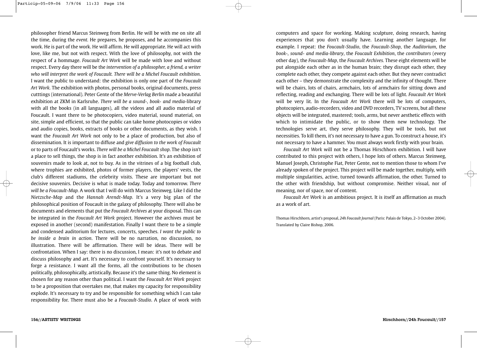philosopher friend Marcus Steinweg from Berlin. He will be with me on site all the time, during the *event.* He prepares, he proposes, and he accompanies this work. He is part of the work. He will affirm. He will appropriate. He will act with love, like me, but not with respect. With the love of philosophy, not with the respect of a hommage. *Foucault Art Work* will be made with love and without respect. Every day there will be the *intervention of a philosopher, a friend, a writer who will interpret the work of Foucault. There will be a Michel Foucault exhibition*. I want the public to understand: the exhibition is only one part of the *Foucault Art Work.* The exhibition with photos, personal books, original documents, press cutttings (international). Peter Gente of the *Merve-Verlag Berlin* made a beautiful exhibition at ZKM in Karlsruhe. *There will be a sound-, book- and media-*library with all the books (in all languages), all the videos and all audio material of Foucault. I want there to be photocopiers, video material, sound material, on site, simple and efficient, so that the public can take home photocopies or video and audio copies, books, extracts of books or other documents, as they wish. I want the *Foucault Art Work* not only to be a place of production, but also of dissemination. It is important to diffuse and *give diffusion to the work of Foucault* or to parts of Foucault's works. *There will be a Michel Foucault shop*. The shop isn't a place to sell things, the shop is in fact another exhibition. It's an exhibition of souvenirs made to look at, not to buy. As in the vitrines of a big football club, where trophies are exhibited, photos of former players, the players' vests, the club's different stadiums, the celebrity visits. These are important but not decisive souvenirs. Decisive is what is made today. Today and tomorrow. *There will be a Foucault-Map.* A work that I will do with Marcus Steinweg. Like I did the *Nietzsche-Map* and the *Hannah Arendt-Map.* It's a very big plan of the philosophical position of Foucault in the galaxy of philosophy. There will also be documents and elements that put the *Foucault Archives* at your disposal. This can be integrated in the *Foucault Art Work* project. However the archives must be exposed in another (second) manifestation. Finally I want there to be a simple and condensed auditorium for lectures, concerts, speeches. *I want the public to be inside a brain in action*. There will be no narration, no discussion, no illustration. There will be affirmation. There will be ideas. There will be confrontation. When I say: there is no discussion, I mean: it's not to debate and discuss philosophy and art. It's necessary to confront yourself. It's necessary to forge a resistance. I want all the forms, all the contributions to be chosen politically, philosophically, artistically. Because it's the same thing. No element is chosen for any reason other than political. I want the *Foucault Art Work* project to be a proposition that overtakes me, that makes my capacity for responsibility explode. It's necessary to try and be responsible for something which I can take responsibility for. There must also be a *Foucault-Studio*. A place of work with

computers and space for working. Making sculpture, doing research, having experiences that you don't usually have. Learning another language, for example. I repeat: the *Foucault-Studio*, the *Foucault-Shop*, the *Auditorium*, the *book-, sound- and media-library*, the *Foucault Exhibition*, the *contributors* (every other day), the *Foucault-Map*, the *Foucault Archives.* These eight elements will be put alongside each other as in the human brain; they disrupt each other, they complete each other, they compete against each other. But they never contradict each other – they demonstrate the complexity and the infinity of thought. There will be chairs, lots of chairs, armchairs, lots of armchairs for sitting down and reflecting, reading and exchanging. There will be lots of light. *Foucault Art Work* will be very lit. In the *Foucault Art Work* there will be lots of computers, photocopiers, audio-recorders, video and DVD recorders, TV screens, but all these objects will be integrated, mastered; tools, arms, but never aesthetic effects with which to intimidate the public, or to show them new technology. The technologies serve art, they serve philosophy. They will be tools, but not necessities. To kill them, it's not necessary to have a gun. To construct a house, it's not necessary to have a hammer. You must always work firstly with your brain.

*Foucault Art Work* will not be a Thomas Hirschhorn exhibition. I will have contributed to this project with others, I hope lots of others. Marcus Steinweg, Manuel Joseph, Christophe Fiat, Peter Gente, not to mention those to whom I've already spoken of the project. This project will be made together, multiply, with multiple singularities, active, turned towards affirmation, the other. Turned to the other with friendship, but without compromise. Neither visual, nor of meaning, nor of space, nor of content.

*Foucault Art Work* is an ambitious project. It is itself an affirmation as much as a work of art.

Thomas Hirschhorn, artist's proposal, *24h Foucault Journal* (Paris: Palais de Tokyo, 2–3 October 2004). Translated by Claire Bishop, 2006.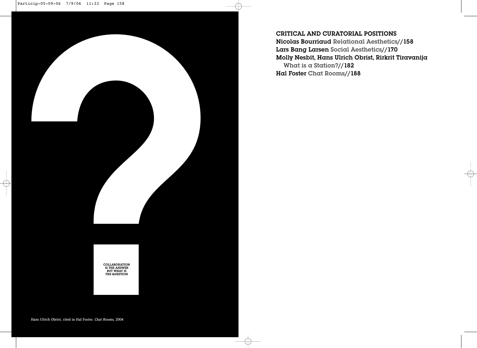

CRITICAL AND CURATORIAL POSITIONS

Nicolas Bourriaud Relational Aesthetics//158 Lars Bang Larsen Social Aesthetics//170 Molly Nesbit, Hans Ulrich Obrist, Rirkrit Tiravanija What is a Station?//182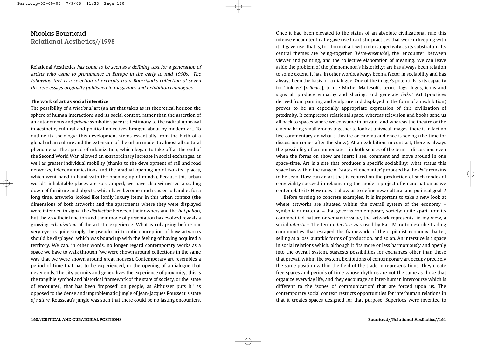## Nicolas Bourriaud

Relational Aesthetics//1998

Relational Aesthetics has come to be seen as a defining text for a generation of artists who came to prominence in Europe in the early to mid 1990s. The following text is a selection of excerpts from Bourriaud's collection of seven discrete essays originally published in magazines and exhibition catalogues.

### **The work of art as social interstice**

The possibility of a *relational* art (an art that takes as its theoretical horizon the sphere of human interactions and its social context, rather than the assertion of an autonomous and *private* symbolic space) is testimony to the radical upheaval in aesthetic, cultural and political objectives brought about by modern art. To outline its sociology: this development stems essentially from the birth of a global urban culture and the extension of the urban model to almost all cultural phenomena. The spread of urbanization, which began to take off at the end of the Second World War, allowed an extraordinary increase in social exchanges, as well as greater individual mobility (thanks to the development of rail and road networks, telecommunications and the gradual opening up of isolated places, which went hand in hand with the opening up of minds). Because this urban world's inhabitable places are so cramped, we have also witnessed a scaling down of furniture and objects, which have become much easier to handle: for a long time, artworks looked like lordly luxury items in this urban context (the dimensions of both artworks and the apartments where they were displayed were intended to signal the *distinction* between their owners and the hoi polloi), but the way their function and their mode of presentation has evolved reveals a growing *urbanization* of the artistic experience. What is collapsing before our very eyes is quite simply the pseudo-aristocratic conception of how artworks should be displayed, which was bound up with the feeling of having acquired a territory. We can, in other words, no longer regard contemporary works as a space we have to walk through (we were shown around collections in the same way that we were shown around great houses). Contemporary art resembles a period of time that has to be experienced, or the opening of a dialogue that never ends. The city permits and generalizes the experience of proximity: this is the tangible symbol and historical framework of the state of society, or the 'state of encounter', that has been 'imposed' on people, as Althusser puts it, $\frac{1}{1}$  as opposed to the dense and unproblematic jungle of Jean-Jacques Rousseau's state *of nature.* Rousseau's jungle was such that there could be no lasting encounters.

Once it had been elevated to the status of an absolute civilizational rule this intense encounter finally gave rise to artistic practices that were in keeping with it. It gave rise, that is, to a form of art with intersubjectivity as its substratum. Its central themes are being-together [*l'être-ensemble*], the 'encounter' between viewer and painting, and the collective elaboration of meaning. We can leave aside the problem of the phenomenon's historicity: art has always been relation to some extent. It has, in other words, always been a factor in sociability and has always been the basis for a dialogue. One of the image's potentials is its capacity for 'linkage' [*reliance*], to use Michel Maffesoli's term: flags, logos, icons and signs all produce empathy and sharing, and generate *links*. <sup>2</sup> Art (practices derived from painting and sculpture and displayed in the form of an exhibition) proves to be an especially appropriate expression of this civilization of proximity. It compresses relational space, whereas television and books send us all back to spaces where we consume in private; and whereas the theatre or the cinema bring small groups together to look at univocal images, there is in fact no live commentary on what a theatre or cinema audience is seeing (the time for discussion comes after the show). At an exhibition, in contrast, there is always the possibility of an immediate – in both senses of the term – discussion, even when the forms on show are inert: I see, comment and move around in one space-time. Art is a site that produces a specific sociability; what status this space has within the range of 'states of encounter' proposed by the *Polis* remains to be seen. How can an art that is centred on the production of such modes of conviviality succeed in relaunching the modern project of emancipation as we contemplate it? How does it allow us to define new cultural and political goals?

Before turning to concrete examples, it is important to take a new look at where artworks are situated within the overall system of the economy – symbolic or material – that governs contemporary society: quite apart from its commodified nature or semantic value, the artwork represents, in my view, a social *interstice*. The term *interstice* was used by Karl Marx to describe trading communities that escaped the framework of the capitalist economy: barter, selling at a loss, autarkic forms of production, and so on. An interstice is a space in social relations which, although it fits more or less harmoniously and openly into the overall system, suggests possibilities for exchanges other than those that prevail within the system. Exhibitions of contemporary art occupy precisely the same position within the field of the trade in representations. They create free spaces and periods of time whose rhythms are not the same as those that organize everyday life, and they encourage an inter-human intercourse which is different to the 'zones of communication' that are forced upon us. The contemporary social context restricts opportunities for interhuman relations in that it creates spaces designed for that purpose. Superloos were invented to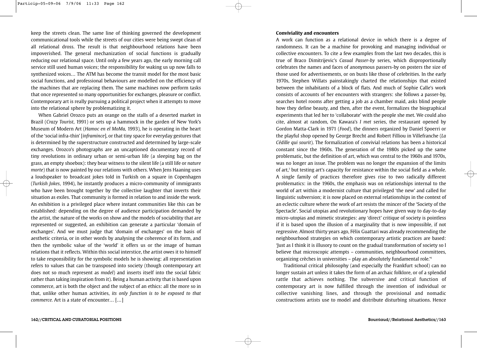keep the streets clean. The same line of thinking governed the development communicational tools while the streets of our cities were being swept clean of all relational dross. The result is that neighbourhood relations have been impoverished. The general mechanization of social functions is gradually reducing our relational space. Until only a few years ago, the early morning call service still used human voices; the responsibility for waking us up now falls to synthesized voices… The ATM has become the transit model for the most basic social functions, and professional behaviours are modelled on the efficiency of the machines that are replacing them. The same machines now perform tasks that once represented so many opportunities for exchanges, pleasure or conflict. Contemporary art is really pursuing a political project when it attempts to move into the relational sphere by problematizing it.

When Gabriel Orozco puts an orange on the stalls of a deserted market in Brazil (*Crazy Tourist*, 1991) or sets up a hammock in the garden of New York's Museum of Modern Art (*Hamoc en el MoMa,* 1993), he is operating in the heart of the 'social infra-thin' [*inframince*], or that tiny space for everyday gestures that is determined by the superstructure constructed and determined by large-scale exchanges. Orozco's photographs are an uncaptioned documentary record of tiny revolutions in ordinary urban or semi-urban life (a sleeping bag on the grass, an empty shoebox): they bear witness to the silent life (a still life or *nature morte*) that is now painted by our relations with others. When Jens Haaning uses a loudspeaker to broadcast jokes told in Turkish on a square in Copenhagen (*Turkish Jokes*, 1994), he instantly produces a micro-community of immigrants who have been brought together by the collective laughter that inverts their situation as exiles. That community is formed in relation to and inside the work. An exhibition is a privileged place where instant communities like this can be established: depending on the degree of audience participation demanded by the artist, the nature of the works on show and the models of sociability that are represented or suggested, an exhibition can generate a particular 'domain of exchanges'. And we must judge that 'domain of exchanges' on the basis of aesthetic criteria, or in other words by analysing the coherence of its form, and then the symbolic value of the 'world' it offers us or the image of human relations that it reflects. Within this social interstice, the artist owes it to himself to take responsibility for the symbolic models he is showing: all representation refers to values that can be transposed into society (though contemporary art does not so much represent as *model*) and inserts itself into the social fabric rather than taking inspiration from it). Being a human activity that is based upon commerce, art is both the object and the subject of an ethics: all the more so in that, unlike other human activities, *its only function is to be exposed to that commerce.* Art is a state of encounter… […]

#### **Conviviality and encounters**

A work can function as a relational device in which there is a degree of randomness. It can be a machine for provoking and managing individual or collective encounters. To cite a few examples from the last two decades, this is true of Braco Dimitrijevic's *Casual Passer-by* series, which disproportionally celebrates the names and faces of anonymous passers-by on posters the size of those used for advertisements, or on busts like those of celebrities. In the early 1970s, Stephen Willats painstakingly charted the relationships that existed between the inhabitants of a block of flats. And much of Sophie Calle's work consists of accounts of her encounters with strangers: she follows a passer-by, searches hotel rooms after getting a job as a chamber maid, asks blind people how they define beauty, and then, after the event, formalizes the biographical experiments that led her to 'collaborate' with the people she met. We could also cite, almost at random, On Kawara's *I met* series, the restaurant opened by Gordon Matta-Clark in 1971 (*Food*), the dinners organized by Daniel Spoerri or the playful shop opened by George Brecht and Robert Filliou in Villefranche (*La Cédille qui sourit*). The formalization of convivial relations has been a historical constant since the 1960s. The generation of the 1980s picked up the same problematic, but the definition of art, which was central to the 1960s and 1970s, was no longer an issue. The problem was no longer the expansion of the limits of art,3 but testing art's capacity for resistance within the social field as a whole. A single family of practices therefore gives rise to two radically different problematics: in the 1960s, the emphasis was on relationships internal to the world of art within a modernist culture that privileged 'the new' and called for linguistic subversion; it is now placed on external relationships in the context of an eclectic culture where the work of art resists the mincer of the 'Society of the Spectacle'. Social utopias and revolutionary hopes have given way to day-to-day micro-utopias and mimetic strategies: any 'direct' critique of society is pointless if it is based upon the illusion of a marginality that is now impossible, if not regressive. Almost thirty years ago, Félix Guattari was already recommending the neighbourhood strategies on which contemporary artistic practices are based: 'Just as I think it is illusory to count on the gradual transformation of society so I believe that microscopic attempts – communities, neighbourhood committees, organizing crèches in universities – play an absolutely fundamental role.'4

Traditional critical philosophy (and especially the Frankfurt school) can no longer sustain art unless it takes the form of an archaic folklore, or of a splendid rattle that achieves nothing. The subversive and critical function of contemporary art is now fulfilled through the invention of individual or collective vanishing lines, and through the provisional and nomadic constructions artists use to model and distribute disturbing situations. Hence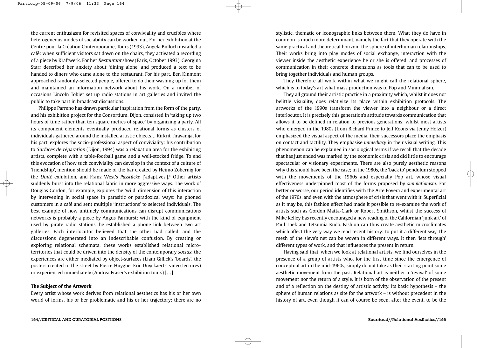the current enthusiasm for revisited spaces of conviviality and crucibles where heterogeneous modes of sociability can be worked out. For her exhibition at the Centre pour la Création Contemporaine, Tours (1993), Angela Bulloch installed a café: when sufficient visitors sat down on the chairs, they activated a recording of a piece by Kraftwerk. For her Restaurant show (Paris, October 1993), Georgina Starr described her anxiety about 'dining alone' and produced a text to be handed to diners who came alone to the restaurant. For his part, Ben Kinmont approached randomly-selected people, offered to do their washing up for them and maintained an information network about his work. On a number of occasions Lincoln Tobier set up radio stations in art galleries and invited the public to take part in broadcast discussions.

Philippe Parreno has drawn particular inspiration from the form of the party, and his exhibition project for the Consortium, Dijon, consisted in 'taking up two hours of time rather than ten square metres of space' by organizing a party. All its component elements eventually produced relational forms as clusters of individuals gathered around the installed artistic objects… Rirkrit Tiravanija, for his part, explores the socio-professional aspect of conviviality: his contribution to Surfaces de réparation (Dijon, 1994) was a relaxation area for the exhibiting artists, complete with a table-football game and a well-stocked fridge. To end this evocation of how such conviviality can develop in the context of a culture of 'friendship', mention should be made of the bar created by Heimo Zobernig for the Unité exhibition, and Franz West's Passtücke ['adaptives'].<sup>5</sup> Other artists suddenly burst into the relational fabric in more aggressive ways. The work of Douglas Gordon, for example, explores the 'wild' dimension of this interaction by intervening in social space in parasitic or paradoxical ways: he phoned customers in a café and sent multiple 'instructions' to selected individuals. The best example of how untimely communications can disrupt communications networks is probably a piece by Angus Fairhurst: with the kind of equipment used by pirate radio stations, he established a phone link between two art galleries. Each interlocutor believed that the other had called, and the discussions degenerated into an indescribable confusion. By creating or exploring relational schemata, these works established relational microterritories that could be driven into the density of the contemporary socius; the experiences are either mediated by object-surfaces (Liam Gillick's 'boards', the posters created in the street by Pierre Huyghe, Eric Duyckaerts' video lectures) or experienced immediately (Andrea Fraser's exhibition tours) […]

#### **The Subject of the Artwork**

Every artist whose work derives from relational aesthetics has his or her own world of forms, his or her problematic and his or her trajectory: there are no stylistic, thematic or iconographic links between them. What they do have in common is much more determinant, namely the fact that they operate with the same practical and theoretical horizon: the sphere of interhuman relationships. Their works bring into play modes of social exchange, interaction with the viewer inside the aesthetic experience he or she is offered, and processes of communication in their concrete dimensions as tools that can to be used to bring together individuals and human groups.

They therefore all work within what we might call the relational sphere, which is to today's art what mass production was to Pop and Minimalism.

They all ground their artistic practice in a proximity which, whilst it does not belittle visuality, does relativize its place within exhibition protocols. The artworks of the 1990s transform the viewer into a neighbour or a direct interlocutor. It is precisely this generation's attitude towards communication that allows it to be defined in relation to previous generations: whilst most artists who emerged in the 1980s (from Richard Prince to Jeff Koons via Jenny Holzer) emphasized the visual aspect of the media, their successors place the emphasis on contact and tactility. They emphasise *immediacy* in their visual writing. This phenomenon can be explained in sociological terms if we recall that the decade that has just ended was marked by the economic crisis and did little to encourage spectacular or visionary experiments. There are also purely aesthetic reasons why this should have been the case; in the 1980s, the 'back to' pendulum stopped with the movements of the 1960s and especially Pop art, whose visual effectiveness underpinned most of the forms proposed by *simulationism.* For better or worse, our period identifies with the Arte Povera and experimental art of the 1970s, and even with the atmosphere of crisis that went with it. Superficial as it may be, this fashion effect had made it possible to re-examine the work of artists such as Gordon Matta-Clark or Robert Smithson, whilst the success of Mike Kelley has recently encouraged a new reading of the Californian 'junk art' of Paul Thek and Tetsumia Kudo. Fashion can thus create aesthetic microclimates which affect the very way we read recent history: to put it a different way, the mesh of the sieve's net can be woven in different ways. It then 'lets through' different types of work, and that influences the present in return.

Having said that, when we look at relational artists, we find ourselves in the presence of a group of artists who, for the first time since the emergence of conceptual art in the mid-1960s, simply do not take as their starting point some aesthetic movement from the past. Relational art is neither a 'revival' of some movement nor the return of a style. It is born of the observation of the present and of a reflection on the destiny of artistic activity. Its basic hypothesis – the sphere of human relations as site for the artwork – is without precedent in the history of art, even though it can of course be seen, after the event, to be the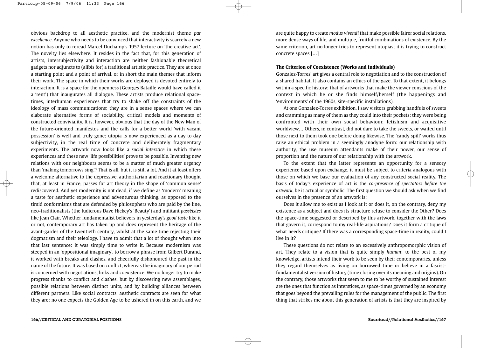obvious backdrop to all aesthetic practice, and the modernist theme *par excellence*. Anyone who needs to be convinced that interactivity is scarcely a new notion has only to reread Marcel Duchamp's 1957 lecture on 'the creative act'. The novelty lies elsewhere. It resides in the fact that, for this generation of artists, intersubjectivity and interaction are neither fashionable theoretical gadgets nor adjuncts to (alibis for) a traditional artistic practice. They are at once a starting point and a point of arrival, or in short the main themes that inform their work. The space in which their works are deployed is devoted entirely to interaction. It is a space for the openness (Georges Bataille would have called it a 'rent') that inaugurates all dialogue. These artists produce relational spacetimes, interhuman experiences that try to shake off the constraints of the ideology of mass communications; they are in a sense spaces where we can elaborate alternative forms of sociability, critical models and moments of constructed conviviality. It is, however, obvious that the day of the New Man of the future-oriented manifestos and the calls for a better world 'with vacant possession' is well and truly gone: utopia is now experienced as a day to day subjectivity, in the real time of concrete and deliberately fragmentary experiments. The artwork now looks like a *social interstice* in which these experiences and these new 'life possibilities' prove to be possible. Inventing new relations with our neighbours seems to be a matter of much greater urgency than 'making tomorrows sing'.<sup>6</sup> That is all, but it is still a lot. And it at least offers a welcome alternative to the depressive, authoritarian and reactionary thought that, at least in France, passes for art theory in the shape of 'common sense' rediscovered. And yet modernity is not dead, if we define as 'modern' meaning a taste for aesthetic experience and adventurous thinking, as opposed to the timid conformisms that are defended by philosophers who are paid by the line, neo-traditionalists (the ludicrous Dave Hickey's 'Beauty') and militant *passéistes* like Jean Clair. Whether fundamentalist believers in yesterday's *good taste* like it or not, contemporary art has taken up and does represent the heritage of the avant-gardes of the twentieth century, whilst at the same time rejecting their dogmatism and their teleology. I have to admit that a lot of thought when into that last sentence: it was simply time to write it. Because modernism was steeped in an 'oppositional imaginary', to borrow a phrase from Gilbert Durand, it worked with breaks and clashes, and cheerfully dishonoured the past in the name of the future. It was based on conflict, whereas the imaginary of our period is concerned with negotiations, links and coexistence. We no longer try to make progress thanks to conflict and clashes, but by discovering new assemblages, possible relations between distinct units, and by building alliances between different partners. Like social contracts, aesthetic contracts are seen for what they are: no one expects the Golden Age to be ushered in on this earth, and we are quite happy to create *modus vivendi* that make possible fairer social relations, more dense ways of life, and multiple, fruitful combinations of existence. By the same criterion, art no longer tries to represent utopias; it is trying to construct concrete spaces […]

#### **The Criterion of Coexistence (Works and Individuals)**

Gonzalez-Torres' art gives a central role to negotiation and to the construction of a shared habitat. It also contains an ethics of the gaze. To that extent, it belongs within a specific history: that of artworks that make the viewer conscious of the context in which he or she finds himself/herself (the happenings and 'environments' of the 1960s, site-specific installations).

At one Gonzalez-Torres exhibition, I saw visitors grabbing handfuls of sweets and cramming as many of them as they could into their pockets: they were being confronted with their own social behaviour, fetishism and acquisitive worldview… Others, in contrast, did not dare to take the sweets, or waited until those next to them took one before doing likewise. The 'candy spill' works thus raise an ethical problem in a seemingly anodyne form: our relationship with authority, the use museum attendants make of their power, our sense of proportion and the nature of our relationship with the artwork.

To the extent that the latter represents an opportunity for a sensory experience based upon exchange, it must be subject to criteria analogous with those on which we base our evaluation of any constructed social reality. The basis of today's experience of art is the *co-presence of spectators before the artwork*, be it actual or symbolic. The first question we should ask when we find ourselves in the presence of an artwork is:

Does it allow me to exist as I look at it or does it, on the contrary, deny my existence as a subject and does its structure refuse to consider the Other? Does the space-time suggested or described by this artwork, together with the laws that govern it, correspond to my real-life aspirations? Does it form a critique of what needs critique? If there was a corresponding space-time in reality, could I live in it?

These questions do not relate to an excessively anthropomorphic vision of art. They relate to a vision that is quite simply *human*; to the best of my knowledge, artists intend their work to be seen by their contemporaries, unless they regard themselves as living on borrowed time or believe in a fascistfundamentalist version of history (time closing over its meaning and origins). On the contrary, those artworks that seem to me to be worthy of sustained interest are the ones that function as interstices, as space-times governed by an economy that goes beyond the prevailing rules for the management of the public. The first thing that strikes me about this generation of artists is that they are inspired by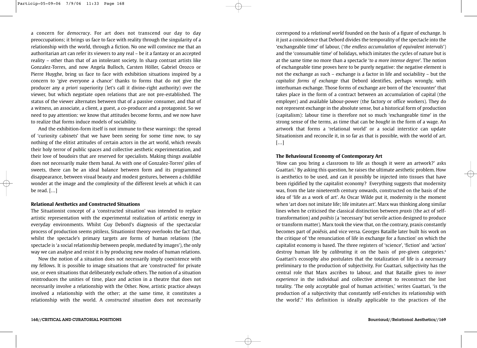a concern for *democracy*. For art does not transcend our day to day preoccupations; it brings us face to face with reality through the singularity of a relationship with the world, through a fiction. No one will convince me that an authoritarian art can refer its viewers to any real – be it a fantasy or an accepted reality – other than that of an intolerant society. In sharp contrast artists like Gonzalez-Torres, and now Angela Bulloch, Carsten Höller, Gabriel Orozco or Pierre Huyghe, bring us face to face with exhibition situations inspired by a concern to 'give everyone a chance' thanks to forms that do not give the producer any *a priori* superiority (let's call it divine-right authority) over the viewer, but which negotiate open relations that are not pre-established. The status of the viewer alternates between that of a passive consumer, and that of a witness, an associate, a client, a guest, a co-producer and a protagonist. So we need to pay attention: we know that attitudes become forms, and we now have to realize that forms induce models of sociability.

And the exhibition-form itself is not immune to these warnings: the spread of 'curiosity cabinets' that we have been seeing for some time now, to say nothing of the elitist attitudes of certain actors in the art world, which reveals their holy terror of public spaces and collective aesthetic experimentation, and their love of boudoirs that are reserved for specialists. Making things available does not necessarily make them banal. As with one of Gonzalez-Torres' piles of sweets, there can be an ideal balance between form and its programmed disappearance, between visual beauty and modest gestures, between a childlike wonder at the image and the complexity of the different levels at which it can be read. […]

#### **Relational Aesthetics and Constructed Situations**

The Situationist concept of a 'constructed situation' was intended to replace artistic representation with the experimental realization of artistic energy in everyday environments. Whilst Guy Debord's diagnosis of the spectacular process of production seems pitiless, Situationist theory overlooks the fact that, whilst the spectacle's primary targets are forms of human relations (the spectacle is 'a social relationship between people, mediated by images'), the only way we can analyse and resist it is by producing new modes of human relations.

Now the notion of a situation does not necessarily imply coexistence with my fellows. It is possible to image situations that are 'constructed' for private use, or even situations that deliberately exclude others. The notion of a situation reintroduces the unities of time, place and action in a theatre that does not necessarily involve a relationship with the Other. Now, artistic practice always involved a relationship with the other; at the same time, it constitutes a relationship with the world. A *constructed situation* does not necessarily

correspond to a *relational world* founded on the basis of a figure of exchange. Is it just a coincidence that Debord divides the temporality of the spectacle into the 'exchangeable time' of labour, ('*the endless accumulation of equivalent intervals*') and the 'consumable time' of holidays, which imitates the cycles of nature but is at the same time no more than a spectacle '*to a more intense degree*'. The notion of exchangeable time proves here to be purely negative: the negative element is not the exchange as such – exchange is a factor in life and sociability – but the *capitalist forms of exchange* that Debord identifies, perhaps wrongly, with interhuman exchange. Those forms of exchange are born of the 'encounter' that takes place in the form of a contract between an accumulation of capital (the employer) and available labour-power (the factory or office workers). They do not represent exchange in the absolute sense, but a historical form of production (capitalism): labour time is therefore not so much 'exchangeable time' in the strong sense of the terms, as time that can be *bought* in the form of a wage. An artwork that forms a 'relational world' or a social interstice can update Situationism and reconcile it, in so far as that is possible, with the world of art. […]

#### **The Behavioural Economy of Contemporary Art**

'How can you bring a classroom to life as though it were an artwork?' asks Guattari.7 By asking this question, he raises the ultimate aesthetic problem. How is aesthetics to be used, and can it possibly be injected into tissues that have been rigidified by the capitalist economy? Everything suggests that modernity was, from the late nineteenth century onwards, constructed on the basis of the idea of 'life as a work of art'. As Oscar Wilde put it, modernity is the moment when 'art does not imitate life; life imitates art'. Marx was thinking along similar lines when he criticised the classical distinction between *praxis* (the act of selftransformation) and *poiêsis* (a 'necessary' but servile action designed to produce or transform matter). Marx took the view that, on the contrary, praxis constantly becomes part of poiêsis, and vice versa. Georges Bataille later built his work on the critique of 'the renunciation of life in exchange for a function' on which the capitalist economy is based. The three registers of 'science', 'fiction' and 'action' destroy human life by *calibrating* it on the basis of pre-given categories.<sup>8</sup> Guattari's ecosophy also postulates that the totalization of life is a necessary preliminary to the production of subjectivity. For Guattari, subjectivity has the central role that Marx ascribes to labour, and that Bataille gives to *inner experience* in the individual and collective attempt to reconstruct the lost totality. 'The only acceptable goal of human activities,' writes Guattari, 'is the production of a subjectivity that constantly self-enriches its relationship with the world'.9 His definition is ideally applicable to the practices of the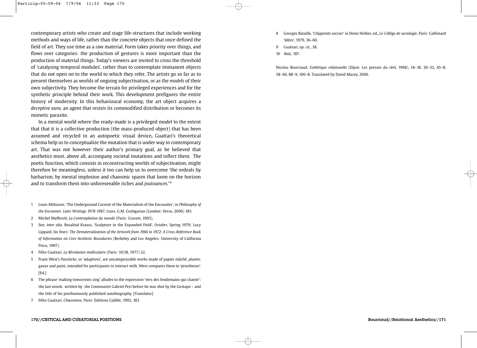contemporary artists who create and stage life-structures that include working methods and ways of life, rather than the concrete objects that once defined the field of art. They use time as a raw material. Form takes priority over things, and flows over categories: the production of gestures is more important than the production of material things. Today's viewers are invited to cross the threshold of 'catalysing temporal modules', rather than to contemplate immanent objects that do not open on to the world to which they refer. The artists go so far as to present themselves as worlds of ongoing subjectivation, or as the *models* of their own subjectivity. They become the terrain for privileged experiences and for the synthetic principle behind their work. This development prefigures the entire history of modernity. In this behavioural economy, the art object acquires a *deceptive aura*, an agent that resists its commodified distribution or becomes its mimetic parasite.

In a mental world where the ready-made is a privileged model to the extent that that it is a collective production (the mass-produced object) that has been assumed and recycled in an autopoetic visual device, Guattari's theoretical schema help us to conceptualize the mutation that is under way in contemporary art. That was not however their author's primary goal, as he believed that aesthetics must, above all, accompany societal mutations and inflect them. The poetic function, which consists in reconstructing worlds of subjectivation, might therefore be meaningless, unless it too can help us to overcome 'the ordeals by barbarism, by mental implosion and chaosmic spasm that loom on the horizon and to transform them into unforeseeable riches and *jouissances*.' 10

- 1 Louis Althusser, 'The Underground Current of the Materialism of the Encounter', in *Philosophy of the Encounter. Later Writings 1978-1987*, trans. G.M. Goshgarian (London: Verso, 2006) 185.
- 2 Michel Maffesoli, *La Contemplation du monde (*Paris: Grasset, 1993).
- 3 See, *inter alia*, Rosalind Krauss, 'Sculpture in the Expanded Field', *October,* Spring 1979; Lucy Lippard, *Six Years: The Dematerialization of the Artwork from 1966 to 1972: A Cross-Reference Book of Information on Core Aesthetic Boundaries* (Berkeley and Los Angeles: University of California Press, 1997).
- 4 Félix Guattari, *La Révolution moléculaire* (Paris: 10/18, 1977) 22.
- 5 Franz West's *Passtücke*, or 'adaptives', are uncategorizable works made of papier mâché, plaster, gauze and paint, intended for participants to interact with. West compares them to 'prostheses'.  $[Ed.]$
- 6 The phrase 'making tomorrows sing' alludes to the expression 'vers des lendemains qui chante': the last words written by the Communist Gabriel Peri before he was shot by the Gestapo – and the title of his posthumously published autobiography. [Translator]
- 7 Félix Guattari, *Chaosmose*, Paris: Editions Galilée, 1992, 183.
- 8 Georges Bataille, 'L'Apprenti sorcier' in Denis Hollier, ed., *Le Collège de sociologie*, Paris: Gallimard 'Idées', 1979, 36–60.
- 9 Guattari, *op. cit*., 38.
- 10 Ibid., 187.

Nicolas Bourriaud, *Esthétique relationelle* (Dijon: Les presses du réel, 1998), 14–18, 30–33, 45–8, 58–60, 88–9, 106–8. Translated by David Macey, 2006.

170//CRITICAL AND CURATORIAL POSITIONS Bourriaud//Relational Aesthetics//171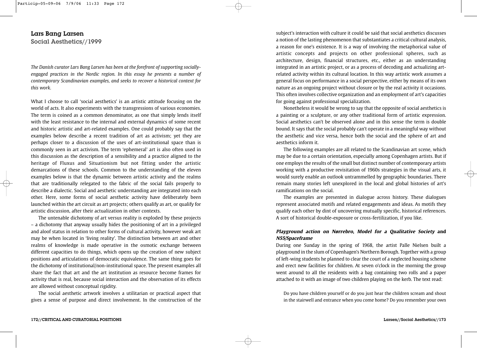# Lars Bang Larsen

Social Aesthetics//1999

*The Danish curator Lars Bang Larsen has been at the forefront of supporting sociallyengaged practices in the Nordic region. In this essay he presents a number of contemporary Scandinavian examples, and seeks to recover a historical context for this work.* 

What I choose to call 'social aesthetics' is an artistic attitude focusing on the world of acts. It also experiments with the transgressions of various economies. The term is coined as a common denominator, as one that simply lends itself with the least resistance to the internal and external dynamics of some recent and historic artistic and art-related examples. One could probably say that the examples below describe a recent tradition of art as activism; yet they are perhaps closer to a discussion of the uses of art-institutional space than is commonly seen in art activism. The term 'ephemeral' art is also often used in this discussion as the description of a sensibility and a practice aligned to the heritage of Fluxus and Situationism but not fitting under the artistic demarcations of these schools. Common to the understanding of the eleven examples below is that the dynamic between artistic activity and the realms that are traditionally relegated to the fabric of the social fails properly to describe a dialectic. Social and aesthetic understanding are integrated into each other. Here, some forms of social aesthetic activity have deliberately been launched within the art circuit as art projects; others qualify as art, or qualify for artistic discussion, after their actualization in other contexts.

The untenable dichotomy of art versus reality is exploded by these projects – a dichotomy that anyway usually hides the positioning of art in a privileged and aloof status in relation to other forms of cultural activity, however weak art may be when located in 'living reality'. The distinction between art and other realms of knowledge is made operative in the osmotic exchange between different capacities to do things, which opens up the creation of new subject positions and articulations of democratic equivalence. The same thing goes for the dichotomy of institutional/non-institutional space. The present examples all share the fact that art and the art institution as resource become frames for activity that is real, because social interaction and the observation of its effects are allowed without conceptual rigidity.

The social aesthetic artwork involves a utilitarian or practical aspect that gives a sense of purpose and direct involvement. In the construction of the subject's interaction with culture it could be said that social aesthetics discusses a notion of the lasting phenomenon that substantiates a critical cultural analysis, a reason for one's existence. It is a way of involving the metaphorical value of artistic concepts and projects on other professional spheres, such as architecture, design, financial structures, etc., either as an understanding integrated in an artistic project, or as a process of decoding and actualizing artrelated activity within its cultural location. In this way artistic work assumes a general focus on performance in a social perspective, either by means of its own nature as an ongoing project without closure or by the real activity it occasions. This often involves collective organization and an employment of art's capacities for going against professional specialization.

Nonetheless it would be wrong to say that the opposite of social aesthetics is a painting or a sculpture, or any other traditional form of artistic expression. Social aesthetics can't be observed alone and in this sense the term is double bound. It says that the social probably can't operate in a meaningful way without the aesthetic and vice versa, hence both the social and the sphere of art and aesthetics inform it.

The following examples are all related to the Scandinavian art scene, which may be due to a certain orientation, especially among Copenhagen artists. But if one employs the results of the small but distinct number of contemporary artists working with a productive revisitation of 1960s strategies in the visual arts, it would surely enable an outlook untrammelled by geographic boundaries. There remain many stories left unexplored in the local and global histories of art's ramifications on the social.

The examples are presented in dialogue across history. These dialogues represent associated motifs and related engagements and ideas. As motifs they qualify each other by dint of uncovering mutually specific, historical references. A sort of historical double-exposure or cross-fertilization, if you like.

### **Playground action on Nørrebro, Model for a Qualitative Society and N55/Spaceframe**

During one Sunday in the spring of 1968, the artist Palle Nielsen built a playground in the slum of Copenhagen's Northern Borough. Together with a group of left-wing students he planned to clear the court of a neglected housing scheme and erect new facilities for children. At seven o'clock in the morning the group went around to all the residents with a bag containing two rolls and a paper attached to it with an image of two children playing on the kerb. The text read:

Do you have children yourself or do you just hear the children scream and shout in the stairwell and entrance when you come home? Do you remember your own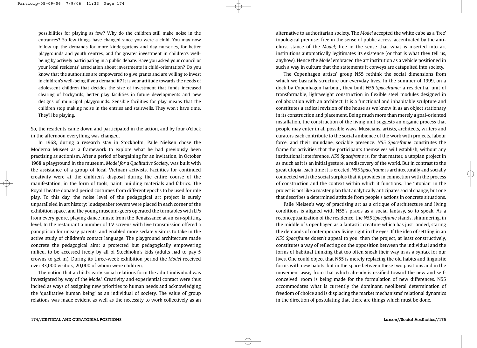possibilities for playing as few? Why do the children still make noise in the entrances? So few things have changed since you were a child. You may now follow up the demands for more kindergartens and day nurseries, for better playgrounds and youth centres, and for greater investment in children's wellbeing by actively participating in a public debate. Have you asked your council or your local residents' association about investments in child-orientation? Do you know that the authorities are empowered to give grants and are willing to invest in children's well-being if you demand it? It is your attitude towards the needs of adolescent children that decides the size of investment that funds increased clearing of backyards, better play facilities in future developments and new designs of municipal playgrounds. Sensible facilities for play means that the children stop making noise in the entries and stairwells. They won't have time. They'll be playing.

So, the residents came down and participated in the action, and by four o'clock in the afternoon everything was changed.

In 1968, during a research stay in Stockholm, Palle Nielsen chose the Moderna Museet as a framework to explore what he had previously been practising as actionism. After a period of bargaining for an invitation, in October 1968 a playground in the museum, *Model for a Qualitative Society,* was built with the assistance of a group of local Vietnam activists. Facilities for continued creativity were at the children's disposal during the entire course of the manifestation, in the form of tools, paint, building materials and fabrics. The Royal Theatre donated period costumes from different epochs to be used for role play. To this day, the noise level of the pedagogical art project is surely unparalleled in art history: loudspeaker towers were placed in each corner of the exhibition space, and the young museum-goers operated the turntables with LPs from every genre, playing dance music from the Renaissance at an ear-splitting level. In the restaurant a number of TV screens with live transmission offered a panopticon for uneasy parents, and enabled more sedate visitors to take in the active study of children's contact language. The playground architecture made concrete the pedagogical aim: a protected but pedagogically empowering milieu, to be accessed freely by all of Stockholm's kids (adults had to pay 5 crowns to get in). During its three-week exhibition period the *Model* received over 33,000 visitors, 20,000 of whom were children.

The notion that a child's early social relations form the adult individual was investigated by way of the *Model.* Creativity and experiential contact were thus incited as ways of assigning new priorities to human needs and acknowledging the 'qualitative human being' as an individual of society. The value of group relations was made evident as well as the necessity to work collectively as an alternative to authoritarian society. The *Model* accepted the white cube as a 'free' topological premise: free in the sense of public access, accentuated by the antielitist stance of the *Model;* free in the sense that what is inserted into art institutions automatically legitimates its existence (or that is what they tell us, anyhow). Hence the *Model* embraced the art institution as a vehicle positioned in such a way in culture that the statements it conveys are catapulted into society.

The Copenhagen artists' group N55 rethink the social dimensions from which we basically structure our everyday lives. In the summer of 1999, on a dock by Copenhagen harbour, they built *N55 Spaceframe:* a residential unit of transformable, lightweight construction in flexible steel modules designed in collaboration with an architect. It is a functional and inhabitable sculpture and constitutes a radical revision of the house as we know it, as an object stationary in its construction and placement. Being much more than merely a goal-oriented installation, the construction of the living unit suggests an organic process that people may enter in all possible ways. Musicians, artists, architects, writers and curators each contribute to the social ambience of the work with projects, labour force, and their mundane, sociable presence. *N55 Spaceframe* constitutes the frame for activities that the participants themselves will establish, without any institutional interference. *N55 Spaceframe* is, for that matter, a utopian project in as much as it is an initial gesture, a rediscovery of the world. But in contrast to the great utopia, each time it is erected, *N55 Spaceframe* is architecturally and socially connected with the social surplus that it provides in connection with the process of construction and the context within which it functions. The 'utopian' in the project is not like a master plan that analytically anticipates social change, but one that describes a determined attitude from people's actions in concrete situations.

Palle Nielsen's way of practising art as a critique of architecture and living conditions is aligned with N55's praxis as a social fantasy, so to speak. As a reconceptualization of the residence, the *N55 Spaceframe* stands, shimmering, in the middle of Copenhagen as a fantastic creature which has just landed, staring the demands of contemporary living right in the eyes. If the idea of settling in an *N55 Spaceframe* doesn't appeal to you, then the project, at least constructively, constitutes a way of reflecting on the opposition between the individual and the forms of habitual thinking that too often sneak their way in as a syntax for our lives. One could object that N55 is merely replacing the old habits and linguistic forms with new habits, but in the space between these two positions and in the movement away from that which already is ossified toward the new and selfconceived, room is being made for the formulation of new differences. N55 accommodates what is currently the dominant, neoliberal determination of freedom of choice and is displacing the market mechanisms' relational dynamics in the direction of postulating that there are things which must be done.

Larsen//Social Aesthetics//175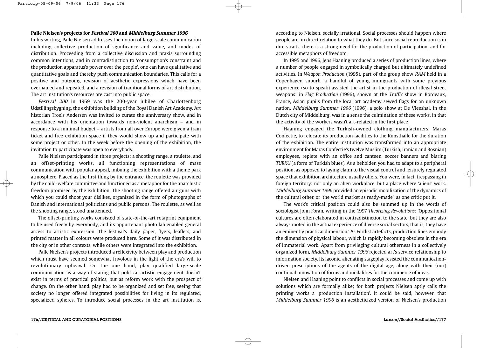### **Palle Nielsen's projects for Festival 200 and Middelburg Summer 1996**

In his writing, Palle Nielsen addresses the notion of large-scale communication including collective production of significance and value, and modes of distribution. Proceeding from a collective discussion and praxis surrounding common intentions, and in contradistinction to 'consumption's constraint and the production apparatus's power over the people', one can have qualitative and quantitative goals and thereby push communication boundaries. This calls for a positive and outgoing revision of aesthetic expressions which have been overhauled and repeated, and a revision of traditional forms of art distribution. The art institution's resources are cast into public space.

Festival 200 in 1969 was the 200-year jubilee of Charlottenborg Udstillingsbygning, the exhibition building of the Royal Danish Art Academy. Art historian Troels Andersen was invited to curate the anniversary show, and in accordance with his orientation towards non-violent anarchism – and in response to a minimal budget – artists from all over Europe were given a train ticket and free exhibition space if they would show up and participate with some project or other. In the week before the opening of the exhibition, the invitation to participate was open to everybody.

Palle Nielsen participated in three projects: a shooting range, a roulette, and an offset-printing works, all functioning representations of mass communication with popular appeal, imbuing the exhibition with a theme park atmosphere. Placed as the first thing by the entrance, the roulette was provided by the child-welfare committee and functioned as a metaphor for the anarchistic freedom promised by the exhibition. The shooting range offered air guns with which you could shoot your dislikes, organized in the form of photographs of Danish and international politicians and public persons. The roulette, as well as the shooting range, stood unattended.

The offset-printing works consisted of state-of-the-art rotaprint equipment to be used freely by everybody, and its appurtenant photo lab enabled general access to artistic expression. The festival's daily paper, flyers, leaflets, and printed matter in all colours were produced here. Some of it was distributed in the city or in other contexts, while others were integrated into the exhibition.

Palle Nielsen's projects introduced a reflexivity between play and production which must have seemed somewhat frivolous in the light of the era's will to revolutionary upheaval. On the one hand, play qualified large-scale communication as a way of stating that political artistic engagement doesn't exist in terms of practical politics, but as reform work with the prospect of change. On the other hand, play had to be organized and set free, seeing that society no longer offered integrated possibilities for living in its regulated, specialized spheres. To introduce social processes in the art institution is,

according to Nielsen, socially irrational. Social processes should happen where people are, in direct relation to what they do. But since social reproduction is in dire straits, there is a strong need for the production of participation, and for accessible metaphors of freedom.

In 1995 and 1996, Jens Haaning produced a series of production lines, where a number of people engaged in symbolically charged but ultimately undefined activities. In *Weapon Production* (1995), part of the group show RAM held in a Copenhagen suburb, a handful of young immigrants with some previous experience (so to speak) assisted the artist in the production of illegal street weapons; in *Flag Production* (1996), shown at the Traffic show in Bordeaux, France, Asian pupils from the local art academy sewed flags for an unknown nation. Middelburg Summer 1996 (1996), a solo show at De Vleeshal, in the Dutch city of Middelburg, was in a sense the culmination of these works, in that the activity of the workers wasn't art-related in the first place:

Haaning engaged the Turkish-owned clothing manufacturers, Maras Confectie, to relocate its production facilities to the Kunsthalle for the duration of the exhibition. The entire institution was transformed into an appropriate environment for Maras Confectie's twelve Muslim (Turkish, Iranian and Bosnian) employees, replete with an office and canteen, soccer banners and blaring *TÜRKÜ* (a form of Turkish blues). As a beholder, you had to adapt to a peripheral position, as opposed to laying claim to the visual control and leisurely regulated space that exhibition architecture usually offers. You were, in fact, trespassing in foreign territory: not only an alien workplace, but a place where 'aliens' work. Middelburg Summer 1996 provided an episodic mobilization of the dynamics of the cultural other, or 'the world market as ready-made', as one critic put it.

The work's critical position could also be summed up in the words of sociologist John Foran, writing in the 1997 *Theorizing Revolutions:* 'Oppositional cultures are often elaborated in contradistinction to the state, but they are also always rooted in the actual experience of diverse social sectors, that is, they have an eminently practical dimension.' As Fordist artefacts, production lines embody the dimension of physical labour, which is rapidly becoming obsolete in the era of immaterial work. Apart from privileging cultural otherness in a collectively organized form, Middelburg Summer 1996 rejected art's service relationship to information society. Its laconic, alienating stageplay resisted the communicationdriven prescriptions of the agents of the digital age, along with their (our) continual innovation of forms and modalities for the commerce of ideas.

Nielsen and Haaning point to conflicts in social processes and come up with solutions which are formally alike; for both projects Nielsen aptly calls the printing works a 'production installation'. It could be said, however, that Middelburg Summer 1996 is an aestheticized version of Nielsen's production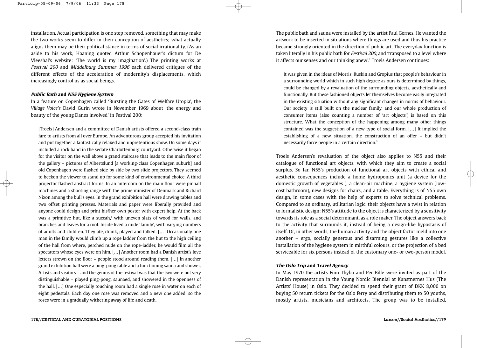installation. Actual participation is one step removed, something that may make the two works seem to differ in their conception of aesthetics; what actually aligns them may be their political stance in terms of social irrationality. (As an aside to his work, Haaning quoted Arthur Schopenhauer's dictum for De Vleeshal's website: 'The world is my imagination'.) The printing works at Festival 200 and Middelburg Summer 1996 each delivered critiques of the different effects of the acceleration of modernity's displacements, which increasingly control us as social beings.

#### **Public Bath and N55 Hygiene System**

In a feature on Copenhagen called 'Bursting the Gates of Welfare Utopia', the *Village Voice's* David Gurin wrote in November 1969 about 'the energy and beauty of the young Danes involved' in Festival 200:

[Troels] Andersen and a committee of Danish artists offered a second-class train fare to artists from all over Europe. An adventurous group accepted his invitation and put together a fantastically relaxed and unpretentious show. On some days it included a rock band in the sedate Charlottenborg courtyard. Otherwise it began for the visitor on the wall above a grand staircase that leads to the main floor of the gallery – pictures of Albertslund [a working-class Copenhagen suburb] and old Copenhagen were flashed side by side by two slide projectors. They seemed to beckon the viewer to stand up for some kind of environmental choice. A third projector flashed abstract forms. In an anteroom on the main floor were pinball machines and a shooting range with the prime minister of Denmark and Richard Nixon among the bull's eyes. In the grand exhibition hall were drawing tables and two offset printing presses. Materials and paper were liberally provided and anyone could design and print his/her own poster with expert help. At the back was a primitive hut, like a succah, $1$  with uneven slats of wood for walls, and branches and leaves for a roof. Inside lived a nude 'family', with varying numbers of adults and children. They ate, drank, played and talked. […] Occasionally one man in the family would climb up a rope ladder from the hut to the high ceiling of the hall from where, perched nude on the rope-ladder, he would film all the spectators whose eyes were on him. […] Another room had a Danish artist's love letters strewn on the floor – people stood around reading them. […] In another grand exhibition hall were a ping-pong table and a functioning sauna and shower. Artists and visitors – and the genius of the festival was that the two were not very distinguishable – played ping-pong, saunaed, and showered in the openness of the hall. […] One especially touching room had a single rose in water on each of eight pedestals. Each day one rose was removed and a new one added, so the roses were in a gradually withering away of life and death.

The public bath and sauna were installed by the artist Paul Gernes. He wanted the artwork to be inserted in situations where things are used and thus his practice became strongly oriented in the direction of public art. The everyday function is taken literally in his public bath for *Festival 200*, and 'transposed to a level where it affects our senses and our thinking anew'.<sup>2</sup> Troels Andersen continues:

It was given in the ideas of Morris, Ruskin and Gropius that people's behaviour in a surrounding world which in such high degree as ours is determined by things, could be changed by a revaluation of the surrounding objects, aesthetically and functionally. But these fashioned objects let themselves become easily integrated in the existing situation without any significant changes in norms of behaviour. Our society is still built on the nuclear family, and our whole production of consumer items (also counting a number of 'art objects') is based on this structure. What the conception of the happening among many other things contained was the suggestion of a new type of social form. […] It implied the establishing of a new situation, the construction of an offer – but didn't necessarily force people in a certain direction.3

Troels Andersen's revaluation of the object also applies to N55 and their catalogue of functional art objects, with which they aim to create a social surplus. So far, N55's production of functional art objects with ethical and aesthetic consequences include a home hydroponics unit (a device for the domestic growth of vegetables ), a clean-air machine, a hygiene system (lowcost bathroom), new designs for chairs, and a table. Everything is of N55 own design, in some cases with the help of experts to solve technical problems. Compared to an ordinary, utilitarian logic, their objects have a twist in relation to formalistic design: N55's attitude to the object is characterized by a sensitivity towards its role as a social determinant, as a role maker. The object answers back to the activity that surrounds it, instead of being a design-like hypostasis of itself. Or, in other words, the human activity and the object factor meld into one another – ergo, socially generous and disarming gestures like a collective installation of the hygiene system in mirthful colours, or the projection of a bed serviceable for six persons instead of the customary one- or two-person model.

#### **The Oslo Trip and Travel Agency**

In May 1970 the artists Finn Thybo and Per Bille were invited as part of the Danish representation in the Young Nordic Biennial at Kunstnernes Hus (The Artists' House) in Oslo. They decided to spend their grant of DKK 8,000 on buying 50 return tickets for the Oslo ferry and distributing them to 50 youths, mostly artists, musicians and architects. The group was to be installed,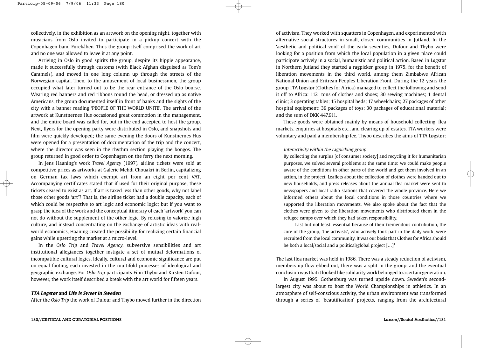collectively, in the exhibition as an artwork on the opening night, together with musicians from Oslo invited to participate in a pickup concert with the Copenhagen band Furekåben*.* Thus the group itself comprised the work of art and no one was allowed to leave it at any point.

Arriving in Oslo in good spirits the group, despite its hippie appearance, made it successfully through customs (with Black Afghan disguised as Tom's Caramels), and moved in one long column up through the streets of the Norwegian capital. Then, to the amusement of local businessmen, the group occupied what later turned out to be the rear entrance of the Oslo bourse. Wearing red banners and red ribbons round the head, or dressed up as native Americans, the group documented itself in front of banks and the sights of the city with a banner reading 'PEOPLE OF THE WORLD UNITE'. The arrival of the artwork at Kunstnernes Hus occasioned great commotion in the management, and the entire board was called for, but in the end accepted to host the group. Next, flyers for the opening party were distributed in Oslo, and snapshots and film were quickly developed; the same evening the doors of Kunstnernes Hus were opened for a presentation of documentation of the trip and the concert, where the director was seen in the rhythm section playing the bongos. The group returned in good order to Copenhagen on the ferry the next morning.

In Jens Haaning's work *Travel Agency* (1997), airline tickets were sold at competitive prices as artworks at Galerie Mehdi Chouakri in Berlin, capitalizing on German tax laws which exempt art from an eight per cent VAT. Accompanying certificates stated that if used for their original purpose, these tickets ceased to exist as art. If art is taxed less than other goods, why not label those other goods 'art'? That is, the airline ticket had a double capacity, each of which could be respective to art logic and economic logic; but if you want to grasp the idea of the work and the conceptual itinerary of each 'artwork' you can not do without the supplement of the other logic. By refusing to valorize high culture, and instead concentrating on the exchange of artistic ideas with realworld economics, Haaning created the possibility for realizing certain financial gains while upsetting the market at a micro-level.

In the *Oslo Trip* and *Travel Agency,* subversive sensibilities and art institutional allegiances together instigate a set of mutual deformations of incompatible cultural logics. Ideally, cultural and economic significance are put on equal footing, each invested in the multifold processes of ideological and geographic exchange. For *Oslo Trip* participants Finn Thybo and Kirsten Dufour, however, the work itself described a break with the art world for fifteen years.

### **TTA Løgstør and Life is Sweet in Sweden**

After the *Oslo Trip* the work of Dufour and Thybo moved further in the direction

of activism. They worked with squatters in Copenhagen, and experimented with alternative social structures in small, closed communities in Jutland. In the 'aesthetic and political void' of the early seventies, Dufour and Thybo were looking for a position from which the local population in a given place could participate actively in a social, humanistic and political action. Based in L*ø*gst*ø*r in Northern Jutland they started a ragpicker group in 1975, for the benefit of liberation movements in the third world, among them Zimbabwe African National Union and Eritrean Peoples Liberation Front. During the 12 years the group TTA Løgstør (Clothes for Africa) managed to collect the following and send it off to Africa: 112 tons of clothes and shoes; 30 sewing machines; 1 dental clinic; 3 operating tables; 15 hospital beds; 17 wheelchairs; 27 packages of other hospital equipment; 39 packages of toys; 30 packages of educational material; and the sum of DKK 447,911.

These goods were obtained mainly by means of household collecting, flea markets, enquiries at hospitals etc., and clearing up of estates. TTA workers were voluntary and paid a membership fee. Thybo describes the aims of TTA Løgstør:

### Interactivity within the ragpicking group:

By collecting the surplus [of consumer society] and recycling it for humanitarian purposes, we solved several problems at the same time: we could make people aware of the conditions in other parts of the world and get them involved in an action, in the project. Leaflets about the collection of clothes were handed out to new households, and press releases about the annual flea market were sent to newspapers and local radio stations that covered the whole province. Here we informed others about the local conditions in those countries where we supported the liberation movements. We also spoke about the fact that the clothes were given to the liberation movements who distributed them in the refugee camps over which they had taken responsibility.

Last but not least, essential because of their tremendous contribution, the core of the group, 'the activists', who actively took part in the daily work, were recruited from the local community. It was our basis that Clothes for Africa should be both a local/social and a political/global project [...]<sup>4</sup>

The last flea market was held in 1986. There was a steady reduction of activism, membership flow ebbed out, there was a split in the group, and the eventual conclusion was that it looked like solidarity work belonged to a certain generation.

In August 1995, Gothenburg was turned upside down. Sweden's secondlargest city was about to host the World Championships in athletics. In an atmosphere of self-conscious activity, the urban environment was transformed through a series of 'beautification' projects, ranging from the architectural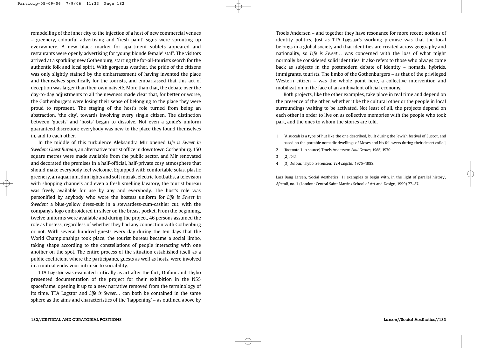remodelling of the inner city to the injection of a host of new commercial venues – greenery, colourful advertising and 'fresh paint' signs were sprouting up everywhere. A new black market for apartment sublets appeared and restaurants were openly advertising for 'young blonde female' staff. The visitors arrived at a sparkling new Gothenburg, starting the for-all-tourists search for the authentic folk and local spirit. With gorgeous weather, the pride of the citizens was only slightly stained by the embarrassment of having invented the place and themselves specifically for the tourists, and embarrassed that this act of deception was larger than their own naïveté. More than that, the debate over the day-to-day adjustments to all the newness made clear that, for better or worse, the Gothenburgers were losing their sense of belonging to the place they were proud to represent. The staging of the host's role turned from being an abstraction, 'the city', towards involving every single citizen. The distinction between 'guests' and 'hosts' began to dissolve. Not even a guide's uniform guaranteed discretion: everybody was new to the place they found themselves in, and to each other.

In the middle of this turbulence Aleksandra Mir opened *Life is Sweet in Sweden: Guest Bureau*, an alternative tourist office in downtown Gothenburg. 150 square metres were made available from the public sector, and Mir renovated and decorated the premises in a half-official, half-private cosy atmosphere that should make everybody feel welcome. Equipped with comfortable sofas, plastic greenery, an aquarium, dim lights and soft muzak, electric footbaths, a television with shopping channels and even a fresh smelling lavatory, the tourist bureau was freely available for use by any and everybody. The host's role was personified by anybody who wore the hostess uniform for *Life is Sweet in Sweden;* a blue-yellow dress-suit in a stewardess-cum-cashier cut, with the company's logo embroidered in silver on the breast pocket. From the beginning, twelve uniforms were available and during the project, 46 persons assumed the role as hostess, regardless of whether they had any connection with Gothenburg or not. With several hundred guests every day during the ten days that the World Championships took place, the tourist bureau became a social limbo, taking shape according to the constellations of people interacting with one another on the spot. The entire process of the situation established itself as a public coefficient where the participants, guests as well as hosts, were involved in a mutual endeavour intrinsic to sociability.

TTA Løgstør was evaluated critically as art after the fact; Dufour and Thybo presented documentation of the project for their exhibition in the N55 spaceframe, opening it up to a new narrative removed from the terminology of its time. TTA Løgstør and *Life is Sweet…* can both be contained in the same sphere as the aims and characteristics of the 'happening' – as outlined above by

Troels Andersen – and together they have resonance for more recent notions of identity politics. Just as TTA Løgstør's working premise was that the local belongs in a global society and that identities are created across geography and nationality, so *Life is Sweet…* was concerned with the loss of what might normally be considered solid identities. It also refers to those who always come back as subjects in the postmodern debate of identity – nomads, hybrids, immigrants, tourists. The limbo of the Gothenburgers – as that of the privileged Western citizen – was the whole point here, a collective intervention and mobilization in the face of an ambivalent official economy.

Both projects, like the other examples, take place in real time and depend on the presence of the other, whether it be the cultural other or the people in local surroundings waiting to be activated. Not least of all, the projects depend on each other in order to live on as collective memories with the people who took part, and the ones to whom the stories are told.

- 1 [A succah is a type of hut like the one described, built during the Jewish festival of Succot, and based on the portable nomadic dwellings of Moses and his followers during their desert exile.]
- 2 [footnote 1 in source] Troels Andersen: *Paul Gernes, 1966*, 1970.
- 3 [2] *Ibid.*
- 4 [3] Dufour, Thybo, Sørensen: TTA Løgstør 1975–1988.

Lars Bang Larsen, 'Social Aesthetics: 11 examples to begin with, in the light of parallel history', *Afterall*, no. 1 (London: Central Saint Martins School of Art and Design, 1999) 77–87.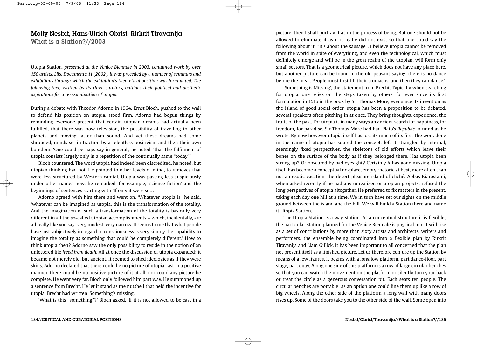# Molly Nesbit, Hans-Ulrich Obrist, Rirkrit Tiravanija What is a Station?//2003

Utopia Station*, presented at the Venice Biennale in 2003, contained work by over 150 artists. Like Documenta 11 (2002), it was preceded by a number of seminars and exhibitions through which the exhibition's theoretical position was formulated. The following text, written by its three curators, outlines their political and aesthetic aspirations for a re-examination of utopia.* 

During a debate with Theodor Adorno in 1964, Ernst Bloch, pushed to the wall to defend his position on utopia, stood firm. Adorno had begun things by reminding everyone present that certain utopian dreams had actually been fulfilled, that there was now television, the possibility of travelling to other planets and moving faster than sound. And yet these dreams had come shrouded, minds set in traction by a relentless positivism and then their own boredom. 'One could perhaps say in general', he noted, 'that the fulfilment of utopia consists largely only in a repetition of the continually same "today".'

Bloch countered. The word utopia had indeed been discredited, he noted, but utopian thinking had not. He pointed to other levels of mind, to removes that were less structured by Western capital. Utopia was passing less auspiciously under other names now, he remarked, for example, 'science fiction' and the beginnings of sentences starting with 'If only it were so…'

Adorno agreed with him there and went on. 'Whatever utopia is', he said, 'whatever can be imagined as utopia, this is the transformation of the totality. And the imagination of such a transformation of the totality is basically very different in all the so-called utopian accomplishments – which, incidentally, are all really like you say: very modest, very narrow. It seems to me that what people have lost subjectively in regard to consciousness is very simply the capability to imagine the totality as something that could be completely different.' How to think utopia then? Adorno saw the only possibility to reside in the notion of an unfettered life *freed from death*. All at once the discussion of utopia expanded; it became not merely old, but ancient. It seemed to shed ideologies as if they were skins. Adorno declared that there could be no picture of utopia cast in a positive manner, there could be no positive picture of it at all, nor could any picture be complete. He went very far. Bloch only followed him part way. He summoned up a sentence from Brecht. He let it stand as the nutshell that held the incentive for utopia. Brecht had written 'Something's missing.'

'What is this "something"?' Bloch asked. 'If it is not allowed to be cast in a

picture, then I shall portray it as in the process of being. But one should not be allowed to eliminate it as if it really did not exist so that one could say the following about it: "It's about the sausage". I believe utopia cannot be removed from the world in spite of everything, and even the technological, which must definitely emerge and will be in the great realm of the utopian, will form only small sectors. That is a geometrical picture, which does not have any place here, but another picture can be found in the old peasant saying, there is no dance before the meal. People must first fill their stomachs, and then they can dance.'

'Something is Missing', the statement from Brecht. Typically when searching for utopia, one relies on the steps taken by others, for ever since its first formulation in 1516 in the book by Sir Thomas More, ever since its invention as the island of good social order, utopia has been a proposition to be debated, several speakers often pitching in at once. They bring thoughts, experience, the fruits of the past. For utopia is in many ways an ancient search for happiness, for freedom, for paradise. Sir Thomas More had had Plato's *Republic* in mind as he wrote. By now however utopia itself has lost its much of its fire. The work done in the name of utopia has soured the concept, left it strangled by internal, seemingly fixed perspectives, the skeletons of old efforts which leave their bones on the surface of the body as if they belonged there. Has utopia been strung up? Or obscured by bad eyesight? Certainly *it* has gone missing. Utopia itself has become a conceptual no-place, empty rhetoric at best, more often than not an exotic vacation, the desert pleasure island of cliché. Abbas Kiarostami, when asked recently if he had any unrealized or utopian projects, refused the long perspectives of utopia altogether. He preferred to fix matters in the present, taking each day one hill at a time. We in turn have set our sights on the middle ground between the island and the hill. We will build a Station there and name it Utopia Station.

The Utopia Station is a way-station. As a conceptual structure it is flexible; the particular Station planned for the Venice Biennale is physical too. It will rise as a set of contributions by more than sixty artists and architects, writers and performers, the ensemble being coordinated into a flexible plan by Rirkrit Tiravanija and Liam Gillick. It has been important to all concerned that the plan not present itself as a finished picture. Let us therefore conjure up the Station by means of a few figures. It begins with a long low platform, part dance-floor, part stage, part quay. Along one side of this platform is a row of large circular benches so that you can watch the movement on the platform or silently turn your back or treat the circle as a generous conversation pit. Each seats ten people. The circular benches are portable; as an option one could line them up like a row of big wheels. Along the other side of the platform a long wall with many doors rises up. Some of the doors take you to the other side of the wall. Some open into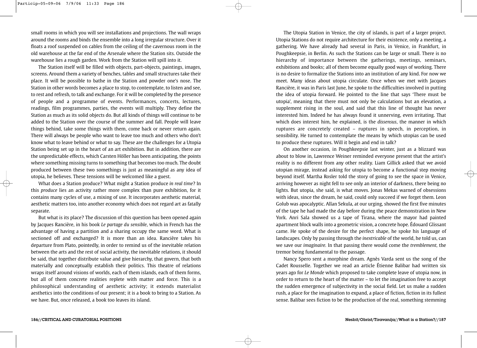small rooms in which you will see installations and projections. The wall wraps around the rooms and binds the ensemble into a long irregular structure. Over it floats a roof suspended on cables from the ceiling of the cavernous room in the old warehouse at the far end of the Arsenale where the Station sits. Outside the warehouse lies a rough garden. Work from the Station will spill into it.

The Station itself will be filled with objects, part-objects, paintings, images, screens. Around them a variety of benches, tables and small structures take their place. It will be possible to bathe in the Station and powder one's nose. The Station in other words becomes a place to stop, to contemplate, to listen and see, to rest and refresh, to talk and exchange. For it will be completed by the presence of people and a programme of events. Performances, concerts, lectures, readings, film programmes, parties, the events will multiply. They define the Station as much as its solid objects do. But all kinds of things will continue to be added to the Station over the course of the summer and fall. People will leave things behind, take some things with them, come back or never return again. There will always be people who want to leave too much and others who don't know what to leave behind or what to say. These are the challenges for a Utopia Station being set up in the heart of an art exhibition. But in addition, there are the unpredictable effects, which Carsten Höller has been anticipating, the points where something missing turns to something that becomes too much. The doubt produced between these two somethings is just as meaningful as any idea of utopia, he believes. These tensions will be welcomed like a guest.

What does a Station produce? What might a Station produce *in real time*? In this *produce* lies an activity rather more complex than pure exhibition, for it contains many cycles of use, a mixing of use. It incorporates aesthetic material, aesthetic matters too, into another economy which does not regard art as fatally separate.

But what is its place? The discussion of this question has been opened again by Jacques Rancière, in his book *Le partage du sensible*, which in French has the advantage of having a partition and a sharing occupy the same word. What is sectioned off and exchanged? It is more than an idea. Rancière takes his departure from Plato, pointedly, in order to remind us of the inevitable relation between the arts and the rest of social activity, the inevitable relations, it should be said, that together distribute value and give hierarchy, that govern, that both materially and conceptually establish their politics. This theatre of relations wraps itself around visions of worlds, each of them islands, each of them forms, but all of them concrete realities replete with matter and force. This is a philosophical understanding of aesthetic activity; it extends materialist aesthetics into the conditions of our present; it is a book to bring to a Station. As we have. But, once released, a book too leaves its island.

The Utopia Station in Venice, the city of islands, is part of a larger project. Utopia Stations do not require architecture for their existence, only a meeting, a gathering. We have already had several in Paris, in Venice, in Frankfurt, in Poughkeepsie, in Berlin. As such the Stations can be large or small. There is no hierarchy of importance between the gatherings, meetings, seminars, exhibitions and books; all of them become equally good ways of working. There is no desire to formalize the Stations into an institution of any kind. For now we meet. Many ideas about utopia circulate. Once when we met with Jacques Rancière, it was in Paris last June, he spoke to the difficulties involved in putting the idea of utopia forward. He pointed to the line that says 'There must be utopia', meaning that there must not only be calculations but an elevation, a supplement rising in the soul, and said that this line of thought has never interested him. Indeed he has always found it unnerving, even irritating. That which does interest him, he explained, is the *dissensus*, the manner in which ruptures are concretely created – ruptures in speech, in perception, in sensibility. He turned to contemplate the means by which utopias can be used to produce these ruptures. Will it begin and end in talk?

On another occasion, in Poughkeepsie last winter, just as a blizzard was about to blow in, Lawrence Weiner reminded everyone present that the artist's reality is no different from any other reality. Liam Gillick asked that we avoid utopian mirage, instead asking for utopia to become a functional step moving beyond itself. Martha Rosler told the story of going to see the space in Venice, arriving however as night fell to see only an interior of darkness, there being no lights. But utopia, she said, is what moves. Jonas Mekas warned of obsessions with ideas, since the dream, he said, could only succeed if we forget them. Leon Golub was apocalyptic. Allan Sekula, at our urging, showed the first five minutes of the tape he had made the day before during the peace demonstration in New York. Anri Sala showed us a tape of Tirana, where the mayor had painted apartment block walls into a geometric vision, a concrete hope. Édouard Glissant came. He spoke of the desire for the perfect shape, he spoke his language of landscapes. Only by passing through the *inextricable* of the world, he told us, can we save our *imaginaire.* In that passing there would come the *tremblement,* the tremor being fundamental to the passage.

Nancy Spero sent a morphine dream. Agnès Varda sent us the song of the Cadet Rousselle. Together we read an article Étienne Balibar had written six years ago for *Le Monde* which proposed to take complete leave of utopia now, in order to return to the heart of the matter – to let the imagination free to accept the sudden emergence of subjectivity in the social field. Let us make a sudden rush, a place for the imagination to expand, a place of fiction, fiction in its fullest sense. Balibar sees fiction to be the production of the real, something stemming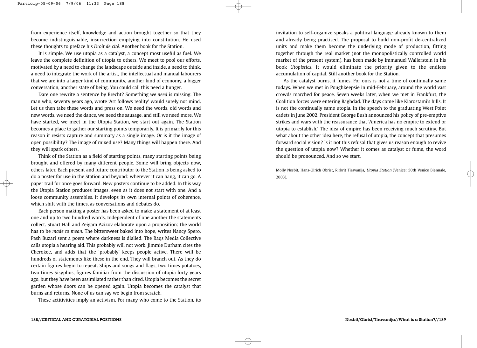from experience itself, knowledge and action brought together so that they become indistinguishable, insurrection emptying into constitution. He used these thoughts to preface his *Droit de cité*. Another book for the Station.

It is simple. We use utopia as a catalyst, a concept most useful as fuel. We leave the complete definition of utopia to others. We meet to pool our efforts, motivated by a need to change the landscape outside and inside, a need to think, a need to integrate the work of the artist, the intellectual and manual labourers that we are into a larger kind of community, another kind of economy, a bigger conversation, another state of being. You could call this need a hunger.

Dare one rewrite a sentence by Brecht? Something *we need* is missing. The man who, seventy years ago, wrote 'Art follows reality' would surely not mind. Let us then take these words and press on. We need the words, old words and new words, we need the dance, we need the sausage, and still we need more. We have started, we meet in the Utopia Station, we start out again. The Station becomes a place to gather our starting points temporarily. It is primarily for this reason it resists capture and summary as a single image. Or is it the image of open possibility? The image of mixed use? Many things will happen there. And they will spark others.

Think of the Station as a field of starting points, many starting points being brought and offered by many different people. Some will bring objects now, others later. Each present and future contributor to the Station is being asked to do a poster for use in the Station and beyond: wherever it can hang, it can go. A paper trail for once goes forward. New posters continue to be added. In this way the Utopia Station produces images, even as it does not start with one. And a loose community assembles. It develops its own internal points of coherence, which shift with the times, as conversations and debates do.

Each person making a poster has been asked to make a statement of at least one and up to two hundred words. Independent of one another the statements collect. Stuart Hall and Zeigam Azizov elaborate upon a proposition: the world has to be *made to mean*. The bittersweet baked into hope, writes Nancy Spero. Pash Buzari sent a poem where darkness is dialled. The Raqs Media Collective calls utopia a hearing aid. This probably will not work. Jimmie Durham cites the Cherokee, and adds that the 'probably' keeps people active. There will be hundreds of statements like these in the end. They will branch out. As they do certain figures begin to repeat. Ships and songs and flags, two times potatoes, two times Sisyphus, figures familiar from the discussion of utopia forty years ago, but they have been assimilated rather than cited. Utopia becomes the secret garden whose doors can be opened again. Utopia becomes the catalyst that burns and returns. None of us can say we begin from scratch.

These actitivities imply an activism. For many who come to the Station, its

invitation to self-organize speaks a political language already known to them and already being practised. The proposal to build non-profit de-centralized units and make them become the underlying mode of production, fitting together through the real market (not the monopolistically controlled world market of the present system), has been made by Immanuel Wallerstein in his book *Utopistics*. It would eliminate the priority given to the endless accumulation of capital. Still another book for the Station.

As the catalyst burns, it fumes. For ours is not a time of continually same todays. When we met in Poughkeepsie in mid-February, around the world vast crowds marched for peace. Seven weeks later, when we met in Frankfurt, the Coalition forces were entering Baghdad. The days come like Kiarostami's hills. It is not the continually same utopia. In the speech to the graduating West Point cadets in June 2002, President George Bush announced his policy of pre-emptive strikes and wars with the reassurance that 'America has no empire to extend or utopia to establish.' The idea of empire has been receiving much scrutiny. But what about the other idea here, the refusal of utopia, the concept that presumes forward social vision? Is it not this refusal that gives us reason enough to revive the question of utopia now? Whether it comes as catalyst or fume, the word should be pronounced. And so we start.

Molly Nesbit, Hans-Ulrich Obrist, Rirkrit Tiravanija, Utopia Station (Venice: 50th Venice Biennale, 2003).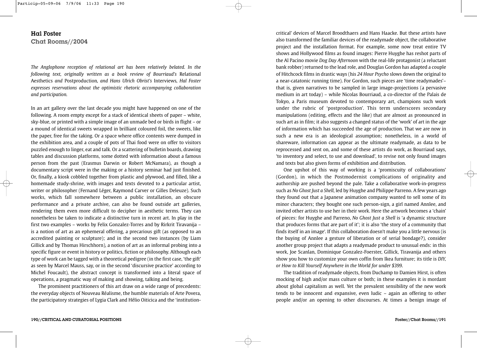# Hal Foster Chat Rooms//2004

*The Anglophone reception of relational art has been relatively belated. In the following text, originally written as a book review of Bourriaud's* Relational Aesthetics *and* Postproduction*, and Hans Ulrich Obrist's* Interviews*, Hal Foster expresses reservations about the optimistic rhetoric accompanying collaboration and participation.*

In an art gallery over the last decade you might have happened on one of the following. A room empty except for a stack of identical sheets of paper – white, sky-blue, or printed with a simple image of an unmade bed or birds in flight – or a mound of identical sweets wrapped in brilliant coloured foil, the sweets, like the paper, free for the taking. Or a space where office contents were dumped in the exhibition area, and a couple of pots of Thai food were on offer to visitors puzzled enough to linger, eat and talk. Or a scattering of bulletin boards, drawing tables and discussion platforms, some dotted with information about a famous person from the past (Erasmus Darwin or Robert McNamara), as though a documentary script were in the making or a history seminar had just finished. Or, finally, a kiosk cobbled together from plastic and plywood, and filled, like a homemade study-shrine, with images and texts devoted to a particular artist, writer or philosopher (Fernand Léger, Raymond Carver or Gilles Deleuze). Such works, which fall somewhere between a public installation, an obscure performance and a private archive, can also be found outside art galleries, rendering them even more difficult to decipher in aesthetic terms. They can nonetheless be taken to indicate a distinctive turn in recent art. In play in the first two examples – works by Felix Gonzalez-Torres and by Rirkrit Tiravanija – is a notion of art as an ephemeral offering, a precarious gift (as opposed to an accredited painting or sculpture); and in the second two instances (by Liam Gillick and by Thomas Hirschhorn), a notion of art as an informal probing into a specific figure or event in history or politics, fiction or philosophy. Although each type of work can be tagged with a theoretical pedigree (in the first case, 'the gift' as seen by Marcel Mauss, say, or in the second 'discursive practice' according to Michel Foucault), the abstract concept is transformed into a literal space of operations, a pragmatic way of making and showing, talking and being.

The prominent practitioners of this art draw on a wide range of precedents: the everyday objects of Nouveau Réalisme, the humble materials of Arte Povera, the participatory strategies of Lygia Clark and Hélio Oiticica and the 'institutioncritical' devices of Marcel Broodthaers and Hans Haacke. But these artists have also transformed the familiar devices of the readymade object, the collaborative project and the installation format. For example, some now treat entire TV shows and Hollywood films as found images: Pierre Huyghe has reshot parts of the Al Pacino movie *Dog Day Afternoon* with the real-life protagonist (a reluctant bank robber) returned to the lead role, and Douglas Gordon has adapted a couple of Hitchcock films in drastic ways (his *24 Hour Psycho* slows down the original to a near-catatonic running time). For Gordon, such pieces are 'time readymades'– that is, given narratives to be sampled in large image-projections (a pervasive medium in art today) – while Nicolas Bourriaud, a co-director of the Palais de Tokyo, a Paris museum devoted to contemporary art, champions such work under the rubric of 'postproduction'. This term underscores secondary manipulations (editing, effects and the like) that are almost as pronounced in such art as in film; it also suggests a changed status of the 'work' of art in the age of information which has succeeded the age of production. That we are now in such a new era is an ideological assumption; nonetheless, in a world of shareware, information can appear as the ultimate readymade, as data to be reprocessed and sent on, and some of these artists do work, as Bourriaud says, 'to inventory and select, to use and download', to revise not only found images and texts but also given forms of exhibition and distribution.

One upshot of this way of working is a 'promiscuity of collaborations' (Gordon), in which the Postmodernist complications of originality and authorship are pushed beyond the pale. Take a collaborative work-in-progress such as *No Ghost Just a Shell*, led by Huyghe and Philippe Parreno. A few years ago they found out that a Japanese animation company wanted to sell some of its minor characters; they bought one such person-sign, a girl named Annlee, and invited other artists to use her in their work. Here the artwork becomes a 'chain' of pieces: for Huyghe and Parreno, *No Ghost Just a Shell* is 'a dynamic structure that produces forms that are part of it'; it is also 'the story of a community that finds itself in an image'. If this collaboration doesn't make you a little nervous (is the buying of Annlee a gesture of liberation or of serial bondage?), consider another group project that adapts a readymade product to unusual ends: in this work, Joe Scanlan, Dominique Gonzalez-Foerster, Gillick, Tiravanija and others show you how to customize your own coffin from Ikea furniture; its title is *DIY, or How to Kill Yourself Anywhere in the World for under \$399*.

The tradition of readymade objects, from Duchamp to Damien Hirst, is often mocking of high and/or mass culture or both; in these examples it is mordant about global capitalism as well. Yet the prevalent sensibility of the new work tends to be innocent and expansive, even ludic – again an offering to other people and/or an opening to other discourses. At times a benign image of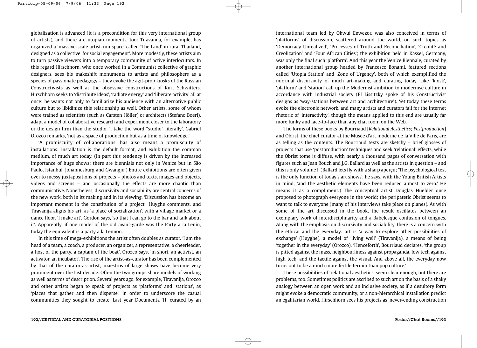globalization is advanced (it is a precondition for this very international group of artists), and there are utopian moments, too: Tiravanija, for example, has organized a 'massive-scale artist-run space' called 'The Land' in rural Thailand, designed as a collective 'for social engagement'. More modestly, these artists aim to turn passive viewers into a temporary community of active interlocutors. In this regard Hirschhorn, who once worked in a Communist collective of graphic designers, sees his makeshift monuments to artists and philosophers as a species of passionate pedagogy – they evoke the agit-prop kiosks of the Russian Constructivists as well as the obsessive constructions of Kurt Schwitters. Hirschhorn seeks to 'distribute ideas', 'radiate energy' and 'liberate activity' all at once: he wants not only to familiarize his audience with an alternative public culture but to libidinize this relationship as well. Other artists, some of whom were trained as scientists (such as Carsten Höller) or architects (Stefano Boeri), adapt a model of collaborative research and experiment closer to the laboratory or the design firm than the studio. 'I take the word "studio" literally', Gabriel Orozco remarks, 'not as a space of production but as a time of knowledge.'

'A promiscuity of collaborations' has also meant a promiscuity of installations: installation is the default format, and exhibition the common medium, of much art today. (In part this tendency is driven by the increased importance of huge shows: there are biennials not only in Venice but in São Paulo, Istanbul, Johannesburg and Gwangju.) Entire exhibitions are often given over to messy juxtapositions of projects – photos and texts, images and objects, videos and screens – and occasionally the effects are more chaotic than communicative. Nonetheless, discursivity and sociability are central concerns of the new work, both in its making and in its viewing. 'Discussion has become an important moment in the constitution of a project', Huyghe comments, and Tiravanija aligns his art, as 'a place of socialization', with a village market or a dance floor. 'I make art', Gordon says, 'so that I can go to the bar and talk about it'. Apparently, if one model of the old avant-garde was the Party à la Lenin, today the equivalent is a party à la Lennon.

In this time of mega-exhibitions the artist often doubles as curator. 'I am the head of a team, a coach, a producer, an organizer, a representative, a cheerleader, a host of the party, a captain of the boat', Orozco says, 'in short, an activist, an activator, an incubator'. The rise of the artist-as-curator has been complemented by that of the curator-as-artist; maestros of large shows have become very prominent over the last decade. Often the two groups share models of working as well as terms of description. Several years ago, for example, Tiravanija, Orozco and other artists began to speak of projects as 'platforms' and 'stations', as 'places that gather and then disperse', in order to underscore the casual communities they sought to create. Last year Documenta 11, curated by an

international team led by Okwui Enwezor, was also conceived in terms of 'platforms' of discussion, scattered around the world, on such topics as 'Democracy Unrealized', 'Processes of Truth and Reconciliation', 'Creolité and Creolization' and 'Four African Cities'; the exhibition held in Kassel, Germany, was only the final such 'platform'. And this year the Venice Biennale, curated by another international group headed by Francesco Bonami, featured sections called 'Utopia Station' and 'Zone of Urgency', both of which exemplified the informal discursivity of much art-making and curating today. Like 'kiosk', 'platform' and 'station' call up the Modernist ambition to modernise culture in accordance with industrial society (El Lissitzky spoke of his Constructivist designs as 'way-stations between art and architecture'). Yet today these terms evoke the electronic network, and many artists and curators fall for the Internet rhetoric of 'interactivity', though the means applied to this end are usually far more funky and face-to-face than any chat room on the Web.

The forms of these books by Bourriaud [*Relational Aesthetics*; *Postproduction*] and Obrist, the chief curator at the Musée d'art moderne de la Ville de Paris, are as telling as the contents. The Bourriaud texts are sketchy – brief glosses of projects that use 'postproduction' techniques and seek 'relational' effects, while the Obrist tome is diffuse, with nearly a thousand pages of conversation with figures such as Jean Rouch and J.G. Ballard as well as the artists in question – and this is only volume I. (Ballard lets fly with a sharp aperçu; 'The psychological test is the only function of today's art shows', he says, with the Young British Artists in mind, 'and the aesthetic elements have been reduced almost to zero.' He means it as a compliment.) The conceptual artist Douglas Huebler once proposed to photograph everyone in the world; the peripatetic Obrist seems to want to talk to everyone (many of his interviews take place on planes). As with some of the art discussed in the book, the result oscillates between an exemplary work of interdisciplinarity and a Babelesque confusion of tongues. Along with the emphasis on discursivity and sociability, there is a concern with the ethical and the everyday: art is 'a way to explore other possibilities of exchange' (Huyghe), a model of 'living well' (Tiravanija), a means of being 'together in the everyday' (Orozco). 'Henceforth', Bourriaud declares, 'the group is pitted against the mass, neighbourliness against propaganda, low tech against high tech, and the tactile against the visual. And above all, the everyday now turns out to be a much more fertile terrain than pop culture.'

These possibilities of 'relational aesthetics' seem clear enough, but there are problems, too. Sometimes politics are ascribed to such art on the basis of a shaky analogy between an open work and an inclusive society, as if a desultory form might evoke a democratic community, or a non-hierarchical installation predict an egalitarian world. Hirschhorn sees his projects as 'never-ending construction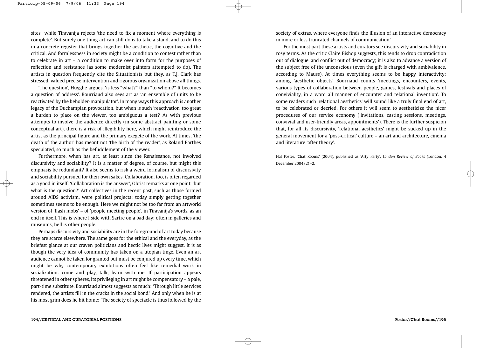sites', while Tiravanija rejects 'the need to fix a moment where everything is complete'. But surely one thing art can still do is to take a stand, and to do this in a concrete register that brings together the aesthetic, the cognitive and the critical. And formlessness in society might be a condition to contest rather than to celebrate in art – a condition to make over into form for the purposes of reflection and resistance (as some modernist painters attempted to do). The artists in question frequently cite the Situationists but they, as T.J. Clark has stressed, valued precise intervention and rigorous organization above all things.

'The question', Huyghe argues, 'is less "what?" than "to whom?" It becomes a question of address'. Bourriaud also sees art as 'an ensemble of units to be reactivated by the beholder-manipulator'. In many ways this approach is another legacy of the Duchampian provocation, but when is such 'reactivation' too great a burden to place on the viewer, too ambiguous a test? As with previous attempts to involve the audience directly (in some abstract painting or some conceptual art), there is a risk of illegibility here, which might reintroduce the artist as the principal figure and the primary exegete of the work. At times, 'the death of the author' has meant not 'the birth of the reader', as Roland Barthes speculated, so much as the befuddlement of the viewer.

Furthermore, when has art, at least since the Renaissance, not involved discursivity and sociability? It is a matter of degree, of course, but might this emphasis be redundant? It also seems to risk a weird formalism of discursivity and sociability pursued for their own sakes. Collaboration, too, is often regarded as a good in itself: 'Collaboration is the answer', Obrist remarks at one point, 'but what is the question?' Art collectives in the recent past, such as those formed around AIDS activism, were political projects; today simply getting together sometimes seems to be enough. Here we might not be too far from an artworld version of 'flash mobs' – of 'people meeting people', in Tiravanija's words, as an end in itself. This is where I side with Sartre on a bad day: often in galleries and museums, hell is other people.

Perhaps discursivity and sociability are in the foreground of art today because they are scarce elsewhere. The same goes for the ethical and the everyday, as the briefest glance at our craven politicians and hectic lives might suggest. It is as though the very idea of community has taken on a utopian tinge. Even an art audience cannot be taken for granted but must be conjured up every time, which might be why contemporary exhibitions often feel like remedial work in socialization: come and play, talk, learn with me. If participation appears threatened in other spheres, its privileging in art might be compensatory – a pale, part-time substitute. Bourriaud almost suggests as much: 'Through little services rendered, the artists fill in the cracks in the social bond.' And only when he is at his most grim does he hit home: 'The society of spectacle is thus followed by the

society of extras, where everyone finds the illusion of an interactive democracy in more or less truncated channels of communication.'

For the most part these artists and curators see discursivity and sociability in rosy terms. As the critic Claire Bishop suggests, this tends to drop contradiction out of dialogue, and conflict out of democracy; it is also to advance a version of the subject free of the unconscious (even the gift is charged with ambivalence, according to Mauss). At times everything seems to be happy interactivity: among 'aesthetic objects' Bourriaud counts 'meetings, encounters, events, various types of collaboration between people, games, festivals and places of conviviality, in a word all manner of encounter and relational invention'. To some readers such 'relational aesthetics' will sound like a truly final end of art, to be celebrated or decried. For others it will seem to aestheticize the nicer procedures of our service economy ('invitations, casting sessions, meetings, convivial and user-friendly areas, appointments'). There is the further suspicion that, for all its discursivity, 'relational aesthetics' might be sucked up in the general movement for a 'post-critical' culture – an art and architecture, cinema and literature 'after theory'.

Hal Foster, 'Chat Rooms' (2004), published as 'Arty Party', *London Review of Books* (London, 4 December 2004) 21–2.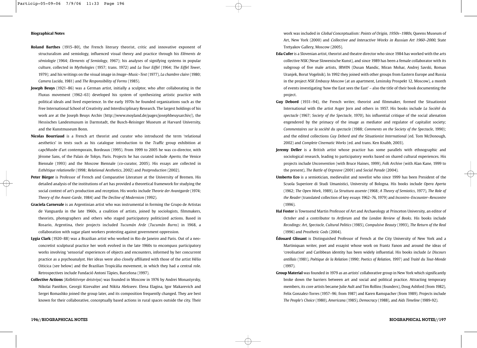#### **Biographical Notes**

- **Roland Barthes** (1915–80), the French literary theorist, critic and innovative exponent of structuralism and semiology, influenced visual theory and practice through his *Eléments de sémiologie* (1964; *Elements of Semiology*, 1967); his analyses of signifying systems in popular culture, collected in *Mythologies* (1957; trans. 1972) and *La Tour Eiffel* (1964; *The Eiffel Tower*, 1979); and his writings on the visual image in *Image–Music–Text* (1977), *La chambre claire* (1980; *Camera Lucida*, 1981) and *The Responsibility of Forms* (1985).
- **Joseph Beuys** (1921–86) was a German artist, initially a sculptor, who after collaborating in the Fluxus movement (1962–63) developed his system of synthesizing artistic practice with political ideals and lived experience. In the early 1970s he founded organizations such as the Free International School of Creativity and Interdisciplinary Research. The largest holdings of his work are at the Joseph Beuys Archiv (http://www.moyland.de/pages/josephbeuysarchiv/), the Hessisches Landesmusum in Darmstadt, the Busch-Reisinger Museum at Harvard University, and the Kunstmuseum Bonn.
- **Nicolas Bourriaud** is a French art theorist and curator who introduced the term 'relational aesthetics' in texts such as his catalogue introduction to the Traffic group exhibition at capcMusée d'art contemporain, Bordeaux (1995). From 1999 to 2005 he was co-director, with Jérome Sans, of the Palais de Tokyo, Paris. Projects he has curated include Aperto, the Venice Biennale (1993) and the Moscow Biennale (co-curator, 2005). His essays are collected in *Esthétique relationelle* (1998; *Relational Aesthetics*, 2002) and *Postproduction* (2002).
- **Peter Bürger** is Professor of French and Comparative Literature at the University of Bremen. His detailed analysis of the institutions of art has provided a theoretical framework for studying the social context of art's production and reception. His works include *Theorie der Avantgarde* (1974; *Theory of the Avant-Garde*, 1984) and *The Decline of Modernism* (1992).
- **Graciela Carnevale** is an Argentinian artist who was instrumental in forming the Grupo de Artistas de Vanguarda in the late 1960s, a coalition of artists, joined by sociologists, filmmakers, theorists, photographers and others who staged participatory politicized actions. Based in Rosario, Argentina, their projects included *Tucumán Arde* (*Tucumán Burns*) in 1968, a collaboration with sugar plant workers protesting against government oppression.
- **Lygia Clark** (1920–88) was a Brazilian artist who worked in Rio de Janeiro and Paris. Out of a neoconcretist sculptural practice her work evolved in the late 1960s to encompass participatory works involving 'sensorial' experiences of objects and encounters, informed by her concurrent practice as a psychoanalyst. Her ideas were also closely affiliated with those of the artist Hélio Oiticica (see below) and the Brazilian Tropicália movement, in which they had a central role. Retrospectives include Fundació Antoni Tàpies, Barcelona (1997).
- **Collective Actions** (*Kollektivnye deistviya*) was founded in Moscow in 1976 by Andrei Monastyrsky, Nikolai Panitkov, Georgii Kizevalter and Nikita Alekseev. Elena Elagina, Igor Makarevich and Sergei Romashko joined the group later, and its composition frequently changed. They are best known for their collaborative, conceptually based actions in rural spaces outside the city. Their

work was included in Global Conceptualism: Points of Origin, 1950s–1980s, Queens Museum of Art, New York (2000) and Collective and Interactive Works in Russian Art 1960–2000, State Tretyakov Gallery, Moscow (2005).

- **Eda Cufer** is a Slovenian artist, theorist and theatre director who since 1984 has worked with the arts collective NSK (Neue Slowenische Kunst), and since 1989 has been a female collaborator with its subgroup of five male artists, IRWIN (Dusan Mandic, Miran Mohar, Andrej Savski, Roman Uranjek, Borut Vogelnik). In 1992 they joined with other groups from Eastern Europe and Russia in the project *NSK Embassy Moscow* (at an apartment, Leninsky Prospekt 12, Moscow), a month of events investigating 'how the East sees the East' – also the title of their book documenting the project.
- **Guy Debord** (1931–94), the French writer, theorist and filmmaker, formed the Situationist International with the artist Asger Jorn and others in 1957. His books include *La Société du spectacle* (1967; *Society of the Spectacle*, 1970), his influential critique of the social alienation engendered by the primacy of the image as mediator and regulator of capitalist society; *Commentaires sur la société du spectacle* (1988; *Comments on the Society of the Spectacle*, 1990); and the edited collections *Guy Debord and the Situationist International* (ed. Tom McDonough, 2002) and *Complete Cinematic Works* (ed. and trans. Ken Knabb, 2003).
- **Jeremy Deller** is a British artist whose practice has some parallels with ethnographic and sociological research, leading to participatory works based on shared cultural experiences. His projects include *Unconvention* (with Bruce Haines, 1999), *Folk Archive* (with Alan Kane, 1999 to the present), *The Battle of Orgreave* (2001) and *Social Parade* (2004).
- **Umberto Eco** is a semiotician, medievalist and novelist who since 1999 has been President of the Scuola Superiore di Studi Umanistici, University of Bologna. His books include *Opera Aperta* (1962; *The Open Work*, 1989), *La Struttura assente* (1968; *A Theory of Semiotics*, 1977), *The Role of the Reader* (translated collection of key essays 1962–76, 1979) and *Incontro–Encounter–Rencontre* (1996).
- **Hal Foster** is Townsend Martin Professor of Art and Archaeology at Princeton University, an editor of *October* and a contributor to *Artforum* and the *London Review of Books*. His books include *Recodings: Art, Spectacle, Cultural Politics* (1985), *Compulsive Beauty* (1993), *The Return of the Real* (1996) and *Prosthetic Gods* (2004).
- **Édouard Glissant** is Distinguished Professor of French at the City University of New York and a Martiniquan writer, poet and essayist whose work on Frantz Fanon and around the ideas of 'creolisation' and Caribbean identity has been widely influential. His books include *Le Discours antillais* (1981), *Poétique de la Relation* (1990; *Poetics of Relation*, 1997) and *Traité du Tout-Monde* (1997).
- **Group Material** was founded in 1979 as an artists' collaborative group in New York which significantly broke down the barriers between art and social and political practice. Attracting temporary members, its core artists became Julie Ault and Tim Rollins (founders), Doug Ashford (from 1982), Felix Gonzalez-Torres (1957–96; from 1987) and Karen Ramspacher (from 1989). Projects include *The People's Choice* (1980), *Americana* (1985), *Democracy* (1988), and *Aids Timeline* (1989-92).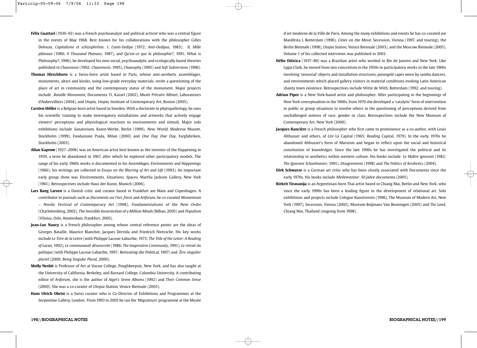- **Félix Guattari** (1930–92) was a French psychoanalyst and political activist who was a central figure in the events of May 1968. Best known for his collaborations with the philosopher Gilles Deleuze, *Capitalisme et schizophrénie*. 1. *L'anti-Oedipe* (1972; *Anti-Oedipus*, 1983); II. *Mille plâteaux* (1980; *A Thousand Plateaus*, 1987), and *Qu'est-ce que la philosophie?*, 1991; What is Philosophy?, 1996), he developed his own social, psychoanalytic and ecologically based theories published in *Chaosmose* (1992; *Chaosmosis*, 1995), *Chaosophy* (1995) and *Soft Subversions* (1996).
- **Thomas Hirschhorn** is a Swiss-born artist based in Paris, whose anti-aesthetic assemblages, monuments, altars and kiosks, using low-grade everyday materials, invite a questioning of the place of art in community and the contemporary status of the monument. Major projects include *Bataille Monument,* Documenta 11, Kassel (2002), *Musée Précaire Albinet*, Laboratoires d'Aubervilliers (2004), and *Utopia, Utopia,* Institute of Contemporary Art, Boston (2005).
- **Carsten Höller** is a Belgian-born artist based in Sweden. With a doctorate in phytopathology, he uses his scientific training to make investigatory installations and artworks that actively engage viewers' perceptions and physiological reactions to environments and stimuli. Major solo exhibitions include Sanatorium, Kunst-Werke, Berlin (1999), New World, Moderna Museet, Stockholm (1999), Fondazione Prada, Milan (2000) and One Day One Day, Fargfabriken, Stockholm (2003).
- **Allan Kaprow** (1927–2006) was an American artist best known as the inventor of the Happening in 1959, a term he abandoned in 1967, after which he explored other participatory models. The range of his early 1960s works is documented in his *Assemblages, Environments and Happenings* (1966); his writings are collected in *Essays on the Blurring of Art and Life* (1993). An important early group show was *Environments, Situations, Spaces*, Martha Jackson Gallery, New York (1961). Retrospectives include Haus der Kunst, Munich (2006).
- **Lars Bang Larsen** is a Danish critic and curator based in Frankfurt am Main and Copenhagen. A contributor to journals such as *Documents sur l'art*, *frieze* and *Artforum*, he co-curated Momentum – Nordic Festival of Contemporary Art (1998), Fundamentalisms of the New Order (Charlottenberg, 2002), The Invisible Insurrection of a Million Minds (Bilbao, 2005) and Populism (Vilnius, Oslo, Amsterdam, Frankfurt, 2005).
- **Jean-Luc Nancy** is a French philosopher among whose central reference points are the ideas of Georges Bataille, Maurice Blanchot, Jacques Derrida and Friedrich Nietzsche. His key works include *Le Titre de la Lettre* (with Philippe Lacoue-Labarthe, 1973; *The Title of the Letter: A Reading of Lacan*, 1992), *Le communauté désoeuvrée* (1986; *The Inoperative Community*, 1991), *Le retrait du politique* (with Philippe Lacoue-Labarthe, 1997; Retreating the Political, 1997) and *Être singulier pluriel* (2000; *Being Singular Plural*, 2000).
- **Molly Nesbit** is Professor of Art at Vassar College, Poughkeepsie, New York, and has also taught at the University of California, Berkeley, and Barnard College, Columbia University. A contributing editor of *Artforum*, she is the author of *Atget's Seven Albums* (1992) and *Their Common Sense* (2000). She was a co-curator of Utopia Station, Venice Biennale (2003).
- **Hans Ulrich Obrist** is a Swiss curator who is Co-Director of Exhibitions and Programmes at the Serpentine Gallery, London. From 1993 to 2005 he ran the 'Migrateurs' programme at the Musée

d'art moderne de la Ville de Paris. Among the many exhibitions and events he has co-curated are Manifesta I, Rotterdam (1996), Cities on the Move, Secession, Vienna (1997, and touring), the Berlin Biennale (1998), *Utopia Station*, Venice Biennale (2003), and the Moscow Biennale (2005). Volume 1 of his collected interviews was published in 2003.

- **Hélio Oiticica** (1937–80) was a Brazilian artist who worked in Rio de Janeiro and New York. Like Lygia Clark, he moved from neo-concretism in the 1950s to participatory works in the late 1960s involving 'sensorial' objects and installation structures, *parangolé* capes worn by samba dancers, and environments which placed gallery visitors in material conditions evoking Latin American shanty town existence. Retrospectives include Witte de With, Rotterdam (1992, and touring).
- **Adrian Piper** is a New York-based artist and philosopher. After participating in the beginnings of New York conceptualism in the 1960s, from 1970 she developed a 'catalytic' form of intervention in public or group situations to involve others in the questioning of perceptions derived from unchallenged notions of race, gender or class. Retrospectives include the New Museum of Contemporary Art, New York (2000).
- **Jacques Rancière** is a French philosopher who first came to prominence as a co-author, with Louis Althusser and others, of *Lire* Le Capital (1965; *Reading* Capital, 1979). In the early 1970s he abandoned Althusser's form of Marxism and began to reflect upon the social and historical constitution of knowledges. Since the late 1990s he has investigated the political and its relationship to aesthetics within western culture. His books include *Le Maître ignorant* (1982; *The Ignorant Schoolmaster*, 1991), *Disagreement* (1998) and *The Politics of Aesthetics* (2004).
- **Dirk Schwarze** is a German art critic who has been closely associated with Documenta since the early 1970s. His books include Meilensteine: 50 Jahre documenta (2005).
- **Rirkrit Tiravanija** is an Argentinian-born Thai artist based in Chiang Mai, Berlin and New York, who since the early 1990s has been a leading figure in the development of relational art. Solo exhibitions and projects include Cologne Kunstverein (1996), The Museum of Modern Art, New York (1997), Secession, Vienna (2002), Museum Boijmans Van Beuningen (2005) and *The Land*, Chiang Mai, Thailand (ongoing from 1998).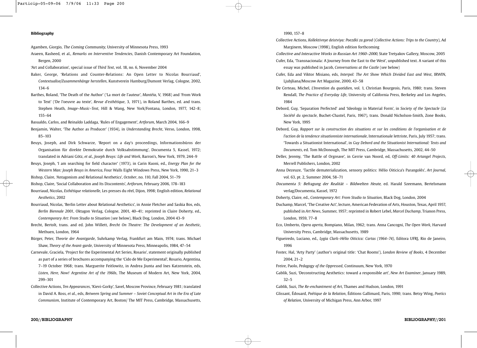#### **Bibliography**

Agamben, Giorgio, The Coming Community, University of Minnesota Press, 1993

Araeen, Rasheed, et al., *Remarks on Interventive Tendencies*, Danish Contemporary Art Foundation, Bergen, 2000

'Art and Collaboration', special issue of *Third Text*, vol. 18, no. 6, November 2004

- Baker, George, 'Relations and Counter-Relations: An Open Letter to Nicolas Bourriaud', *Contextualise/Zusammenhänge herstellen*, Kunstverein Hamburg/Dumont Verlag, Cologne, 2002, 134–6
- Barthes, Roland, 'The Death of the Author' ('La mort de l'auteur', *Mantéia*, V, 1968) and 'From Work to Text' ('De l'oeuvre au texte', *Revue d'esthétique*, 3, 1971), in Roland Barthes, ed. and trans. Stephen Heath, *Image–Music–Text*, Hill & Wang, New York/Fontana, London, 1977, 142–8; 155–64
- Basualdo, Carlos, and Reinaldo Laddaga, 'Rules of Engagement', *Artforum*, March 2004, 166–9
- Benjamin, Walter, 'The Author as Producer' (1934), in *Understanding Brecht*, Verso, London, 1998, 85–103
- Beuys, Joseph, and Dirk Schwarze, 'Report on a day's proceedings, Informationsbüros der Organisation für direkte Demokratie durch Volksabstimmung', Documenta 5, Kassel, 1972; translated in Adriani Götz, *et al*., *Joseph Beuys: Life and Work*, Barron's, New York, 1979, 244–9 Beuys, Joseph, 'I am searching for field character' (1973), in Carin Kuoni, ed., *Energy Plan for the*
- *Western Man: Joseph Beuys in America*, Four Walls Eight Windows Press, New York, 1990, 21–3 Bishop, Claire, 'Antagonism and Relational Aesthetics', *October*, no. 110, Fall 2004, 51–79
- Bishop, Claire, 'Social Collaboration and Its Discontents', *Artforum*, February 2006, 178–183
- Bourriaud, Nicolas, *Esthétique relationelle*, Les presses du réel, Dijon, 1998; English edition, *Relational Aesthetics*, 2002
- Bourriaud, Nicolas, 'Berlin Letter about Relational Aesthetics', in Annie Fletcher and Saskia Bos, eds, *Berlin Biennale 2001*, Oktagon Verlag, Cologne, 2001, 40–41; reprinted in Claire Doherty, ed., *Contemporary Art: From Studio to Situation* (see below), Black Dog, London, 2004 43–9
- Brecht, Bertolt, trans. and ed. John Willett, *Brecht On Theatre: The Development of an Aesthetic*, Methuen, London, 1964
- Bürger, Peter, *Theorie der Avantgarde*, Suhrkamp Verlag, Frankfurt am Main, 1974; trans. Michael Shaw, *Theory of the Avant-garde*, University of Minnesota Press, Minneapolis, 1984, 47–54
- Carnevale, Graciela, 'Project for the Experimental Art Series, Rosario', statement originally published as part of a series of brochures accompanying the 'Cido de Me Experimental', Rosario, Argentina, 7–19 October 1968; trans. Marguerite Feitlowitz, in Andrea Jiunta and Ines Katzenstein, eds, *Listen, Here, Now! Argentine Art of the 1960s*, The Museum of Modern Art, New York, 2004, 299–301
- Collective Actions, *Ten Appearances*, 'Kievi-Gorky', Savel, Moscow Province, February 1981; translated in David A. Ross, *et al*., eds, *Between Spring and Summer – Soviet Conceptual Art in the Era of Late Communism*, Institute of Contemporary Art, Boston/ The MIT Press, Cambridge, Massachusetts,

1990, 157–8

- Collective Actions, *Kollektivnye deistviya: Poezdki za gorod* (*Collective Actions: Trips to the Country*), Ad Marginem, Moscow (1998), English edition forthcoming
- Collective and Interactive Works in Russian Art 1960–2000, State Tretyakov Gallery, Moscow, 2005 Cufer, Eda, 'Transnacionala: A Journey from the East to the West', unpublished text. A variant of this essay was published in Jacob, *Conversations at the Castle* (see below)
- Cufer, Eda and Viktor Misiano, eds, *Interpol: The Art Show Which Divided East and West*, IRWIN, Ljubjliana/Moscow Art Magazine, 2000, 43–58
- De Certeau, Michel, *L'Invention du quotidien*, vol. 1, Christian Bourgeois, Paris, 1980; trans. Steven Rendall, *The Practice of Everyday Life*, University of California Press, Berkeley and Los Angeles, 1984
- Debord, Guy, 'Separation Perfected' and 'Ideology in Material Form', in *Society of the Spectacle* (*La Société du spectacle*, Buchet-Chastel, Paris, 1967), trans. Donald Nicholson-Smith, Zone Books, New York, 1995
- Debord, Guy, *Rapport sur la construction des situations et sur les conditions de l'organisation et de l'action de la tendence situationniste internationale*, Internationale lettriste, Paris, July 1957; trans. 'Towards a Situationist International', in *Guy Debord and the Situationist International: Texts and Documents*, ed. Tom McDonough, The MIT Press, Cambridge, Massachusetts, 2002, 44–50
- Deller, Jeremy, 'The Battle of Orgreave', in Gerrie van Noord, ed, *Off-Limits: 40 Artangel Projects*, Merrell Publishers, London, 2002
- Anna Dezeuze, 'Tactile dematerialization, sensory politics: Hélio Oiticica's Parangolés', *Art Journal*, vol. 63, pt. 2, Summer 2004, 58–71
- Documenta 5: Befragung der Realität Bildwelten Heute, ed. Harald Szeemann, Bertelsmann verlag/Documenta, Kassel, 1972
- Doherty, Claire, ed., *Contemporary Art: From Studio to Situation*, Black Dog, London, 2004
- Duchamp, Marcel, 'The Creative Act', lecture, American Federation of Arts, Houston, Texas, April 1957,
	- published in *Art News*, Summer, 1957; reprinted in Robert Lebel, *Marcel Duchamp*, Trianon Press, London, 1959, 77–8
- Eco, Umberto, *Opera aperta*, Bompiano, Milan, 1962; trans. Anna Cancogni, *The Open Work*, Harvard University Press, Cambridge, Massachusetts, 1989
- Figueiredo, Luciano, ed., *Lygia Clark–Hélio Oiticica: Cartas (1964–74)*, Editora UFRJ, Rio de Janeiro, 1996
- Foster, Hal, 'Arty Party' (author's original title: 'Chat Rooms'), *London Review of Books*, 4 December 2004, 21–2

Freire, Paolo, *Pedagogy of the Oppressed*, Continuum, New York, 1970

- Gablik, Suzi, 'Deconstructing Aesthetics: toward a responsible art', *New Art Examiner*, January 1989, 32–5
- Gablik, Suzi, *The Re-enchantment of Art*, Thames and Hudson, London, 1991

Glissant, Édouard, *Poétique de la Relation*, Éditions Gallimard, Paris, 1990; trans. Betsy Wing, *Poetics of Relation*, University of Michigan Press, Ann Arbor, 1997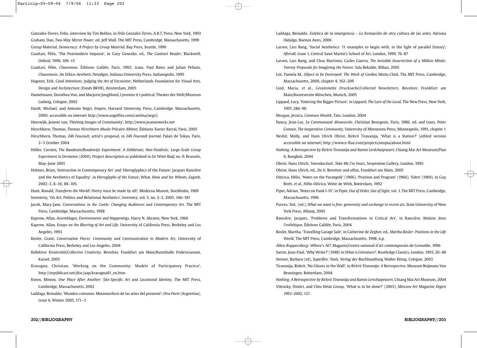Gonzales-Torres, Felix, interview by Tim Rollins, in *Felix Gonzalez-Torres*, A.R.T. Press, New York, 1993 Graham, Dan, *Two-Way Mirror Power*, ed. Jeff Wall, The MIT Press, Cambridge, Massachusetts, 1999 Group Material, *Democracy: A Project by Group Material*, Bay Press, Seattle, 1990

- Guattari, Félix, 'The Postmodern Impasse', in Gary Genosko, ed., *The Guattari Reader*, Blackwell, Oxford, 1996, 109–13
- Guattari, Félix, *Chaosmose*, Éditions Galilée, Paris, 1992; trans. Paul Bains and Julian Pefanis, *Chaosmosis: An Ethico-Aesthetic Paradigm*, Indiana University Press, Indianapolis, 1995
- Hagoort, Erik, *Good Intentions: Judging the Art of Encounter*, Netherlands Foundation for Visual Arts, Design and Architecture (Fonds BKVB), Amsterdam, 2005
- Hantelmann, Dorothea Von, and Marjorie Jongbloed, *I promise it's political*, Theater der Welt/Museum Ludwig, Cologne, 2002
- Hardt, Michael, and Antonio Negri, *Empire*, Harvard University Press, Cambridge, Massachusetts, 2000; accessible on internet http://www.angelfire.com/cantina/negri/

Heeswijk, Jeanne van, 'Fleeting Images of Community', http://www.jeanneworks.net

Hirschhorn, Thomas, *Thomas Hirschhorn Musée Précaire Albinet*, Éditions Xavier Barral, Paris, 2005 Hirschhorn, Thomas*, 24h Foucault*, artist's proposal, in *24h Foucault Journal*, Palais de Tokyo, Paris,

#### 2–3 October 2004

- Höller, Carsten, *The Baudouin/Boudewijn Experiment: A Deliberate, Non-Fatalistic, Large-Scale Group Experiment in Deviation* (2000), Project description as published in *De Witte Raaf*, no. 9, Brussels, May–June 2001
- Holmes, Brian, 'Interaction in Contemporary Art' and 'Hieroglyphics of the Future: Jacques Rancière and the Aesthetics of Equality', in *Hieroglyphs of the Future*, What, How and for Whom, Zagreb, 2002–3, 8–16; 88–105.
- Hunt, Ronald, *Transform the World! Poetry must be made by all!*, Moderna Museet, Stockholm, 1969 Inventory, 'On Art, Politics and Relational Aesthetics', *Inventory*, vol. 5, no. 2–3, 2005, 166–181
- Jacob, Mary-Jane, *Conversations in the Castle: Changing Audiences and Contemporary Art*, The MIT Press, Cambridge, Massachusetts, 1998

Kaprow, Allan, *Assemblages, Environments and Happenings*, Harry N. Abrams, New York, 1966

- Kaprow, Allan, *Essays on the Blurring of Art and Life*, University of California Press, Berkeley and Los Angeles, 1993
- Kester, Grant, *Conversation Pieces: Community and Communication in Modern Art*, University of California Press, Berkeley and Los Angeles, 2004
- *Kollektive Kreativität/Collective Creativity*, Revolver, Frankfurt am Main/Kunsthalle Fridericianum, Kassel, 2005
- Kravagna, Christian, 'Working on the Community: Models of Participatory Practice', http://republicart.net/disc/aap/kravagna01\_en.htm
- Kwon, Miwon, *One Place After Another: Site-Specific Art and Locational Identity*, The MIT Press, Cambridge, Massachusetts, 2002
- Laddaga, Reinaldo, 'Mundos comunes. Metamorfosis de las artes del presente', *Otra Parte* (Argentina), issue 6, Winter 2005, 171–3

Laddaga, Reinaldo, Estética de la emergencia – La formación de otra cultura de las artes, Adriana Hidalgo, Buenos Aires, 2006

- Larsen, Lars Bang, 'Social Aesthetics: 11 examples to begin with, in the light of parallel history', *Afterall*, issue 1, Central Saint Martin's School of Art, London, 1999, 76–87
- Larsen, Lars Bang, and Chus Martinez, Carles Guerra, *The Invisible Insurrection of a Million Minds: Twenty Proposals for Imagining the Future*, Sala Rekalde, Bilbao, 2005
- Lee, Pamela M., *Object to be Destroyed: The Work of Gordon Matta-Clark*, The MIT Press, Cambridge, Massachusetts, 2000, chapter 4, 162–209
- Lind, Maria, *et al*., *Gesammelte Drucksache/Collected Newsletters*, Revolver, Frankfurt am Main/Kunstverein München, Munich, 2005
- Lippard, Lucy, 'Entering the Bigger Picture', in Lippard, *The Lure of the Local*, The New Press, New York, 1997, 286–90
- Morgan, Jessica, *Common Wealth*, Tate, London, 2004
- Nancy, Jean-Luc, *La Communauté désoeuvrée*, Christian Bourgeois, Paris, 1986; ed. and trans. Peter Connor, *The Inoperative Community*, University of Minnesota Press, Minneapolis, 1991, chapter 1
- Nesbit, Molly, and Hans Ulrich Obrist, Rirkrit Tiravanija, 'What is a Station?' (edited version accessible on internet) http://www.e-flux.com/projects/utopia/about.html
- *Nothing: A Retrospective by Rirkrit Tiravanija and Kamin Lerdchaiprasert*, Chiang Mai Art Museum/Plan b, Bangkok, 2004
- Obrist, Hans Ulrich, 'Introduction', *Take Me I'm Yours*, Serpentine Gallery, London, 1995
- Obrist, Hans Ulrich, ed., *Do It*, Revolver and eflux, Frankfurt am Main, 2005
- Oiticica, Hélio, 'Notes on the Parangolé' (1966), 'Position and Program' (1966), 'Eden' (1969), in Guy Brett, *et al*., *Hélio Oiticica*, Witte de With, Rotterdam, 1992
- Piper, Adrian, 'Notes on Funk I–IV', in Piper, *Out of Order, Out of Sight*, vol. 1, The MIT Press, Cambridge, Massachusetts, 1996
- Purves, Ted, (ed.), *What we want is free: generosity and exchange in recent art*, State University of New York Press, Albany, 2005
- Rancière, Jacques, 'Problems and Transformations in Critical Art', in Rancière, *Malaise dans l'esthétique*, Éditions Galilée, Paris, 2004
- Rosler, Martha, 'Travelling Garage Sale', in Catherine de Zegher, ed., *Martha Rosler: Positions in the Life World*, The MIT Press, Cambridge, Massachusetts, 1998, n.p.

Allen Ruppersberg: Where's Al?, Magasin/Centre national d'art contemporain de Grenoble, 1996 Sartre, Jean-Paul, 'Why Write?' (1948) in *What is Literature?*, Routledge Classics, London, 1993, 26–48 Steiner, Barbara (ed), *Superflex: Tools*, Verlag der Buchhandlung Walter König, Cologne, 2003

Tiravanija, Rirkrit, 'No Ghosts in the Wall', in *Rirkrit Tiravanija: A Retrospective*, Museum Boijmans Van Beuningen, Rotterdam, 2004

*Nothing: A Retrospective by Rirkrit Tiravanija and Kamin Lertchaiprasert*, Chiang Mai Art Museum, 2004 Vilensky, Dmitri, and Chto Delat Group, 'What is to be done?' (2003), *Moscow Art Magazine Digest 1993–2005*, 121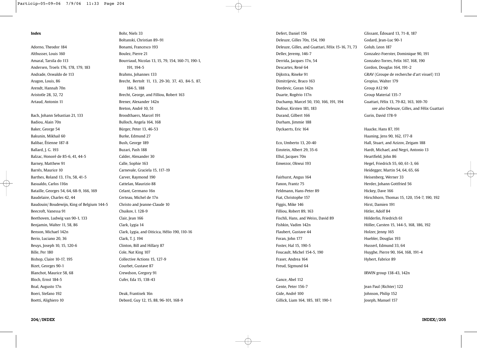**Index**

Adorno, Theodor 184 Althusser, Louis 160 Amaral, Tarsila do 113 Andersen, Troels 176, 178, 179, 183 Andrade, Oswaldo de 113 Aragon, Louis, 86 Arendt, Hannah 70n Aristotle 28, 32, 72 Artaud, Antonin 11

Bach, Johann Sebastian 21, 133 Badiou, Alain 70n Baker, George 54 Bakunin, Mikhail 60 Balibar, Étienne 187-8 Ballard, J. G. 193 Balzac, Honoré de 85-6, 41, 44-5 Barney, Matthew 91 Barrés, Maurice 10 Barthes, Roland 13, 17n, 58, 41-5 Basualdo, Carlos 116n Bataille, Georges 54, 64, 68-9, 166, 169 Baudelaire, Charles 42, 44 Baudouin/ Boudewijn, King of Belgium 144-5 Beecroft, Vanessa 91 Beethoven, Ludwig van 90-1, 133 Benjamin, Walter 11, 58, 86 Benson, Michael 142n Berio, Luciano 20, 36 Beuys, Joseph 10, 15, 120-6 Bille, Per 180 Bishop, Claire 10-17, 195 Bizet, Georges 90-1 Blanchot, Maurice 58, 68 Bloch, Ernst 184-5 Boal, Augusto 17n Boeri, Stefano 192 Boetti, Alighiero 10

Bohr, Niels 33 Boltanski, Christian 89–91 Bonami, Francesco 193 Boulez, Pierre 21 Bourriaud, Nicolas 13, 15, 79, 154, 160-71, 190-1, 191, 194-5 Brahms, Johannes 133 Brecht, Bertolt 11, 13, 29-30, 37, 43, 84-5, 87, 184-5, 188 Brecht, George, and Filliou, Robert 163 Brener, Alexander 142n Breton, André 10, 51 Broodthaers, Marcel 191 Bulloch, Angela 164, 168 Bürger, Peter 13, 46-53 Burke, Edmund 27 Bush, George 189 Buzari, Pash 188 Calder, Alexander 30 Calle, Sophie 163 Carnevale, Graciela 15, 117-19 Carver, Raymond 190 Cattelan, Maurizio 88 Celant, Germano 16n Certeau, Michel de 17n Christo and Jeanne-Claude 10 Chuikov, I. 128-9 Clair, Jean 166 Clark, Lygia 14 Clark, Lygia, and Oiticica, Hélio 190, 110-16 Clark, T. J. 194 Clinton, Bill and Hillary 87 Cole, Nat King 107 Collective Actions 15, 127-9 Courbet, Gustave 87 Crewdson, Gregory 91 Cufer, Eda 15, 138-43 Deak, Frantisek 16n

Debord, Guy 12, 15, 88, 96-101, 168-9

Defert, Daniel 156 Deleuze, Gilles 70n, 154, 190 Deleuze, Gilles, and Guattari, Félix 15-16, 71, 73 Deller, Jeremy, 146-7 Derrida, Jacques 17n, 54 Descartes, René 64 Dijkstra, Rineke 91 Dimitrijevic, Braco 163 Dordevic, Goran 142n Duarte, Rogério 117n Duchamp, Marcel 50, 150, 166, 191, 194 Dufour, Kirsten 181, 183 Durand, Gilbert 166 Durham, Jimmie 188 Dyckaerts, Eric 164

Eco, Umberto 13, 20-40 Einstein, Albert 29, 35-6 Ellul, Jacques 70n Enwezor, Okwui 193

Fairhurst, Angus 164 Fanon, Frantz 75 Feldmann, Hans-Peter 89 Fiat, Christophe 157 Figgis, Mike 146 Filliou, Robert 89, 163 Fischli, Hans, and Weiss, David 89 Fishkin, Vadim 142n Flaubert, Gustave 44 Foran, John 177 Foster, Hal 15, 190-5 Foucault, Michel 154-5, 190 Fraser, Andrea 164 Freud, Sigmund 64

Gance, Abel 112 Gente, Peter 156-7 Gide, André 100 Gillick, Liam 164, 185, 187, 190-1

Glissant, Édouard 13, 71-8, 187 Godard, Jean-Luc 90-1 Golub, Leon 187 Gonzalez-Foerster, Dominique 90, 191 Gonzalez-Torres, Felix 167, 168, 190 Gordon, Douglas 164, 191-2 GRAV (Groupe de recherche d'art visuel) 113 Gropius, Walter 179 Group A12 90 Group Material 135-7 Guattari, Félix 13, 79-82, 163, 169-70 see also Deleuze, Gilles, and Félix Guattari Gurin, David 178-9

Haacke, Hans 87, 191 Haaning, Jens 90, 162, 177-8 Hall, Stuart, and Azizov, Zeigam 188 Hardt, Michael, and Negri, Antonio 13 Heartfield, John 86 Hegel, Friedrich 55, 60, 61-3, 66 Heidegger, Martin 54, 64, 65, 66 Heisenberg, Werner 33 Herder, Johann Gottfried 56 Hickey, Dave 166 Hirschhorn, Thomas 15, 120, 154-7, 190, 192 Hirst, Damien 191 Hitler, Adolf 84 Hölderlin, Friedrich 61 Höller, Carsten 15, 144-5, 168, 186, 192 Holzer, Jenny 165 Huebler, Douglas 193 Husserl, Edmund 33, 64 Huyghe, Pierre 90, 164, 168, 191-4 Hybert, Fabrice 89

#### IRWIN group 138-43, 142n

Jean Paul (Richter) 122 Johnson, Philip 152 Joseph, Manuel 157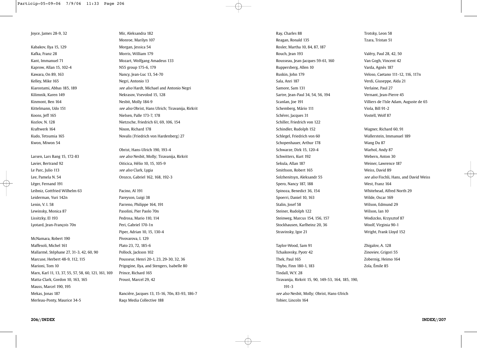Kabakov, Ilya 15, 129 Kafka, Franz 28 Kant, Immanuel 71 Kaprow, Allan 15, 102-4 Kawara, On 89, 163 Kelley, Mike 165 Kiarostami, Abbas 185, 189 Kilimnik, Karen 149 Kinmont, Ben 164 Kittelmann, Udo 151 Koons, Jeff 165 Kozlov, N. 128 Kraftwerk 164 Kudo, Tetsumia 165 Kwon, Miwon 54

Joyce, James 28-9, 32

Larsen, Lars Bang 15, 172-83 Lavier, Bertrand 92 Le Parc, Julio 113 Lee, Pamela N. 54 Léger, Fernand 191 Leibniz, Gottfried Wilhelm 63 Leiderman, Yuri 142n Lenin, V. I. 58 Lewinsky, Monica 87 Lissitzky, El 193 Lyotard, Jean-François 70n

McNamara, Robert 190 Maffesoli, Michel 161 Mallarmé, Stéphane 27, 31-3, 42, 60, 90 Marcuse, Herbert 48-9, 112, 115 Marioni, Tom 10 Marx, Karl 11, 13, 37, 55, 57, 58, 60, 121, 161, 169 Matta-Clark, Gordon 10, 163, 165 Mauss, Marcel 190, 195 Mekas, Jonas 187 Merleau-Ponty, Maurice 34-5

Monroe, Marilyn 107 Morgan, Jessica 54 Morris, William 179 Mozart, Wolfgang Amadeus 133 N55 group 175-6, 179 Nancy, Jean-Luc 13, 54-70 Negri, Antonio 13 see also Hardt, Michael and Antonio Negri Nekrasov, Vsevolod 15, 128 Nesbit, Molly 184-9 see also Obrist, Hans Ulrich; Tiravanija, Rirkrit Nielsen, Palle 173-7, 178 Nietzsche, Friedrich 61, 69, 106, 154 Nixon, Richard 178 Novalis (Friedrich von Hardenberg) 27

Mir, Aleksandra 182

Obrist, Hans-Ulrich 190, 193-4 see also Nesbit, Molly; Tiravanija, Rirkrit Oiticica, Hélio 10, 15, 105-9 see also Clark, Lygia Orozco, Gabriel 162, 168, 192-3

Pacino, Al 191 Pareyson, Luigi 38 Parreno, Philippe 164, 191 Pasolini, Pier Paolo 70n Pedrosa, Mario 110, 114 Peri, Gabriel 170-1n Piper, Adrian 10, 15, 130-4 Pivovarova, I. 129 Plato 23, 72, 185-6 Pollock, Jackson 102 Pousseur, Henri 20-1, 23, 29-30, 32, 36 Prigogine, Ilya, and Stengers, Isabelle 80 Prince, Richard 165 Proust, Marcel 29, 42

Rancière, Jacques 13, 15-16, 70n, 83-93, 186-7 Raqs Media Collective 188

Ray, Charles 88 Reagan, Ronald 135 Rosler, Martha 10, 84, 87, 187 Rouch, Jean 193 Rousseau, Jean-Jacques 59-61, 160 Ruppersberg, Allen 10 Ruskin, John 179 Sala, Anri 187 Samore, Sam 131 Sartre, Jean-Paul 34, 54, 56, 194 Scanlan, Joe 191 Schemberg, Mário 111 Schérer, Jacques 31 Schiller, Friedrich von 122 Schindler, Rudolph 152 Schlegel, Friedrich von 60 Schopenhauer, Arthur 178 Schwarze, Dirk 15, 120-4 Schwitters, Kurt 192 Sekula, Allan 187 Smithson, Robert 165 Solzhenitsyn, Aleksandr 55 Spero, Nancy 187, 188 Spinoza, Benedict 36, 154 Spoerri, Daniel 10, 163 Stalin, Josef 58 Steiner, Rudolph 122 Steinweg, Marcus 154, 156, 157 Stockhausen, Karlheinz 20, 36 Stravinsky, Igor 21

Taylor-Wood, Sam 91 Tchaikovsky, Pyotr 42 Thek, Paul 165 Thybo, Finn 180-1, 183 Tindall, W.Y. 28 Tiravanija, Rirkrit 15, 90, 149-53, 164, 185, 190, 191-3 see also Nesbit, Molly; Obrist, Hans-Ulrich Tobier, Lincoln 164

Trotsky, Leon 58 Tzara, Tristan 51

Valéry, Paul 28, 42, 50 Van Gogh, Vincent 42 Varda, Agnès 187 Veloso, Caetano 111-12, 116, 117n Verdi, Giuseppe, Aïda 21 Verlaine, Paul 27 Vernant, Jean-Pierre 45 Villiers de l'Isle Adam, Auguste de 65 Viola, Bill 91-2 Vostell, Wolf 87

Wagner, Richard 60, 91 Wallerstein, Immanuel 189 Wang Du 87 Warhol, Andy 87 Webern, Anton 30 Weiner, Lawrence 187 Weiss, David 89 see also Fischli, Hans, and David Weiss West, Franz 164 Whitehead, Alfred North 29 Wilde, Oscar 169 Wilson, Edmund 29 Wilson, Ian 10 Wodizcko, Krzysztof 87 Woolf, Virginia 90-1 Wright, Frank Lloyd 152

Zhigalov, A. 128 Zinoviev, Grigori 55 Zobernig, Heimo 164 Zola, Émile 85